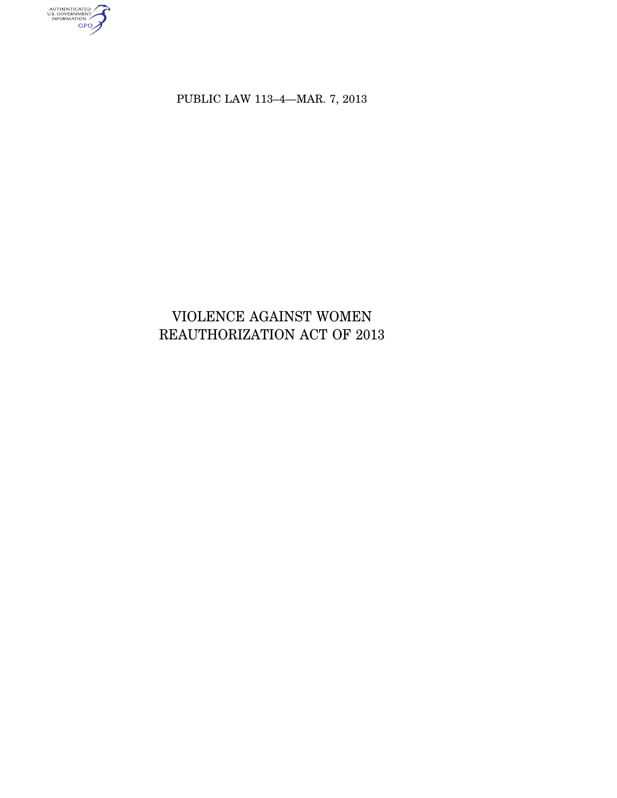authenticated<br>u.s. government<br>information<br>GPO

PUBLIC LAW 113–4—MAR. 7, 2013

# VIOLENCE AGAINST WOMEN REAUTHORIZATION ACT OF 2013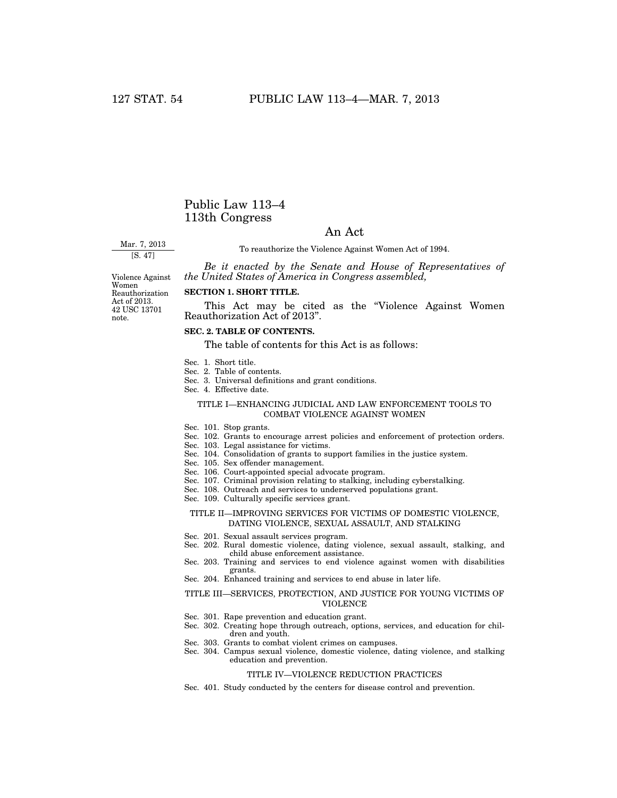# Public Law 113–4 113th Congress

# An Act

Mar. 7, 2013 [S. 47]

To reauthorize the Violence Against Women Act of 1994.

*Be it enacted by the Senate and House of Representatives of the United States of America in Congress assembled,* 

Women Reauthorization Act of 2013. 42 USC 13701 note.

# **SECTION 1. SHORT TITLE.**

This Act may be cited as the "Violence Against Women" Reauthorization Act of 2013''.

# **SEC. 2. TABLE OF CONTENTS.**

The table of contents for this Act is as follows:

- Sec. 1. Short title.
- Sec. 2. Table of contents.
- Sec. 3. Universal definitions and grant conditions.
- Sec. 4. Effective date.

### TITLE I—ENHANCING JUDICIAL AND LAW ENFORCEMENT TOOLS TO COMBAT VIOLENCE AGAINST WOMEN

- Sec. 101. Stop grants.
- Sec. 102. Grants to encourage arrest policies and enforcement of protection orders.
- Sec. 103. Legal assistance for victims.
- Sec. 104. Consolidation of grants to support families in the justice system.
- Sec. 105. Sex offender management.
- Sec. 106. Court-appointed special advocate program.
- Sec. 107. Criminal provision relating to stalking, including cyberstalking.
- Sec. 108. Outreach and services to underserved populations grant.
- Sec. 109. Culturally specific services grant.

#### TITLE II—IMPROVING SERVICES FOR VICTIMS OF DOMESTIC VIOLENCE, DATING VIOLENCE, SEXUAL ASSAULT, AND STALKING

- Sec. 201. Sexual assault services program.
- Sec. 202. Rural domestic violence, dating violence, sexual assault, stalking, and child abuse enforcement assistance.
- Sec. 203. Training and services to end violence against women with disabilities grants.
- Sec. 204. Enhanced training and services to end abuse in later life.

#### TITLE III—SERVICES, PROTECTION, AND JUSTICE FOR YOUNG VICTIMS OF VIOLENCE

- Sec. 301. Rape prevention and education grant.
- Sec. 302. Creating hope through outreach, options, services, and education for children and youth.
- Sec. 303. Grants to combat violent crimes on campuses.
- Sec. 304. Campus sexual violence, domestic violence, dating violence, and stalking education and prevention.

#### TITLE IV—VIOLENCE REDUCTION PRACTICES

Sec. 401. Study conducted by the centers for disease control and prevention.

Violence Against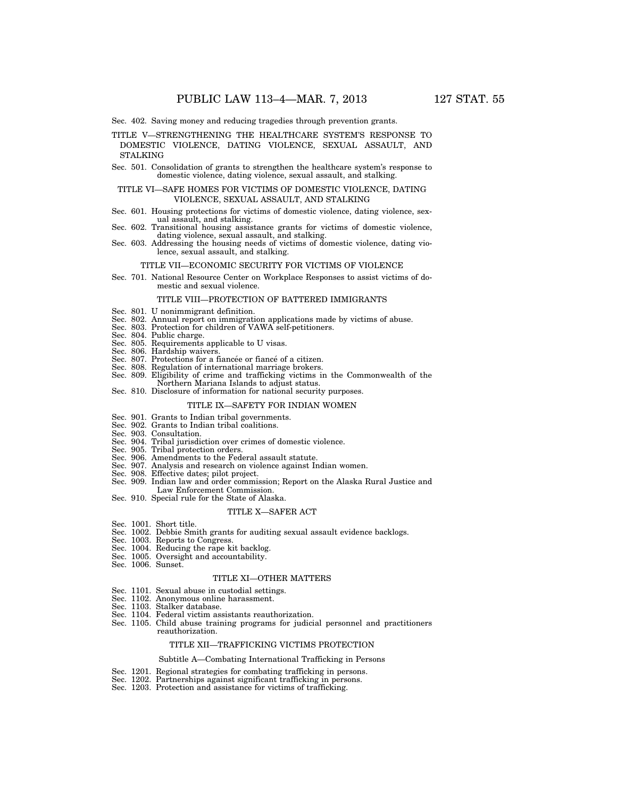Sec. 402. Saving money and reducing tragedies through prevention grants.

- TITLE V—STRENGTHENING THE HEALTHCARE SYSTEM'S RESPONSE TO DOMESTIC VIOLENCE, DATING VIOLENCE, SEXUAL ASSAULT, AND **STALKING**
- Sec. 501. Consolidation of grants to strengthen the healthcare system's response to domestic violence, dating violence, sexual assault, and stalking.

#### TITLE VI—SAFE HOMES FOR VICTIMS OF DOMESTIC VIOLENCE, DATING VIOLENCE, SEXUAL ASSAULT, AND STALKING

- Sec. 601. Housing protections for victims of domestic violence, dating violence, sexual assault, and stalking.
- Sec. 602. Transitional housing assistance grants for victims of domestic violence, dating violence, sexual assault, and stalking.
- Sec. 603. Addressing the housing needs of victims of domestic violence, dating violence, sexual assault, and stalking.

#### TITLE VII—ECONOMIC SECURITY FOR VICTIMS OF VIOLENCE

Sec. 701. National Resource Center on Workplace Responses to assist victims of domestic and sexual violence.

#### TITLE VIII—PROTECTION OF BATTERED IMMIGRANTS

- Sec. 801. U nonimmigrant definition.
- Sec. 802. Annual report on immigration applications made by victims of abuse. Sec. 803. Protection for children of VAWA self-petitioners.
- 
- 
- Sec. 804. Public charge. Sec. 805. Requirements applicable to U visas.
- Sec. 806. Hardship waivers.
- Sec. 807. Protections for a fiancée or fiance of a citizen.
- Sec. 808. Regulation of international marriage brokers.
- Sec. 809. Eligibility of crime and trafficking victims in the Commonwealth of the Northern Mariana Islands to adjust status.
- Sec. 810. Disclosure of information for national security purposes.

## TITLE IX—SAFETY FOR INDIAN WOMEN

- Sec. 901. Grants to Indian tribal governments.
- Sec. 902. Grants to Indian tribal coalitions.
- Sec. 903. Consultation.
- Sec. 904. Tribal jurisdiction over crimes of domestic violence.
- Sec. 905. Tribal protection orders.
- Sec. 906. Amendments to the Federal assault statute.
- Sec. 907. Analysis and research on violence against Indian women.
- Sec. 908. Effective dates; pilot project.
- Sec. 909. Indian law and order commission; Report on the Alaska Rural Justice and Law Enforcement Commission.
- Sec. 910. Special rule for the State of Alaska.

#### TITLE X—SAFER ACT

- Sec. 1001. Short title.
- Sec. 1002. Debbie Smith grants for auditing sexual assault evidence backlogs.
- Sec. 1003. Reports to Congress.
- Sec. 1004. Reducing the rape kit backlog.
- Sec. 1005. Oversight and accountability.
- Sec. 1006. Sunset.

#### TITLE XI—OTHER MATTERS

- Sec. 1101. Sexual abuse in custodial settings.
- Sec. 1102. Anonymous online harassment.
- Sec. 1103. Stalker database.
- Sec. 1104. Federal victim assistants reauthorization.
- Sec. 1105. Child abuse training programs for judicial personnel and practitioners reauthorization.

#### TITLE XII—TRAFFICKING VICTIMS PROTECTION

#### Subtitle A—Combating International Trafficking in Persons

- Sec. 1201. Regional strategies for combating trafficking in persons.
- Sec. 1202. Partnerships against significant trafficking in persons.
- Sec. 1203. Protection and assistance for victims of trafficking.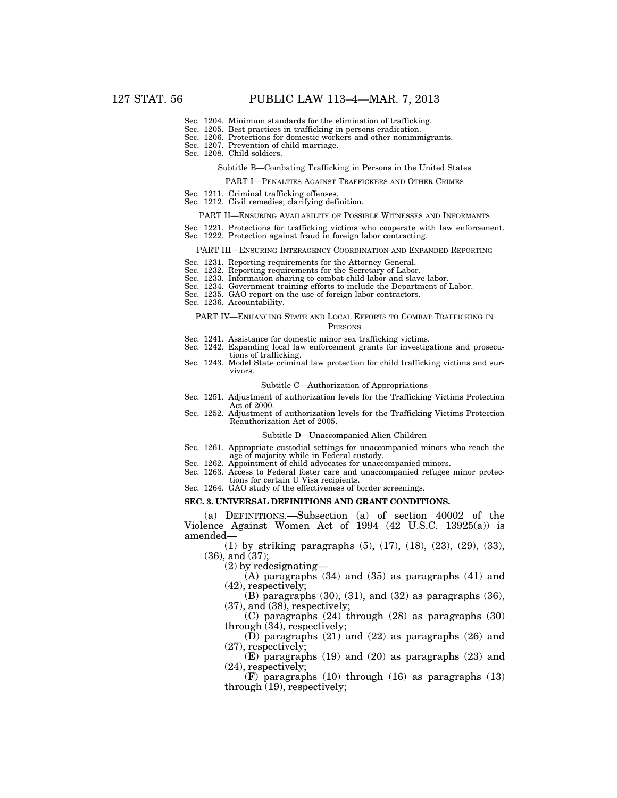- Sec. 1204. Minimum standards for the elimination of trafficking.
- Sec. 1205. Best practices in trafficking in persons eradication.
- Sec. 1206. Protections for domestic workers and other nonimmigrants.
- Sec. 1207. Prevention of child marriage.
- Sec. 1208. Child soldiers.

# Subtitle B—Combating Trafficking in Persons in the United States

PART I—PENALTIES AGAINST TRAFFICKERS AND OTHER CRIMES

- Sec. 1211. Criminal trafficking offenses.
- Sec. 1212. Civil remedies; clarifying definition.
	- PART II—ENSURING AVAILABILITY OF POSSIBLE WITNESSES AND INFORMANTS
- Sec. 1221. Protections for trafficking victims who cooperate with law enforcement.
- Sec. 1222. Protection against fraud in foreign labor contracting.

#### PART III—ENSURING INTERAGENCY COORDINATION AND EXPANDED REPORTING

- Sec. 1231. Reporting requirements for the Attorney General.
- Sec. 1232. Reporting requirements for the Secretary of Labor.
- Sec. 1233. Information sharing to combat child labor and slave labor.
- Sec. 1234. Government training efforts to include the Department of Labor.
- Sec. 1235. GAO report on the use of foreign labor contractors.
- Sec. 1236. Accountability.

#### PART IV—ENHANCING STATE AND LOCAL EFFORTS TO COMBAT TRAFFICKING IN PERSONS

- Sec. 1241. Assistance for domestic minor sex trafficking victims.
- Sec. 1242. Expanding local law enforcement grants for investigations and prosecutions of trafficking.
- Sec. 1243. Model State criminal law protection for child trafficking victims and survivors.

#### Subtitle C—Authorization of Appropriations

- Sec. 1251. Adjustment of authorization levels for the Trafficking Victims Protection Act of 2000.
- Sec. 1252. Adjustment of authorization levels for the Trafficking Victims Protection Reauthorization Act of 2005.

#### Subtitle D—Unaccompanied Alien Children

- Sec. 1261. Appropriate custodial settings for unaccompanied minors who reach the age of majority while in Federal custody.
- Sec. 1262. Appointment of child advocates for unaccompanied minors.
- Sec. 1263. Access to Federal foster care and unaccompanied refugee minor protections for certain U Visa recipients.
- Sec. 1264. GAO study of the effectiveness of border screenings.

#### **SEC. 3. UNIVERSAL DEFINITIONS AND GRANT CONDITIONS.**

(a) DEFINITIONS.—Subsection (a) of section 40002 of the Violence Against Women Act of 1994 (42 U.S.C. 13925(a)) is amended—

(1) by striking paragraphs (5), (17), (18), (23), (29), (33), (36), and (37);

(2) by redesignating—

(A) paragraphs (34) and (35) as paragraphs (41) and (42), respectively;

 $(B)$  paragraphs  $(30)$ ,  $(31)$ , and  $(32)$  as paragraphs  $(36)$ , (37), and (38), respectively;

(C) paragraphs (24) through (28) as paragraphs (30) through (34), respectively;

(D) paragraphs (21) and (22) as paragraphs (26) and (27), respectively;

(E) paragraphs (19) and (20) as paragraphs (23) and (24), respectively;

(F) paragraphs (10) through (16) as paragraphs (13) through (19), respectively;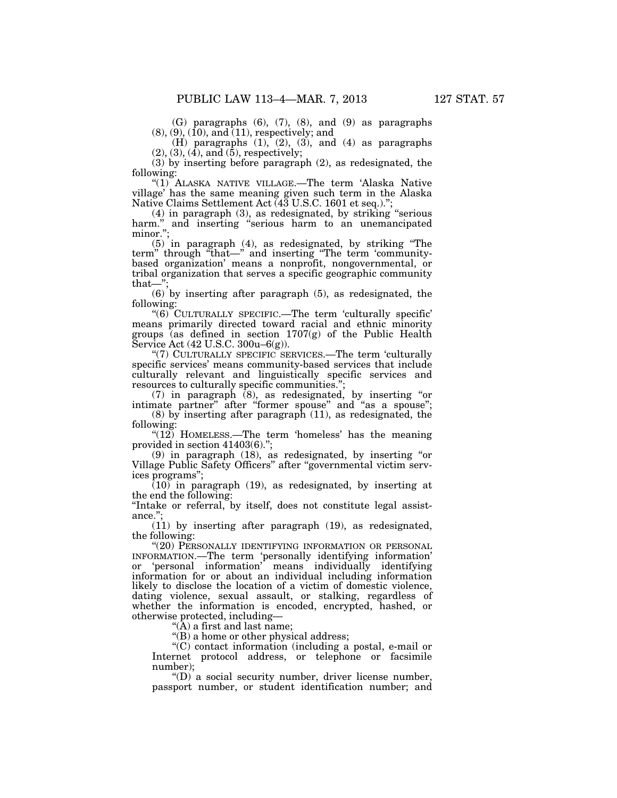(G) paragraphs (6), (7), (8), and (9) as paragraphs  $(8), (9), (10), and (11), respectively; and$ 

(H) paragraphs  $(1)$ ,  $(2)$ ,  $(3)$ , and  $(4)$  as paragraphs  $(2), (3), (4),$  and  $(5)$ , respectively;

(3) by inserting before paragraph (2), as redesignated, the following:

''(1) ALASKA NATIVE VILLAGE.—The term 'Alaska Native village' has the same meaning given such term in the Alaska Native Claims Settlement Act (43 U.S.C. 1601 et seq.).'';

(4) in paragraph (3), as redesignated, by striking ''serious harm." and inserting "serious harm to an unemancipated minor.'';

(5) in paragraph (4), as redesignated, by striking ''The term'' through ''that—'' and inserting ''The term 'communitybased organization' means a nonprofit, nongovernmental, or tribal organization that serves a specific geographic community  $that$ — $'$ 

(6) by inserting after paragraph (5), as redesignated, the following:

''(6) CULTURALLY SPECIFIC.—The term 'culturally specific' means primarily directed toward racial and ethnic minority groups (as defined in section 1707(g) of the Public Health Service Act (42 U.S.C. 300u–6(g)).

"(7) CULTURALLY SPECIFIC SERVICES.—The term 'culturally specific services' means community-based services that include culturally relevant and linguistically specific services and resources to culturally specific communities.'';

(7) in paragraph (8), as redesignated, by inserting ''or intimate partner'' after ''former spouse'' and ''as a spouse'';

(8) by inserting after paragraph (11), as redesignated, the following:

" $(12)$  HOMELESS.—The term 'homeless' has the meaning provided in section 41403(6).'';

(9) in paragraph (18), as redesignated, by inserting ''or Village Public Safety Officers'' after ''governmental victim services programs'';

(10) in paragraph (19), as redesignated, by inserting at the end the following:

''Intake or referral, by itself, does not constitute legal assistance."

(11) by inserting after paragraph (19), as redesignated, the following:

"(20) PERSONALLY IDENTIFYING INFORMATION OR PERSONAL INFORMATION.—The term 'personally identifying information' 'personal information' means individually identifying information for or about an individual including information likely to disclose the location of a victim of domestic violence, dating violence, sexual assault, or stalking, regardless of whether the information is encoded, encrypted, hashed, or otherwise protected, including—

''(A) a first and last name;

''(B) a home or other physical address;

''(C) contact information (including a postal, e-mail or Internet protocol address, or telephone or facsimile number);

''(D) a social security number, driver license number, passport number, or student identification number; and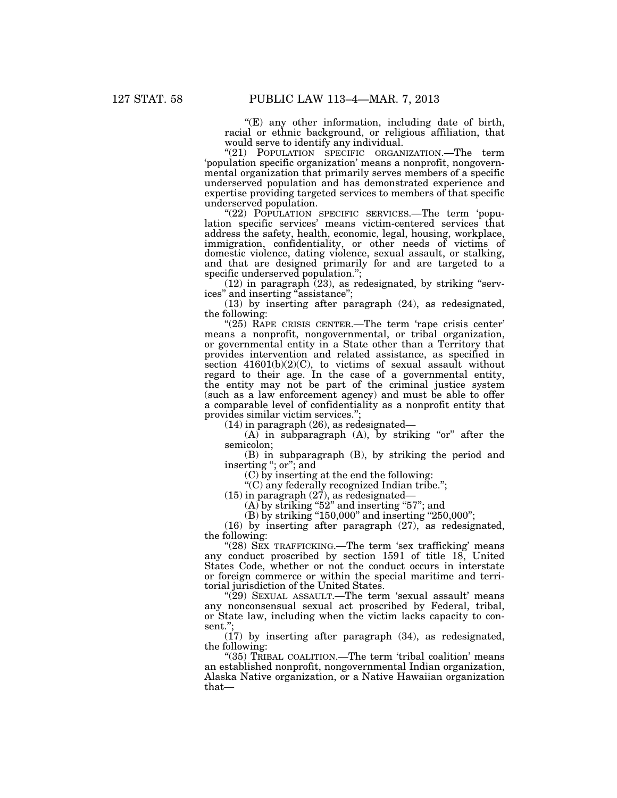"(E) any other information, including date of birth, racial or ethnic background, or religious affiliation, that would serve to identify any individual.

"(21) POPULATION SPECIFIC ORGANIZATION.—The term 'population specific organization' means a nonprofit, nongovernmental organization that primarily serves members of a specific underserved population and has demonstrated experience and expertise providing targeted services to members of that specific underserved population.

"(22) POPULATION SPECIFIC SERVICES.—The term 'population specific services' means victim-centered services that address the safety, health, economic, legal, housing, workplace, immigration, confidentiality, or other needs of victims of domestic violence, dating violence, sexual assault, or stalking, and that are designed primarily for and are targeted to a specific underserved population.'';

 $(12)$  in paragraph  $(23)$ , as redesignated, by striking "services'' and inserting ''assistance'';

(13) by inserting after paragraph (24), as redesignated, the following:

"(25) RAPE CRISIS CENTER.—The term 'rape crisis center' means a nonprofit, nongovernmental, or tribal organization, or governmental entity in a State other than a Territory that provides intervention and related assistance, as specified in section 41601(b)(2)(C), to victims of sexual assault without regard to their age. In the case of a governmental entity, the entity may not be part of the criminal justice system (such as a law enforcement agency) and must be able to offer a comparable level of confidentiality as a nonprofit entity that provides similar victim services."

(14) in paragraph (26), as redesignated—

(A) in subparagraph  $(A)$ , by striking "or" after the semicolon;

(B) in subparagraph (B), by striking the period and inserting ''; or''; and

(C) by inserting at the end the following:

''(C) any federally recognized Indian tribe.'';

(15) in paragraph (27), as redesignated—

 $(A)$  by striking "52" and inserting "57"; and

(B) by striking "150,000" and inserting "250,000";

(16) by inserting after paragraph (27), as redesignated, the following:

"(28) SEX TRAFFICKING.—The term 'sex trafficking' means any conduct proscribed by section 1591 of title 18, United States Code, whether or not the conduct occurs in interstate or foreign commerce or within the special maritime and territorial jurisdiction of the United States.

"(29) SEXUAL ASSAULT.—The term 'sexual assault' means any nonconsensual sexual act proscribed by Federal, tribal, or State law, including when the victim lacks capacity to consent.'';

(17) by inserting after paragraph (34), as redesignated, the following:

"(35) TRIBAL COALITION.—The term 'tribal coalition' means an established nonprofit, nongovernmental Indian organization, Alaska Native organization, or a Native Hawaiian organization that—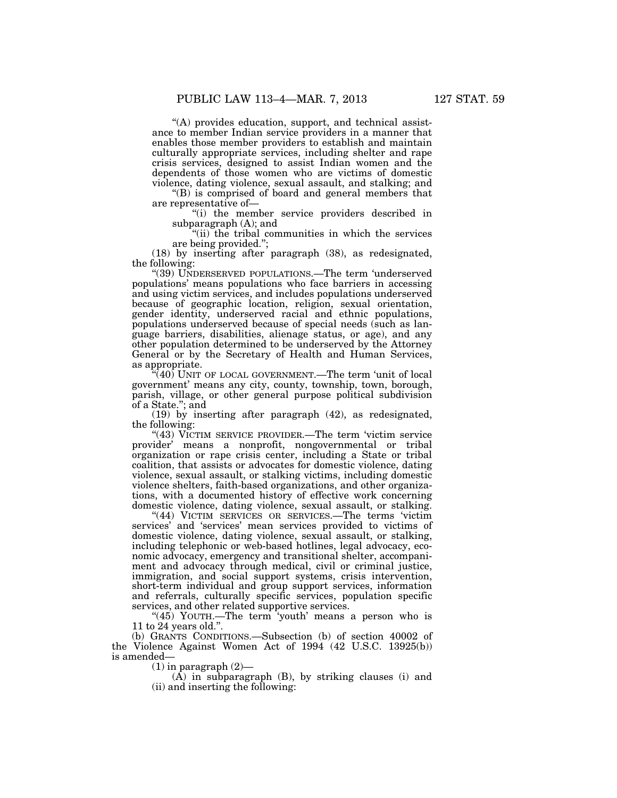''(A) provides education, support, and technical assistance to member Indian service providers in a manner that enables those member providers to establish and maintain culturally appropriate services, including shelter and rape crisis services, designed to assist Indian women and the dependents of those women who are victims of domestic violence, dating violence, sexual assault, and stalking; and

 $'(B)$  is comprised of board and general members that are representative of—

''(i) the member service providers described in subparagraph (A); and

"(ii) the tribal communities in which the services are being provided.'';

(18) by inserting after paragraph (38), as redesignated, the following:

''(39) UNDERSERVED POPULATIONS.—The term 'underserved populations' means populations who face barriers in accessing and using victim services, and includes populations underserved because of geographic location, religion, sexual orientation, gender identity, underserved racial and ethnic populations, populations underserved because of special needs (such as language barriers, disabilities, alienage status, or age), and any other population determined to be underserved by the Attorney General or by the Secretary of Health and Human Services, as appropriate.

"(40) UNIT OF LOCAL GOVERNMENT.—The term 'unit of local government' means any city, county, township, town, borough, parish, village, or other general purpose political subdivision of a State.''; and

(19) by inserting after paragraph (42), as redesignated, the following:

''(43) VICTIM SERVICE PROVIDER.—The term 'victim service provider' means a nonprofit, nongovernmental or tribal organization or rape crisis center, including a State or tribal coalition, that assists or advocates for domestic violence, dating violence, sexual assault, or stalking victims, including domestic violence shelters, faith-based organizations, and other organizations, with a documented history of effective work concerning domestic violence, dating violence, sexual assault, or stalking.

"(44) VICTIM SERVICES OR SERVICES.—The terms 'victim services' and 'services' mean services provided to victims of domestic violence, dating violence, sexual assault, or stalking, including telephonic or web-based hotlines, legal advocacy, economic advocacy, emergency and transitional shelter, accompaniment and advocacy through medical, civil or criminal justice, immigration, and social support systems, crisis intervention, short-term individual and group support services, information and referrals, culturally specific services, population specific services, and other related supportive services.

"(45) YOUTH.—The term 'youth' means a person who is 11 to 24 years old.''.

(b) GRANTS CONDITIONS.—Subsection (b) of section 40002 of the Violence Against Women Act of 1994 (42 U.S.C. 13925(b)) is amended—

 $(1)$  in paragraph  $(2)$ —

 $(A)$  in subparagraph  $(B)$ , by striking clauses (i) and (ii) and inserting the following: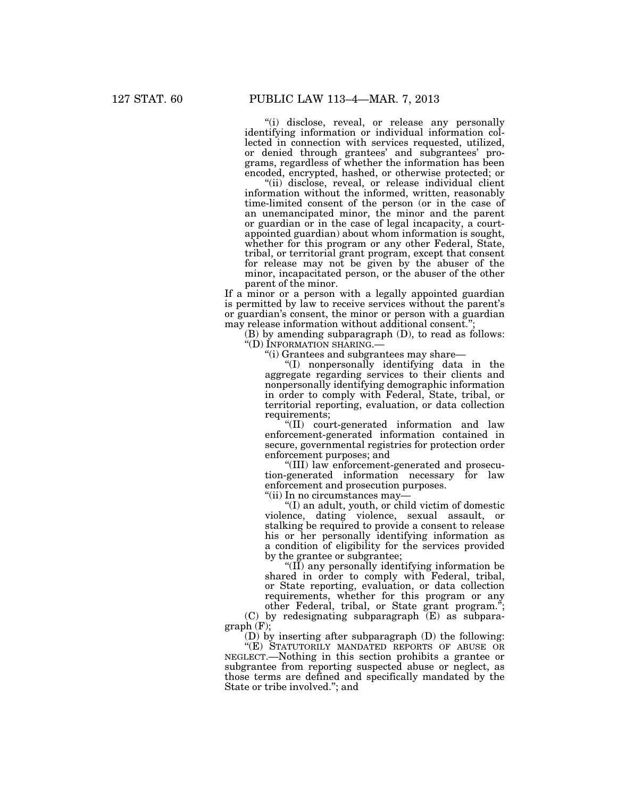"(i) disclose, reveal, or release any personally identifying information or individual information collected in connection with services requested, utilized, or denied through grantees' and subgrantees' programs, regardless of whether the information has been encoded, encrypted, hashed, or otherwise protected; or

"(ii) disclose, reveal, or release individual client information without the informed, written, reasonably time-limited consent of the person (or in the case of an unemancipated minor, the minor and the parent or guardian or in the case of legal incapacity, a courtappointed guardian) about whom information is sought, whether for this program or any other Federal, State, tribal, or territorial grant program, except that consent for release may not be given by the abuser of the minor, incapacitated person, or the abuser of the other parent of the minor.

If a minor or a person with a legally appointed guardian is permitted by law to receive services without the parent's or guardian's consent, the minor or person with a guardian may release information without additional consent.'

(B) by amending subparagraph (D), to read as follows: ''(D) INFORMATION SHARING.—

''(i) Grantees and subgrantees may share—

''(I) nonpersonally identifying data in the aggregate regarding services to their clients and nonpersonally identifying demographic information in order to comply with Federal, State, tribal, or territorial reporting, evaluation, or data collection requirements;

''(II) court-generated information and law enforcement-generated information contained in secure, governmental registries for protection order enforcement purposes; and

''(III) law enforcement-generated and prosecution-generated information necessary for law enforcement and prosecution purposes.

''(ii) In no circumstances may—

''(I) an adult, youth, or child victim of domestic violence, dating violence, sexual assault, or stalking be required to provide a consent to release his or her personally identifying information as a condition of eligibility for the services provided by the grantee or subgrantee;

" $(II)$  any personally identifying information be shared in order to comply with Federal, tribal, or State reporting, evaluation, or data collection requirements, whether for this program or any other Federal, tribal, or State grant program.'';

(C) by redesignating subparagraph (E) as subpara $graph$  (F);

(D) by inserting after subparagraph (D) the following:

''(E) STATUTORILY MANDATED REPORTS OF ABUSE OR NEGLECT.—Nothing in this section prohibits a grantee or subgrantee from reporting suspected abuse or neglect, as those terms are defined and specifically mandated by the State or tribe involved.''; and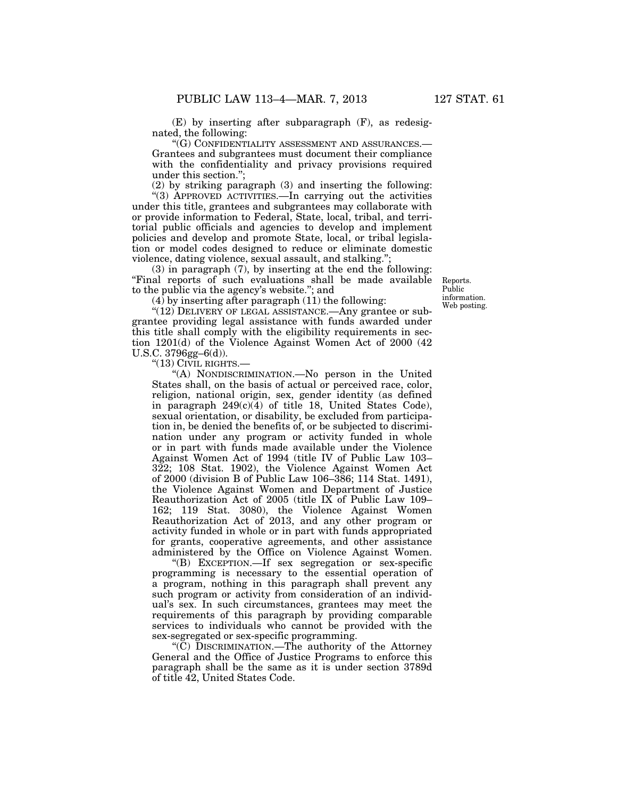(E) by inserting after subparagraph (F), as redesignated, the following:

''(G) CONFIDENTIALITY ASSESSMENT AND ASSURANCES.— Grantees and subgrantees must document their compliance with the confidentiality and privacy provisions required under this section.'';

(2) by striking paragraph (3) and inserting the following:

''(3) APPROVED ACTIVITIES.—In carrying out the activities under this title, grantees and subgrantees may collaborate with or provide information to Federal, State, local, tribal, and territorial public officials and agencies to develop and implement policies and develop and promote State, local, or tribal legislation or model codes designed to reduce or eliminate domestic violence, dating violence, sexual assault, and stalking.'';

(3) in paragraph (7), by inserting at the end the following: ''Final reports of such evaluations shall be made available to the public via the agency's website.''; and

 $(4)$  by inserting after paragraph  $(11)$  the following:

"(12) DELIVERY OF LEGAL ASSISTANCE.—Any grantee or subgrantee providing legal assistance with funds awarded under this title shall comply with the eligibility requirements in section 1201(d) of the Violence Against Women Act of 2000 (42 U.S.C. 3796gg–6(d)).

''(13) CIVIL RIGHTS.—

''(A) NONDISCRIMINATION.—No person in the United States shall, on the basis of actual or perceived race, color, religion, national origin, sex, gender identity (as defined in paragraph 249(c)(4) of title 18, United States Code), sexual orientation, or disability, be excluded from participation in, be denied the benefits of, or be subjected to discrimination under any program or activity funded in whole or in part with funds made available under the Violence Against Women Act of 1994 (title IV of Public Law 103– 322; 108 Stat. 1902), the Violence Against Women Act of 2000 (division B of Public Law 106–386; 114 Stat. 1491), the Violence Against Women and Department of Justice Reauthorization Act of 2005 (title IX of Public Law 109– 162; 119 Stat. 3080), the Violence Against Women Reauthorization Act of 2013, and any other program or activity funded in whole or in part with funds appropriated for grants, cooperative agreements, and other assistance administered by the Office on Violence Against Women.

''(B) EXCEPTION.—If sex segregation or sex-specific programming is necessary to the essential operation of a program, nothing in this paragraph shall prevent any such program or activity from consideration of an individual's sex. In such circumstances, grantees may meet the requirements of this paragraph by providing comparable services to individuals who cannot be provided with the sex-segregated or sex-specific programming.

''(C) DISCRIMINATION.—The authority of the Attorney General and the Office of Justice Programs to enforce this paragraph shall be the same as it is under section 3789d of title 42, United States Code.

Reports. Public information. Web posting.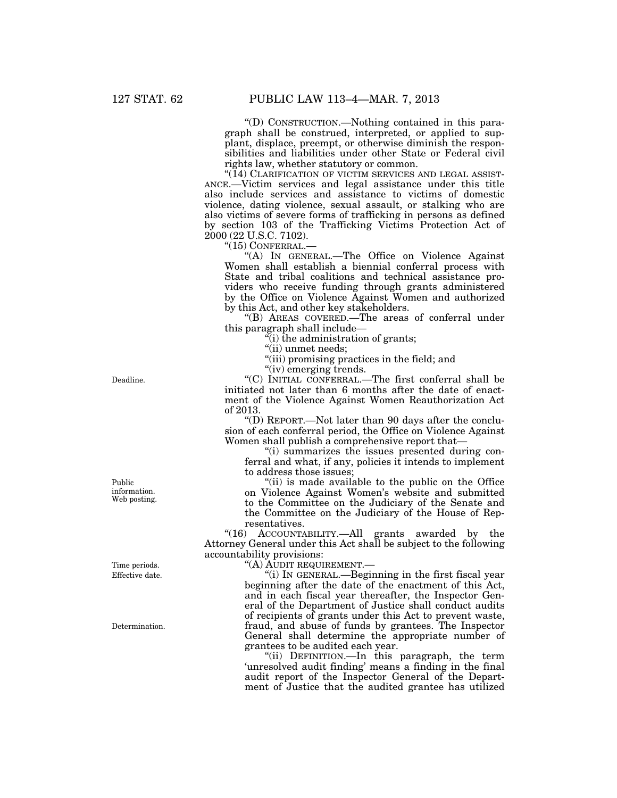''(D) CONSTRUCTION.—Nothing contained in this paragraph shall be construed, interpreted, or applied to supplant, displace, preempt, or otherwise diminish the responsibilities and liabilities under other State or Federal civil rights law, whether statutory or common.

"(14) CLARIFICATION OF VICTIM SERVICES AND LEGAL ASSIST-ANCE.—Victim services and legal assistance under this title also include services and assistance to victims of domestic violence, dating violence, sexual assault, or stalking who are also victims of severe forms of trafficking in persons as defined by section 103 of the Trafficking Victims Protection Act of 2000 (22 U.S.C. 7102).

''(15) CONFERRAL.—

''(A) IN GENERAL.—The Office on Violence Against Women shall establish a biennial conferral process with State and tribal coalitions and technical assistance providers who receive funding through grants administered by the Office on Violence Against Women and authorized by this Act, and other key stakeholders.

''(B) AREAS COVERED.—The areas of conferral under this paragraph shall include—

 $\dddot{f}$ (i) the administration of grants;

"(ii) unmet needs;

''(iii) promising practices in the field; and

''(iv) emerging trends.

''(C) INITIAL CONFERRAL.—The first conferral shall be initiated not later than 6 months after the date of enactment of the Violence Against Women Reauthorization Act of 2013.

''(D) REPORT.—Not later than 90 days after the conclusion of each conferral period, the Office on Violence Against Women shall publish a comprehensive report that—

''(i) summarizes the issues presented during conferral and what, if any, policies it intends to implement to address those issues;

"(ii) is made available to the public on the Office on Violence Against Women's website and submitted to the Committee on the Judiciary of the Senate and the Committee on the Judiciary of the House of Representatives.

"(16) ACCOUNTABILITY.—All grants awarded by the Attorney General under this Act shall be subject to the following accountability provisions:

''(A) AUDIT REQUIREMENT.—

''(i) IN GENERAL.—Beginning in the first fiscal year beginning after the date of the enactment of this Act, and in each fiscal year thereafter, the Inspector General of the Department of Justice shall conduct audits of recipients of grants under this Act to prevent waste, fraud, and abuse of funds by grantees. The Inspector General shall determine the appropriate number of grantees to be audited each year.

''(ii) DEFINITION.—In this paragraph, the term 'unresolved audit finding' means a finding in the final audit report of the Inspector General of the Department of Justice that the audited grantee has utilized

Deadline.

Public information. Web posting.

Effective date. Time periods.

Determination.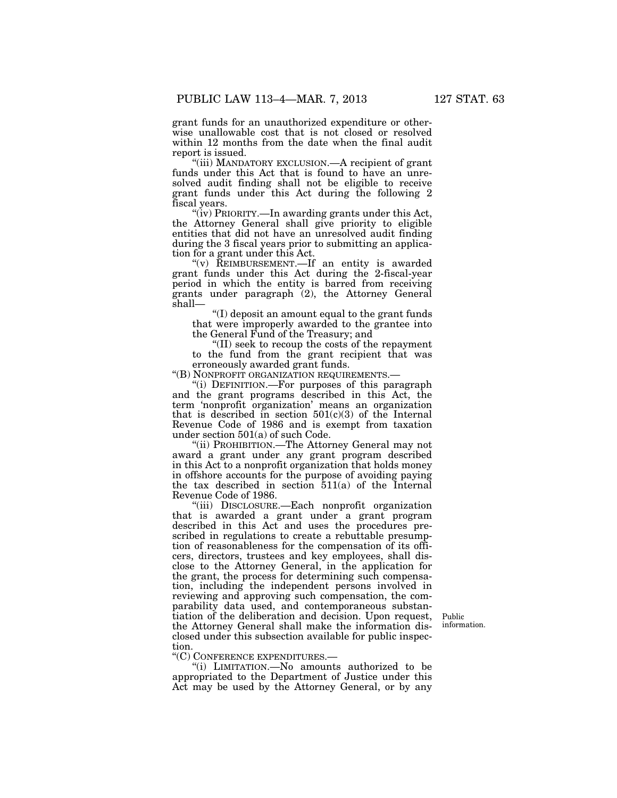grant funds for an unauthorized expenditure or otherwise unallowable cost that is not closed or resolved within 12 months from the date when the final audit report is issued.

"(iii) MANDATORY EXCLUSION.—A recipient of grant funds under this Act that is found to have an unresolved audit finding shall not be eligible to receive grant funds under this Act during the following 2 fiscal years.

"(iv) PRIORITY.—In awarding grants under this Act, the Attorney General shall give priority to eligible entities that did not have an unresolved audit finding during the 3 fiscal years prior to submitting an application for a grant under this Act.

" $(v)$  REIMBURSEMENT.—If an entity is awarded grant funds under this Act during the 2-fiscal-year period in which the entity is barred from receiving grants under paragraph (2), the Attorney General shall—

''(I) deposit an amount equal to the grant funds that were improperly awarded to the grantee into the General Fund of the Treasury; and

''(II) seek to recoup the costs of the repayment to the fund from the grant recipient that was erroneously awarded grant funds.

''(B) NONPROFIT ORGANIZATION REQUIREMENTS.—

''(i) DEFINITION.—For purposes of this paragraph and the grant programs described in this Act, the term 'nonprofit organization' means an organization that is described in section  $501(c)(3)$  of the Internal Revenue Code of 1986 and is exempt from taxation under section 501(a) of such Code.

''(ii) PROHIBITION.—The Attorney General may not award a grant under any grant program described in this Act to a nonprofit organization that holds money in offshore accounts for the purpose of avoiding paying the tax described in section 511(a) of the Internal Revenue Code of 1986.

''(iii) DISCLOSURE.—Each nonprofit organization that is awarded a grant under a grant program described in this Act and uses the procedures prescribed in regulations to create a rebuttable presumption of reasonableness for the compensation of its officers, directors, trustees and key employees, shall disclose to the Attorney General, in the application for the grant, the process for determining such compensation, including the independent persons involved in reviewing and approving such compensation, the comparability data used, and contemporaneous substantiation of the deliberation and decision. Upon request, the Attorney General shall make the information disclosed under this subsection available for public inspection.

Public information.

''(C) CONFERENCE EXPENDITURES.—

''(i) LIMITATION.—No amounts authorized to be appropriated to the Department of Justice under this Act may be used by the Attorney General, or by any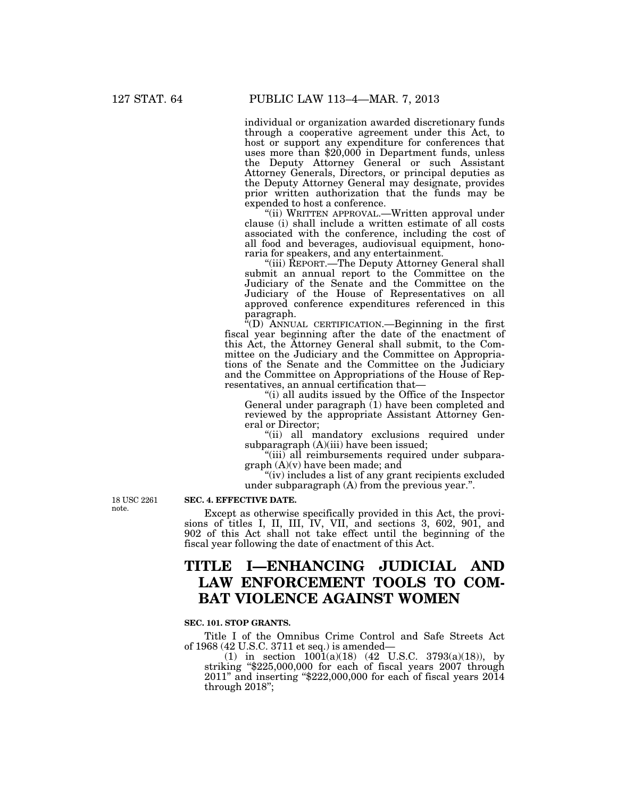individual or organization awarded discretionary funds through a cooperative agreement under this Act, to host or support any expenditure for conferences that uses more than \$20,000 in Department funds, unless the Deputy Attorney General or such Assistant Attorney Generals, Directors, or principal deputies as the Deputy Attorney General may designate, provides prior written authorization that the funds may be expended to host a conference.

''(ii) WRITTEN APPROVAL.—Written approval under clause (i) shall include a written estimate of all costs associated with the conference, including the cost of all food and beverages, audiovisual equipment, honoraria for speakers, and any entertainment.

''(iii) REPORT.—The Deputy Attorney General shall submit an annual report to the Committee on the Judiciary of the Senate and the Committee on the Judiciary of the House of Representatives on all approved conference expenditures referenced in this paragraph.

''(D) ANNUAL CERTIFICATION.—Beginning in the first fiscal year beginning after the date of the enactment of this Act, the Attorney General shall submit, to the Committee on the Judiciary and the Committee on Appropriations of the Senate and the Committee on the Judiciary and the Committee on Appropriations of the House of Representatives, an annual certification that—

''(i) all audits issued by the Office of the Inspector General under paragraph (1) have been completed and reviewed by the appropriate Assistant Attorney General or Director;

"(ii) all mandatory exclusions required under subparagraph (A)(iii) have been issued;

"(iii) all reimbursements required under subparagraph (A)(v) have been made; and

"(iv) includes a list of any grant recipients excluded under subparagraph (A) from the previous year.''.

18 USC 2261 note.

# **SEC. 4. EFFECTIVE DATE.**

Except as otherwise specifically provided in this Act, the provisions of titles I, II, III, IV, VII, and sections 3, 602, 901, and 902 of this Act shall not take effect until the beginning of the fiscal year following the date of enactment of this Act.

# **TITLE I—ENHANCING JUDICIAL AND LAW ENFORCEMENT TOOLS TO COM-BAT VIOLENCE AGAINST WOMEN**

## **SEC. 101. STOP GRANTS.**

Title I of the Omnibus Crime Control and Safe Streets Act of 1968 (42 U.S.C. 3711 et seq.) is amended—

(1) in section  $1001(a)(18)$  (42 U.S.C. 3793(a)(18)), by striking ''\$225,000,000 for each of fiscal years 2007 through 2011'' and inserting ''\$222,000,000 for each of fiscal years 2014 through 2018'';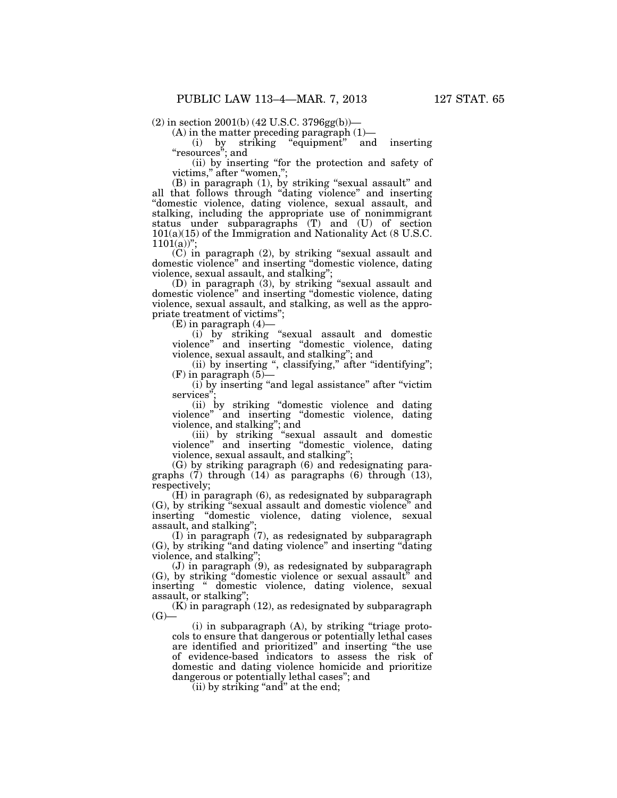$(2)$  in section  $2001(b)$  (42 U.S.C. 3796gg(b))—

 $(A)$  in the matter preceding paragraph  $(1)$ —

(i) by striking ''equipment'' and inserting ''resources''; and

(ii) by inserting ''for the protection and safety of victims," after "women,";

(B) in paragraph (1), by striking ''sexual assault'' and all that follows through ''dating violence'' and inserting ''domestic violence, dating violence, sexual assault, and stalking, including the appropriate use of nonimmigrant status under subparagraphs (T) and (U) of section 101(a)(15) of the Immigration and Nationality Act (8 U.S.C.  $1101(a)$ "

 $(C)$  in paragraph (2), by striking "sexual assault and domestic violence'' and inserting ''domestic violence, dating violence, sexual assault, and stalking'';

(D) in paragraph  $(3)$ , by striking "sexual assault and domestic violence'' and inserting ''domestic violence, dating violence, sexual assault, and stalking, as well as the appropriate treatment of victims'';

 $(E)$  in paragraph  $(4)$ —

(i) by striking ''sexual assault and domestic violence'' and inserting ''domestic violence, dating violence, sexual assault, and stalking''; and

(ii) by inserting ", classifying," after "identifying";  $(F)$  in paragraph  $(5)$ —

(i) by inserting ''and legal assistance'' after ''victim services'';

(ii) by striking ''domestic violence and dating violence'' and inserting ''domestic violence, dating violence, and stalking''; and

(iii) by striking ''sexual assault and domestic violence'' and inserting ''domestic violence, dating violence, sexual assault, and stalking'';

(G) by striking paragraph (6) and redesignating paragraphs  $(\overline{7})$  through  $(14)$  as paragraphs  $(6)$  through  $(13)$ , respectively;

(H) in paragraph (6), as redesignated by subparagraph (G), by striking ''sexual assault and domestic violence'' and inserting "domestic violence, dating violence, sexual assault, and stalking

(I) in paragraph (7), as redesignated by subparagraph (G), by striking ''and dating violence'' and inserting ''dating violence, and stalking"

 $(J)$  in paragraph  $(9)$ , as redesignated by subparagraph (G), by striking ''domestic violence or sexual assault'' and inserting '' domestic violence, dating violence, sexual assault, or stalking'';

(K) in paragraph (12), as redesignated by subparagraph  $(G)$ —

 $(i)$  in subparagraph  $(A)$ , by striking "triage protocols to ensure that dangerous or potentially lethal cases are identified and prioritized'' and inserting ''the use of evidence-based indicators to assess the risk of domestic and dating violence homicide and prioritize dangerous or potentially lethal cases''; and

 $(iii)$  by striking "and" at the end;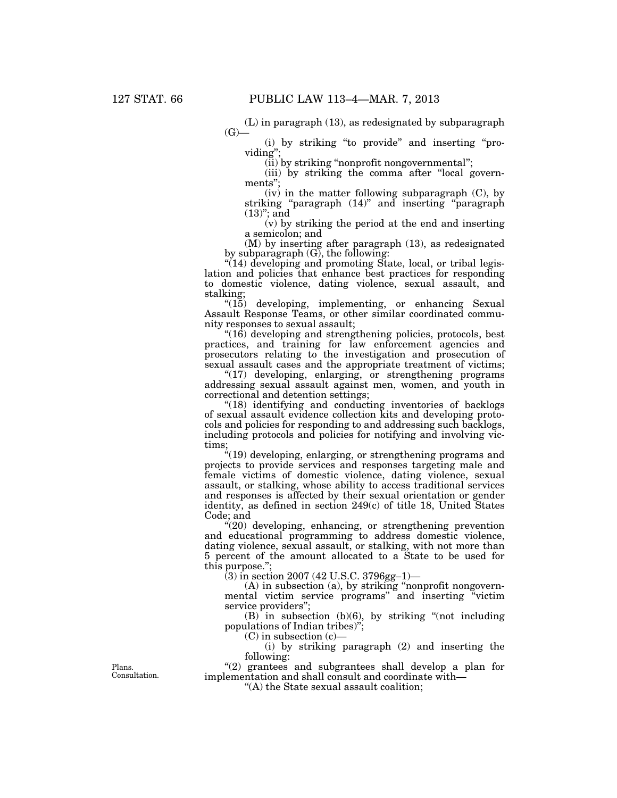(L) in paragraph (13), as redesignated by subparagraph  $(G)$ —

(i) by striking ''to provide'' and inserting ''providing'';

(ii) by striking ''nonprofit nongovernmental'';

(iii) by striking the comma after ''local governments'';

 $(iv)$  in the matter following subparagraph  $(C)$ , by striking "paragraph (14)" and inserting "paragraph"  $(13)$ "; and

(v) by striking the period at the end and inserting a semicolon; and

(M) by inserting after paragraph (13), as redesignated by subparagraph (G), the following:

"(14) developing and promoting State, local, or tribal legislation and policies that enhance best practices for responding to domestic violence, dating violence, sexual assault, and stalking;

"(15) developing, implementing, or enhancing Sexual Assault Response Teams, or other similar coordinated community responses to sexual assault;

''(16) developing and strengthening policies, protocols, best practices, and training for law enforcement agencies and prosecutors relating to the investigation and prosecution of sexual assault cases and the appropriate treatment of victims;

"(17) developing, enlarging, or strengthening programs addressing sexual assault against men, women, and youth in correctional and detention settings;

"(18) identifying and conducting inventories of backlogs of sexual assault evidence collection kits and developing protocols and policies for responding to and addressing such backlogs, including protocols and policies for notifying and involving victims;

''(19) developing, enlarging, or strengthening programs and projects to provide services and responses targeting male and female victims of domestic violence, dating violence, sexual assault, or stalking, whose ability to access traditional services and responses is affected by their sexual orientation or gender identity, as defined in section 249(c) of title 18, United States Code; and

 $*(20)$  developing, enhancing, or strengthening prevention and educational programming to address domestic violence, dating violence, sexual assault, or stalking, with not more than 5 percent of the amount allocated to a State to be used for this purpose.'';

(3) in section 2007 (42 U.S.C. 3796gg–1)—

(A) in subsection (a), by striking ''nonprofit nongovernmental victim service programs'' and inserting ''victim service providers'';

 $(B)$  in subsection (b)(6), by striking "(not including populations of Indian tribes)'';

 $(C)$  in subsection  $(c)$ 

(i) by striking paragraph (2) and inserting the following:

''(2) grantees and subgrantees shall develop a plan for implementation and shall consult and coordinate with—

''(A) the State sexual assault coalition;

Plans. Consultation.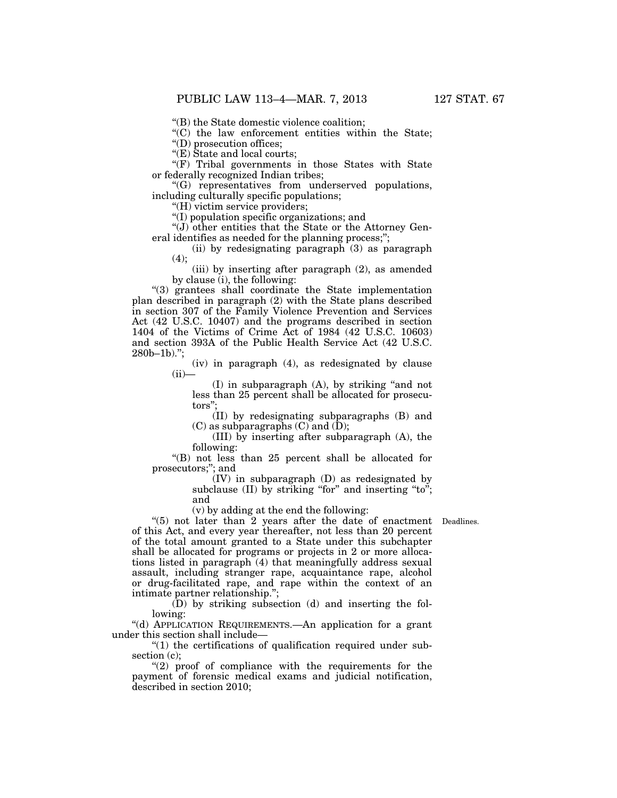''(B) the State domestic violence coalition;

 $(C)$  the law enforcement entities within the State;

''(D) prosecution offices;

''(E) State and local courts;

''(F) Tribal governments in those States with State or federally recognized Indian tribes;

''(G) representatives from underserved populations, including culturally specific populations;

''(H) victim service providers;

 $\sqrt[4]{(I)}$  population specific organizations; and

''(J) other entities that the State or the Attorney General identifies as needed for the planning process;";

(ii) by redesignating paragraph (3) as paragraph  $(4)$ ;

(iii) by inserting after paragraph (2), as amended by clause (i), the following:

''(3) grantees shall coordinate the State implementation plan described in paragraph (2) with the State plans described in section 307 of the Family Violence Prevention and Services Act (42 U.S.C. 10407) and the programs described in section 1404 of the Victims of Crime Act of 1984 (42 U.S.C. 10603) and section 393A of the Public Health Service Act (42 U.S.C.  $280b-1b$ ).";

> (iv) in paragraph (4), as redesignated by clause  $(ii)$ —

(I) in subparagraph (A), by striking ''and not less than 25 percent shall be allocated for prosecutors'';

(II) by redesignating subparagraphs (B) and  $(C)$  as subparagraphs  $(C)$  and  $(D)$ ;

(III) by inserting after subparagraph (A), the following:

''(B) not less than 25 percent shall be allocated for prosecutors;''; and

(IV) in subparagraph (D) as redesignated by subclause  $(II)$  by striking "for" and inserting "to"; and

(v) by adding at the end the following:

Deadlines.

''(5) not later than 2 years after the date of enactment of this Act, and every year thereafter, not less than 20 percent of the total amount granted to a State under this subchapter shall be allocated for programs or projects in 2 or more allocations listed in paragraph (4) that meaningfully address sexual assault, including stranger rape, acquaintance rape, alcohol or drug-facilitated rape, and rape within the context of an intimate partner relationship.'';

(D) by striking subsection (d) and inserting the following:

''(d) APPLICATION REQUIREMENTS.—An application for a grant under this section shall include—

''(1) the certifications of qualification required under subsection (c);

 $''(2)$  proof of compliance with the requirements for the payment of forensic medical exams and judicial notification, described in section 2010;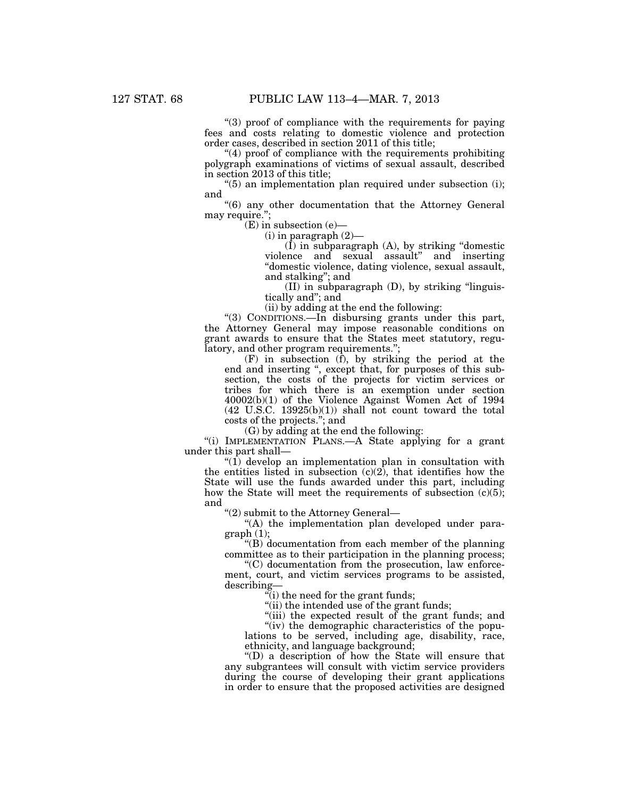''(3) proof of compliance with the requirements for paying fees and costs relating to domestic violence and protection order cases, described in section 2011 of this title;

"(4) proof of compliance with the requirements prohibiting polygraph examinations of victims of sexual assault, described in section 2013 of this title;

 $(5)$  an implementation plan required under subsection (i); and

''(6) any other documentation that the Attorney General may require.";

(E) in subsection (e)—

 $(i)$  in paragraph  $(2)$ —

(I) in subparagraph (A), by striking ''domestic violence and sexual assault'' and inserting ''domestic violence, dating violence, sexual assault, and stalking''; and

 $(II)$  in subparagraph  $(D)$ , by striking "linguistically and''; and

(ii) by adding at the end the following:

''(3) CONDITIONS.—In disbursing grants under this part, the Attorney General may impose reasonable conditions on grant awards to ensure that the States meet statutory, regulatory, and other program requirements.'';

(F) in subsection (f), by striking the period at the end and inserting ", except that, for purposes of this subsection, the costs of the projects for victim services or tribes for which there is an exemption under section 40002(b)(1) of the Violence Against Women Act of 1994  $(42 \text{ U.S.C. } 13925(b)(1))$  shall not count toward the total costs of the projects.''; and

(G) by adding at the end the following:

''(i) IMPLEMENTATION PLANS.—A State applying for a grant under this part shall—

" $(1)$  develop an implementation plan in consultation with the entities listed in subsection  $(c)(2)$ , that identifies how the State will use the funds awarded under this part, including how the State will meet the requirements of subsection  $(c)(5)$ ; and

''(2) submit to the Attorney General—

''(A) the implementation plan developed under para $graph (1);$ 

''(B) documentation from each member of the planning committee as to their participation in the planning process;

''(C) documentation from the prosecution, law enforcement, court, and victim services programs to be assisted, describing—

 $\mathcal{F}(i)$  the need for the grant funds;

"(ii) the intended use of the grant funds;

"(iii) the expected result of the grant funds; and

"(iv) the demographic characteristics of the populations to be served, including age, disability, race, ethnicity, and language background;

''(D) a description of how the State will ensure that any subgrantees will consult with victim service providers during the course of developing their grant applications in order to ensure that the proposed activities are designed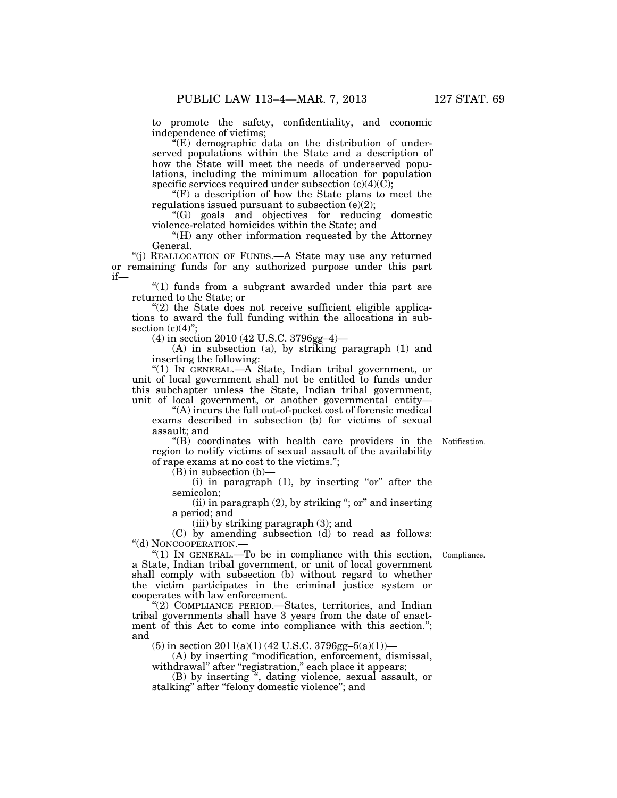to promote the safety, confidentiality, and economic independence of victims;

 $\tilde{f}(E)$  demographic data on the distribution of underserved populations within the State and a description of how the State will meet the needs of underserved populations, including the minimum allocation for population specific services required under subsection  $(c)(4)(\tilde{C});$ 

 $f(F)$  a description of how the State plans to meet the regulations issued pursuant to subsection  $(e)(2)$ ;

''(G) goals and objectives for reducing domestic violence-related homicides within the State; and

''(H) any other information requested by the Attorney General.

''(j) REALLOCATION OF FUNDS.—A State may use any returned or remaining funds for any authorized purpose under this part if—

''(1) funds from a subgrant awarded under this part are returned to the State; or

 $(2)$  the State does not receive sufficient eligible applications to award the full funding within the allocations in subsection  $(c)(4)$ ";

(4) in section 2010 (42 U.S.C. 3796gg–4)—

(A) in subsection (a), by striking paragraph (1) and inserting the following:

''(1) IN GENERAL.—A State, Indian tribal government, or unit of local government shall not be entitled to funds under this subchapter unless the State, Indian tribal government, unit of local government, or another governmental entity—

''(A) incurs the full out-of-pocket cost of forensic medical exams described in subsection (b) for victims of sexual assault; and

''(B) coordinates with health care providers in the Notification. region to notify victims of sexual assault of the availability of rape exams at no cost to the victims.'';

 $(B)$  in subsection  $(b)$ —

(i) in paragraph  $(1)$ , by inserting "or" after the semicolon;

 $(iii)$  in paragraph  $(2)$ , by striking "; or" and inserting a period; and

(iii) by striking paragraph (3); and

(C) by amending subsection (d) to read as follows: ''(d) NONCOOPERATION.—

Compliance.

" $(1)$  In GENERAL.—To be in compliance with this section, a State, Indian tribal government, or unit of local government shall comply with subsection (b) without regard to whether the victim participates in the criminal justice system or cooperates with law enforcement.

''(2) COMPLIANCE PERIOD.—States, territories, and Indian tribal governments shall have 3 years from the date of enactment of this Act to come into compliance with this section.''; and

 $(5)$  in section  $2011(a)(1)$  (42 U.S.C. 3796gg-5(a)(1))-

(A) by inserting ''modification, enforcement, dismissal, withdrawal" after "registration," each place it appears;

(B) by inserting '', dating violence, sexual assault, or stalking'' after ''felony domestic violence''; and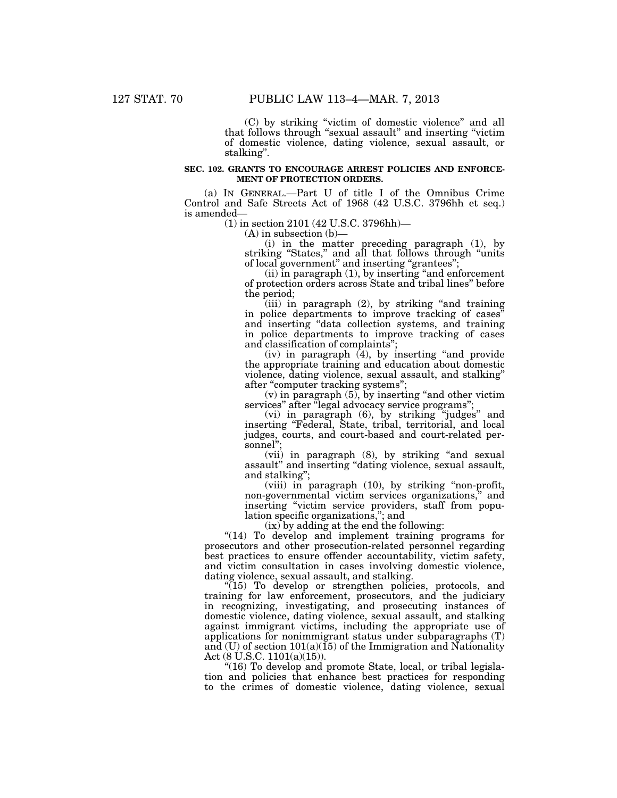(C) by striking ''victim of domestic violence'' and all that follows through "sexual assault" and inserting "victim of domestic violence, dating violence, sexual assault, or stalking''.

## **SEC. 102. GRANTS TO ENCOURAGE ARREST POLICIES AND ENFORCE-MENT OF PROTECTION ORDERS.**

(a) IN GENERAL.—Part U of title I of the Omnibus Crime Control and Safe Streets Act of 1968 (42 U.S.C. 3796hh et seq.) is amended—

(1) in section 2101 (42 U.S.C. 3796hh)—

 $(A)$  in subsection  $(b)$ 

(i) in the matter preceding paragraph (1), by striking "States," and all that follows through "units" of local government'' and inserting ''grantees'';

(ii) in paragraph (1), by inserting ''and enforcement of protection orders across State and tribal lines'' before the period;

(iii) in paragraph (2), by striking ''and training in police departments to improve tracking of cases'' and inserting ''data collection systems, and training in police departments to improve tracking of cases and classification of complaints'';

 $(iv)$  in paragraph  $(4)$ , by inserting "and provide the appropriate training and education about domestic violence, dating violence, sexual assault, and stalking'' after "computer tracking systems";

 $(v)$  in paragraph  $(5)$ , by inserting "and other victim" services" after "legal advocacy service programs";

(vi) in paragraph (6), by striking ''judges'' and inserting ''Federal, State, tribal, territorial, and local judges, courts, and court-based and court-related personnel'';

(vii) in paragraph (8), by striking ''and sexual assault'' and inserting ''dating violence, sexual assault, and stalking'';

(viii) in paragraph (10), by striking ''non-profit, non-governmental victim services organizations,'' and inserting ''victim service providers, staff from population specific organizations,''; and

(ix) by adding at the end the following:

"(14) To develop and implement training programs for prosecutors and other prosecution-related personnel regarding best practices to ensure offender accountability, victim safety, and victim consultation in cases involving domestic violence, dating violence, sexual assault, and stalking.

"(15) To develop or strengthen policies, protocols, and training for law enforcement, prosecutors, and the judiciary in recognizing, investigating, and prosecuting instances of domestic violence, dating violence, sexual assault, and stalking against immigrant victims, including the appropriate use of applications for nonimmigrant status under subparagraphs (T) and  $(U)$  of section  $101(a)(15)$  of the Immigration and Nationality Act (8 U.S.C. 1101(a)(15)).

"(16) To develop and promote State, local, or tribal legislation and policies that enhance best practices for responding to the crimes of domestic violence, dating violence, sexual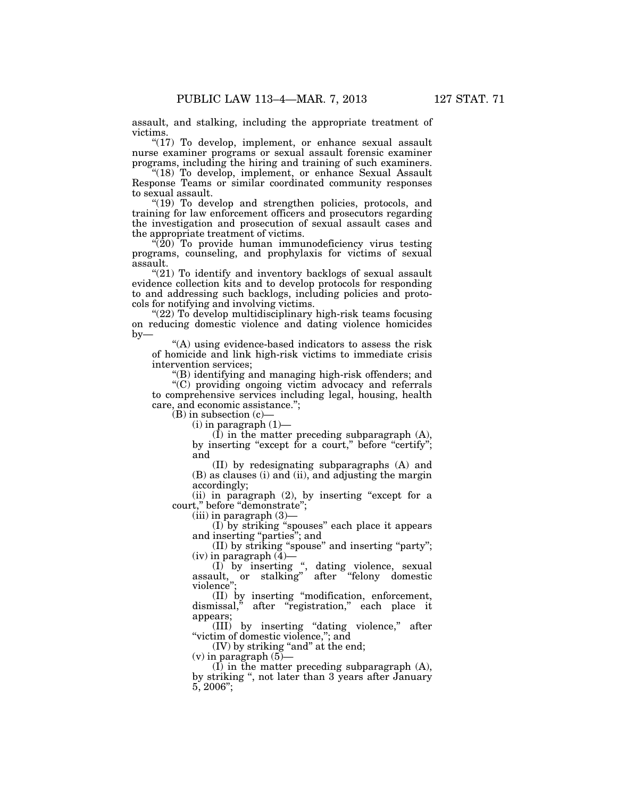assault, and stalking, including the appropriate treatment of victims.

"(17) To develop, implement, or enhance sexual assault nurse examiner programs or sexual assault forensic examiner programs, including the hiring and training of such examiners.

"(18) To develop, implement, or enhance Sexual Assault Response Teams or similar coordinated community responses to sexual assault.

"(19) To develop and strengthen policies, protocols, and training for law enforcement officers and prosecutors regarding the investigation and prosecution of sexual assault cases and the appropriate treatment of victims.

 $\sqrt{\left(20\right)}$  To provide human immunodeficiency virus testing programs, counseling, and prophylaxis for victims of sexual assault.

"(21) To identify and inventory backlogs of sexual assault evidence collection kits and to develop protocols for responding to and addressing such backlogs, including policies and protocols for notifying and involving victims.

''(22) To develop multidisciplinary high-risk teams focusing on reducing domestic violence and dating violence homicides  $by-$ 

''(A) using evidence-based indicators to assess the risk of homicide and link high-risk victims to immediate crisis intervention services;

''(B) identifying and managing high-risk offenders; and

''(C) providing ongoing victim advocacy and referrals to comprehensive services including legal, housing, health care, and economic assistance.'';

 $(B)$  in subsection  $(c)$ 

 $(i)$  in paragraph  $(1)$ —

 $(I)$  in the matter preceding subparagraph  $(A)$ , by inserting "except for a court," before "certify"; and

(II) by redesignating subparagraphs (A) and (B) as clauses (i) and (ii), and adjusting the margin accordingly;

(ii) in paragraph (2), by inserting "except for a court," before "demonstrate";

(iii) in paragraph (3)—

(I) by striking ''spouses'' each place it appears and inserting ''parties''; and

(II) by striking ''spouse'' and inserting ''party'';  $(iv)$  in paragraph  $(4)$ —

(I) by inserting '', dating violence, sexual assault, or stalking'' after ''felony domestic violence"

(II) by inserting ''modification, enforcement, dismissal,'' after ''registration,'' each place it appears;

(III) by inserting ''dating violence,'' after ''victim of domestic violence,''; and

(IV) by striking "and" at the end;

 $(v)$  in paragraph  $(5)$ -

(I) in the matter preceding subparagraph (A), by striking '', not later than 3 years after January 5, 2006'';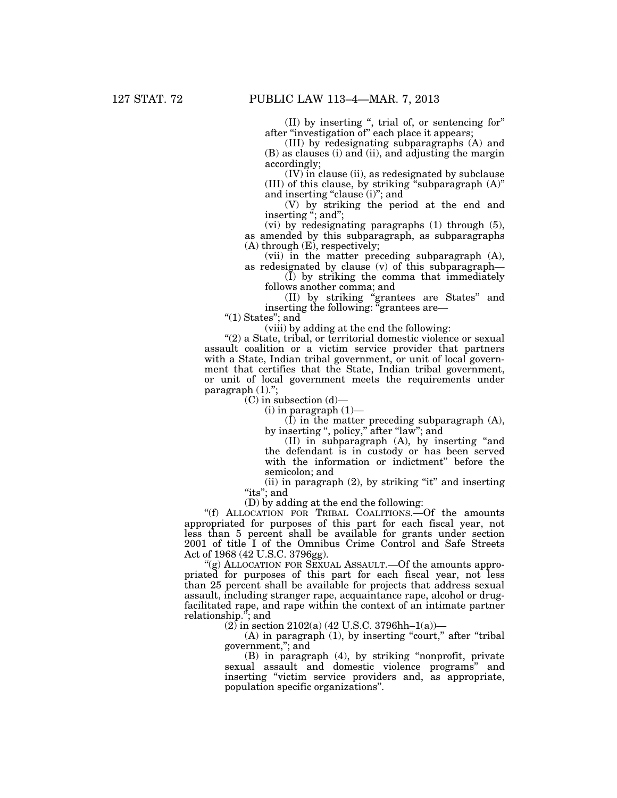(II) by inserting '', trial of, or sentencing for'' after ''investigation of'' each place it appears;

(III) by redesignating subparagraphs (A) and (B) as clauses (i) and (ii), and adjusting the margin accordingly;

(IV) in clause (ii), as redesignated by subclause (III) of this clause, by striking "subparagraph  $(A)$ " and inserting "clause (i)"; and

(V) by striking the period at the end and inserting "; and";

(vi) by redesignating paragraphs (1) through (5), as amended by this subparagraph, as subparagraphs (A) through (E), respectively;

(vii) in the matter preceding subparagraph (A), as redesignated by clause (v) of this subparagraph—

(I) by striking the comma that immediately follows another comma; and

(II) by striking ''grantees are States'' and inserting the following: ''grantees are—

" $(1)$  States"; and

(viii) by adding at the end the following:

''(2) a State, tribal, or territorial domestic violence or sexual assault coalition or a victim service provider that partners with a State, Indian tribal government, or unit of local government that certifies that the State, Indian tribal government, or unit of local government meets the requirements under paragraph  $(1)$ .";

 $(C)$  in subsection  $(d)$ —

 $(i)$  in paragraph  $(1)$ —

(I) in the matter preceding subparagraph (A), by inserting ", policy," after "law"; and

(II) in subparagraph (A), by inserting ''and the defendant is in custody or has been served with the information or indictment'' before the semicolon; and

(ii) in paragraph (2), by striking "it" and inserting "its"; and

(D) by adding at the end the following:

''(f) ALLOCATION FOR TRIBAL COALITIONS.—Of the amounts appropriated for purposes of this part for each fiscal year, not less than 5 percent shall be available for grants under section 2001 of title I of the Omnibus Crime Control and Safe Streets Act of 1968 (42 U.S.C. 3796gg).

"(g) ALLOCATION FOR SEXUAL ASSAULT.—Of the amounts appropriated for purposes of this part for each fiscal year, not less than 25 percent shall be available for projects that address sexual assault, including stranger rape, acquaintance rape, alcohol or drugfacilitated rape, and rape within the context of an intimate partner relationship."; and

 $(2)$  in section 2102(a) (42 U.S.C. 3796hh–1(a))–

 $(A)$  in paragraph  $(1)$ , by inserting "court," after "tribal" government,''; and

(B) in paragraph (4), by striking ''nonprofit, private sexual assault and domestic violence programs'' and inserting "victim service providers and, as appropriate, population specific organizations''.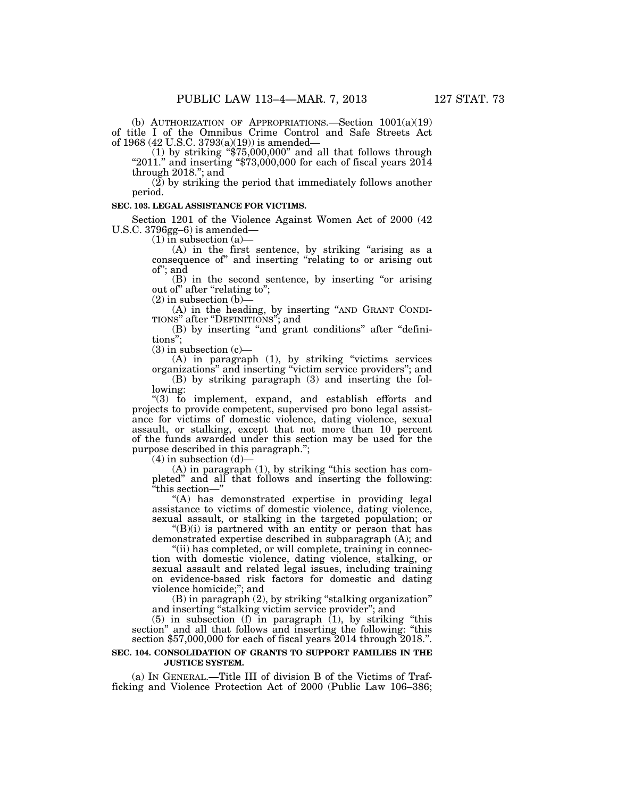(b) AUTHORIZATION OF APPROPRIATIONS.—Section 1001(a)(19) of title I of the Omnibus Crime Control and Safe Streets Act of 1968 (42 U.S.C. 3793(a)(19)) is amended—

(1) by striking " $$75,000,000$ " and all that follows through "2011." and inserting " $$73,000,000$  for each of fiscal years 2014 through 2018.''; and

(2) by striking the period that immediately follows another period.

#### **SEC. 103. LEGAL ASSISTANCE FOR VICTIMS.**

Section 1201 of the Violence Against Women Act of 2000 (42 U.S.C. 3796gg–6) is amended—

 $(1)$  in subsection  $(a)$ —

(A) in the first sentence, by striking "arising as a consequence of'' and inserting ''relating to or arising out of''; and

(B) in the second sentence, by inserting ''or arising out of'' after ''relating to'';

 $(2)$  in subsection  $(b)$ —

(A) in the heading, by inserting "AND GRANT CONDITIONS" after "DEFINITIONS"; and

(B) by inserting ''and grant conditions'' after ''definitions'';

(3) in subsection (c)—

(A) in paragraph (1), by striking ''victims services organizations'' and inserting ''victim service providers''; and

(B) by striking paragraph (3) and inserting the following:

''(3) to implement, expand, and establish efforts and projects to provide competent, supervised pro bono legal assistance for victims of domestic violence, dating violence, sexual assault, or stalking, except that not more than 10 percent of the funds awarded under this section may be used for the purpose described in this paragraph.'';

 $(4)$  in subsection  $(d)$ 

(A) in paragraph (1), by striking ''this section has completed'' and all that follows and inserting the following: ''this section—''

''(A) has demonstrated expertise in providing legal assistance to victims of domestic violence, dating violence, sexual assault, or stalking in the targeted population; or

 $\mathcal{L}(B)(i)$  is partnered with an entity or person that has demonstrated expertise described in subparagraph (A); and

"(ii) has completed, or will complete, training in connection with domestic violence, dating violence, stalking, or sexual assault and related legal issues, including training on evidence-based risk factors for domestic and dating violence homicide;''; and

(B) in paragraph (2), by striking ''stalking organization'' and inserting ''stalking victim service provider''; and

 $(5)$  in subsection  $(f)$  in paragraph  $(1)$ , by striking "this section'' and all that follows and inserting the following: ''this section \$57,000,000 for each of fiscal years 2014 through 2018.''.

### **SEC. 104. CONSOLIDATION OF GRANTS TO SUPPORT FAMILIES IN THE JUSTICE SYSTEM.**

(a) IN GENERAL.—Title III of division B of the Victims of Trafficking and Violence Protection Act of 2000 (Public Law 106–386;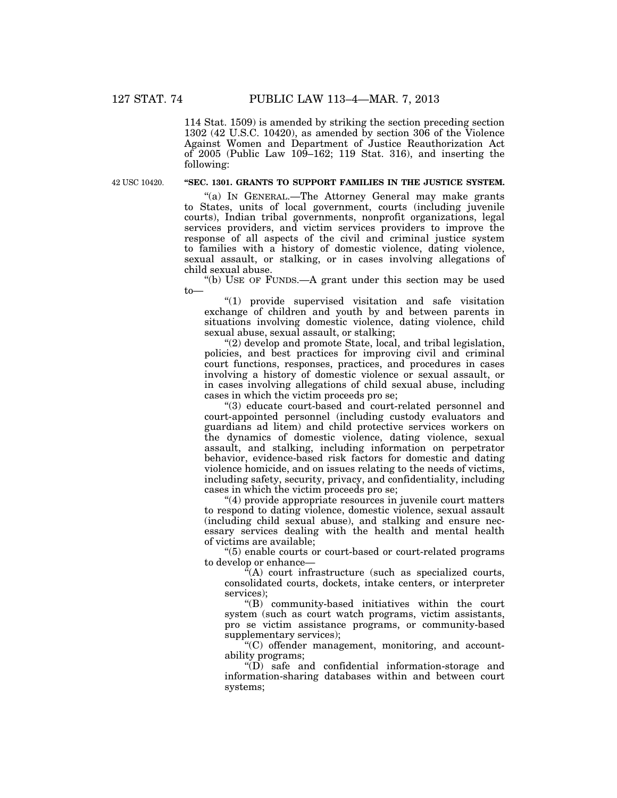114 Stat. 1509) is amended by striking the section preceding section 1302 (42 U.S.C. 10420), as amended by section 306 of the Violence Against Women and Department of Justice Reauthorization Act of 2005 (Public Law  $10\overline{9}$ –162; 119 Stat. 316), and inserting the following:

42 USC 10420.

# **''SEC. 1301. GRANTS TO SUPPORT FAMILIES IN THE JUSTICE SYSTEM.**

''(a) IN GENERAL.—The Attorney General may make grants to States, units of local government, courts (including juvenile courts), Indian tribal governments, nonprofit organizations, legal services providers, and victim services providers to improve the response of all aspects of the civil and criminal justice system to families with a history of domestic violence, dating violence, sexual assault, or stalking, or in cases involving allegations of child sexual abuse.

''(b) USE OF FUNDS.—A grant under this section may be used to—

''(1) provide supervised visitation and safe visitation exchange of children and youth by and between parents in situations involving domestic violence, dating violence, child sexual abuse, sexual assault, or stalking;

''(2) develop and promote State, local, and tribal legislation, policies, and best practices for improving civil and criminal court functions, responses, practices, and procedures in cases involving a history of domestic violence or sexual assault, or in cases involving allegations of child sexual abuse, including cases in which the victim proceeds pro se;

''(3) educate court-based and court-related personnel and court-appointed personnel (including custody evaluators and guardians ad litem) and child protective services workers on the dynamics of domestic violence, dating violence, sexual assault, and stalking, including information on perpetrator behavior, evidence-based risk factors for domestic and dating violence homicide, and on issues relating to the needs of victims, including safety, security, privacy, and confidentiality, including cases in which the victim proceeds pro se;

''(4) provide appropriate resources in juvenile court matters to respond to dating violence, domestic violence, sexual assault (including child sexual abuse), and stalking and ensure necessary services dealing with the health and mental health of victims are available;

''(5) enable courts or court-based or court-related programs to develop or enhance—

 $\sqrt{a}$ (A) court infrastructure (such as specialized courts, consolidated courts, dockets, intake centers, or interpreter services);

''(B) community-based initiatives within the court system (such as court watch programs, victim assistants, pro se victim assistance programs, or community-based supplementary services);

''(C) offender management, monitoring, and accountability programs;

 $\sqrt{\text{D}}$  safe and confidential information-storage and information-sharing databases within and between court systems;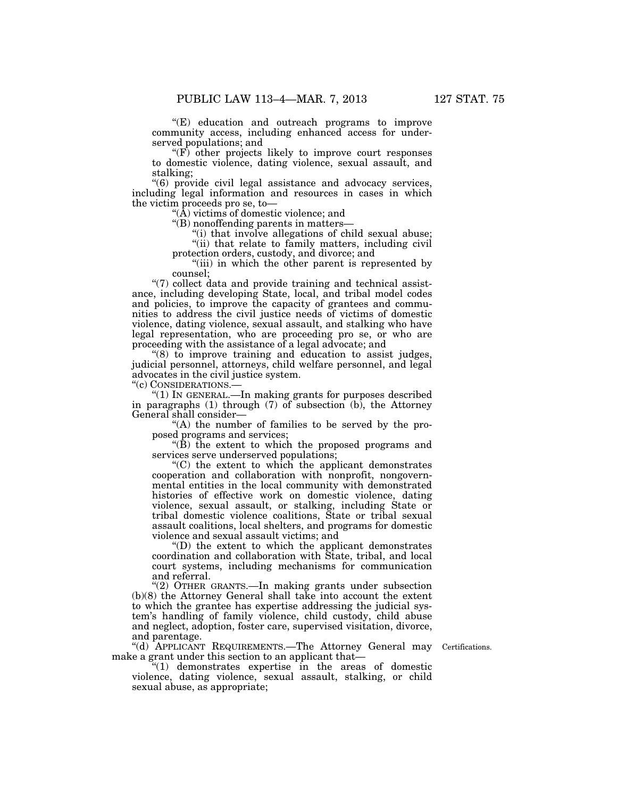''(E) education and outreach programs to improve community access, including enhanced access for underserved populations; and

"(F) other projects likely to improve court responses to domestic violence, dating violence, sexual assault, and stalking;

''(6) provide civil legal assistance and advocacy services, including legal information and resources in cases in which the victim proceeds pro se, to—

''(A) victims of domestic violence; and

''(B) nonoffending parents in matters—

"(i) that involve allegations of child sexual abuse;

"(ii) that relate to family matters, including civil protection orders, custody, and divorce; and

"(iii) in which the other parent is represented by counsel;

"(7) collect data and provide training and technical assistance, including developing State, local, and tribal model codes and policies, to improve the capacity of grantees and communities to address the civil justice needs of victims of domestic violence, dating violence, sexual assault, and stalking who have legal representation, who are proceeding pro se, or who are proceeding with the assistance of a legal advocate; and

''(8) to improve training and education to assist judges, judicial personnel, attorneys, child welfare personnel, and legal advocates in the civil justice system.

''(c) CONSIDERATIONS.—

''(1) IN GENERAL.—In making grants for purposes described in paragraphs  $(1)$  through  $(7)$  of subsection  $(b)$ , the Attorney General shall consider—

''(A) the number of families to be served by the proposed programs and services;

" $(\dot{B})$  the extent to which the proposed programs and services serve underserved populations;

''(C) the extent to which the applicant demonstrates cooperation and collaboration with nonprofit, nongovernmental entities in the local community with demonstrated histories of effective work on domestic violence, dating violence, sexual assault, or stalking, including State or tribal domestic violence coalitions, State or tribal sexual assault coalitions, local shelters, and programs for domestic violence and sexual assault victims; and

''(D) the extent to which the applicant demonstrates coordination and collaboration with State, tribal, and local court systems, including mechanisms for communication and referral.

''(2) OTHER GRANTS.—In making grants under subsection (b)(8) the Attorney General shall take into account the extent to which the grantee has expertise addressing the judicial system's handling of family violence, child custody, child abuse and neglect, adoption, foster care, supervised visitation, divorce, and parentage.

''(d) APPLICANT REQUIREMENTS.—The Attorney General may make a grant under this section to an applicant that—

Certifications.

''(1) demonstrates expertise in the areas of domestic violence, dating violence, sexual assault, stalking, or child sexual abuse, as appropriate;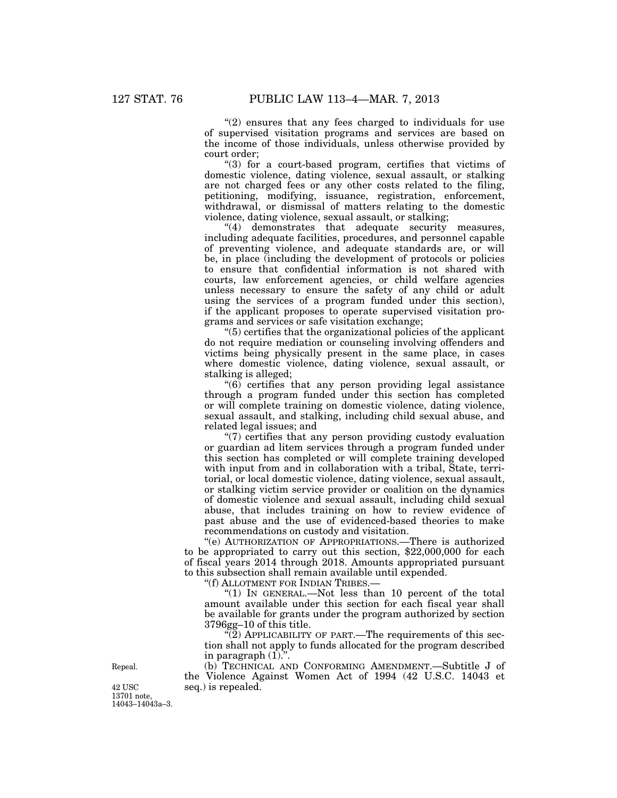$(2)$  ensures that any fees charged to individuals for use of supervised visitation programs and services are based on the income of those individuals, unless otherwise provided by court order;

"(3) for a court-based program, certifies that victims of domestic violence, dating violence, sexual assault, or stalking are not charged fees or any other costs related to the filing, petitioning, modifying, issuance, registration, enforcement, withdrawal, or dismissal of matters relating to the domestic violence, dating violence, sexual assault, or stalking;

"(4) demonstrates that adequate security measures, including adequate facilities, procedures, and personnel capable of preventing violence, and adequate standards are, or will be, in place (including the development of protocols or policies to ensure that confidential information is not shared with courts, law enforcement agencies, or child welfare agencies unless necessary to ensure the safety of any child or adult using the services of a program funded under this section), if the applicant proposes to operate supervised visitation programs and services or safe visitation exchange;

''(5) certifies that the organizational policies of the applicant do not require mediation or counseling involving offenders and victims being physically present in the same place, in cases where domestic violence, dating violence, sexual assault, or stalking is alleged;

''(6) certifies that any person providing legal assistance through a program funded under this section has completed or will complete training on domestic violence, dating violence, sexual assault, and stalking, including child sexual abuse, and related legal issues; and

''(7) certifies that any person providing custody evaluation or guardian ad litem services through a program funded under this section has completed or will complete training developed with input from and in collaboration with a tribal, State, territorial, or local domestic violence, dating violence, sexual assault, or stalking victim service provider or coalition on the dynamics of domestic violence and sexual assault, including child sexual abuse, that includes training on how to review evidence of past abuse and the use of evidenced-based theories to make recommendations on custody and visitation.

''(e) AUTHORIZATION OF APPROPRIATIONS.—There is authorized to be appropriated to carry out this section, \$22,000,000 for each of fiscal years 2014 through 2018. Amounts appropriated pursuant to this subsection shall remain available until expended.

''(f) ALLOTMENT FOR INDIAN TRIBES.—

"(1) In GENERAL.—Not less than 10 percent of the total amount available under this section for each fiscal year shall be available for grants under the program authorized by section 3796gg–10 of this title.

"(2) APPLICABILITY OF PART.—The requirements of this section shall not apply to funds allocated for the program described in paragraph  $(1)$ .".

Repeal.

42 USC seq.) is repealed. 13701 note, 14043–14043a–3.

(b) TECHNICAL AND CONFORMING AMENDMENT.—Subtitle J of the Violence Against Women Act of 1994 (42 U.S.C. 14043 et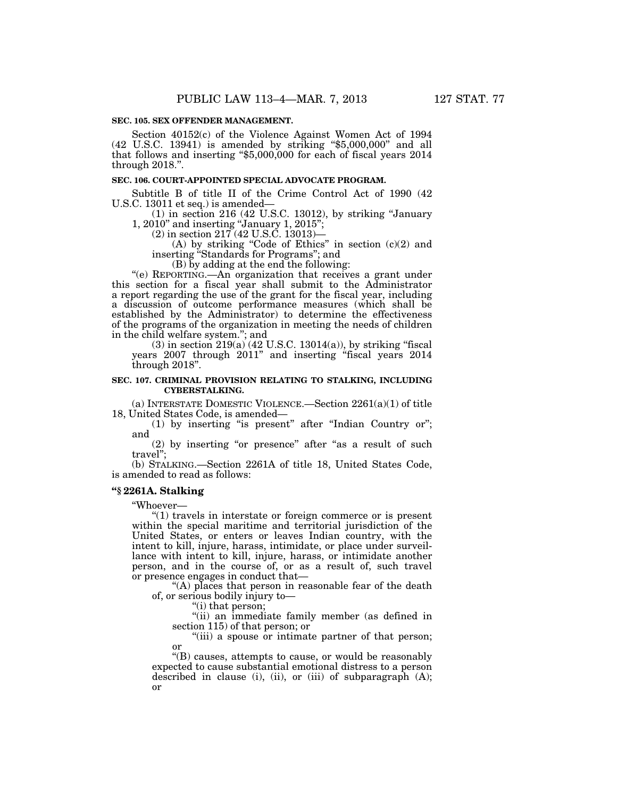Section 40152(c) of the Violence Against Women Act of 1994 (42 U.S.C. 13941) is amended by striking ''\$5,000,000'' and all that follows and inserting "\$5,000,000 for each of fiscal years 2014 through 2018.''.

#### **SEC. 106. COURT-APPOINTED SPECIAL ADVOCATE PROGRAM.**

Subtitle B of title II of the Crime Control Act of 1990 (42 U.S.C. 13011 et seq.) is amended—

(1) in section 216 (42 U.S.C. 13012), by striking ''January 1, 2010'' and inserting ''January 1, 2015'';

(2) in section 217 (42 U.S.C. 13013)—

(A) by striking "Code of Ethics" in section  $(c)(2)$  and inserting ''Standards for Programs''; and

(B) by adding at the end the following:

''(e) REPORTING.—An organization that receives a grant under this section for a fiscal year shall submit to the Administrator a report regarding the use of the grant for the fiscal year, including a discussion of outcome performance measures (which shall be established by the Administrator) to determine the effectiveness of the programs of the organization in meeting the needs of children in the child welfare system.''; and

 $(3)$  in section  $219(a)$   $(42 \text{ U.S.C. } 13014(a))$ , by striking "fiscal years 2007 through 2011'' and inserting ''fiscal years 2014 through 2018''.

### **SEC. 107. CRIMINAL PROVISION RELATING TO STALKING, INCLUDING CYBERSTALKING.**

(a) INTERSTATE DOMESTIC VIOLENCE.—Section 2261(a)(1) of title 18, United States Code, is amended—

(1) by inserting "is present" after "Indian Country or"; and

(2) by inserting "or presence" after "as a result of such travel'';

(b) STALKING.—Section 2261A of title 18, United States Code, is amended to read as follows:

## **''§ 2261A. Stalking**

''Whoever—

''(1) travels in interstate or foreign commerce or is present within the special maritime and territorial jurisdiction of the United States, or enters or leaves Indian country, with the intent to kill, injure, harass, intimidate, or place under surveillance with intent to kill, injure, harass, or intimidate another person, and in the course of, or as a result of, such travel or presence engages in conduct that—

"(A) places that person in reasonable fear of the death of, or serious bodily injury to—

''(i) that person;

''(ii) an immediate family member (as defined in section 115) of that person; or

"(iii) a spouse or intimate partner of that person; or

''(B) causes, attempts to cause, or would be reasonably expected to cause substantial emotional distress to a person described in clause (i), (ii), or (iii) of subparagraph (A); or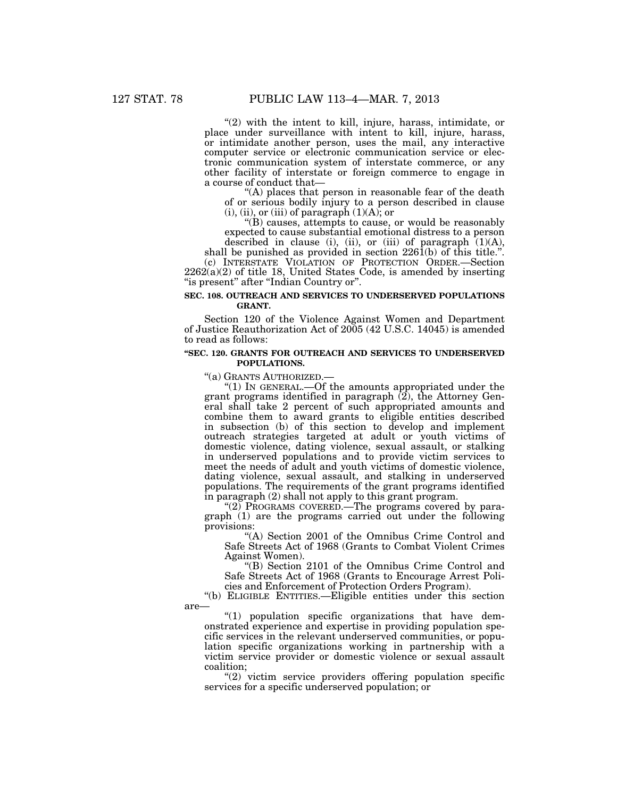"(2) with the intent to kill, injure, harass, intimidate, or place under surveillance with intent to kill, injure, harass, or intimidate another person, uses the mail, any interactive computer service or electronic communication service or electronic communication system of interstate commerce, or any other facility of interstate or foreign commerce to engage in a course of conduct that—

"(A) places that person in reasonable fear of the death of or serious bodily injury to a person described in clause  $(i)$ ,  $(ii)$ , or  $(iii)$  of paragraph  $(1)(A)$ ; or

''(B) causes, attempts to cause, or would be reasonably expected to cause substantial emotional distress to a person described in clause (i), (ii), or (iii) of paragraph (1)(A),

shall be punished as provided in section  $226(1)$  of this title.". (c) INTERSTATE VIOLATION OF PROTECTION ORDER.—Section  $2262(a)(2)$  of title 18, United States Code, is amended by inserting "is present" after "Indian Country or".

# **SEC. 108. OUTREACH AND SERVICES TO UNDERSERVED POPULATIONS GRANT.**

Section 120 of the Violence Against Women and Department of Justice Reauthorization Act of 2005 (42 U.S.C. 14045) is amended to read as follows:

## **''SEC. 120. GRANTS FOR OUTREACH AND SERVICES TO UNDERSERVED POPULATIONS.**

"(a) GRANTS AUTHORIZED.—<br>"(1) IN GENERAL.—Of the amounts appropriated under the grant programs identified in paragraph  $(2)$ , the Attorney General shall take 2 percent of such appropriated amounts and combine them to award grants to eligible entities described in subsection (b) of this section to develop and implement outreach strategies targeted at adult or youth victims of domestic violence, dating violence, sexual assault, or stalking in underserved populations and to provide victim services to meet the needs of adult and youth victims of domestic violence, dating violence, sexual assault, and stalking in underserved populations. The requirements of the grant programs identified in paragraph (2) shall not apply to this grant program.

"(2) PROGRAMS COVERED.—The programs covered by paragraph (1) are the programs carried out under the following provisions:

"(A) Section 2001 of the Omnibus Crime Control and Safe Streets Act of 1968 (Grants to Combat Violent Crimes Against Women).

''(B) Section 2101 of the Omnibus Crime Control and Safe Streets Act of 1968 (Grants to Encourage Arrest Policies and Enforcement of Protection Orders Program).

''(b) ELIGIBLE ENTITIES.—Eligible entities under this section

are—

 $''(1)$  population specific organizations that have demonstrated experience and expertise in providing population specific services in the relevant underserved communities, or population specific organizations working in partnership with a victim service provider or domestic violence or sexual assault coalition;

 $(2)$  victim service providers offering population specific services for a specific underserved population; or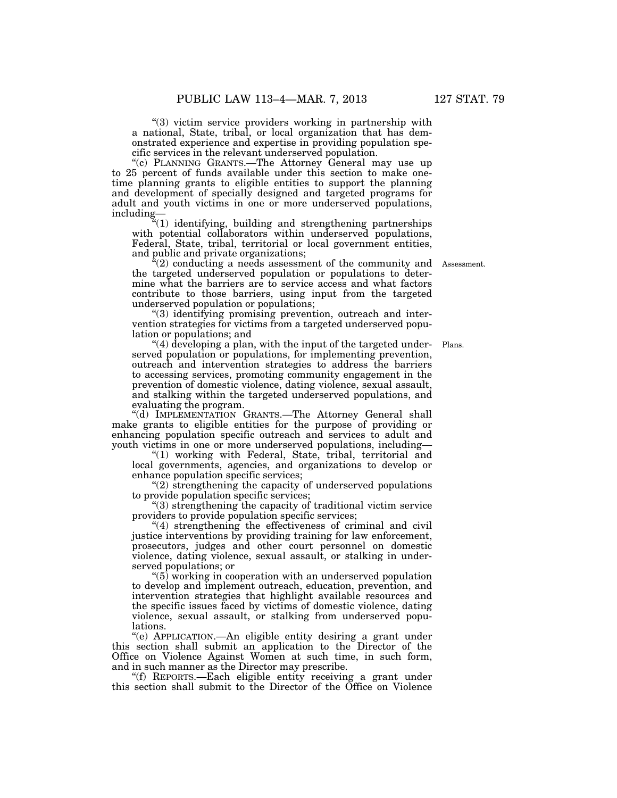"(3) victim service providers working in partnership with a national, State, tribal, or local organization that has demonstrated experience and expertise in providing population specific services in the relevant underserved population.

''(c) PLANNING GRANTS.—The Attorney General may use up to 25 percent of funds available under this section to make onetime planning grants to eligible entities to support the planning and development of specially designed and targeted programs for adult and youth victims in one or more underserved populations, including—

''(1) identifying, building and strengthening partnerships with potential collaborators within underserved populations, Federal, State, tribal, territorial or local government entities, and public and private organizations;

 $\tilde{f}(2)$  conducting a needs assessment of the community and Assessment. the targeted underserved population or populations to determine what the barriers are to service access and what factors contribute to those barriers, using input from the targeted underserved population or populations;

''(3) identifying promising prevention, outreach and intervention strategies for victims from a targeted underserved population or populations; and

"(4) developing a plan, with the input of the targeted under- Plans. served population or populations, for implementing prevention, outreach and intervention strategies to address the barriers to accessing services, promoting community engagement in the prevention of domestic violence, dating violence, sexual assault, and stalking within the targeted underserved populations, and evaluating the program.

''(d) IMPLEMENTATION GRANTS.—The Attorney General shall make grants to eligible entities for the purpose of providing or enhancing population specific outreach and services to adult and youth victims in one or more underserved populations, including—

"(1) working with Federal, State, tribal, territorial and local governments, agencies, and organizations to develop or enhance population specific services;

''(2) strengthening the capacity of underserved populations to provide population specific services;

''(3) strengthening the capacity of traditional victim service providers to provide population specific services;

"(4) strengthening the effectiveness of criminal and civil justice interventions by providing training for law enforcement, prosecutors, judges and other court personnel on domestic violence, dating violence, sexual assault, or stalking in underserved populations; or

''(5) working in cooperation with an underserved population to develop and implement outreach, education, prevention, and intervention strategies that highlight available resources and the specific issues faced by victims of domestic violence, dating violence, sexual assault, or stalking from underserved populations.

''(e) APPLICATION.—An eligible entity desiring a grant under this section shall submit an application to the Director of the Office on Violence Against Women at such time, in such form, and in such manner as the Director may prescribe.

''(f) REPORTS.—Each eligible entity receiving a grant under this section shall submit to the Director of the Office on Violence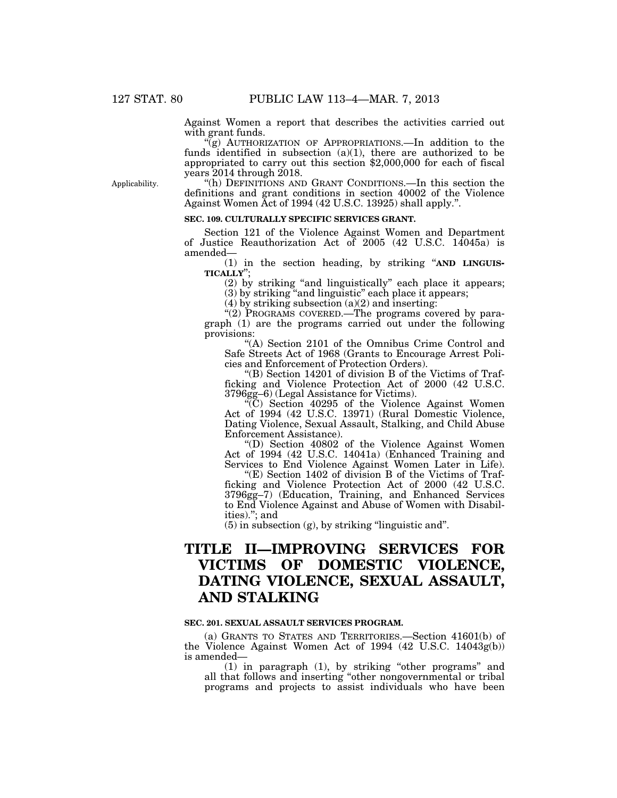Against Women a report that describes the activities carried out with grant funds.

" $(g)$  AUTHORIZATION OF APPROPRIATIONS.—In addition to the funds identified in subsection  $(a)(1)$ , there are authorized to be appropriated to carry out this section \$2,000,000 for each of fiscal years 2014 through 2018.

Applicability.

''(h) DEFINITIONS AND GRANT CONDITIONS.—In this section the definitions and grant conditions in section 40002 of the Violence Against Women Act of 1994 (42 U.S.C. 13925) shall apply.''.

### **SEC. 109. CULTURALLY SPECIFIC SERVICES GRANT.**

Section 121 of the Violence Against Women and Department of Justice Reauthorization Act of 2005 (42 U.S.C. 14045a) is amended—

(1) in the section heading, by striking ''**AND LINGUIS-TICALLY**'';

(2) by striking ''and linguistically'' each place it appears; (3) by striking ''and linguistic'' each place it appears;

(4) by striking subsection (a)(2) and inserting:

"(2) PROGRAMS COVERED.—The programs covered by paragraph (1) are the programs carried out under the following provisions:

''(A) Section 2101 of the Omnibus Crime Control and Safe Streets Act of 1968 (Grants to Encourage Arrest Policies and Enforcement of Protection Orders).

''(B) Section 14201 of division B of the Victims of Trafficking and Violence Protection Act of 2000 (42 U.S.C. 3796gg–6) (Legal Assistance for Victims).

''(C) Section 40295 of the Violence Against Women Act of 1994 (42 U.S.C. 13971) (Rural Domestic Violence, Dating Violence, Sexual Assault, Stalking, and Child Abuse Enforcement Assistance).

''(D) Section 40802 of the Violence Against Women Act of 1994 (42 U.S.C. 14041a) (Enhanced Training and Services to End Violence Against Women Later in Life).

"(E) Section 1402 of division B of the Victims of Trafficking and Violence Protection Act of 2000 (42 U.S.C. 3796gg–7) (Education, Training, and Enhanced Services to End Violence Against and Abuse of Women with Disabilities).''; and

 $(5)$  in subsection  $(g)$ , by striking "linguistic and".

# **TITLE II—IMPROVING SERVICES FOR VICTIMS OF DOMESTIC VIOLENCE, DATING VIOLENCE, SEXUAL ASSAULT, AND STALKING**

### **SEC. 201. SEXUAL ASSAULT SERVICES PROGRAM.**

(a) GRANTS TO STATES AND TERRITORIES.—Section 41601(b) of the Violence Against Women Act of 1994 (42 U.S.C. 14043g(b)) is amended—

(1) in paragraph (1), by striking ''other programs'' and all that follows and inserting ''other nongovernmental or tribal programs and projects to assist individuals who have been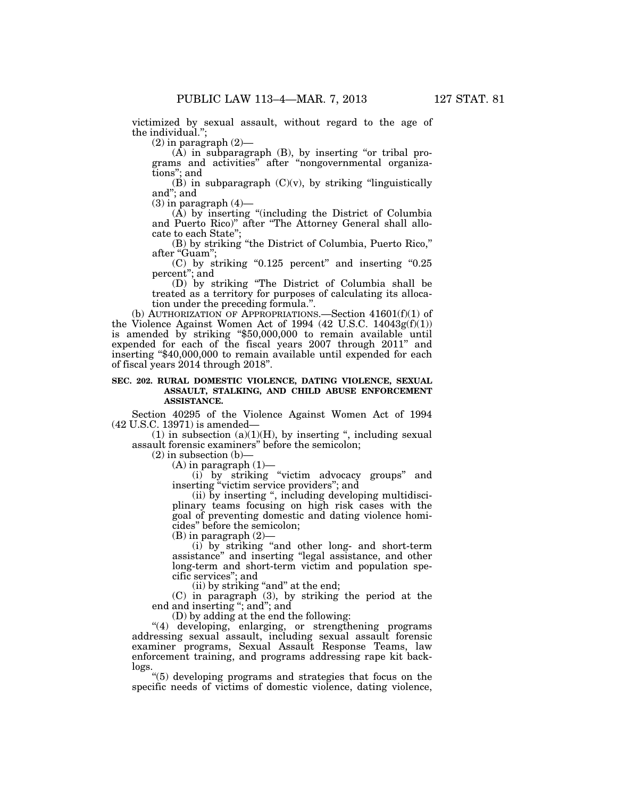victimized by sexual assault, without regard to the age of the individual.'

 $(2)$  in paragraph  $(2)$ —

 $(A)$  in subparagraph  $(B)$ , by inserting "or tribal programs and activities'' after ''nongovernmental organizations''; and

 $(B)$  in subparagraph  $(C)(v)$ , by striking "linguistically and''; and

 $(3)$  in paragraph  $(4)$ —

(A) by inserting ''(including the District of Columbia and Puerto Rico)'' after ''The Attorney General shall allocate to each State'';

(B) by striking ''the District of Columbia, Puerto Rico,'' after "Guam";

 $(C)$  by striking "0.125 percent" and inserting "0.25 percent''; and

(D) by striking ''The District of Columbia shall be treated as a territory for purposes of calculating its allocation under the preceding formula.''.

(b) AUTHORIZATION OF APPROPRIATIONS.—Section  $41601(f)(1)$  of the Violence Against Women Act of 1994 (42 U.S.C. 14043g(f)(1)) is amended by striking ''\$50,000,000 to remain available until expended for each of the fiscal years 2007 through 2011'' and inserting ''\$40,000,000 to remain available until expended for each of fiscal years 2014 through 2018''.

# **SEC. 202. RURAL DOMESTIC VIOLENCE, DATING VIOLENCE, SEXUAL ASSAULT, STALKING, AND CHILD ABUSE ENFORCEMENT ASSISTANCE.**

Section 40295 of the Violence Against Women Act of 1994 (42 U.S.C. 13971) is amended—

(1) in subsection  $(a)(1)(H)$ , by inserting ", including sexual assault forensic examiners'' before the semicolon;

 $(2)$  in subsection  $(b)$ –

 $(A)$  in paragraph  $(1)$ —

(i) by striking ''victim advocacy groups'' and inserting "victim service providers"; and

(ii) by inserting '', including developing multidisciplinary teams focusing on high risk cases with the goal of preventing domestic and dating violence homicides'' before the semicolon;

(B) in paragraph (2)—

(i) by striking ''and other long- and short-term assistance'' and inserting ''legal assistance, and other long-term and short-term victim and population specific services''; and

(ii) by striking "and" at the end;

(C) in paragraph (3), by striking the period at the end and inserting ''; and''; and

(D) by adding at the end the following:

"(4) developing, enlarging, or strengthening programs addressing sexual assault, including sexual assault forensic examiner programs, Sexual Assault Response Teams, law enforcement training, and programs addressing rape kit backlogs.

''(5) developing programs and strategies that focus on the specific needs of victims of domestic violence, dating violence,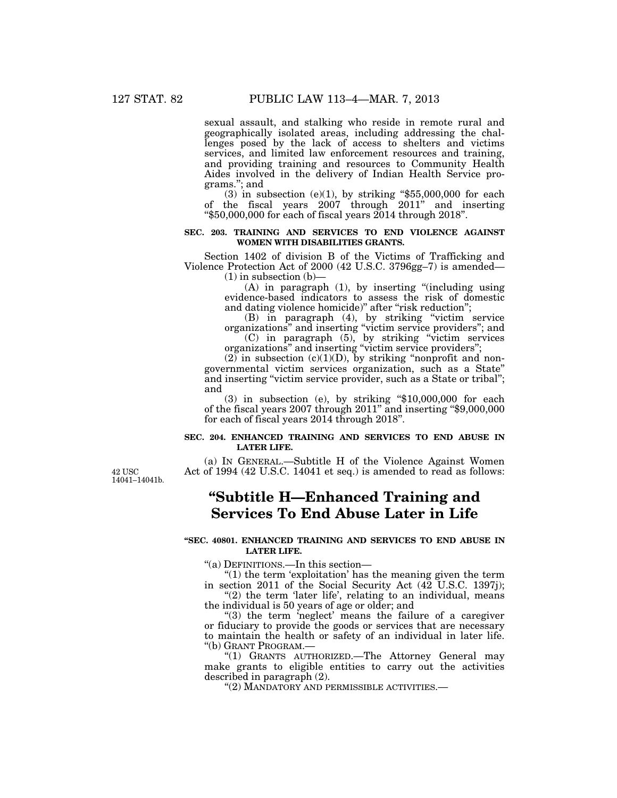sexual assault, and stalking who reside in remote rural and geographically isolated areas, including addressing the challenges posed by the lack of access to shelters and victims services, and limited law enforcement resources and training, and providing training and resources to Community Health Aides involved in the delivery of Indian Health Service programs.''; and

(3) in subsection  $(e)(1)$ , by striking "\$55,000,000 for each of the fiscal years 2007 through 2011'' and inserting ''\$50,000,000 for each of fiscal years 2014 through 2018''.

# **SEC. 203. TRAINING AND SERVICES TO END VIOLENCE AGAINST WOMEN WITH DISABILITIES GRANTS.**

Section 1402 of division B of the Victims of Trafficking and Violence Protection Act of 2000 (42 U.S.C. 3796gg–7) is amended—  $(1)$  in subsection  $(b)$ —

(A) in paragraph (1), by inserting ''(including using evidence-based indicators to assess the risk of domestic and dating violence homicide)" after "risk reduction";

(B) in paragraph (4), by striking ''victim service organizations'' and inserting ''victim service providers''; and (C) in paragraph (5), by striking ''victim services

organizations'' and inserting ''victim service providers''; (2) in subsection (c)(1)(D), by striking "nonprofit and nongovernmental victim services organization, such as a State'' and inserting "victim service provider, such as a State or tribal"; and

 $(3)$  in subsection  $(e)$ , by striking "\$10,000,000 for each of the fiscal years 2007 through 2011'' and inserting ''\$9,000,000 for each of fiscal years 2014 through 2018''.

# **SEC. 204. ENHANCED TRAINING AND SERVICES TO END ABUSE IN LATER LIFE.**

(a) IN GENERAL.—Subtitle H of the Violence Against Women Act of 1994 (42 U.S.C. 14041 et seq.) is amended to read as follows:

42 USC 14041–14041b.

# **''Subtitle H—Enhanced Training and Services To End Abuse Later in Life**

## **''SEC. 40801. ENHANCED TRAINING AND SERVICES TO END ABUSE IN LATER LIFE.**

''(a) DEFINITIONS.—In this section—

''(1) the term 'exploitation' has the meaning given the term in section 2011 of the Social Security Act (42 U.S.C. 1397j);

"(2) the term 'later life', relating to an individual, means the individual is 50 years of age or older; and

"(3) the term 'neglect' means the failure of a caregiver or fiduciary to provide the goods or services that are necessary to maintain the health or safety of an individual in later life. ''(b) GRANT PROGRAM.—

''(1) GRANTS AUTHORIZED.—The Attorney General may make grants to eligible entities to carry out the activities described in paragraph (2).

''(2) MANDATORY AND PERMISSIBLE ACTIVITIES.—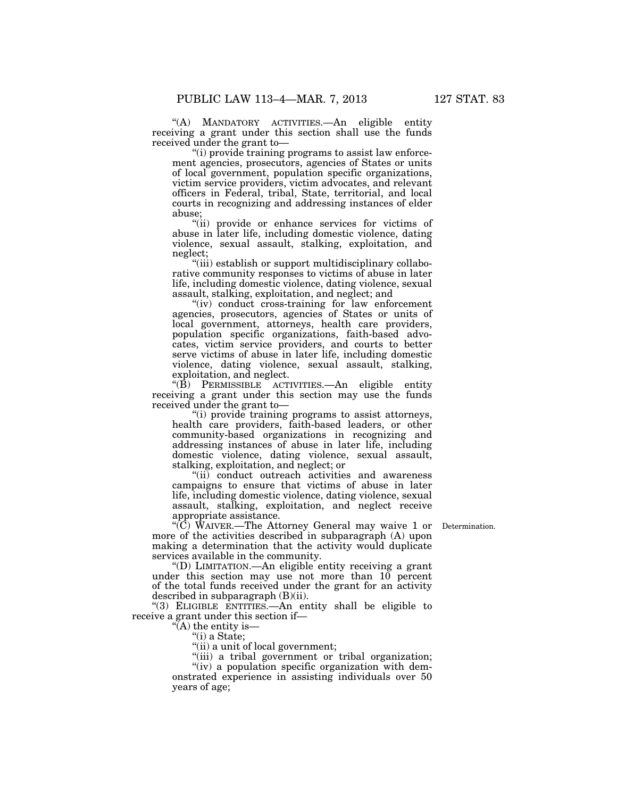''(A) MANDATORY ACTIVITIES.—An eligible entity receiving a grant under this section shall use the funds received under the grant to—

"(i) provide training programs to assist law enforcement agencies, prosecutors, agencies of States or units of local government, population specific organizations, victim service providers, victim advocates, and relevant officers in Federal, tribal, State, territorial, and local courts in recognizing and addressing instances of elder abuse;

"(ii) provide or enhance services for victims of abuse in later life, including domestic violence, dating violence, sexual assault, stalking, exploitation, and neglect;

''(iii) establish or support multidisciplinary collaborative community responses to victims of abuse in later life, including domestic violence, dating violence, sexual assault, stalking, exploitation, and neglect; and

"(iv) conduct cross-training for law enforcement agencies, prosecutors, agencies of States or units of local government, attorneys, health care providers, population specific organizations, faith-based advocates, victim service providers, and courts to better serve victims of abuse in later life, including domestic violence, dating violence, sexual assault, stalking, exploitation, and neglect.

 $\cdot$ (B) PERMISSIBLE ACTIVITIES.—An eligible entity receiving a grant under this section may use the funds received under the grant to—

''(i) provide training programs to assist attorneys, health care providers, faith-based leaders, or other community-based organizations in recognizing and addressing instances of abuse in later life, including domestic violence, dating violence, sexual assault, stalking, exploitation, and neglect; or

"(ii) conduct outreach activities and awareness campaigns to ensure that victims of abuse in later life, including domestic violence, dating violence, sexual assault, stalking, exploitation, and neglect receive appropriate assistance.

''(C) WAIVER.—The Attorney General may waive 1 or Determination. more of the activities described in subparagraph (A) upon making a determination that the activity would duplicate services available in the community.

''(D) LIMITATION.—An eligible entity receiving a grant under this section may use not more than 10 percent of the total funds received under the grant for an activity described in subparagraph (B)(ii).

''(3) ELIGIBLE ENTITIES.—An entity shall be eligible to receive a grant under this section if—

''(A) the entity is—

''(i) a State;

"(ii) a unit of local government;

"(iii) a tribal government or tribal organization;

"(iv) a population specific organization with demonstrated experience in assisting individuals over 50 years of age;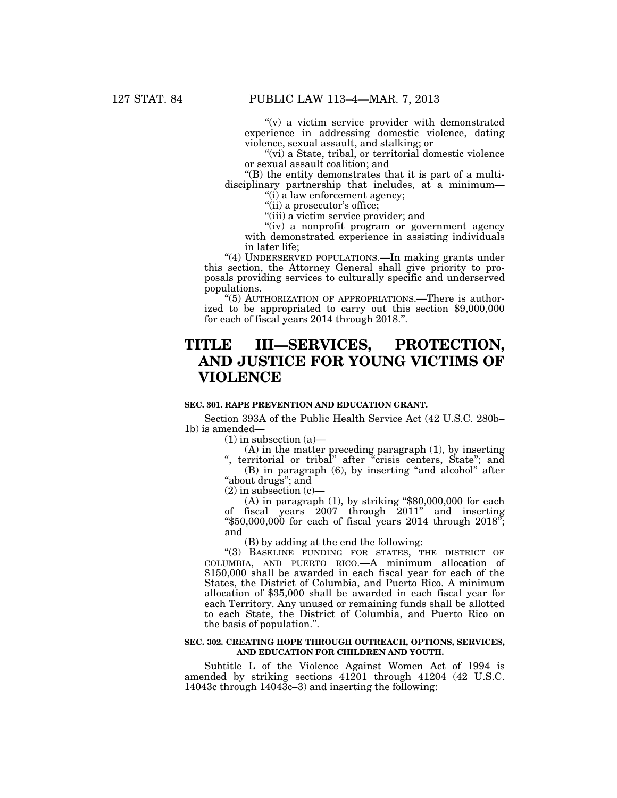" $(v)$  a victim service provider with demonstrated experience in addressing domestic violence, dating violence, sexual assault, and stalking; or

"(vi) a State, tribal, or territorial domestic violence or sexual assault coalition; and

''(B) the entity demonstrates that it is part of a multidisciplinary partnership that includes, at a minimum—

"(i) a law enforcement agency; "(ii) a prosecutor's office;

"(iii) a victim service provider; and

"(iv) a nonprofit program or government agency with demonstrated experience in assisting individuals in later life;

"(4) UNDERSERVED POPULATIONS.—In making grants under this section, the Attorney General shall give priority to proposals providing services to culturally specific and underserved populations.

''(5) AUTHORIZATION OF APPROPRIATIONS.—There is authorized to be appropriated to carry out this section \$9,000,000 for each of fiscal years 2014 through 2018.''.

# **TITLE III—SERVICES, PROTECTION, AND JUSTICE FOR YOUNG VICTIMS OF VIOLENCE**

# **SEC. 301. RAPE PREVENTION AND EDUCATION GRANT.**

Section 393A of the Public Health Service Act (42 U.S.C. 280b– 1b) is amended—

 $(1)$  in subsection  $(a)$ —

(A) in the matter preceding paragraph (1), by inserting

", territorial or tribal" after "crisis centers, State"; and (B) in paragraph (6), by inserting ''and alcohol'' after "about drugs"; and

 $(2)$  in subsection  $(c)$ —

 $(A)$  in paragraph  $(1)$ , by striking "\$80,000,000 for each of fiscal years 2007 through 2011'' and inserting " $$50,000,000$  for each of fiscal years 2014 through 2018"; and

(B) by adding at the end the following:

"(3) BASELINE FUNDING FOR STATES, THE DISTRICT OF COLUMBIA, AND PUERTO RICO.—A minimum allocation of \$150,000 shall be awarded in each fiscal year for each of the States, the District of Columbia, and Puerto Rico. A minimum allocation of \$35,000 shall be awarded in each fiscal year for each Territory. Any unused or remaining funds shall be allotted to each State, the District of Columbia, and Puerto Rico on the basis of population.''.

# **SEC. 302. CREATING HOPE THROUGH OUTREACH, OPTIONS, SERVICES, AND EDUCATION FOR CHILDREN AND YOUTH.**

Subtitle L of the Violence Against Women Act of 1994 is amended by striking sections 41201 through 41204 (42 U.S.C. 14043c through 14043c–3) and inserting the following: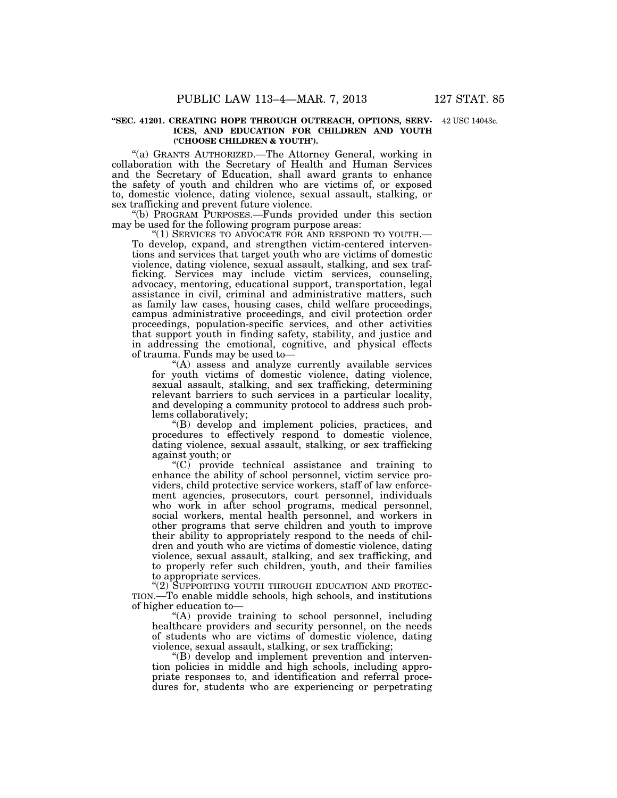#### **''SEC. 41201. CREATING HOPE THROUGH OUTREACH, OPTIONS, SERV-**42 USC 14043c. **ICES, AND EDUCATION FOR CHILDREN AND YOUTH ('CHOOSE CHILDREN & YOUTH').**

''(a) GRANTS AUTHORIZED.—The Attorney General, working in collaboration with the Secretary of Health and Human Services and the Secretary of Education, shall award grants to enhance the safety of youth and children who are victims of, or exposed to, domestic violence, dating violence, sexual assault, stalking, or sex trafficking and prevent future violence.

''(b) PROGRAM PURPOSES.—Funds provided under this section may be used for the following program purpose areas:<br>"(1) SERVICES TO ADVOCATE FOR AND RESPOND TO YOUTH.—

To develop, expand, and strengthen victim-centered interventions and services that target youth who are victims of domestic violence, dating violence, sexual assault, stalking, and sex trafficking. Services may include victim services, counseling, advocacy, mentoring, educational support, transportation, legal assistance in civil, criminal and administrative matters, such as family law cases, housing cases, child welfare proceedings, campus administrative proceedings, and civil protection order proceedings, population-specific services, and other activities that support youth in finding safety, stability, and justice and in addressing the emotional, cognitive, and physical effects of trauma. Funds may be used to—

"(A) assess and analyze currently available services for youth victims of domestic violence, dating violence, sexual assault, stalking, and sex trafficking, determining relevant barriers to such services in a particular locality, and developing a community protocol to address such problems collaboratively;

''(B) develop and implement policies, practices, and procedures to effectively respond to domestic violence, dating violence, sexual assault, stalking, or sex trafficking against youth; or

''(C) provide technical assistance and training to enhance the ability of school personnel, victim service providers, child protective service workers, staff of law enforcement agencies, prosecutors, court personnel, individuals who work in after school programs, medical personnel, social workers, mental health personnel, and workers in other programs that serve children and youth to improve their ability to appropriately respond to the needs of children and youth who are victims of domestic violence, dating violence, sexual assault, stalking, and sex trafficking, and to properly refer such children, youth, and their families to appropriate services.

"(2) SUPPORTING YOUTH THROUGH EDUCATION AND PROTEC-TION.—To enable middle schools, high schools, and institutions of higher education to—

''(A) provide training to school personnel, including healthcare providers and security personnel, on the needs of students who are victims of domestic violence, dating violence, sexual assault, stalking, or sex trafficking;

''(B) develop and implement prevention and intervention policies in middle and high schools, including appropriate responses to, and identification and referral procedures for, students who are experiencing or perpetrating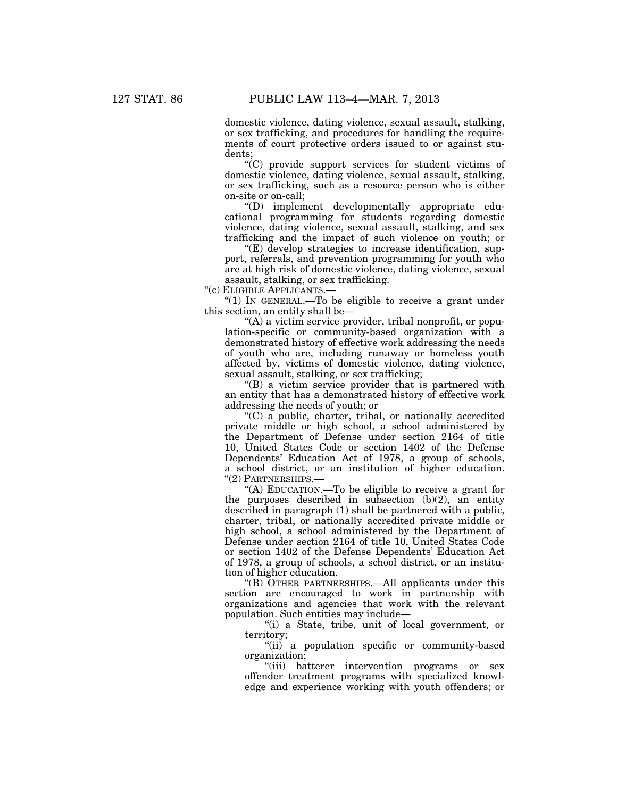domestic violence, dating violence, sexual assault, stalking, or sex trafficking, and procedures for handling the requirements of court protective orders issued to or against students;

''(C) provide support services for student victims of domestic violence, dating violence, sexual assault, stalking, or sex trafficking, such as a resource person who is either on-site or on-call;

''(D) implement developmentally appropriate educational programming for students regarding domestic violence, dating violence, sexual assault, stalking, and sex trafficking and the impact of such violence on youth; or

''(E) develop strategies to increase identification, support, referrals, and prevention programming for youth who are at high risk of domestic violence, dating violence, sexual assault, stalking, or sex trafficking.

''(c) ELIGIBLE APPLICANTS.—

" $(1)$  In GENERAL.—To be eligible to receive a grant under this section, an entity shall be—

''(A) a victim service provider, tribal nonprofit, or population-specific or community-based organization with a demonstrated history of effective work addressing the needs of youth who are, including runaway or homeless youth affected by, victims of domestic violence, dating violence, sexual assault, stalking, or sex trafficking;

 $f(B)$  a victim service provider that is partnered with an entity that has a demonstrated history of effective work addressing the needs of youth; or

 $C$ ) a public, charter, tribal, or nationally accredited private middle or high school, a school administered by the Department of Defense under section 2164 of title 10, United States Code or section 1402 of the Defense Dependents' Education Act of 1978, a group of schools, a school district, or an institution of higher education. ''(2) PARTNERSHIPS.—

''(A) EDUCATION.—To be eligible to receive a grant for the purposes described in subsection  $(b)(2)$ , an entity described in paragraph (1) shall be partnered with a public, charter, tribal, or nationally accredited private middle or high school, a school administered by the Department of Defense under section 2164 of title 10, United States Code or section 1402 of the Defense Dependents' Education Act of 1978, a group of schools, a school district, or an institution of higher education.

''(B) OTHER PARTNERSHIPS.—All applicants under this section are encouraged to work in partnership with organizations and agencies that work with the relevant population. Such entities may include—

''(i) a State, tribe, unit of local government, or territory;

''(ii) a population specific or community-based organization;

"(iii) batterer intervention programs or sex offender treatment programs with specialized knowledge and experience working with youth offenders; or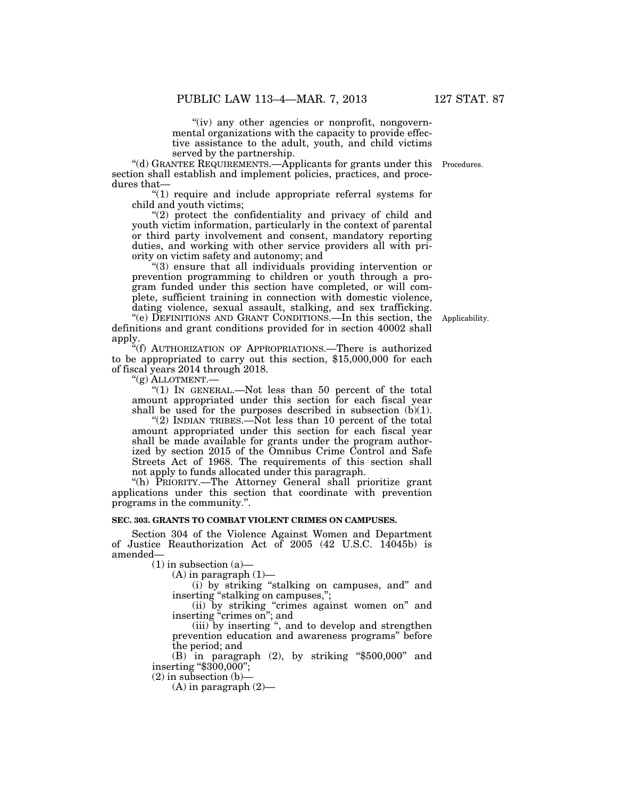"(iv) any other agencies or nonprofit, nongovernmental organizations with the capacity to provide effective assistance to the adult, youth, and child victims served by the partnership.

''(d) GRANTEE REQUIREMENTS.—Applicants for grants under this Procedures. section shall establish and implement policies, practices, and procedures that—

 $(1)$  require and include appropriate referral systems for child and youth victims;

''(2) protect the confidentiality and privacy of child and youth victim information, particularly in the context of parental or third party involvement and consent, mandatory reporting duties, and working with other service providers all with priority on victim safety and autonomy; and

''(3) ensure that all individuals providing intervention or prevention programming to children or youth through a program funded under this section have completed, or will complete, sufficient training in connection with domestic violence, dating violence, sexual assault, stalking, and sex trafficking.

''(e) DEFINITIONS AND GRANT CONDITIONS.—In this section, the definitions and grant conditions provided for in section 40002 shall apply.

"(f) AUTHORIZATION OF APPROPRIATIONS.—There is authorized to be appropriated to carry out this section, \$15,000,000 for each of fiscal years 2014 through 2018.

''(g) ALLOTMENT.—

" $(1)$  In GENERAL.—Not less than 50 percent of the total amount appropriated under this section for each fiscal year shall be used for the purposes described in subsection  $(b)(1)$ .

"(2) INDIAN TRIBES.— $\text{Not}$  less than 10 percent of the total amount appropriated under this section for each fiscal year shall be made available for grants under the program authorized by section 2015 of the Omnibus Crime Control and Safe Streets Act of 1968. The requirements of this section shall not apply to funds allocated under this paragraph.

''(h) PRIORITY.—The Attorney General shall prioritize grant applications under this section that coordinate with prevention programs in the community.''.

#### **SEC. 303. GRANTS TO COMBAT VIOLENT CRIMES ON CAMPUSES.**

Section 304 of the Violence Against Women and Department of Justice Reauthorization Act of 2005 (42 U.S.C. 14045b) is amended—

 $(1)$  in subsection  $(a)$ —

 $(A)$  in paragraph  $(1)$ —

(i) by striking ''stalking on campuses, and'' and inserting "stalking on campuses,";

(ii) by striking ''crimes against women on'' and inserting "crimes on"; and

(iii) by inserting '', and to develop and strengthen prevention education and awareness programs'' before the period; and

(B) in paragraph (2), by striking ''\$500,000'' and inserting ''\$300,000'';

 $(2)$  in subsection  $(b)$ —

 $(A)$  in paragraph  $(2)$ —

Applicability.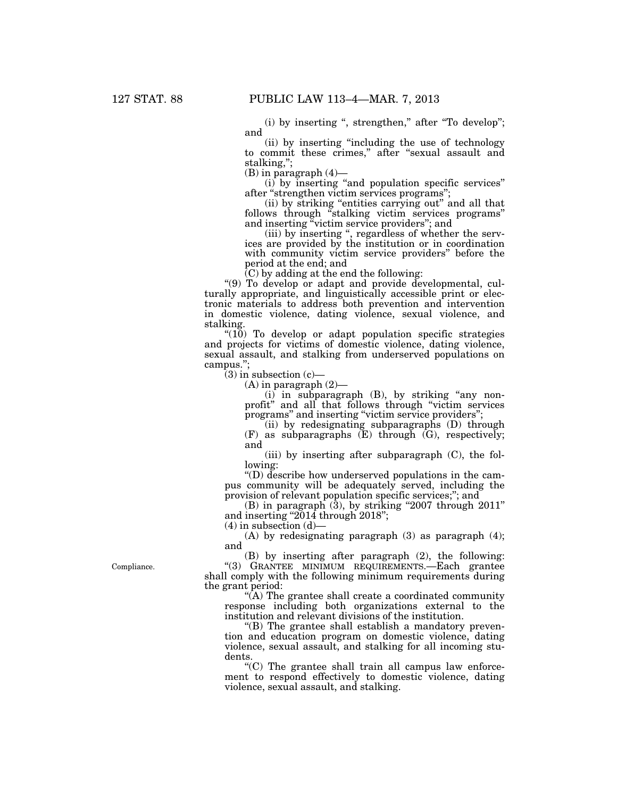$(i)$  by inserting ", strengthen," after "To develop"; and

(ii) by inserting ''including the use of technology to commit these crimes,'' after ''sexual assault and stalking,'';

 $(B)$  in paragraph  $(4)$ —

(i) by inserting ''and population specific services'' after ''strengthen victim services programs'';

(ii) by striking "entities carrying out" and all that follows through ''stalking victim services programs'' and inserting ''victim service providers''; and

(iii) by inserting '', regardless of whether the services are provided by the institution or in coordination with community victim service providers'' before the period at the end; and

(C) by adding at the end the following:

''(9) To develop or adapt and provide developmental, culturally appropriate, and linguistically accessible print or electronic materials to address both prevention and intervention in domestic violence, dating violence, sexual violence, and stalking.

 $(10)$  To develop or adapt population specific strategies and projects for victims of domestic violence, dating violence, sexual assault, and stalking from underserved populations on campus.'';

 $(3)$  in subsection  $(c)$ —

 $(A)$  in paragraph  $(2)$ —

(i) in subparagraph (B), by striking ''any nonprofit'' and all that follows through ''victim services programs" and inserting "victim service providers";

(ii) by redesignating subparagraphs (D) through  $(F)$  as subparagraphs  $(E)$  through  $(G)$ , respectively; and

(iii) by inserting after subparagraph (C), the following:

''(D) describe how underserved populations in the campus community will be adequately served, including the provision of relevant population specific services;''; and

 $(B)$  in paragraph  $(\overline{3})$ , by striking "2007 through 2011" and inserting "2014 through 2018";

 $(4)$  in subsection  $(d)$ —

(A) by redesignating paragraph (3) as paragraph (4); and

(B) by inserting after paragraph (2), the following: ''(3) GRANTEE MINIMUM REQUIREMENTS.—Each grantee shall comply with the following minimum requirements during the grant period:

" $(A)$  The grantee shall create a coordinated community response including both organizations external to the institution and relevant divisions of the institution.

 $'(B)$  The grantee shall establish a mandatory prevention and education program on domestic violence, dating violence, sexual assault, and stalking for all incoming students.

 $C$ ) The grantee shall train all campus law enforcement to respond effectively to domestic violence, dating violence, sexual assault, and stalking.

Compliance.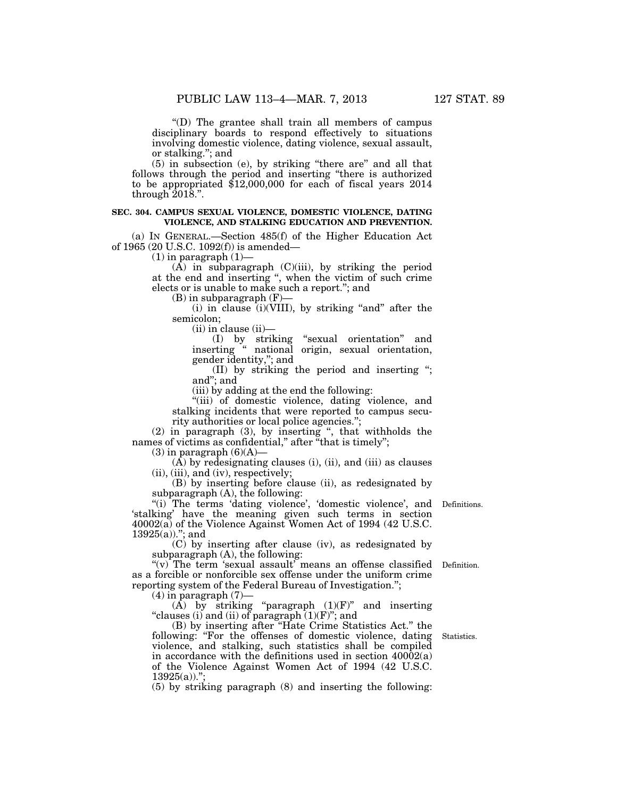''(D) The grantee shall train all members of campus disciplinary boards to respond effectively to situations involving domestic violence, dating violence, sexual assault, or stalking.''; and

(5) in subsection (e), by striking ''there are'' and all that follows through the period and inserting ''there is authorized to be appropriated \$12,000,000 for each of fiscal years 2014 through  $\overline{2018}$ .".

#### **SEC. 304. CAMPUS SEXUAL VIOLENCE, DOMESTIC VIOLENCE, DATING VIOLENCE, AND STALKING EDUCATION AND PREVENTION.**

(a) IN GENERAL.—Section 485(f) of the Higher Education Act of 1965 (20 U.S.C. 1092(f)) is amended—

 $(1)$  in paragraph  $(1)$ —

 $(A)$  in subparagraph  $(C)(iii)$ , by striking the period at the end and inserting '', when the victim of such crime elects or is unable to make such a report.''; and

(B) in subparagraph (F)—

 $(i)$  in clause  $(i)(VIII)$ , by striking "and" after the semicolon;

 $(ii)$  in clause  $(ii)$ 

(I) by striking ''sexual orientation'' and inserting '' national origin, sexual orientation, gender identity,''; and

(II) by striking the period and inserting ''; and''; and

(iii) by adding at the end the following:

''(iii) of domestic violence, dating violence, and stalking incidents that were reported to campus security authorities or local police agencies.'';

(2) in paragraph (3), by inserting '', that withholds the names of victims as confidential," after "that is timely";

 $(3)$  in paragraph  $(6)(A)$ —

(A) by redesignating clauses (i), (ii), and (iii) as clauses (ii), (iii), and (iv), respectively;

(B) by inserting before clause (ii), as redesignated by subparagraph (A), the following:

"(i) The terms 'dating violence', 'domestic violence', and Definitions. 'stalking' have the meaning given such terms in section 40002(a) of the Violence Against Women Act of 1994 (42 U.S.C.  $13925(a)$ ."; and

(C) by inserting after clause (iv), as redesignated by subparagraph (A), the following:

"(v) The term 'sexual assault' means an offense classified Definition. as a forcible or nonforcible sex offense under the uniform crime reporting system of the Federal Bureau of Investigation.'';

 $(4)$  in paragraph  $(7)$ —

(A) by striking "paragraph  $(1)(F)$ " and inserting "clauses (i) and (ii) of paragraph  $(1)(F)$ "; and

(B) by inserting after ''Hate Crime Statistics Act.'' the following: "For the offenses of domestic violence, dating violence, and stalking, such statistics shall be compiled in accordance with the definitions used in section 40002(a) of the Violence Against Women Act of 1994 (42 U.S.C.  $13925(a)$ .";

(5) by striking paragraph (8) and inserting the following:

Statistics.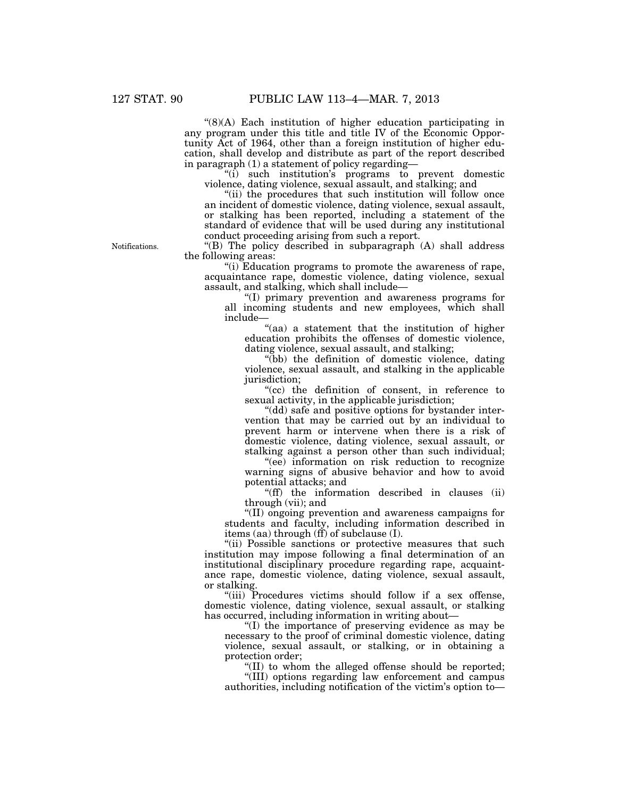''(8)(A) Each institution of higher education participating in any program under this title and title IV of the Economic Opportunity Act of 1964, other than a foreign institution of higher education, shall develop and distribute as part of the report described in paragraph (1) a statement of policy regarding—

''(i) such institution's programs to prevent domestic violence, dating violence, sexual assault, and stalking; and

"(ii) the procedures that such institution will follow once an incident of domestic violence, dating violence, sexual assault, or stalking has been reported, including a statement of the standard of evidence that will be used during any institutional conduct proceeding arising from such a report.

Notifications.

''(B) The policy described in subparagraph (A) shall address the following areas:

''(i) Education programs to promote the awareness of rape, acquaintance rape, domestic violence, dating violence, sexual assault, and stalking, which shall include—

''(I) primary prevention and awareness programs for all incoming students and new employees, which shall include—

"(aa) a statement that the institution of higher education prohibits the offenses of domestic violence, dating violence, sexual assault, and stalking;

''(bb) the definition of domestic violence, dating violence, sexual assault, and stalking in the applicable jurisdiction;

"(cc) the definition of consent, in reference to sexual activity, in the applicable jurisdiction;

"(dd) safe and positive options for bystander intervention that may be carried out by an individual to prevent harm or intervene when there is a risk of domestic violence, dating violence, sexual assault, or stalking against a person other than such individual;

"(ee) information on risk reduction to recognize warning signs of abusive behavior and how to avoid potential attacks; and

''(ff) the information described in clauses (ii) through (vii); and

''(II) ongoing prevention and awareness campaigns for students and faculty, including information described in items (aa) through (ff) of subclause (I).

"(ii) Possible sanctions or protective measures that such institution may impose following a final determination of an institutional disciplinary procedure regarding rape, acquaintance rape, domestic violence, dating violence, sexual assault, or stalking.

"(iii) Procedures victims should follow if a sex offense, domestic violence, dating violence, sexual assault, or stalking has occurred, including information in writing about—

''(I) the importance of preserving evidence as may be necessary to the proof of criminal domestic violence, dating violence, sexual assault, or stalking, or in obtaining a protection order;

''(II) to whom the alleged offense should be reported;

''(III) options regarding law enforcement and campus authorities, including notification of the victim's option to—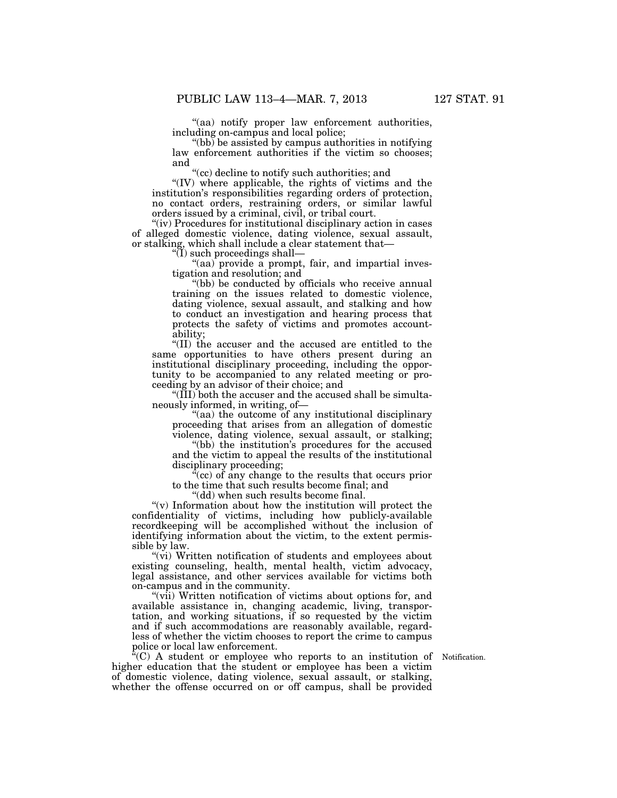''(aa) notify proper law enforcement authorities, including on-campus and local police;

 $\degree$ (bb) be assisted by campus authorities in notifying law enforcement authorities if the victim so chooses; and

''(cc) decline to notify such authorities; and

"(IV) where applicable, the rights of victims and the institution's responsibilities regarding orders of protection, no contact orders, restraining orders, or similar lawful orders issued by a criminal, civil, or tribal court.

"(iv) Procedures for institutional disciplinary action in cases of alleged domestic violence, dating violence, sexual assault, or stalking, which shall include a clear statement that—

 $\sqrt{\text{I}}$  such proceedings shall—

"(aa) provide a prompt, fair, and impartial investigation and resolution; and

''(bb) be conducted by officials who receive annual training on the issues related to domestic violence, dating violence, sexual assault, and stalking and how to conduct an investigation and hearing process that protects the safety of victims and promotes accountability;

''(II) the accuser and the accused are entitled to the same opportunities to have others present during an institutional disciplinary proceeding, including the opportunity to be accompanied to any related meeting or proceeding by an advisor of their choice; and

''(III) both the accuser and the accused shall be simultaneously informed, in writing, of—

"(aa) the outcome of any institutional disciplinary proceeding that arises from an allegation of domestic violence, dating violence, sexual assault, or stalking;

"(bb) the institution's procedures for the accused and the victim to appeal the results of the institutional disciplinary proceeding;

 $\mathcal{F}(\mathbf{c})$  of any change to the results that occurs prior to the time that such results become final; and

''(dd) when such results become final.

 $\mathcal{L}(v)$  Information about how the institution will protect the confidentiality of victims, including how publicly-available recordkeeping will be accomplished without the inclusion of identifying information about the victim, to the extent permissible by law.

''(vi) Written notification of students and employees about existing counseling, health, mental health, victim advocacy, legal assistance, and other services available for victims both on-campus and in the community.

"(vii) Written notification of victims about options for, and available assistance in, changing academic, living, transportation, and working situations, if so requested by the victim and if such accommodations are reasonably available, regardless of whether the victim chooses to report the crime to campus police or local law enforcement.

 $\tilde{f}(C)$  A student or employee who reports to an institution of Notification. higher education that the student or employee has been a victim of domestic violence, dating violence, sexual assault, or stalking, whether the offense occurred on or off campus, shall be provided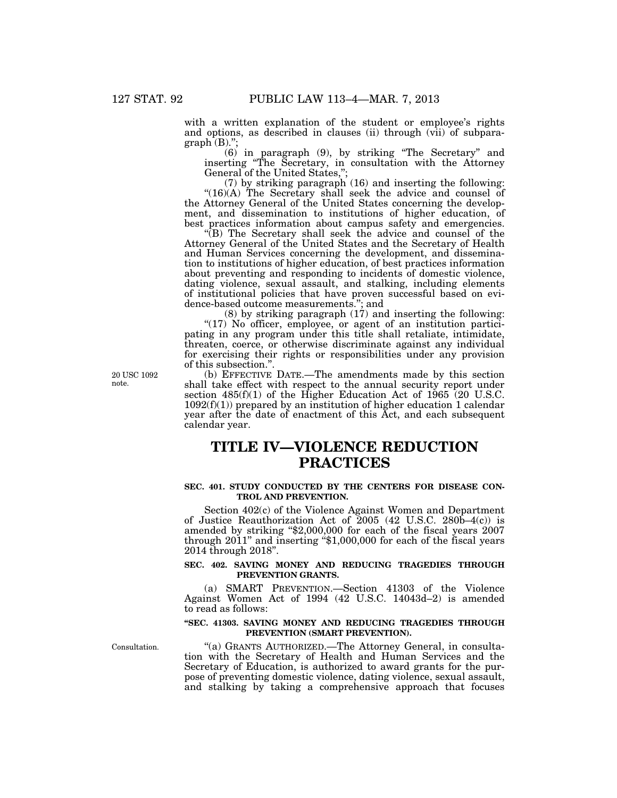with a written explanation of the student or employee's rights and options, as described in clauses (ii) through (vii) of subpara $graph<sup>7</sup>(B).$ ";

(6) in paragraph (9), by striking ''The Secretary'' and inserting ''The Secretary, in consultation with the Attorney General of the United States,";

(7) by striking paragraph (16) and inserting the following:  $"(16)(A)$  The Secretary shall seek the advice and counsel of the Attorney General of the United States concerning the development, and dissemination to institutions of higher education, of best practices information about campus safety and emergencies.

''(B) The Secretary shall seek the advice and counsel of the Attorney General of the United States and the Secretary of Health and Human Services concerning the development, and dissemination to institutions of higher education, of best practices information about preventing and responding to incidents of domestic violence, dating violence, sexual assault, and stalking, including elements of institutional policies that have proven successful based on evidence-based outcome measurements.''; and

(8) by striking paragraph (17) and inserting the following: "(17) No officer, employee, or agent of an institution participating in any program under this title shall retaliate, intimidate, threaten, coerce, or otherwise discriminate against any individual for exercising their rights or responsibilities under any provision of this subsection.''.

(b) EFFECTIVE DATE.—The amendments made by this section shall take effect with respect to the annual security report under section  $485(f)(1)$  of the Higher Education Act of  $1965(20)$  U.S.C.  $1092(f)(1)$ ) prepared by an institution of higher education 1 calendar year after the date of enactment of this Act, and each subsequent calendar year.

## **TITLE IV—VIOLENCE REDUCTION PRACTICES**

#### **SEC. 401. STUDY CONDUCTED BY THE CENTERS FOR DISEASE CON-TROL AND PREVENTION.**

Section 402(c) of the Violence Against Women and Department of Justice Reauthorization Act of 2005 (42 U.S.C. 280b–4(c)) is amended by striking ''\$2,000,000 for each of the fiscal years 2007 through 2011'' and inserting ''\$1,000,000 for each of the fiscal years 2014 through 2018''.

#### **SEC. 402. SAVING MONEY AND REDUCING TRAGEDIES THROUGH PREVENTION GRANTS.**

(a) SMART PREVENTION.—Section 41303 of the Violence Against Women Act of 1994 (42 U.S.C. 14043d–2) is amended to read as follows:

#### **''SEC. 41303. SAVING MONEY AND REDUCING TRAGEDIES THROUGH PREVENTION (SMART PREVENTION).**

Consultation.

''(a) GRANTS AUTHORIZED.—The Attorney General, in consultation with the Secretary of Health and Human Services and the Secretary of Education, is authorized to award grants for the purpose of preventing domestic violence, dating violence, sexual assault, and stalking by taking a comprehensive approach that focuses

20 USC 1092 note.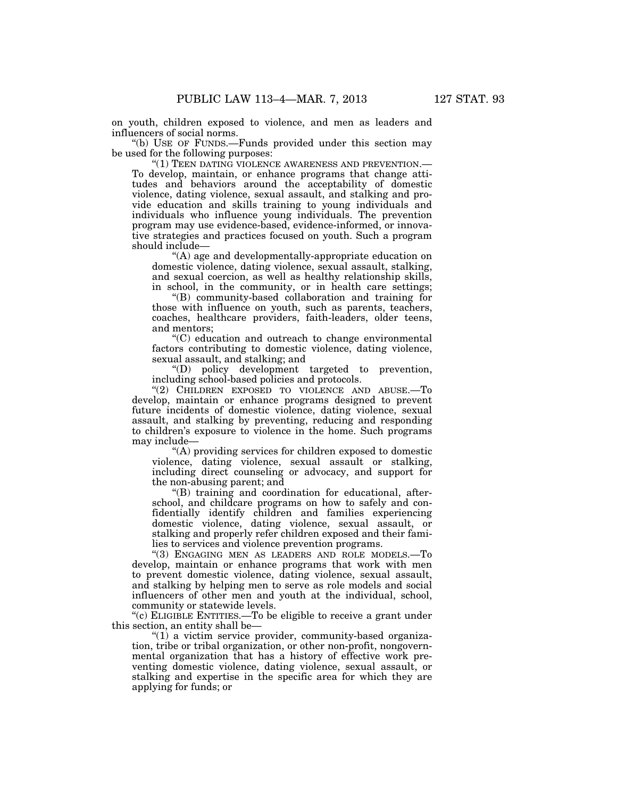on youth, children exposed to violence, and men as leaders and influencers of social norms.

''(b) USE OF FUNDS.—Funds provided under this section may be used for the following purposes:

''(1) TEEN DATING VIOLENCE AWARENESS AND PREVENTION.— To develop, maintain, or enhance programs that change attitudes and behaviors around the acceptability of domestic violence, dating violence, sexual assault, and stalking and provide education and skills training to young individuals and individuals who influence young individuals. The prevention program may use evidence-based, evidence-informed, or innovative strategies and practices focused on youth. Such a program should include—

''(A) age and developmentally-appropriate education on domestic violence, dating violence, sexual assault, stalking, and sexual coercion, as well as healthy relationship skills, in school, in the community, or in health care settings;

''(B) community-based collaboration and training for those with influence on youth, such as parents, teachers, coaches, healthcare providers, faith-leaders, older teens, and mentors;

''(C) education and outreach to change environmental factors contributing to domestic violence, dating violence, sexual assault, and stalking; and

''(D) policy development targeted to prevention, including school-based policies and protocols.

''(2) CHILDREN EXPOSED TO VIOLENCE AND ABUSE.—To develop, maintain or enhance programs designed to prevent future incidents of domestic violence, dating violence, sexual assault, and stalking by preventing, reducing and responding to children's exposure to violence in the home. Such programs may include—

 $(A)$  providing services for children exposed to domestic violence, dating violence, sexual assault or stalking, including direct counseling or advocacy, and support for the non-abusing parent; and

''(B) training and coordination for educational, afterschool, and childcare programs on how to safely and confidentially identify children and families experiencing domestic violence, dating violence, sexual assault, or stalking and properly refer children exposed and their families to services and violence prevention programs.

''(3) ENGAGING MEN AS LEADERS AND ROLE MODELS.—To develop, maintain or enhance programs that work with men to prevent domestic violence, dating violence, sexual assault, and stalking by helping men to serve as role models and social influencers of other men and youth at the individual, school, community or statewide levels.

''(c) ELIGIBLE ENTITIES.—To be eligible to receive a grant under this section, an entity shall be—

''(1) a victim service provider, community-based organization, tribe or tribal organization, or other non-profit, nongovernmental organization that has a history of effective work preventing domestic violence, dating violence, sexual assault, or stalking and expertise in the specific area for which they are applying for funds; or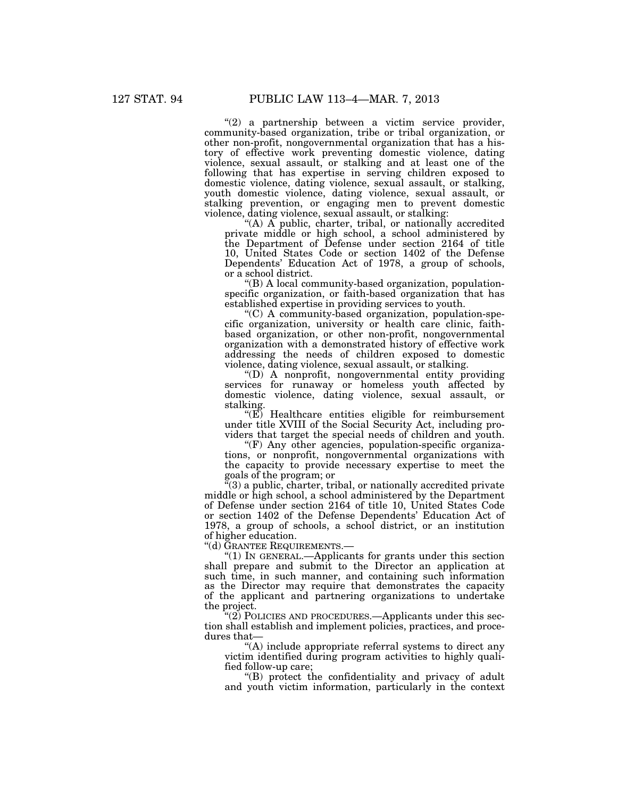"(2) a partnership between a victim service provider, community-based organization, tribe or tribal organization, or other non-profit, nongovernmental organization that has a history of effective work preventing domestic violence, dating violence, sexual assault, or stalking and at least one of the following that has expertise in serving children exposed to domestic violence, dating violence, sexual assault, or stalking, youth domestic violence, dating violence, sexual assault, or stalking prevention, or engaging men to prevent domestic violence, dating violence, sexual assault, or stalking:

''(A) A public, charter, tribal, or nationally accredited private middle or high school, a school administered by the Department of Defense under section 2164 of title 10, United States Code or section 1402 of the Defense Dependents' Education Act of 1978, a group of schools, or a school district.

''(B) A local community-based organization, populationspecific organization, or faith-based organization that has established expertise in providing services to youth.

''(C) A community-based organization, population-specific organization, university or health care clinic, faithbased organization, or other non-profit, nongovernmental organization with a demonstrated history of effective work addressing the needs of children exposed to domestic violence, dating violence, sexual assault, or stalking.

''(D) A nonprofit, nongovernmental entity providing services for runaway or homeless youth affected by domestic violence, dating violence, sexual assault, or stalking.

 $\sqrt{\text{E}}$  Healthcare entities eligible for reimbursement under title XVIII of the Social Security Act, including providers that target the special needs of children and youth.

 $(F)$  Any other agencies, population-specific organizations, or nonprofit, nongovernmental organizations with the capacity to provide necessary expertise to meet the goals of the program; or

''(3) a public, charter, tribal, or nationally accredited private middle or high school, a school administered by the Department of Defense under section 2164 of title 10, United States Code or section 1402 of the Defense Dependents' Education Act of 1978, a group of schools, a school district, or an institution of higher education.

''(d) GRANTEE REQUIREMENTS.—

" $(1)$  In GENERAL.—Applicants for grants under this section shall prepare and submit to the Director an application at such time, in such manner, and containing such information as the Director may require that demonstrates the capacity of the applicant and partnering organizations to undertake the project.

 $\mathcal{L}(2)$  POLICIES AND PROCEDURES.—Applicants under this section shall establish and implement policies, practices, and procedures that-

''(A) include appropriate referral systems to direct any victim identified during program activities to highly qualified follow-up care;

''(B) protect the confidentiality and privacy of adult and youth victim information, particularly in the context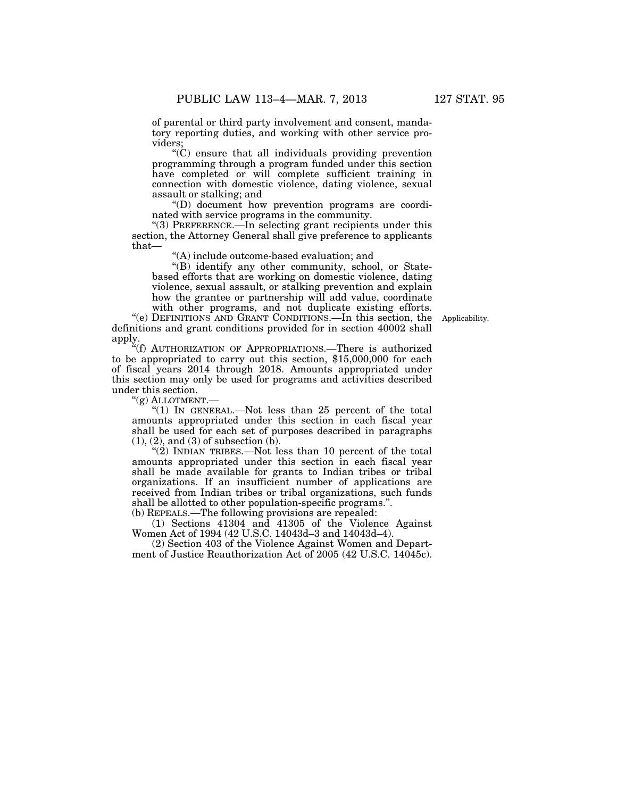$(C)$  ensure that all individuals providing prevention programming through a program funded under this section have completed or will complete sufficient training in connection with domestic violence, dating violence, sexual assault or stalking; and

''(D) document how prevention programs are coordinated with service programs in the community.

''(3) PREFERENCE.—In selecting grant recipients under this section, the Attorney General shall give preference to applicants that—

''(A) include outcome-based evaluation; and

''(B) identify any other community, school, or Statebased efforts that are working on domestic violence, dating violence, sexual assault, or stalking prevention and explain how the grantee or partnership will add value, coordinate with other programs, and not duplicate existing efforts.

''(e) DEFINITIONS AND GRANT CONDITIONS.—In this section, the definitions and grant conditions provided for in section 40002 shall apply.

"(f) AUTHORIZATION OF APPROPRIATIONS.—There is authorized to be appropriated to carry out this section, \$15,000,000 for each of fiscal years 2014 through 2018. Amounts appropriated under this section may only be used for programs and activities described under this section.

"(g) ALLOTMENT.-

" $(1)$  In GENERAL.—Not less than 25 percent of the total amounts appropriated under this section in each fiscal year shall be used for each set of purposes described in paragraphs  $(1), (2),$  and  $(3)$  of subsection  $(b)$ .

" $(2)$  INDIAN TRIBES.—Not less than 10 percent of the total amounts appropriated under this section in each fiscal year shall be made available for grants to Indian tribes or tribal organizations. If an insufficient number of applications are received from Indian tribes or tribal organizations, such funds shall be allotted to other population-specific programs.''. (b) REPEALS.—The following provisions are repealed:

(1) Sections 41304 and 41305 of the Violence Against

Women Act of 1994 (42 U.S.C. 14043d–3 and 14043d–4).

(2) Section 403 of the Violence Against Women and Department of Justice Reauthorization Act of 2005 (42 U.S.C. 14045c).

Applicability.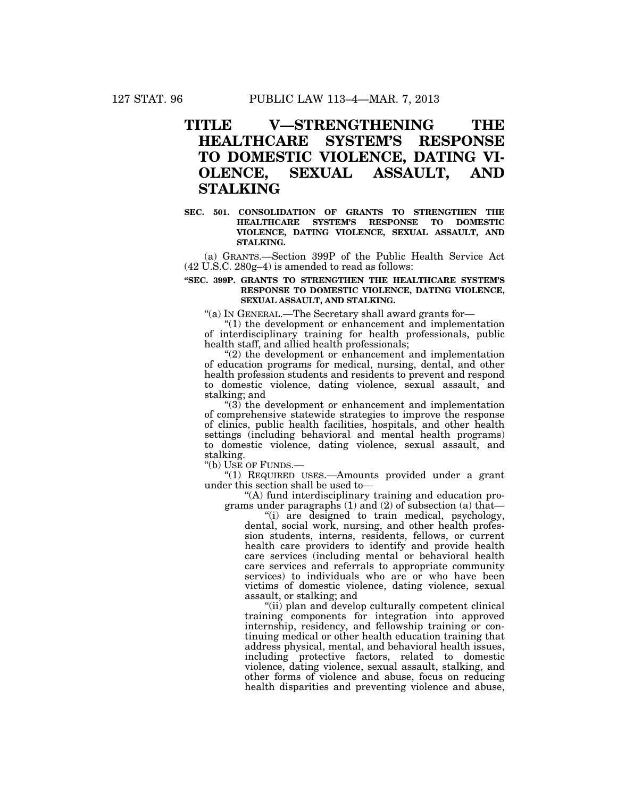## **TITLE V—STRENGTHENING THE HEALTHCARE SYSTEM'S RESPONSE TO DOMESTIC VIOLENCE, DATING VI-OLENCE, SEXUAL ASSAULT, AND STALKING**

#### **SEC. 501. CONSOLIDATION OF GRANTS TO STRENGTHEN THE HEALTHCARE SYSTEM'S RESPONSE TO DOMESTIC VIOLENCE, DATING VIOLENCE, SEXUAL ASSAULT, AND STALKING.**

(a) GRANTS.—Section 399P of the Public Health Service Act (42 U.S.C. 280g–4) is amended to read as follows:

#### **''SEC. 399P. GRANTS TO STRENGTHEN THE HEALTHCARE SYSTEM'S RESPONSE TO DOMESTIC VIOLENCE, DATING VIOLENCE, SEXUAL ASSAULT, AND STALKING.**

''(a) IN GENERAL.—The Secretary shall award grants for—

''(1) the development or enhancement and implementation of interdisciplinary training for health professionals, public health staff, and allied health professionals;

"(2) the development or enhancement and implementation of education programs for medical, nursing, dental, and other health profession students and residents to prevent and respond to domestic violence, dating violence, sexual assault, and stalking; and

 $\degree$ (3) the development or enhancement and implementation of comprehensive statewide strategies to improve the response of clinics, public health facilities, hospitals, and other health settings (including behavioral and mental health programs) to domestic violence, dating violence, sexual assault, and stalking.

''(b) USE OF FUNDS.—

''(1) REQUIRED USES.—Amounts provided under a grant under this section shall be used to—

''(A) fund interdisciplinary training and education programs under paragraphs (1) and (2) of subsection (a) that—

''(i) are designed to train medical, psychology, dental, social work, nursing, and other health profession students, interns, residents, fellows, or current health care providers to identify and provide health care services (including mental or behavioral health care services and referrals to appropriate community services) to individuals who are or who have been victims of domestic violence, dating violence, sexual assault, or stalking; and

''(ii) plan and develop culturally competent clinical training components for integration into approved internship, residency, and fellowship training or continuing medical or other health education training that address physical, mental, and behavioral health issues, including protective factors, related to domestic violence, dating violence, sexual assault, stalking, and other forms of violence and abuse, focus on reducing health disparities and preventing violence and abuse,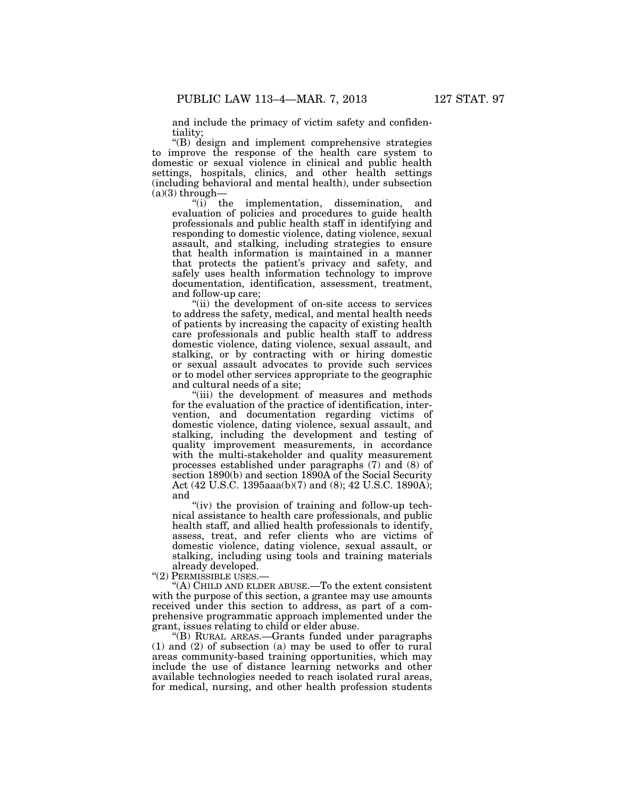and include the primacy of victim safety and confidentiality;

''(B) design and implement comprehensive strategies to improve the response of the health care system to domestic or sexual violence in clinical and public health settings, hospitals, clinics, and other health settings (including behavioral and mental health), under subsection  $(a)(3)$  through-

"(i) the implementation, dissemination, and evaluation of policies and procedures to guide health professionals and public health staff in identifying and responding to domestic violence, dating violence, sexual assault, and stalking, including strategies to ensure that health information is maintained in a manner that protects the patient's privacy and safety, and safely uses health information technology to improve documentation, identification, assessment, treatment, and follow-up care;

"(ii) the development of on-site access to services" to address the safety, medical, and mental health needs of patients by increasing the capacity of existing health care professionals and public health staff to address domestic violence, dating violence, sexual assault, and stalking, or by contracting with or hiring domestic or sexual assault advocates to provide such services or to model other services appropriate to the geographic and cultural needs of a site;

''(iii) the development of measures and methods for the evaluation of the practice of identification, intervention, and documentation regarding victims of domestic violence, dating violence, sexual assault, and stalking, including the development and testing of quality improvement measurements, in accordance with the multi-stakeholder and quality measurement processes established under paragraphs (7) and (8) of section 1890(b) and section 1890A of the Social Security Act (42 U.S.C. 1395aaa(b)(7) and (8); 42 U.S.C. 1890A); and

"(iv) the provision of training and follow-up technical assistance to health care professionals, and public health staff, and allied health professionals to identify, assess, treat, and refer clients who are victims of domestic violence, dating violence, sexual assault, or stalking, including using tools and training materials already developed.

''(2) PERMISSIBLE USES.—

''(A) CHILD AND ELDER ABUSE.—To the extent consistent with the purpose of this section, a grantee may use amounts received under this section to address, as part of a comprehensive programmatic approach implemented under the grant, issues relating to child or elder abuse.

''(B) RURAL AREAS.—Grants funded under paragraphs (1) and (2) of subsection (a) may be used to offer to rural areas community-based training opportunities, which may include the use of distance learning networks and other available technologies needed to reach isolated rural areas, for medical, nursing, and other health profession students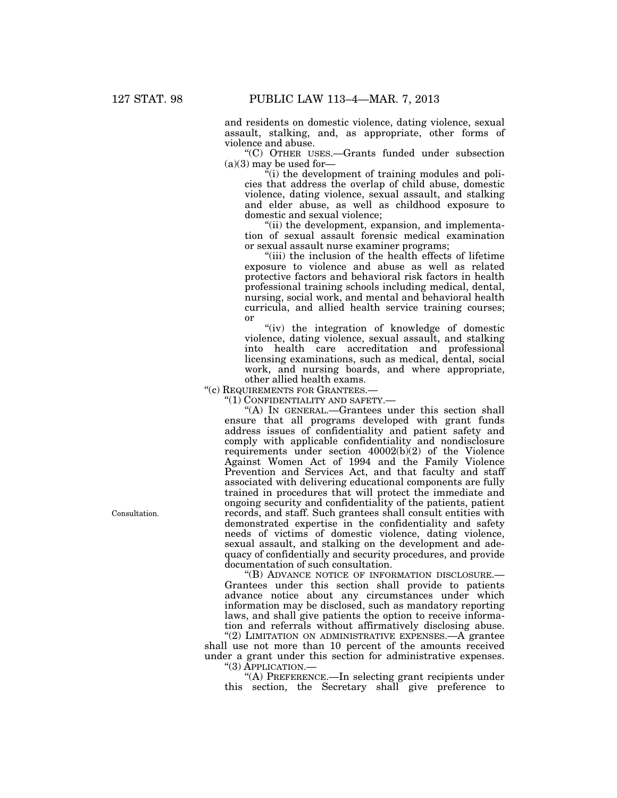and residents on domestic violence, dating violence, sexual assault, stalking, and, as appropriate, other forms of violence and abuse.

''(C) OTHER USES.—Grants funded under subsection  $(a)(3)$  may be used for

 $\ddot{f}$ (i) the development of training modules and policies that address the overlap of child abuse, domestic violence, dating violence, sexual assault, and stalking and elder abuse, as well as childhood exposure to domestic and sexual violence;

''(ii) the development, expansion, and implementation of sexual assault forensic medical examination or sexual assault nurse examiner programs;

"(iii) the inclusion of the health effects of lifetime exposure to violence and abuse as well as related protective factors and behavioral risk factors in health professional training schools including medical, dental, nursing, social work, and mental and behavioral health curricula, and allied health service training courses; or

''(iv) the integration of knowledge of domestic violence, dating violence, sexual assault, and stalking into health care accreditation and professional licensing examinations, such as medical, dental, social work, and nursing boards, and where appropriate, other allied health exams.

''(c) REQUIREMENTS FOR GRANTEES.—

''(1) CONFIDENTIALITY AND SAFETY.—

''(A) IN GENERAL.—Grantees under this section shall ensure that all programs developed with grant funds address issues of confidentiality and patient safety and comply with applicable confidentiality and nondisclosure requirements under section 40002(b)(2) of the Violence Against Women Act of 1994 and the Family Violence Prevention and Services Act, and that faculty and staff associated with delivering educational components are fully trained in procedures that will protect the immediate and ongoing security and confidentiality of the patients, patient records, and staff. Such grantees shall consult entities with demonstrated expertise in the confidentiality and safety needs of victims of domestic violence, dating violence, sexual assault, and stalking on the development and adequacy of confidentially and security procedures, and provide documentation of such consultation.

''(B) ADVANCE NOTICE OF INFORMATION DISCLOSURE.— Grantees under this section shall provide to patients advance notice about any circumstances under which information may be disclosed, such as mandatory reporting laws, and shall give patients the option to receive information and referrals without affirmatively disclosing abuse.

"(2) LIMITATION ON ADMINISTRATIVE EXPENSES.—A grantee shall use not more than 10 percent of the amounts received under a grant under this section for administrative expenses. ''(3) APPLICATION.—

''(A) PREFERENCE.—In selecting grant recipients under this section, the Secretary shall give preference to

Consultation.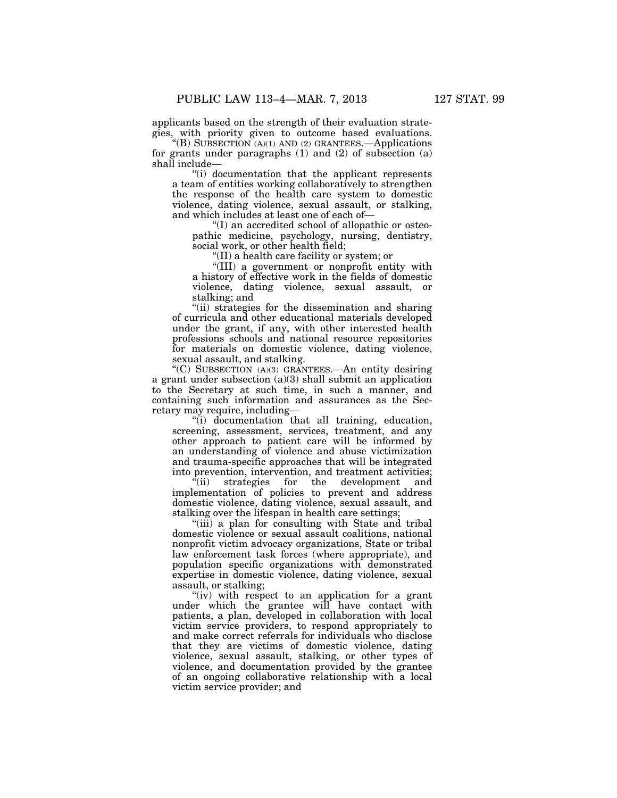applicants based on the strength of their evaluation strategies, with priority given to outcome based evaluations.

''(B) SUBSECTION (A)(1) AND (2) GRANTEES.—Applications for grants under paragraphs (1) and (2) of subsection (a) shall include—

''(i) documentation that the applicant represents a team of entities working collaboratively to strengthen the response of the health care system to domestic violence, dating violence, sexual assault, or stalking, and which includes at least one of each of—

''(I) an accredited school of allopathic or osteopathic medicine, psychology, nursing, dentistry, social work, or other health field;

''(II) a health care facility or system; or

''(III) a government or nonprofit entity with a history of effective work in the fields of domestic violence, dating violence, sexual assault, or stalking; and

"(ii) strategies for the dissemination and sharing of curricula and other educational materials developed under the grant, if any, with other interested health professions schools and national resource repositories for materials on domestic violence, dating violence, sexual assault, and stalking.

''(C) SUBSECTION (A)(3) GRANTEES.—An entity desiring a grant under subsection (a)(3) shall submit an application to the Secretary at such time, in such a manner, and containing such information and assurances as the Secretary may require, including—

"(i) documentation that all training, education, screening, assessment, services, treatment, and any other approach to patient care will be informed by an understanding of violence and abuse victimization and trauma-specific approaches that will be integrated into prevention, intervention, and treatment activities;

''(ii) strategies for the development and implementation of policies to prevent and address domestic violence, dating violence, sexual assault, and stalking over the lifespan in health care settings;

''(iii) a plan for consulting with State and tribal domestic violence or sexual assault coalitions, national nonprofit victim advocacy organizations, State or tribal law enforcement task forces (where appropriate), and population specific organizations with demonstrated expertise in domestic violence, dating violence, sexual assault, or stalking;

''(iv) with respect to an application for a grant under which the grantee will have contact with patients, a plan, developed in collaboration with local victim service providers, to respond appropriately to and make correct referrals for individuals who disclose that they are victims of domestic violence, dating violence, sexual assault, stalking, or other types of violence, and documentation provided by the grantee of an ongoing collaborative relationship with a local victim service provider; and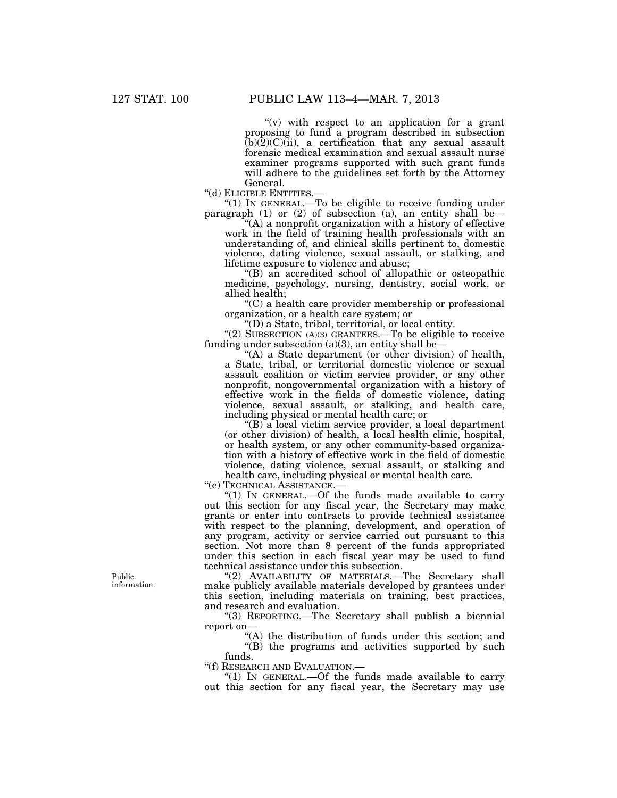" $(v)$  with respect to an application for a grant proposing to fund a program described in subsection  $(b)(2)(C)(ii)$ , a certification that any sexual assault forensic medical examination and sexual assault nurse examiner programs supported with such grant funds will adhere to the guidelines set forth by the Attorney

General.<br>"(d) ELIGIBLE ENTITIES.

"(1) IN GENERAL.—To be eligible to receive funding under paragraph (1) or (2) of subsection (a), an entity shall be—

 $(A)$  a nonprofit organization with a history of effective work in the field of training health professionals with an understanding of, and clinical skills pertinent to, domestic violence, dating violence, sexual assault, or stalking, and lifetime exposure to violence and abuse;

''(B) an accredited school of allopathic or osteopathic medicine, psychology, nursing, dentistry, social work, or allied health;

''(C) a health care provider membership or professional organization, or a health care system; or

''(D) a State, tribal, territorial, or local entity.

"(2) SUBSECTION  $(A)(3)$  GRANTEES.—To be eligible to receive funding under subsection (a)(3), an entity shall be—

"(A) a State department (or other division) of health, a State, tribal, or territorial domestic violence or sexual assault coalition or victim service provider, or any other nonprofit, nongovernmental organization with a history of effective work in the fields of domestic violence, dating violence, sexual assault, or stalking, and health care, including physical or mental health care; or

''(B) a local victim service provider, a local department (or other division) of health, a local health clinic, hospital, or health system, or any other community-based organization with a history of effective work in the field of domestic violence, dating violence, sexual assault, or stalking and health care, including physical or mental health care.

''(e) TECHNICAL ASSISTANCE.—

" $(1)$  In GENERAL.—Of the funds made available to carry out this section for any fiscal year, the Secretary may make grants or enter into contracts to provide technical assistance with respect to the planning, development, and operation of any program, activity or service carried out pursuant to this section. Not more than 8 percent of the funds appropriated under this section in each fiscal year may be used to fund technical assistance under this subsection.

"(2) AVAILABILITY OF MATERIALS.—The Secretary shall make publicly available materials developed by grantees under this section, including materials on training, best practices, and research and evaluation.

''(3) REPORTING.—The Secretary shall publish a biennial report on—

"(A) the distribution of funds under this section; and "(B) the programs and activities supported by such

funds.<br>"(f) RESEARCH AND EVALUATION.—

" $(1)$  In GENERAL.—Of the funds made available to carry out this section for any fiscal year, the Secretary may use

Public information.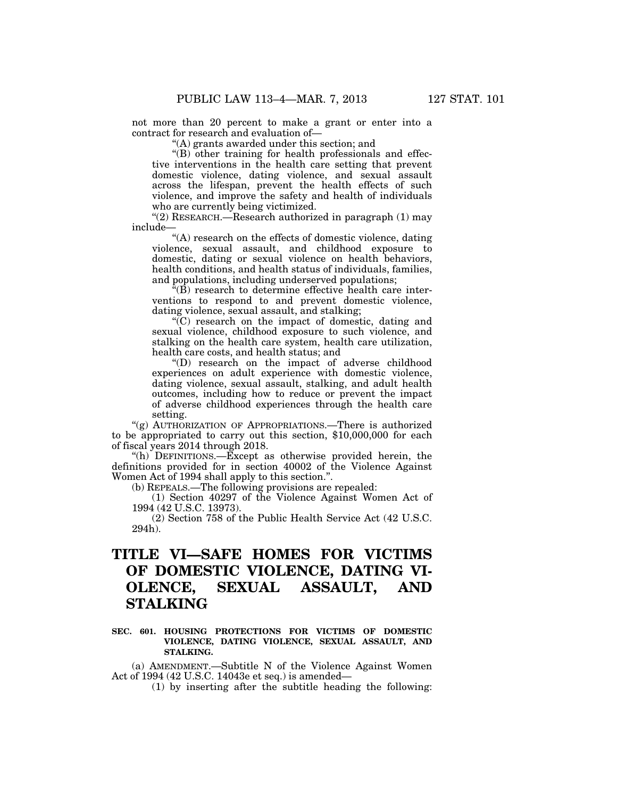not more than 20 percent to make a grant or enter into a contract for research and evaluation of—

 $(A)$  grants awarded under this section; and

''(B) other training for health professionals and effective interventions in the health care setting that prevent domestic violence, dating violence, and sexual assault across the lifespan, prevent the health effects of such violence, and improve the safety and health of individuals who are currently being victimized.

"(2) RESEARCH.—Research authorized in paragraph  $(1)$  may include—

''(A) research on the effects of domestic violence, dating violence, sexual assault, and childhood exposure to domestic, dating or sexual violence on health behaviors, health conditions, and health status of individuals, families, and populations, including underserved populations;

 $\hat{f}(\bar{B})$  research to determine effective health care interventions to respond to and prevent domestic violence, dating violence, sexual assault, and stalking;

''(C) research on the impact of domestic, dating and sexual violence, childhood exposure to such violence, and stalking on the health care system, health care utilization, health care costs, and health status; and

''(D) research on the impact of adverse childhood experiences on adult experience with domestic violence, dating violence, sexual assault, stalking, and adult health outcomes, including how to reduce or prevent the impact of adverse childhood experiences through the health care setting.

"(g) AUTHORIZATION OF APPROPRIATIONS.—There is authorized to be appropriated to carry out this section, \$10,000,000 for each of fiscal years 2014 through 2018.

"(h) DEFINITIONS.—Except as otherwise provided herein, the definitions provided for in section 40002 of the Violence Against Women Act of 1994 shall apply to this section.''.

(b) REPEALS.—The following provisions are repealed:

(1) Section 40297 of the Violence Against Women Act of 1994 (42 U.S.C. 13973).

(2) Section 758 of the Public Health Service Act (42 U.S.C. 294h).

# **TITLE VI—SAFE HOMES FOR VICTIMS OF DOMESTIC VIOLENCE, DATING VI-OLENCE, SEXUAL ASSAULT, AND STALKING**

### **SEC. 601. HOUSING PROTECTIONS FOR VICTIMS OF DOMESTIC VIOLENCE, DATING VIOLENCE, SEXUAL ASSAULT, AND STALKING.**

(a) AMENDMENT.—Subtitle N of the Violence Against Women Act of 1994 (42 U.S.C. 14043e et seq.) is amended—

(1) by inserting after the subtitle heading the following: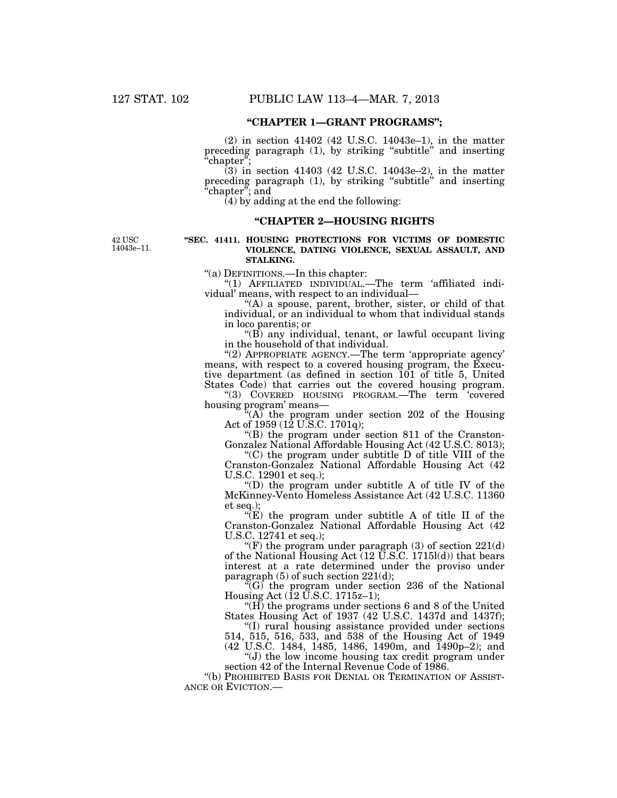### **''CHAPTER 1—GRANT PROGRAMS'';**

(2) in section 41402 (42 U.S.C. 14043e–1), in the matter preceding paragraph  $(1)$ , by striking "subtitle" and inserting 'chapter";

(3) in section 41403 (42 U.S.C. 14043e–2), in the matter preceding paragraph (1), by striking ''subtitle'' and inserting "chapter"; and

 $(4)$  by adding at the end the following:

### **''CHAPTER 2—HOUSING RIGHTS**

42 USC 14043e–11.

#### **''SEC. 41411. HOUSING PROTECTIONS FOR VICTIMS OF DOMESTIC VIOLENCE, DATING VIOLENCE, SEXUAL ASSAULT, AND STALKING.**

''(a) DEFINITIONS.—In this chapter:

''(1) AFFILIATED INDIVIDUAL.—The term 'affiliated individual' means, with respect to an individual—

"(A) a spouse, parent, brother, sister, or child of that individual, or an individual to whom that individual stands in loco parentis; or

''(B) any individual, tenant, or lawful occupant living in the household of that individual.

''(2) APPROPRIATE AGENCY.—The term 'appropriate agency' means, with respect to a covered housing program, the Executive department (as defined in section 101 of title 5, United States Code) that carries out the covered housing program.

''(3) COVERED HOUSING PROGRAM.—The term 'covered housing program' means—

 $(A)$  the program under section 202 of the Housing Act of 1959 (12 U.S.C. 1701q);

 $\mathrm{``(B)}$  the program under section 811 of the Cranston-Gonzalez National Affordable Housing Act (42 U.S.C. 8013);

 $C$ ) the program under subtitle D of title VIII of the Cranston-Gonzalez National Affordable Housing Act (42 U.S.C. 12901 et seq.);

''(D) the program under subtitle A of title IV of the McKinney-Vento Homeless Assistance Act (42 U.S.C. 11360 et seq.);

 $\sqrt[\alpha]{E}$  the program under subtitle A of title II of the Cranston-Gonzalez National Affordable Housing Act (42 U.S.C. 12741 et seq.);

"(F) the program under paragraph  $(3)$  of section  $221(d)$ of the National Housing Act  $(12 \text{ U.S.C. } 1715l(d))$  that bears interest at a rate determined under the proviso under paragraph (5) of such section 221(d);

 $F(G)$  the program under section 236 of the National Housing Act (12 U.S.C. 1715z–1);

''(H) the programs under sections 6 and 8 of the United States Housing Act of 1937 (42 U.S.C. 1437d and 1437f);

''(I) rural housing assistance provided under sections 514, 515, 516, 533, and 538 of the Housing Act of 1949 (42 U.S.C. 1484, 1485, 1486, 1490m, and 1490p–2); and

''(J) the low income housing tax credit program under section 42 of the Internal Revenue Code of 1986.

''(b) PROHIBITED BASIS FOR DENIAL OR TERMINATION OF ASSIST- ANCE OR EVICTION.—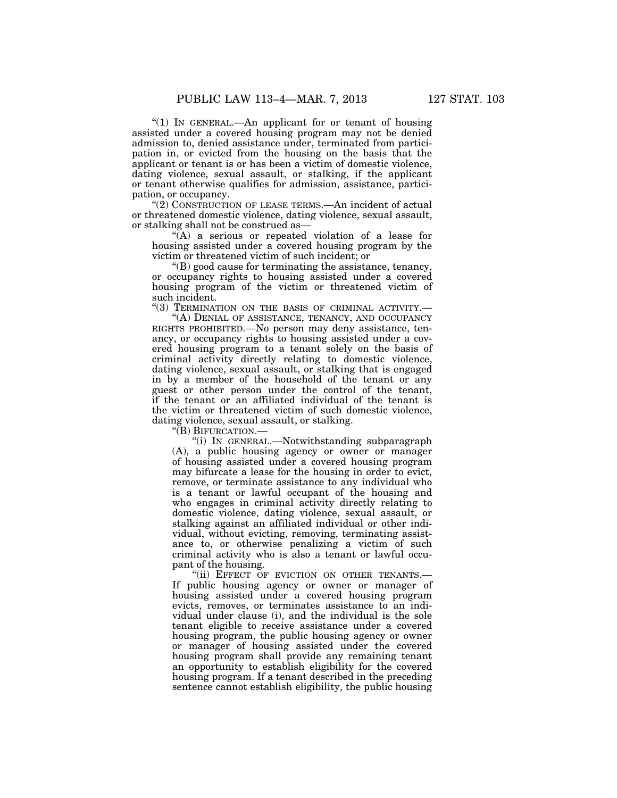"(1) IN GENERAL.—An applicant for or tenant of housing assisted under a covered housing program may not be denied admission to, denied assistance under, terminated from participation in, or evicted from the housing on the basis that the applicant or tenant is or has been a victim of domestic violence, dating violence, sexual assault, or stalking, if the applicant or tenant otherwise qualifies for admission, assistance, participation, or occupancy.

"(2) CONSTRUCTION OF LEASE TERMS.—An incident of actual or threatened domestic violence, dating violence, sexual assault, or stalking shall not be construed as—

 $\mathcal{H}(A)$  a serious or repeated violation of a lease for housing assisted under a covered housing program by the victim or threatened victim of such incident; or

''(B) good cause for terminating the assistance, tenancy, or occupancy rights to housing assisted under a covered housing program of the victim or threatened victim of such incident.

"(3) TERMINATION ON THE BASIS OF CRIMINAL ACTIVITY.-

"(A) DENIAL OF ASSISTANCE, TENANCY, AND OCCUPANCY RIGHTS PROHIBITED.—No person may deny assistance, tenancy, or occupancy rights to housing assisted under a covered housing program to a tenant solely on the basis of criminal activity directly relating to domestic violence, dating violence, sexual assault, or stalking that is engaged in by a member of the household of the tenant or any guest or other person under the control of the tenant, if the tenant or an affiliated individual of the tenant is the victim or threatened victim of such domestic violence, dating violence, sexual assault, or stalking.

''(B) BIFURCATION.—

''(i) IN GENERAL.—Notwithstanding subparagraph (A), a public housing agency or owner or manager of housing assisted under a covered housing program may bifurcate a lease for the housing in order to evict, remove, or terminate assistance to any individual who is a tenant or lawful occupant of the housing and who engages in criminal activity directly relating to domestic violence, dating violence, sexual assault, or stalking against an affiliated individual or other individual, without evicting, removing, terminating assistance to, or otherwise penalizing a victim of such criminal activity who is also a tenant or lawful occupant of the housing.

"(ii) EFFECT OF EVICTION ON OTHER TENANTS.-If public housing agency or owner or manager of housing assisted under a covered housing program evicts, removes, or terminates assistance to an individual under clause (i), and the individual is the sole tenant eligible to receive assistance under a covered housing program, the public housing agency or owner or manager of housing assisted under the covered housing program shall provide any remaining tenant an opportunity to establish eligibility for the covered housing program. If a tenant described in the preceding sentence cannot establish eligibility, the public housing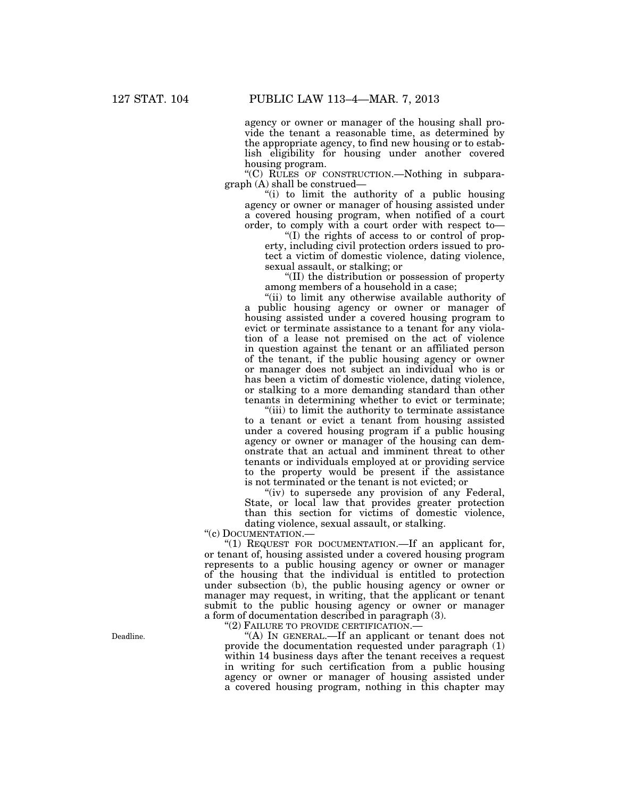agency or owner or manager of the housing shall provide the tenant a reasonable time, as determined by the appropriate agency, to find new housing or to establish eligibility for housing under another covered housing program.

''(C) RULES OF CONSTRUCTION.—Nothing in subparagraph (A) shall be construed—

''(i) to limit the authority of a public housing agency or owner or manager of housing assisted under a covered housing program, when notified of a court order, to comply with a court order with respect to—

''(I) the rights of access to or control of property, including civil protection orders issued to protect a victim of domestic violence, dating violence, sexual assault, or stalking; or

''(II) the distribution or possession of property among members of a household in a case;

"(ii) to limit any otherwise available authority of a public housing agency or owner or manager of housing assisted under a covered housing program to evict or terminate assistance to a tenant for any violation of a lease not premised on the act of violence in question against the tenant or an affiliated person of the tenant, if the public housing agency or owner or manager does not subject an individual who is or has been a victim of domestic violence, dating violence, or stalking to a more demanding standard than other tenants in determining whether to evict or terminate;

"(iii) to limit the authority to terminate assistance to a tenant or evict a tenant from housing assisted under a covered housing program if a public housing agency or owner or manager of the housing can demonstrate that an actual and imminent threat to other tenants or individuals employed at or providing service to the property would be present if the assistance is not terminated or the tenant is not evicted; or

"(iv) to supersede any provision of any Federal, State, or local law that provides greater protection than this section for victims of domestic violence, dating violence, sexual assault, or stalking.

''(c) DOCUMENTATION.—

"(1) REQUEST FOR DOCUMENTATION.—If an applicant for, or tenant of, housing assisted under a covered housing program represents to a public housing agency or owner or manager of the housing that the individual is entitled to protection under subsection (b), the public housing agency or owner or manager may request, in writing, that the applicant or tenant submit to the public housing agency or owner or manager a form of documentation described in paragraph (3).

"(2) FAILURE TO PROVIDE CERTIFICATION.-

"(A) IN GENERAL.—If an applicant or tenant does not provide the documentation requested under paragraph (1) within 14 business days after the tenant receives a request in writing for such certification from a public housing agency or owner or manager of housing assisted under a covered housing program, nothing in this chapter may

Deadline.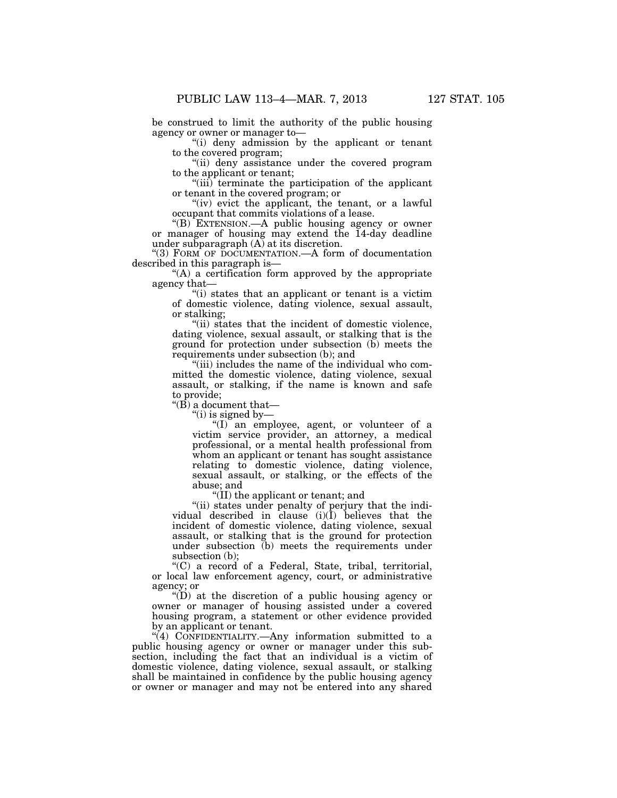be construed to limit the authority of the public housing agency or owner or manager to—

''(i) deny admission by the applicant or tenant to the covered program;

"(ii) deny assistance under the covered program to the applicant or tenant;

''(iii) terminate the participation of the applicant or tenant in the covered program; or

"(iv) evict the applicant, the tenant, or a lawful occupant that commits violations of a lease.

''(B) EXTENSION.—A public housing agency or owner or manager of housing may extend the 14-day deadline under subparagraph (A) at its discretion.

''(3) FORM OF DOCUMENTATION.—A form of documentation described in this paragraph is—

''(A) a certification form approved by the appropriate agency that—

"(i) states that an applicant or tenant is a victim of domestic violence, dating violence, sexual assault, or stalking;

"(ii) states that the incident of domestic violence, dating violence, sexual assault, or stalking that is the ground for protection under subsection (b) meets the requirements under subsection (b); and

''(iii) includes the name of the individual who committed the domestic violence, dating violence, sexual assault, or stalking, if the name is known and safe to provide;

" $(B)$  a document that-

''(i) is signed by—

''(I) an employee, agent, or volunteer of a victim service provider, an attorney, a medical professional, or a mental health professional from whom an applicant or tenant has sought assistance relating to domestic violence, dating violence, sexual assault, or stalking, or the effects of the abuse; and

''(II) the applicant or tenant; and

''(ii) states under penalty of perjury that the individual described in clause  $(i)(\hat{I})$  believes that the incident of domestic violence, dating violence, sexual assault, or stalking that is the ground for protection under subsection (b) meets the requirements under subsection (b);

''(C) a record of a Federal, State, tribal, territorial, or local law enforcement agency, court, or administrative agency; or

 $\mathrm{``(D)}$  at the discretion of a public housing agency or owner or manager of housing assisted under a covered housing program, a statement or other evidence provided by an applicant or tenant.

"(4) CONFIDENTIALITY.—Any information submitted to a public housing agency or owner or manager under this subsection, including the fact that an individual is a victim of domestic violence, dating violence, sexual assault, or stalking shall be maintained in confidence by the public housing agency or owner or manager and may not be entered into any shared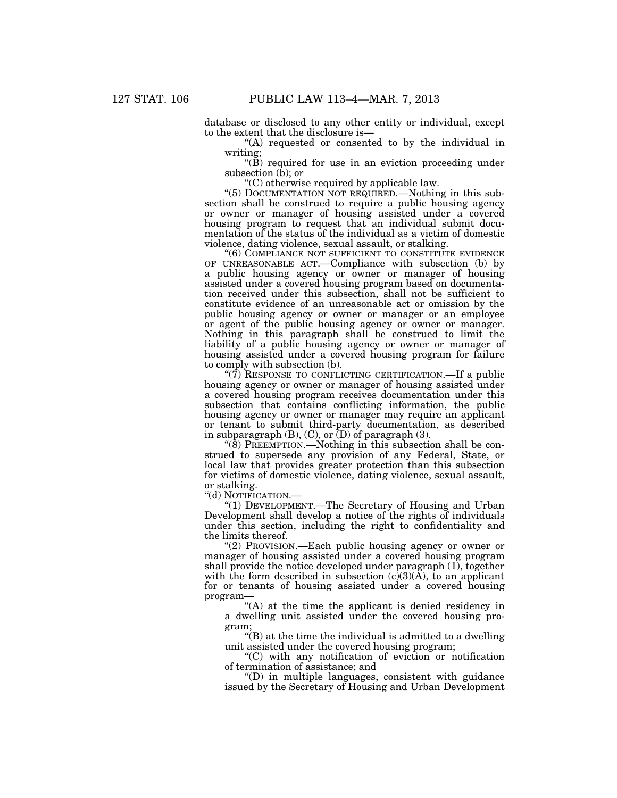database or disclosed to any other entity or individual, except to the extent that the disclosure is—

''(A) requested or consented to by the individual in writing;

" $(\overrightarrow{B})$  required for use in an eviction proceeding under subsection  $(b)$ ; or

''(C) otherwise required by applicable law.

"(5) DOCUMENTATION NOT REQUIRED.—Nothing in this subsection shall be construed to require a public housing agency or owner or manager of housing assisted under a covered housing program to request that an individual submit documentation of the status of the individual as a victim of domestic violence, dating violence, sexual assault, or stalking.

"(6) COMPLIANCE NOT SUFFICIENT TO CONSTITUTE EVIDENCE OF UNREASONABLE ACT.—Compliance with subsection (b) by a public housing agency or owner or manager of housing assisted under a covered housing program based on documentation received under this subsection, shall not be sufficient to constitute evidence of an unreasonable act or omission by the public housing agency or owner or manager or an employee or agent of the public housing agency or owner or manager. Nothing in this paragraph shall be construed to limit the liability of a public housing agency or owner or manager of housing assisted under a covered housing program for failure to comply with subsection (b).

" $(7)$  RESPONSE TO CONFLICTING CERTIFICATION.—If a public housing agency or owner or manager of housing assisted under a covered housing program receives documentation under this subsection that contains conflicting information, the public housing agency or owner or manager may require an applicant or tenant to submit third-party documentation, as described in subparagraph (B), (C), or (D) of paragraph (3).

''(8) PREEMPTION.—Nothing in this subsection shall be construed to supersede any provision of any Federal, State, or local law that provides greater protection than this subsection for victims of domestic violence, dating violence, sexual assault, or stalking.

''(d) NOTIFICATION.—

''(1) DEVELOPMENT.—The Secretary of Housing and Urban Development shall develop a notice of the rights of individuals under this section, including the right to confidentiality and the limits thereof.

''(2) PROVISION.—Each public housing agency or owner or manager of housing assisted under a covered housing program shall provide the notice developed under paragraph (1), together with the form described in subsection  $(c)(3)(A)$ , to an applicant for or tenants of housing assisted under a covered housing program—

''(A) at the time the applicant is denied residency in a dwelling unit assisted under the covered housing program;

''(B) at the time the individual is admitted to a dwelling unit assisted under the covered housing program;

''(C) with any notification of eviction or notification of termination of assistance; and

''(D) in multiple languages, consistent with guidance issued by the Secretary of Housing and Urban Development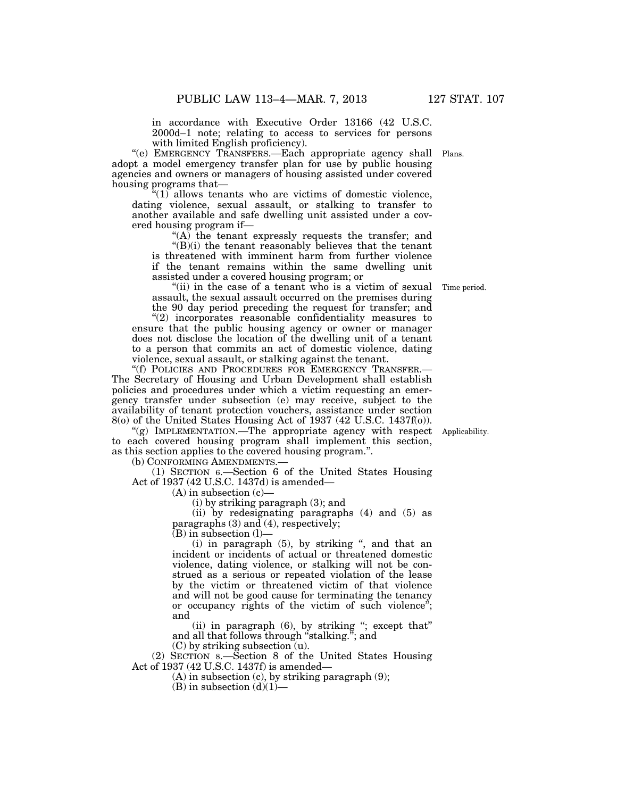in accordance with Executive Order 13166 (42 U.S.C. 2000d–1 note; relating to access to services for persons with limited English proficiency).

"(e) EMERGENCY TRANSFERS.—Each appropriate agency shall Plans. adopt a model emergency transfer plan for use by public housing agencies and owners or managers of housing assisted under covered housing programs that—

 $\sqrt[n]{(1)}$  allows tenants who are victims of domestic violence, dating violence, sexual assault, or stalking to transfer to another available and safe dwelling unit assisted under a covered housing program if—

''(A) the tenant expressly requests the transfer; and  $E(E)(i)$  the tenant reasonably believes that the tenant is threatened with imminent harm from further violence if the tenant remains within the same dwelling unit assisted under a covered housing program; or

"(ii) in the case of a tenant who is a victim of sexual assault, the sexual assault occurred on the premises during the 90 day period preceding the request for transfer; and

''(2) incorporates reasonable confidentiality measures to ensure that the public housing agency or owner or manager does not disclose the location of the dwelling unit of a tenant to a person that commits an act of domestic violence, dating violence, sexual assault, or stalking against the tenant.

"(f) POLICIES AND PROCEDURES FOR EMERGENCY TRANSFER.-The Secretary of Housing and Urban Development shall establish policies and procedures under which a victim requesting an emergency transfer under subsection (e) may receive, subject to the availability of tenant protection vouchers, assistance under section 8(o) of the United States Housing Act of 1937 (42 U.S.C. 1437f(o)).

''(g) IMPLEMENTATION.—The appropriate agency with respect to each covered housing program shall implement this section, as this section applies to the covered housing program.''.

(b) CONFORMING AMENDMENTS.—

(1) SECTION 6.—Section 6 of the United States Housing Act of 1937 (42 U.S.C. 1437d) is amended—

 $(A)$  in subsection  $(c)$ —

(i) by striking paragraph (3); and

(ii) by redesignating paragraphs (4) and (5) as paragraphs (3) and (4), respectively;

(B) in subsection (l)—

(i) in paragraph (5), by striking '', and that an incident or incidents of actual or threatened domestic violence, dating violence, or stalking will not be construed as a serious or repeated violation of the lease by the victim or threatened victim of that violence and will not be good cause for terminating the tenancy or occupancy rights of the victim of such violence''; and

(ii) in paragraph (6), by striking ''; except that'' and all that follows through ''stalking.''; and (C) by striking subsection (u).

(2) SECTION 8.—Section 8 of the United States Housing Act of 1937 (42 U.S.C. 1437f) is amended—

(A) in subsection (c), by striking paragraph (9);

(B) in subsection  $(d)(1)$ —

Time period.

Applicability.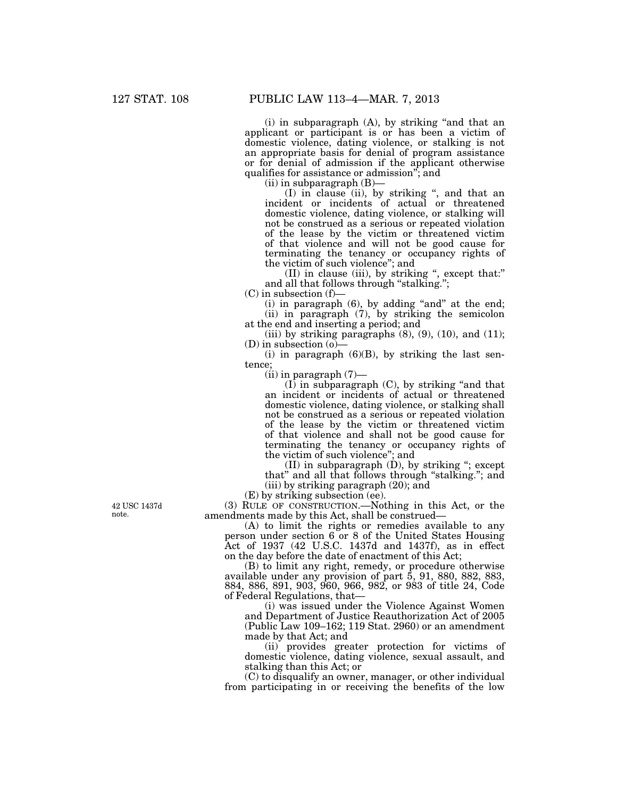(i) in subparagraph (A), by striking ''and that an applicant or participant is or has been a victim of domestic violence, dating violence, or stalking is not an appropriate basis for denial of program assistance or for denial of admission if the applicant otherwise qualifies for assistance or admission''; and

 $(ii)$  in subparagraph  $(B)$ —

(I) in clause (ii), by striking '', and that an incident or incidents of actual or threatened domestic violence, dating violence, or stalking will not be construed as a serious or repeated violation of the lease by the victim or threatened victim of that violence and will not be good cause for terminating the tenancy or occupancy rights of the victim of such violence''; and

(II) in clause (iii), by striking '', except that:'' and all that follows through "stalking.";

(C) in subsection (f)—

 $(i)$  in paragraph  $(6)$ , by adding "and" at the end; (ii) in paragraph (7), by striking the semicolon at the end and inserting a period; and

(iii) by striking paragraphs  $(8)$ ,  $(9)$ ,  $(10)$ , and  $(11)$ ; (D) in subsection (o)—

(i) in paragraph  $(6)(B)$ , by striking the last sentence;

 $(iii)$  in paragraph  $(7)$ —

 $(I)$  in subparagraph  $(C)$ , by striking "and that an incident or incidents of actual or threatened domestic violence, dating violence, or stalking shall not be construed as a serious or repeated violation of the lease by the victim or threatened victim of that violence and shall not be good cause for terminating the tenancy or occupancy rights of the victim of such violence''; and

 $(II)$  in subparagraph  $(D)$ , by striking "; except that'' and all that follows through ''stalking.''; and (iii) by striking paragraph (20); and

(E) by striking subsection (ee).

(3) RULE OF CONSTRUCTION.—Nothing in this Act, or the amendments made by this Act, shall be construed—

(A) to limit the rights or remedies available to any person under section 6 or 8 of the United States Housing Act of 1937 (42 U.S.C. 1437d and 1437f), as in effect on the day before the date of enactment of this Act;

(B) to limit any right, remedy, or procedure otherwise available under any provision of part 5, 91, 880, 882, 883, 884, 886, 891, 903, 960, 966, 982, or 983 of title 24, Code of Federal Regulations, that—

(i) was issued under the Violence Against Women and Department of Justice Reauthorization Act of 2005 (Public Law 109–162; 119 Stat. 2960) or an amendment made by that Act; and

(ii) provides greater protection for victims of domestic violence, dating violence, sexual assault, and stalking than this Act; or

(C) to disqualify an owner, manager, or other individual from participating in or receiving the benefits of the low

42 USC 1437d note.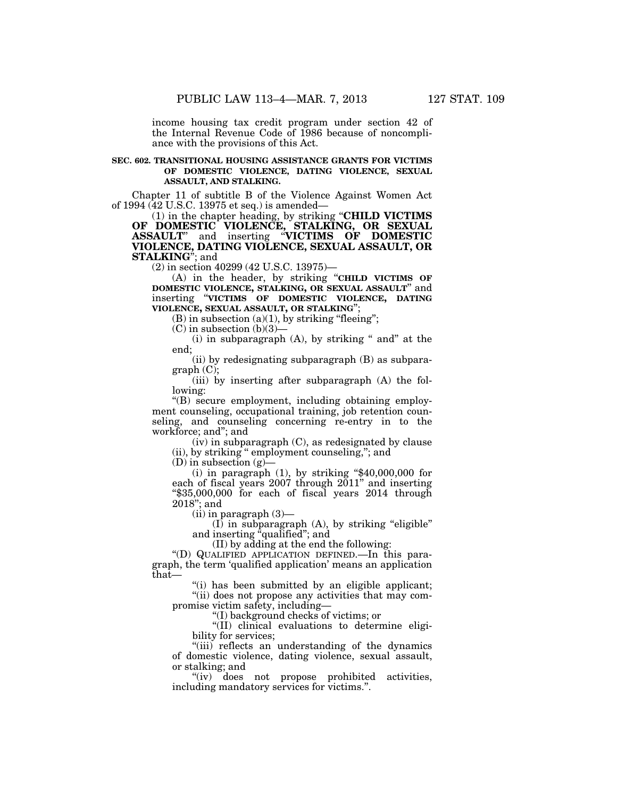income housing tax credit program under section 42 of the Internal Revenue Code of 1986 because of noncompliance with the provisions of this Act.

#### **SEC. 602. TRANSITIONAL HOUSING ASSISTANCE GRANTS FOR VICTIMS OF DOMESTIC VIOLENCE, DATING VIOLENCE, SEXUAL ASSAULT, AND STALKING.**

Chapter 11 of subtitle B of the Violence Against Women Act of 1994 (42 U.S.C. 13975 et seq.) is amended—

(1) in the chapter heading, by striking ''**CHILD VICTIMS OF DOMESTIC VIOLENCE, STALKING, OR SEXUAL ASSAULT**'' and inserting ''**VICTIMS OF DOMESTIC VIOLENCE, DATING VIOLENCE, SEXUAL ASSAULT, OR STALKING**''; and

(2) in section 40299 (42 U.S.C. 13975)—

(A) in the header, by striking ''**CHILD VICTIMS OF DOMESTIC VIOLENCE, STALKING, OR SEXUAL ASSAULT**'' and inserting ''**VICTIMS OF DOMESTIC VIOLENCE, DATING VIOLENCE, SEXUAL ASSAULT, OR STALKING**'';

 $(B)$  in subsection  $(a)(1)$ , by striking "fleeing";

 $(C)$  in subsection  $(b)(3)$ 

 $(i)$  in subparagraph  $(A)$ , by striking " and" at the end;

(ii) by redesignating subparagraph (B) as subparagraph (C);

(iii) by inserting after subparagraph (A) the following:

''(B) secure employment, including obtaining employment counseling, occupational training, job retention counseling, and counseling concerning re-entry in to the workforce; and''; and

(iv) in subparagraph (C), as redesignated by clause (ii), by striking '' employment counseling,''; and

(D) in subsection (g)—

(i) in paragraph  $(1)$ , by striking "\$40,000,000 for each of fiscal years 2007 through 2011'' and inserting ''\$35,000,000 for each of fiscal years 2014 through 2018''; and

 $(ii)$  in paragraph  $(3)$ —

 $(I)$  in subparagraph  $(A)$ , by striking "eligible" and inserting "qualified"; and

(II) by adding at the end the following:

''(D) QUALIFIED APPLICATION DEFINED.—In this paragraph, the term 'qualified application' means an application that—

''(i) has been submitted by an eligible applicant; "(ii) does not propose any activities that may compromise victim safety, including—

''(I) background checks of victims; or

''(II) clinical evaluations to determine eligibility for services;

''(iii) reflects an understanding of the dynamics of domestic violence, dating violence, sexual assault, or stalking; and

''(iv) does not propose prohibited activities, including mandatory services for victims.''.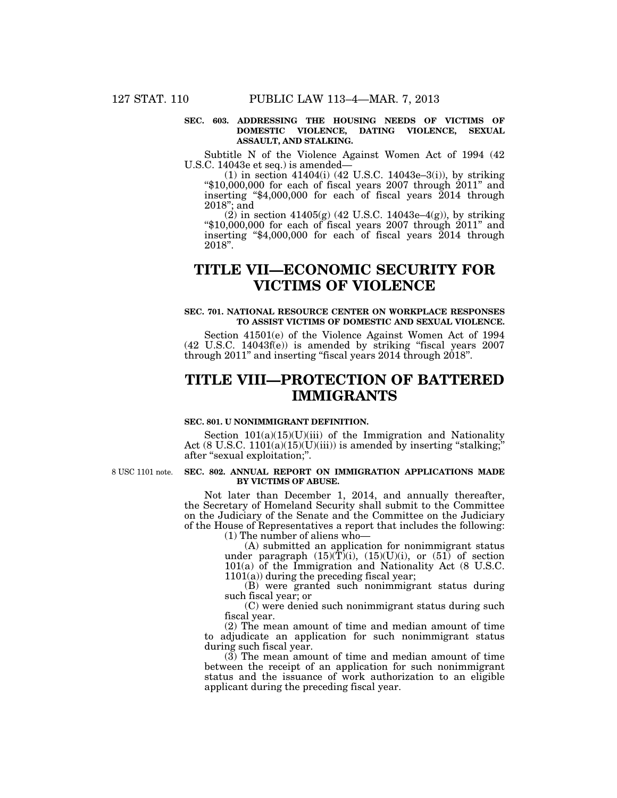#### **SEC. 603. ADDRESSING THE HOUSING NEEDS OF VICTIMS OF DOMESTIC VIOLENCE, DATING VIOLENCE, SEXUAL ASSAULT, AND STALKING.**

Subtitle N of the Violence Against Women Act of 1994 (42 U.S.C. 14043e et seq.) is amended—

(1) in section 41404(i) (42 U.S.C. 14043e–3(i)), by striking " $$10,000,000$  for each of fiscal years 2007 through 2011" and inserting ''\$4,000,000 for each of fiscal years 2014 through 2018''; and

 $(2)$  in section 41405(g) (42 U.S.C. 14043e–4(g)), by striking ''\$10,000,000 for each of fiscal years 2007 through 2011'' and inserting " $$4,000,000$  for each of fiscal years  $2014$  through 2018''.

## **TITLE VII—ECONOMIC SECURITY FOR VICTIMS OF VIOLENCE**

### **SEC. 701. NATIONAL RESOURCE CENTER ON WORKPLACE RESPONSES TO ASSIST VICTIMS OF DOMESTIC AND SEXUAL VIOLENCE.**

Section 41501(e) of the Violence Against Women Act of 1994 (42 U.S.C. 14043f(e)) is amended by striking ''fiscal years 2007 through  $2011$ " and inserting "fiscal years  $2014$  through  $2018$ ".

## **TITLE VIII—PROTECTION OF BATTERED IMMIGRANTS**

#### **SEC. 801. U NONIMMIGRANT DEFINITION.**

Section  $101(a)(15)(U)(iii)$  of the Immigration and Nationality Act (8 U.S.C.  $1101(a)(15)(U)(iii)$ ) is amended by inserting "stalking; after ''sexual exploitation;''.

8 USC 1101 note.

#### **SEC. 802. ANNUAL REPORT ON IMMIGRATION APPLICATIONS MADE BY VICTIMS OF ABUSE.**

Not later than December 1, 2014, and annually thereafter, the Secretary of Homeland Security shall submit to the Committee on the Judiciary of the Senate and the Committee on the Judiciary of the House of Representatives a report that includes the following: (1) The number of aliens who—

> (A) submitted an application for nonimmigrant status under paragraph  $(15)(T)(i)$ ,  $(15)(U)(i)$ , or  $(51)$  of section 101(a) of the Immigration and Nationality Act (8 U.S.C. 1101(a)) during the preceding fiscal year;

> (B) were granted such nonimmigrant status during such fiscal year; or

> (C) were denied such nonimmigrant status during such fiscal year.

(2) The mean amount of time and median amount of time to adjudicate an application for such nonimmigrant status during such fiscal year.

 $(3)$  The mean amount of time and median amount of time between the receipt of an application for such nonimmigrant status and the issuance of work authorization to an eligible applicant during the preceding fiscal year.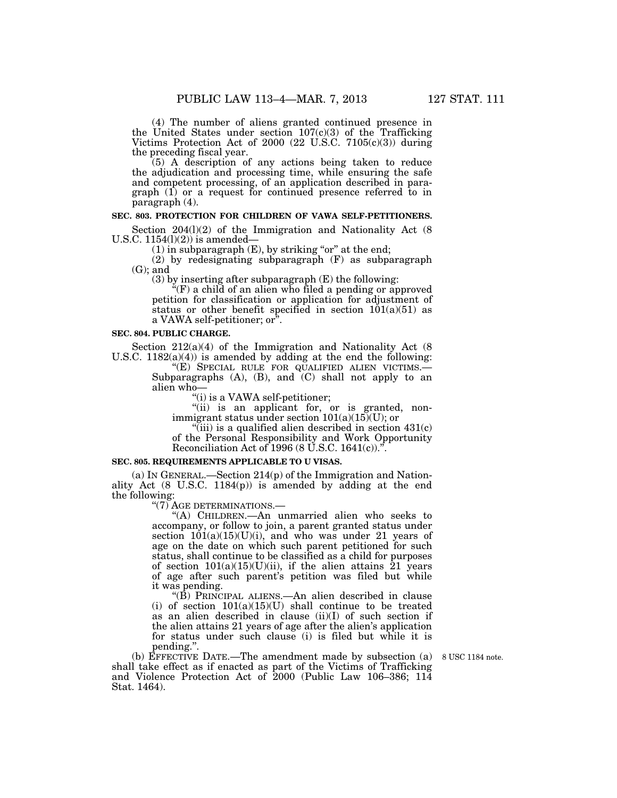(4) The number of aliens granted continued presence in the United States under section 107(c)(3) of the Trafficking Victims Protection Act of 2000 (22 U.S.C. 7105(c)(3)) during the preceding fiscal year.

(5) A description of any actions being taken to reduce the adjudication and processing time, while ensuring the safe and competent processing, of an application described in paragraph (1) or a request for continued presence referred to in paragraph (4).

#### **SEC. 803. PROTECTION FOR CHILDREN OF VAWA SELF-PETITIONERS.**

Section  $204(1)(2)$  of the Immigration and Nationality Act (8) U.S.C.  $1154(l)(2)$  is amended–

 $(1)$  in subparagraph  $(E)$ , by striking "or" at the end;

(2) by redesignating subparagraph (F) as subparagraph  $(G)$ ; and

 $(3)$  by inserting after subparagraph  $(E)$  the following:

''(F) a child of an alien who filed a pending or approved petition for classification or application for adjustment of status or other benefit specified in section  $101(a)(51)$  as a VAWA self-petitioner; or''.

#### **SEC. 804. PUBLIC CHARGE.**

Section 212(a)(4) of the Immigration and Nationality Act (8) U.S.C. 1182(a)(4)) is amended by adding at the end the following:

''(E) SPECIAL RULE FOR QUALIFIED ALIEN VICTIMS.— Subparagraphs  $(A)$ ,  $(B)$ , and  $(C)$  shall not apply to an alien who—

''(i) is a VAWA self-petitioner;

"(ii) is an applicant for, or is granted, nonimmigrant status under section  $101(a)(15)(U)$ ; or

"(iii) is a qualified alien described in section  $431(c)$ of the Personal Responsibility and Work Opportunity Reconciliation Act of 1996 (8 U.S.C. 1641(c)).<sup> $\ddot{r}$ </sup>.

#### **SEC. 805. REQUIREMENTS APPLICABLE TO U VISAS.**

(a) IN GENERAL.—Section  $214(p)$  of the Immigration and Nationality Act (8 U.S.C. 1184(p)) is amended by adding at the end the following:

''(7) AGE DETERMINATIONS.—

''(A) CHILDREN.—An unmarried alien who seeks to accompany, or follow to join, a parent granted status under section  $101(a)(15)(U)(i)$ , and who was under 21 years of age on the date on which such parent petitioned for such status, shall continue to be classified as a child for purposes of section  $101(a)(15)(U)(ii)$ , if the alien attains 21 years of age after such parent's petition was filed but while it was pending.

''(B) PRINCIPAL ALIENS.—An alien described in clause (i) of section  $101(a)(15)(U)$  shall continue to be treated as an alien described in clause (ii)(I) of such section if the alien attains 21 years of age after the alien's application for status under such clause (i) is filed but while it is pending.''.

(b) EFFECTIVE DATE.—The amendment made by subsection (a) shall take effect as if enacted as part of the Victims of Trafficking and Violence Protection Act of 2000 (Public Law 106–386; 114 Stat. 1464).

8 USC 1184 note.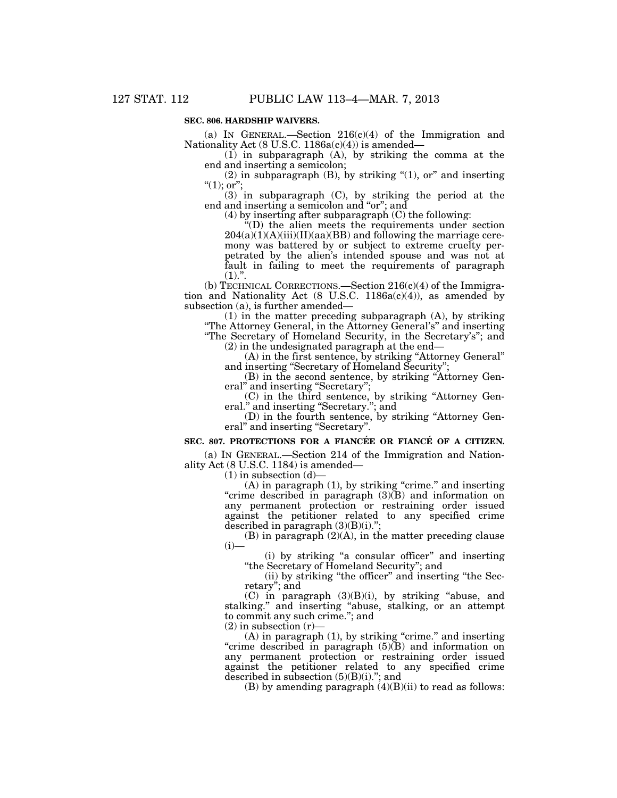### **SEC. 806. HARDSHIP WAIVERS.**

(a) IN GENERAL.—Section  $216(c)(4)$  of the Immigration and Nationality Act (8 U.S.C. 1186a(c)(4)) is amended—

 $(1)$  in subparagraph  $(A)$ , by striking the comma at the end and inserting a semicolon;

(2) in subparagraph  $(B)$ , by striking  $\lq(1)$ , or" and inserting  $\lq(1);$  or";

(3) in subparagraph (C), by striking the period at the end and inserting a semicolon and "or"; and

(4) by inserting after subparagraph (C) the following:

''(D) the alien meets the requirements under section  $204(a)(1)(A)(iii)(II)(aa)(BB)$  and following the marriage ceremony was battered by or subject to extreme cruelty perpetrated by the alien's intended spouse and was not at fault in failing to meet the requirements of paragraph  $(1).$ ".

(b) TECHNICAL CORRECTIONS.—Section  $216(c)(4)$  of the Immigration and Nationality Act  $(8 \text{ U.S.C. } 1186a(c)(4))$ , as amended by subsection (a), is further amended—

(1) in the matter preceding subparagraph (A), by striking ''The Attorney General, in the Attorney General's'' and inserting "The Secretary of Homeland Security, in the Secretary's"; and

(2) in the undesignated paragraph at the end—

(A) in the first sentence, by striking ''Attorney General'' and inserting ''Secretary of Homeland Security'';

(B) in the second sentence, by striking ''Attorney General" and inserting "Secretary";

(C) in the third sentence, by striking ''Attorney General.'' and inserting ''Secretary.''; and

(D) in the fourth sentence, by striking ''Attorney General" and inserting "Secretary".

#### SEC. 807. PROTECTIONS FOR A FIANCÉE OR FIANCÉ OF A CITIZEN.

(a) IN GENERAL.—Section 214 of the Immigration and Nationality Act (8 U.S.C. 1184) is amended—

 $(1)$  in subsection  $(d)$ —

 $(A)$  in paragraph  $(1)$ , by striking "crime." and inserting "crime described in paragraph (3)(B) and information on any permanent protection or restraining order issued against the petitioner related to any specified crime described in paragraph  $(3)(B)(i)$ .";

(B) in paragraph (2)(A), in the matter preceding clause  $(i)$ —

(i) by striking ''a consular officer'' and inserting ''the Secretary of Homeland Security''; and

(ii) by striking ''the officer'' and inserting ''the Secretary''; and

(C) in paragraph (3)(B)(i), by striking ''abuse, and stalking.'' and inserting ''abuse, stalking, or an attempt to commit any such crime.''; and

 $(2)$  in subsection  $(r)$ –

(A) in paragraph  $(1)$ , by striking "crime." and inserting "crime described in paragraph  $(5)(\overline{B})$  and information on any permanent protection or restraining order issued against the petitioner related to any specified crime described in subsection  $(5)(B)(i)$ ."; and

(B) by amending paragraph  $(4)(B)(ii)$  to read as follows: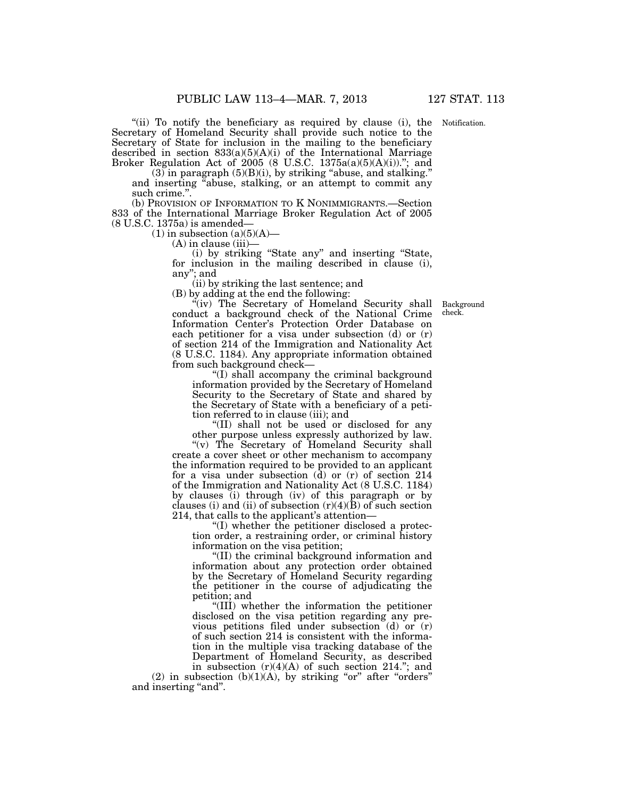"(ii) To notify the beneficiary as required by clause (i), the Notification. Secretary of Homeland Security shall provide such notice to the Secretary of State for inclusion in the mailing to the beneficiary described in section 833(a)(5)(A)(i) of the International Marriage Broker Regulation Act of 2005 (8 U.S.C.  $1375a(a)(5)(A)(i)$ )."; and

 $(3)$  in paragraph  $(5)(B)(i)$ , by striking "abuse, and stalking." and inserting "abuse, stalking, or an attempt to commit any such crime.''.

(b) PROVISION OF INFORMATION TO K NONIMMIGRANTS.—Section 833 of the International Marriage Broker Regulation Act of 2005 (8 U.S.C. 1375a) is amended—

 $(1)$  in subsection  $(a)(5)(A)$ —

 $(A)$  in clause (iii)

(i) by striking ''State any'' and inserting ''State, for inclusion in the mailing described in clause (i), any''; and

(ii) by striking the last sentence; and

(B) by adding at the end the following:

"(iv) The Secretary of Homeland Security shall conduct a background check of the National Crime Information Center's Protection Order Database on each petitioner for a visa under subsection (d) or (r) of section 214 of the Immigration and Nationality Act (8 U.S.C. 1184). Any appropriate information obtained from such background check—

''(I) shall accompany the criminal background information provided by the Secretary of Homeland Security to the Secretary of State and shared by the Secretary of State with a beneficiary of a petition referred to in clause (iii); and

''(II) shall not be used or disclosed for any other purpose unless expressly authorized by law.

"(v) The Secretary of Homeland Security shall create a cover sheet or other mechanism to accompany the information required to be provided to an applicant for a visa under subsection  $(d)$  or  $(r)$  of section 214 of the Immigration and Nationality Act (8 U.S.C. 1184) by clauses (i) through (iv) of this paragraph or by clauses (i) and (ii) of subsection  $(r)(4)(\bar{B})$  of such section 214, that calls to the applicant's attention—

''(I) whether the petitioner disclosed a protection order, a restraining order, or criminal history information on the visa petition;

''(II) the criminal background information and information about any protection order obtained by the Secretary of Homeland Security regarding the petitioner in the course of adjudicating the petition; and

''(III) whether the information the petitioner disclosed on the visa petition regarding any previous petitions filed under subsection  $(d)$  or  $(r)$ of such section 214 is consistent with the information in the multiple visa tracking database of the Department of Homeland Security, as described

in subsection  $(r)(4)(A)$  of such section 214."; and  $(2)$  in subsection  $(b)(1)(A)$ , by striking "or" after "orders" and inserting "and".

Background check.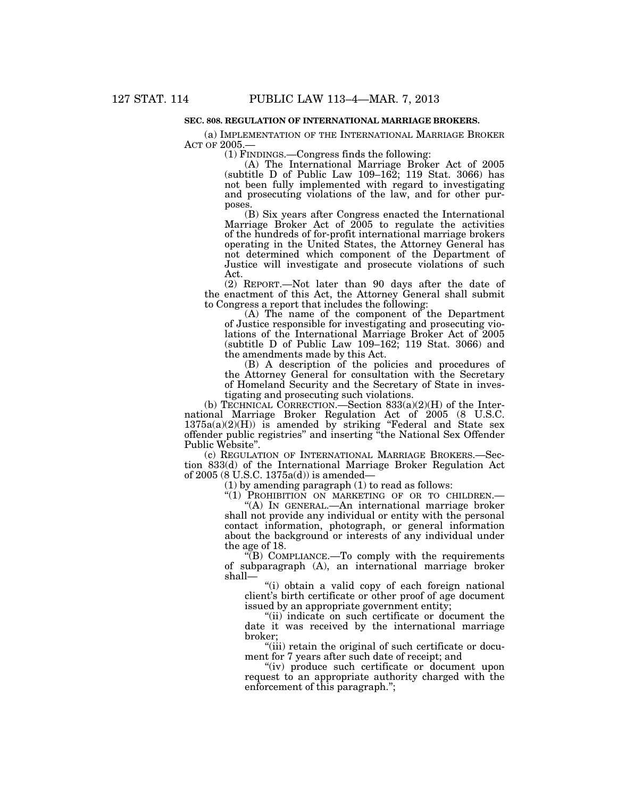#### **SEC. 808. REGULATION OF INTERNATIONAL MARRIAGE BROKERS.**

(a) IMPLEMENTATION OF THE INTERNATIONAL MARRIAGE BROKER ACT OF 2005.—

(1) FINDINGS.—Congress finds the following:

(A) The International Marriage Broker Act of 2005 (subtitle D of Public Law 109–162; 119 Stat. 3066) has not been fully implemented with regard to investigating and prosecuting violations of the law, and for other purposes.

(B) Six years after Congress enacted the International Marriage Broker Act of 2005 to regulate the activities of the hundreds of for-profit international marriage brokers operating in the United States, the Attorney General has not determined which component of the Department of Justice will investigate and prosecute violations of such Act.

(2) REPORT.—Not later than 90 days after the date of the enactment of this Act, the Attorney General shall submit to Congress a report that includes the following:

(A) The name of the component of the Department of Justice responsible for investigating and prosecuting violations of the International Marriage Broker Act of 2005 (subtitle D of Public Law 109–162; 119 Stat. 3066) and the amendments made by this Act.

(B) A description of the policies and procedures of the Attorney General for consultation with the Secretary of Homeland Security and the Secretary of State in investigating and prosecuting such violations.

(b) TECHNICAL CORRECTION.—Section  $833(a)(2)(H)$  of the International Marriage Broker Regulation Act of 2005 (8 U.S.C.  $1375a(a)(2)(H)$  is amended by striking "Federal and State sex offender public registries'' and inserting ''the National Sex Offender Public Website''.

(c) REGULATION OF INTERNATIONAL MARRIAGE BROKERS.—Section 833(d) of the International Marriage Broker Regulation Act of 2005 (8 U.S.C. 1375a(d)) is amended—

(1) by amending paragraph (1) to read as follows:

''(1) PROHIBITION ON MARKETING OF OR TO CHILDREN.—

''(A) IN GENERAL.—An international marriage broker shall not provide any individual or entity with the personal contact information, photograph, or general information about the background or interests of any individual under the age of 18.

 $\sqrt{\text{B}}$ ) COMPLIANCE.—To comply with the requirements of subparagraph (A), an international marriage broker shall—

''(i) obtain a valid copy of each foreign national client's birth certificate or other proof of age document issued by an appropriate government entity;

''(ii) indicate on such certificate or document the date it was received by the international marriage broker;

"(iii) retain the original of such certificate or document for 7 years after such date of receipt; and

''(iv) produce such certificate or document upon request to an appropriate authority charged with the enforcement of this paragraph.'';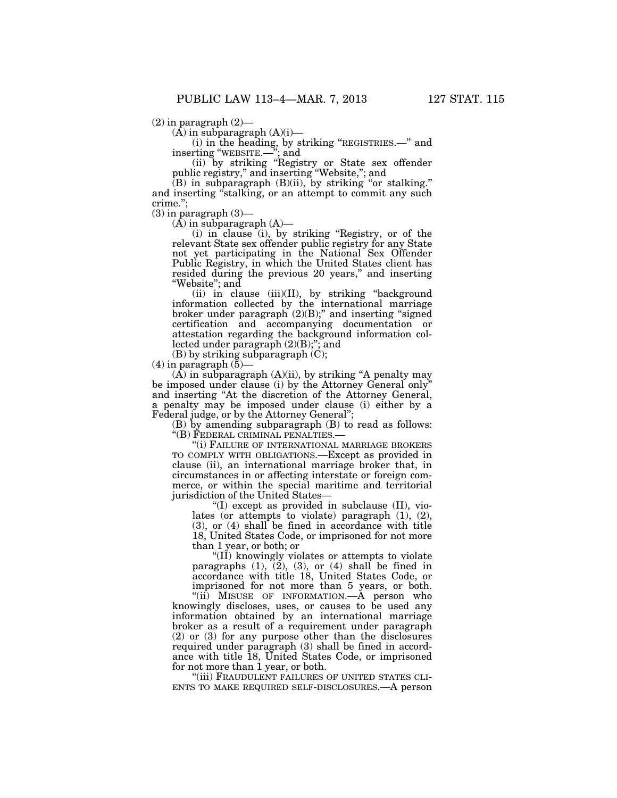$(2)$  in paragraph  $(2)$ —

 $(\overline{A})$  in subparagraph  $(A)(i)$ —

(i) in the heading, by striking ''REGISTRIES.—'' and inserting ''WEBSITE.—''; and

(ii) by striking ''Registry or State sex offender public registry,'' and inserting ''Website,''; and

 $(B)$  in subparagraph  $(B)(ii)$ , by striking "or stalking." and inserting "stalking, or an attempt to commit any such crime.'';

 $(3)$  in paragraph  $(3)$ —

 $(A)$  in subparagraph  $(A)$ —

(i) in clause (i), by striking ''Registry, or of the relevant State sex offender public registry for any State not yet participating in the National Sex Offender Public Registry, in which the United States client has resided during the previous 20 years," and inserting "Website"; and

(ii) in clause (iii)(II), by striking "background information collected by the international marriage broker under paragraph (2)(B);'' and inserting ''signed certification and accompanying documentation or attestation regarding the background information collected under paragraph (2)(B);''; and

(B) by striking subparagraph (C);  $(4)$  in paragraph  $(5)$ –

 $(A)$  in subparagraph  $(A)(ii)$ , by striking "A penalty may be imposed under clause (i) by the Attorney General only''

and inserting ''At the discretion of the Attorney General, a penalty may be imposed under clause (i) either by a Federal judge, or by the Attorney General'';

(B) by amending subparagraph (B) to read as follows: ''(B) FEDERAL CRIMINAL PENALTIES.—

''(i) FAILURE OF INTERNATIONAL MARRIAGE BROKERS TO COMPLY WITH OBLIGATIONS.—Except as provided in clause (ii), an international marriage broker that, in circumstances in or affecting interstate or foreign commerce, or within the special maritime and territorial jurisdiction of the United States—

''(I) except as provided in subclause (II), violates (or attempts to violate) paragraph (1), (2), (3), or (4) shall be fined in accordance with title 18, United States Code, or imprisoned for not more than 1 year, or both; or

''(II) knowingly violates or attempts to violate paragraphs  $(1)$ ,  $(2)$ ,  $(3)$ , or  $(4)$  shall be fined in accordance with title 18, United States Code, or imprisoned for not more than 5 years, or both.

"(ii) MISUSE OF INFORMATION. A person who knowingly discloses, uses, or causes to be used any information obtained by an international marriage broker as a result of a requirement under paragraph (2) or (3) for any purpose other than the disclosures required under paragraph (3) shall be fined in accordance with title 18, United States Code, or imprisoned

for not more than 1 year, or both.<br>"(iii) FRAUDULENT FAILURES OF UNITED STATES CLI-ENTS TO MAKE REQUIRED SELF-DISCLOSURES.—A person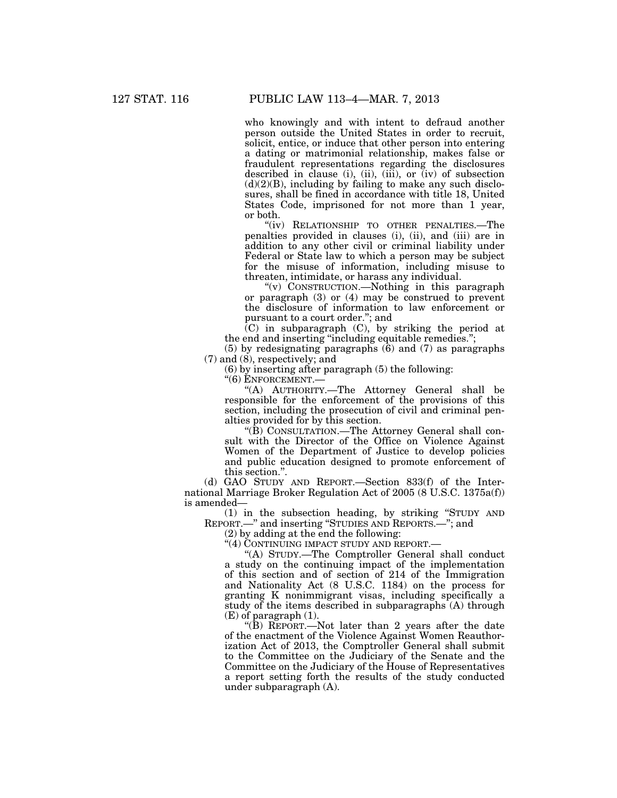who knowingly and with intent to defraud another person outside the United States in order to recruit, solicit, entice, or induce that other person into entering a dating or matrimonial relationship, makes false or fraudulent representations regarding the disclosures described in clause (i), (ii), (iii), or  $(iv)$  of subsection  $(d)(2)(B)$ , including by failing to make any such disclosures, shall be fined in accordance with title 18, United States Code, imprisoned for not more than 1 year, or both.

"(iv) RELATIONSHIP TO OTHER PENALTIES.—The penalties provided in clauses (i), (ii), and (iii) are in addition to any other civil or criminal liability under Federal or State law to which a person may be subject for the misuse of information, including misuse to threaten, intimidate, or harass any individual.

''(v) CONSTRUCTION.—Nothing in this paragraph or paragraph  $(3)$  or  $(4)$  may be construed to prevent the disclosure of information to law enforcement or pursuant to a court order.''; and

(C) in subparagraph (C), by striking the period at the end and inserting ''including equitable remedies.'';

(5) by redesignating paragraphs (6) and (7) as paragraphs  $(7)$  and  $(8)$ , respectively; and

(6) by inserting after paragraph (5) the following:

''(6) ENFORCEMENT.—

''(A) AUTHORITY.—The Attorney General shall be responsible for the enforcement of the provisions of this section, including the prosecution of civil and criminal penalties provided for by this section.

''(B) CONSULTATION.—The Attorney General shall consult with the Director of the Office on Violence Against Women of the Department of Justice to develop policies and public education designed to promote enforcement of this section.''.

(d) GAO STUDY AND REPORT.—Section 833(f) of the International Marriage Broker Regulation Act of 2005 (8 U.S.C. 1375a(f)) is amended—

(1) in the subsection heading, by striking ''STUDY AND REPORT.—'' and inserting ''STUDIES AND REPORTS.—''; and

(2) by adding at the end the following:

"(4) CONTINUING IMPACT STUDY AND REPORT.

''(A) STUDY.—The Comptroller General shall conduct a study on the continuing impact of the implementation of this section and of section of 214 of the Immigration and Nationality Act (8 U.S.C. 1184) on the process for granting K nonimmigrant visas, including specifically a study of the items described in subparagraphs (A) through (E) of paragraph (1).

''(B) REPORT.—Not later than 2 years after the date of the enactment of the Violence Against Women Reauthorization Act of 2013, the Comptroller General shall submit to the Committee on the Judiciary of the Senate and the Committee on the Judiciary of the House of Representatives a report setting forth the results of the study conducted under subparagraph (A).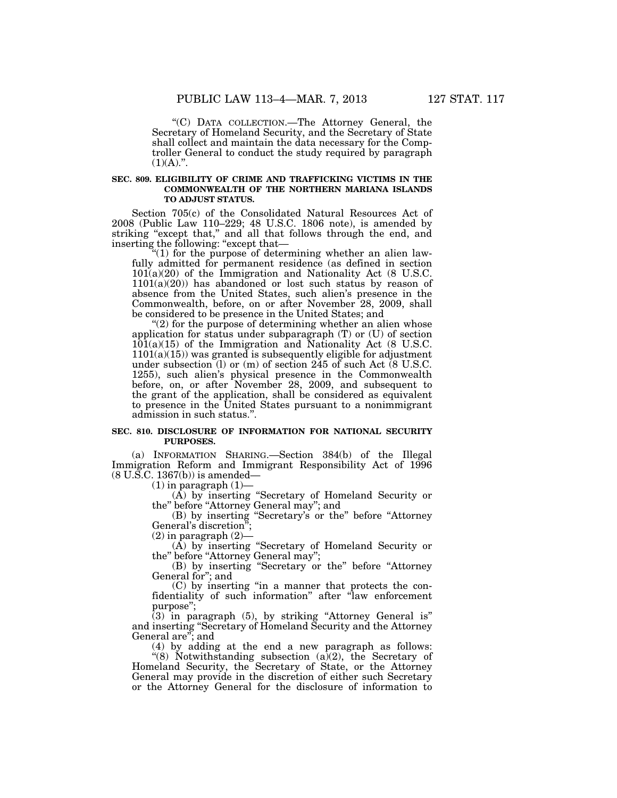''(C) DATA COLLECTION.—The Attorney General, the Secretary of Homeland Security, and the Secretary of State shall collect and maintain the data necessary for the Comptroller General to conduct the study required by paragraph  $(1)(A).$ ".

#### **SEC. 809. ELIGIBILITY OF CRIME AND TRAFFICKING VICTIMS IN THE COMMONWEALTH OF THE NORTHERN MARIANA ISLANDS TO ADJUST STATUS.**

Section 705(c) of the Consolidated Natural Resources Act of 2008 (Public Law 110–229; 48 U.S.C. 1806 note), is amended by striking "except that," and all that follows through the end, and inserting the following: ''except that—

 $(1)$  for the purpose of determining whether an alien lawfully admitted for permanent residence (as defined in section 101(a)(20) of the Immigration and Nationality Act (8 U.S.C.  $1101(a)(20)$  has abandoned or lost such status by reason of absence from the United States, such alien's presence in the Commonwealth, before, on or after November 28, 2009, shall be considered to be presence in the United States; and

" $(2)$  for the purpose of determining whether an alien whose application for status under subparagraph (T) or (U) of section 101(a)(15) of the Immigration and Nationality Act (8 U.S.C.  $1101(a)(15)$ ) was granted is subsequently eligible for adjustment under subsection (l) or (m) of section 245 of such Act (8 U.S.C. 1255), such alien's physical presence in the Commonwealth before, on, or after November 28, 2009, and subsequent to the grant of the application, shall be considered as equivalent to presence in the United States pursuant to a nonimmigrant admission in such status.''.

#### **SEC. 810. DISCLOSURE OF INFORMATION FOR NATIONAL SECURITY PURPOSES.**

(a) INFORMATION SHARING.—Section 384(b) of the Illegal Immigration Reform and Immigrant Responsibility Act of 1996 (8 U.S.C. 1367(b)) is amended—

 $(1)$  in paragraph  $(1)$ —

(A) by inserting ''Secretary of Homeland Security or the'' before ''Attorney General may''; and

(B) by inserting "Secretary's or the" before "Attorney<br>eral's discretion". General's discretion'

 $(2)$  in paragraph  $(2)$ —

(A) by inserting ''Secretary of Homeland Security or the'' before ''Attorney General may'';

(B) by inserting "Secretary or the" before "Attorney General for''; and

(C) by inserting ''in a manner that protects the confidentiality of such information'' after ''law enforcement purpose'';

 $(3)$  in paragraph  $(5)$ , by striking "Attorney General is" and inserting "Secretary of Homeland Security and the Attorney General are"; and

(4) by adding at the end a new paragraph as follows: ''(8) Notwithstanding subsection (a)(2), the Secretary of Homeland Security, the Secretary of State, or the Attorney

General may provide in the discretion of either such Secretary or the Attorney General for the disclosure of information to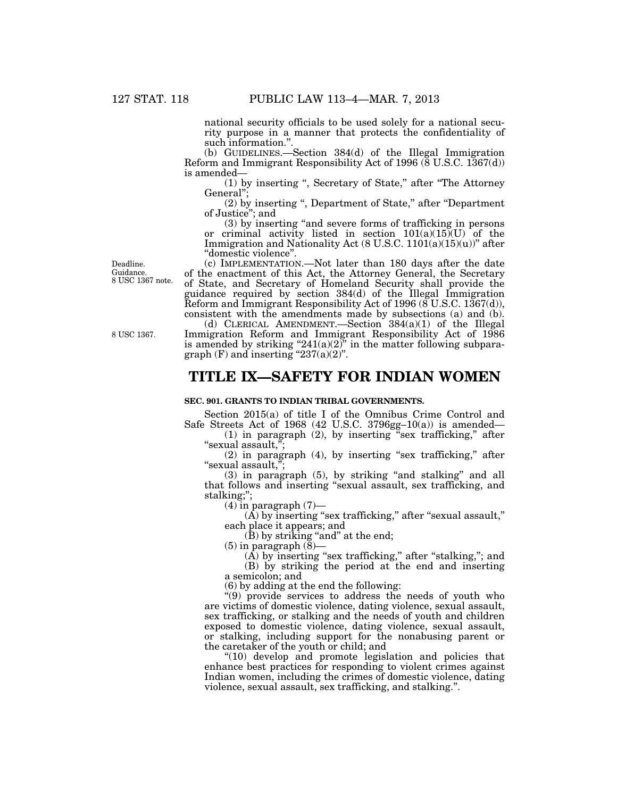national security officials to be used solely for a national security purpose in a manner that protects the confidentiality of such information."

(b) GUIDELINES.—Section 384(d) of the Illegal Immigration Reform and Immigrant Responsibility Act of 1996 ( $\bar{8}$  U.S.C. 1367(d)) is amended—

(1) by inserting '', Secretary of State,'' after ''The Attorney General'';

(2) by inserting '', Department of State,'' after ''Department of Justice''; and

(3) by inserting ''and severe forms of trafficking in persons or criminal activity listed in section  $101(a)(15)(U)$  of the Immigration and Nationality Act (8 U.S.C.  $1101(a)(15)(u)$ )" after ''domestic violence''.

(c) IMPLEMENTATION.—Not later than 180 days after the date of the enactment of this Act, the Attorney General, the Secretary of State, and Secretary of Homeland Security shall provide the guidance required by section 384(d) of the Illegal Immigration Reform and Immigrant Responsibility Act of 1996 ( $\delta$  U.S.C. 1367(d)), consistent with the amendments made by subsections (a) and (b).

(d) CLERICAL AMENDMENT.—Section 384(a)(1) of the Illegal Immigration Reform and Immigrant Responsibility Act of 1986 is amended by striking "241(a)(2)" in the matter following subparagraph  $(F)$  and inserting "237(a)(2)".

## **TITLE IX—SAFETY FOR INDIAN WOMEN**

#### **SEC. 901. GRANTS TO INDIAN TRIBAL GOVERNMENTS.**

Section 2015(a) of title I of the Omnibus Crime Control and Safe Streets Act of 1968 (42 U.S.C. 3796gg-10(a)) is amended—

(1) in paragraph (2), by inserting ''sex trafficking,'' after "sexual assault,"

(2) in paragraph (4), by inserting ''sex trafficking,'' after "sexual assault,";

 $(3)$  in paragraph  $(5)$ , by striking "and stalking" and all that follows and inserting ''sexual assault, sex trafficking, and stalking;'';

 $(4)$  in paragraph  $(7)$ —

 $(A)$  by inserting "sex trafficking," after "sexual assault," each place it appears; and

 $(B)$  by striking "and" at the end;

 $(5)$  in paragraph  $(\overline{8})$ —

(A) by inserting "sex trafficking," after "stalking,"; and (B) by striking the period at the end and inserting a semicolon; and

(6) by adding at the end the following:

''(9) provide services to address the needs of youth who are victims of domestic violence, dating violence, sexual assault, sex trafficking, or stalking and the needs of youth and children exposed to domestic violence, dating violence, sexual assault, or stalking, including support for the nonabusing parent or the caretaker of the youth or child; and

''(10) develop and promote legislation and policies that enhance best practices for responding to violent crimes against Indian women, including the crimes of domestic violence, dating violence, sexual assault, sex trafficking, and stalking.''.

8 USC 1367.

Deadline. Guidance. 8 USC 1367 note.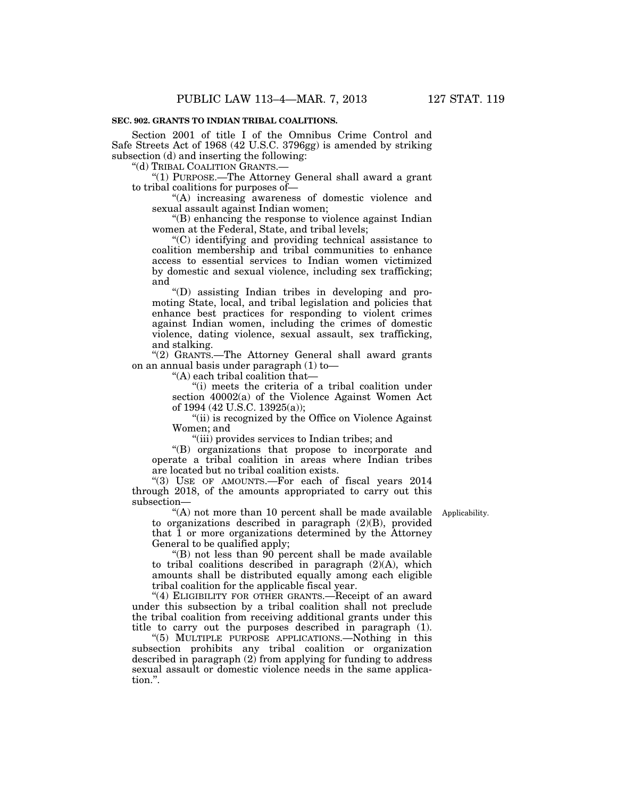#### **SEC. 902. GRANTS TO INDIAN TRIBAL COALITIONS.**

Section 2001 of title I of the Omnibus Crime Control and Safe Streets Act of 1968 (42 U.S.C. 3796gg) is amended by striking subsection (d) and inserting the following:

''(d) TRIBAL COALITION GRANTS.—

''(1) PURPOSE.—The Attorney General shall award a grant to tribal coalitions for purposes of—

"(A) increasing awareness of domestic violence and sexual assault against Indian women;

''(B) enhancing the response to violence against Indian women at the Federal, State, and tribal levels;

''(C) identifying and providing technical assistance to coalition membership and tribal communities to enhance access to essential services to Indian women victimized by domestic and sexual violence, including sex trafficking; and

''(D) assisting Indian tribes in developing and promoting State, local, and tribal legislation and policies that enhance best practices for responding to violent crimes against Indian women, including the crimes of domestic violence, dating violence, sexual assault, sex trafficking, and stalking.

"(2) GRANTS.-The Attorney General shall award grants on an annual basis under paragraph (1) to—

''(A) each tribal coalition that—

"(i) meets the criteria of a tribal coalition under section 40002(a) of the Violence Against Women Act of 1994 (42 U.S.C. 13925(a));

"(ii) is recognized by the Office on Violence Against Women; and

''(iii) provides services to Indian tribes; and

''(B) organizations that propose to incorporate and operate a tribal coalition in areas where Indian tribes are located but no tribal coalition exists.

''(3) USE OF AMOUNTS.—For each of fiscal years 2014 through 2018, of the amounts appropriated to carry out this subsection—

"(A) not more than 10 percent shall be made available Applicability. to organizations described in paragraph (2)(B), provided that 1 or more organizations determined by the Attorney General to be qualified apply;

''(B) not less than 90 percent shall be made available to tribal coalitions described in paragraph (2)(A), which amounts shall be distributed equally among each eligible tribal coalition for the applicable fiscal year.

"(4) ELIGIBILITY FOR OTHER GRANTS.—Receipt of an award under this subsection by a tribal coalition shall not preclude the tribal coalition from receiving additional grants under this title to carry out the purposes described in paragraph (1).

''(5) MULTIPLE PURPOSE APPLICATIONS.—Nothing in this subsection prohibits any tribal coalition or organization described in paragraph (2) from applying for funding to address sexual assault or domestic violence needs in the same application.''.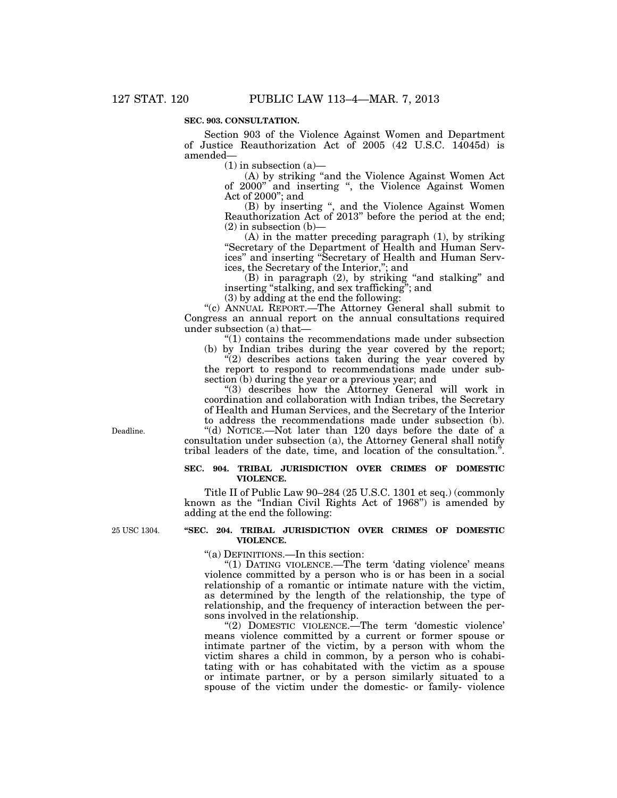#### **SEC. 903. CONSULTATION.**

Section 903 of the Violence Against Women and Department of Justice Reauthorization Act of 2005 (42 U.S.C. 14045d) is amended—

 $(1)$  in subsection  $(a)$ —

 $(A)$  by striking "and the Violence Against Women Act of 2000'' and inserting '', the Violence Against Women Act of  $2000$ "; and

(B) by inserting '', and the Violence Against Women Reauthorization Act of 2013'' before the period at the end;  $(2)$  in subsection  $(b)$ —

(A) in the matter preceding paragraph (1), by striking ''Secretary of the Department of Health and Human Services'' and inserting ''Secretary of Health and Human Services, the Secretary of the Interior,''; and

(B) in paragraph (2), by striking ''and stalking'' and inserting ''stalking, and sex trafficking''; and

(3) by adding at the end the following:

''(c) ANNUAL REPORT.—The Attorney General shall submit to Congress an annual report on the annual consultations required under subsection (a) that—

''(1) contains the recommendations made under subsection

(b) by Indian tribes during the year covered by the report; "(2) describes actions taken during the year covered by the report to respond to recommendations made under subsection (b) during the year or a previous year; and

"(3) describes how the Attorney General will work in coordination and collaboration with Indian tribes, the Secretary of Health and Human Services, and the Secretary of the Interior to address the recommendations made under subsection (b). ''(d) NOTICE.—Not later than 120 days before the date of a consultation under subsection (a), the Attorney General shall notify tribal leaders of the date, time, and location of the consultation.".

#### **SEC. 904. TRIBAL JURISDICTION OVER CRIMES OF DOMESTIC VIOLENCE.**

Title II of Public Law 90–284 (25 U.S.C. 1301 et seq.) (commonly known as the "Indian Civil Rights Act of 1968") is amended by adding at the end the following:

25 USC 1304.

Deadline.

#### **''SEC. 204. TRIBAL JURISDICTION OVER CRIMES OF DOMESTIC VIOLENCE.**

''(a) DEFINITIONS.—In this section:

"(1) DATING VIOLENCE.—The term 'dating violence' means violence committed by a person who is or has been in a social relationship of a romantic or intimate nature with the victim, as determined by the length of the relationship, the type of relationship, and the frequency of interaction between the persons involved in the relationship.

"(2) DOMESTIC VIOLENCE.—The term 'domestic violence' means violence committed by a current or former spouse or intimate partner of the victim, by a person with whom the victim shares a child in common, by a person who is cohabitating with or has cohabitated with the victim as a spouse or intimate partner, or by a person similarly situated to a spouse of the victim under the domestic- or family- violence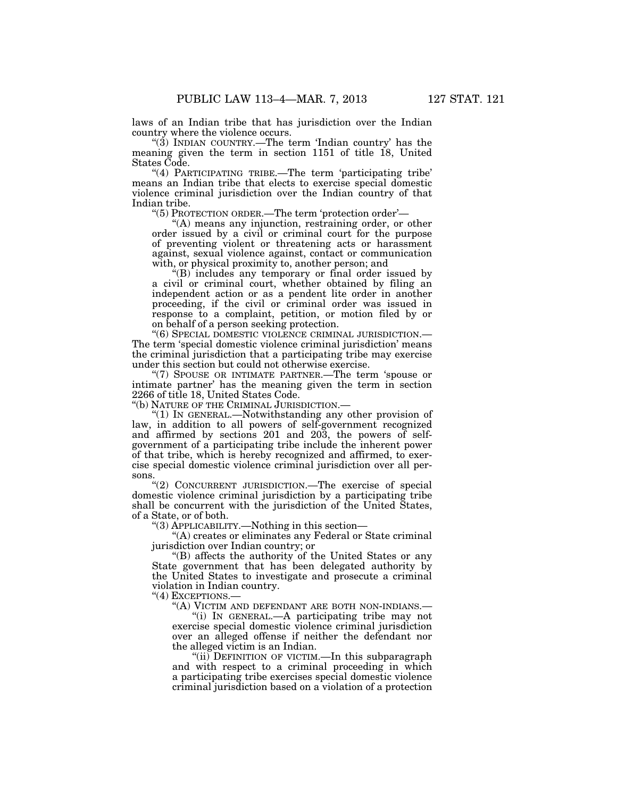laws of an Indian tribe that has jurisdiction over the Indian country where the violence occurs.

"(3) INDIAN COUNTRY.—The term 'Indian country' has the meaning given the term in section 1151 of title 18, United States Code.

''(4) PARTICIPATING TRIBE.—The term 'participating tribe' means an Indian tribe that elects to exercise special domestic violence criminal jurisdiction over the Indian country of that Indian tribe.

''(5) PROTECTION ORDER.—The term 'protection order'—

''(A) means any injunction, restraining order, or other order issued by a civil or criminal court for the purpose of preventing violent or threatening acts or harassment against, sexual violence against, contact or communication with, or physical proximity to, another person; and

''(B) includes any temporary or final order issued by a civil or criminal court, whether obtained by filing an independent action or as a pendent lite order in another proceeding, if the civil or criminal order was issued in response to a complaint, petition, or motion filed by or on behalf of a person seeking protection.

''(6) SPECIAL DOMESTIC VIOLENCE CRIMINAL JURISDICTION.— The term 'special domestic violence criminal jurisdiction' means the criminal jurisdiction that a participating tribe may exercise under this section but could not otherwise exercise.

''(7) SPOUSE OR INTIMATE PARTNER.—The term 'spouse or intimate partner' has the meaning given the term in section 2266 of title 18, United States Code.

''(b) NATURE OF THE CRIMINAL JURISDICTION.—

''(1) IN GENERAL.—Notwithstanding any other provision of law, in addition to all powers of self-government recognized and affirmed by sections 201 and 203, the powers of selfgovernment of a participating tribe include the inherent power of that tribe, which is hereby recognized and affirmed, to exercise special domestic violence criminal jurisdiction over all persons.

"(2) CONCURRENT JURISDICTION.—The exercise of special domestic violence criminal jurisdiction by a participating tribe shall be concurrent with the jurisdiction of the United States, of a State, or of both.

''(3) APPLICABILITY.—Nothing in this section—

''(A) creates or eliminates any Federal or State criminal jurisdiction over Indian country; or

''(B) affects the authority of the United States or any State government that has been delegated authority by the United States to investigate and prosecute a criminal violation in Indian country.

"(4) EXCEPTIONS.-

''(A) VICTIM AND DEFENDANT ARE BOTH NON-INDIANS.—

''(i) IN GENERAL.—A participating tribe may not exercise special domestic violence criminal jurisdiction over an alleged offense if neither the defendant nor the alleged victim is an Indian.

''(ii) DEFINITION OF VICTIM.—In this subparagraph and with respect to a criminal proceeding in which a participating tribe exercises special domestic violence criminal jurisdiction based on a violation of a protection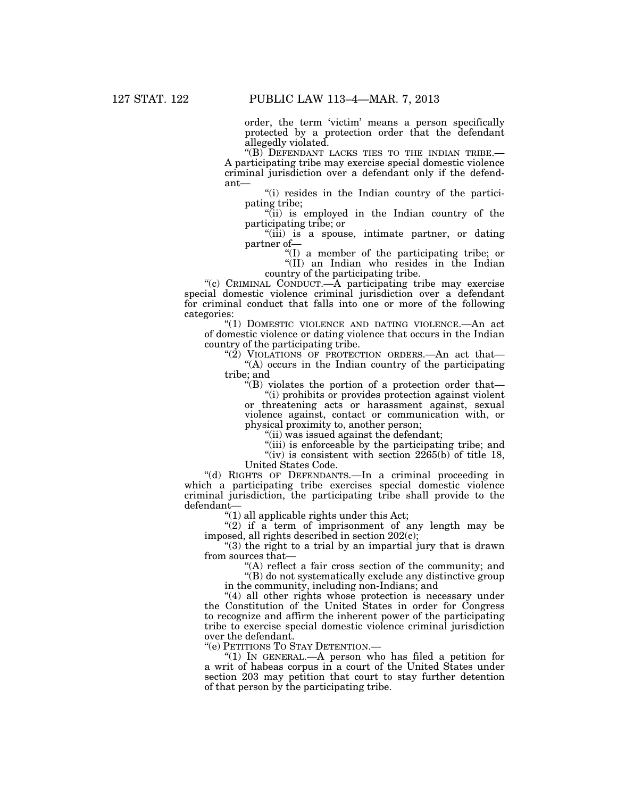order, the term 'victim' means a person specifically protected by a protection order that the defendant allegedly violated.

''(B) DEFENDANT LACKS TIES TO THE INDIAN TRIBE.— A participating tribe may exercise special domestic violence criminal jurisdiction over a defendant only if the defendant—

"(i) resides in the Indian country of the participating tribe;

''(ii) is employed in the Indian country of the participating tribe; or

"(iii) is a spouse, intimate partner, or dating partner of—

''(I) a member of the participating tribe; or ''(II) an Indian who resides in the Indian country of the participating tribe.

''(c) CRIMINAL CONDUCT.—A participating tribe may exercise special domestic violence criminal jurisdiction over a defendant for criminal conduct that falls into one or more of the following categories:

"(1) DOMESTIC VIOLENCE AND DATING VIOLENCE.—An act of domestic violence or dating violence that occurs in the Indian country of the participating tribe.

" $(2)$  VIOLATIONS OF PROTECTION ORDERS.—An act that— "(A) occurs in the Indian country of the participating tribe; and

 $\mathcal{H}(B)$  violates the portion of a protection order that-

"(i) prohibits or provides protection against violent or threatening acts or harassment against, sexual violence against, contact or communication with, or physical proximity to, another person;

''(ii) was issued against the defendant;

"(iii) is enforceable by the participating tribe; and "(iv) is consistent with section  $2265(b)$  of title 18,

United States Code.

''(d) RIGHTS OF DEFENDANTS.—In a criminal proceeding in which a participating tribe exercises special domestic violence criminal jurisdiction, the participating tribe shall provide to the defendant—

 $(1)$  all applicable rights under this Act;

" $(2)$  if a term of imprisonment of any length may be imposed, all rights described in section 202(c);

"(3) the right to a trial by an impartial jury that is drawn from sources that—

''(A) reflect a fair cross section of the community; and

''(B) do not systematically exclude any distinctive group

in the community, including non-Indians; and

"(4) all other rights whose protection is necessary under the Constitution of the United States in order for Congress to recognize and affirm the inherent power of the participating tribe to exercise special domestic violence criminal jurisdiction over the defendant.

''(e) PETITIONS TO STAY DETENTION.—

''(1) IN GENERAL.—A person who has filed a petition for a writ of habeas corpus in a court of the United States under section 203 may petition that court to stay further detention of that person by the participating tribe.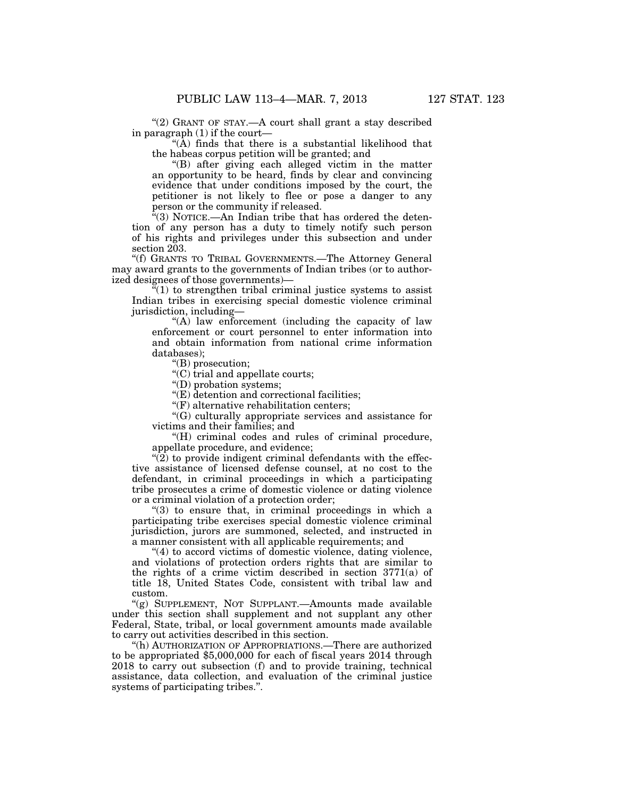"(2) GRANT OF STAY.—A court shall grant a stay described in paragraph (1) if the court—

''(A) finds that there is a substantial likelihood that the habeas corpus petition will be granted; and

''(B) after giving each alleged victim in the matter an opportunity to be heard, finds by clear and convincing evidence that under conditions imposed by the court, the petitioner is not likely to flee or pose a danger to any person or the community if released.

''(3) NOTICE.—An Indian tribe that has ordered the detention of any person has a duty to timely notify such person of his rights and privileges under this subsection and under section 203.

''(f) GRANTS TO TRIBAL GOVERNMENTS.—The Attorney General may award grants to the governments of Indian tribes (or to authorized designees of those governments)—

 $\sqrt[n]{(1)}$  to strengthen tribal criminal justice systems to assist Indian tribes in exercising special domestic violence criminal jurisdiction, including—

''(A) law enforcement (including the capacity of law enforcement or court personnel to enter information into and obtain information from national crime information databases);

''(B) prosecution;

 $(C)$  trial and appellate courts;

''(D) probation systems;

''(E) detention and correctional facilities;

''(F) alternative rehabilitation centers;

''(G) culturally appropriate services and assistance for victims and their families; and

"(H) criminal codes and rules of criminal procedure, appellate procedure, and evidence;

 $\sqrt{\left(2\right)}$  to provide indigent criminal defendants with the effective assistance of licensed defense counsel, at no cost to the defendant, in criminal proceedings in which a participating tribe prosecutes a crime of domestic violence or dating violence or a criminal violation of a protection order;

"(3) to ensure that, in criminal proceedings in which a participating tribe exercises special domestic violence criminal jurisdiction, jurors are summoned, selected, and instructed in a manner consistent with all applicable requirements; and

 $(4)$  to accord victims of domestic violence, dating violence, and violations of protection orders rights that are similar to the rights of a crime victim described in section 3771(a) of title 18, United States Code, consistent with tribal law and custom.

"(g) SUPPLEMENT, NOT SUPPLANT.—Amounts made available under this section shall supplement and not supplant any other Federal, State, tribal, or local government amounts made available to carry out activities described in this section.

''(h) AUTHORIZATION OF APPROPRIATIONS.—There are authorized to be appropriated \$5,000,000 for each of fiscal years 2014 through 2018 to carry out subsection (f) and to provide training, technical assistance, data collection, and evaluation of the criminal justice systems of participating tribes.''.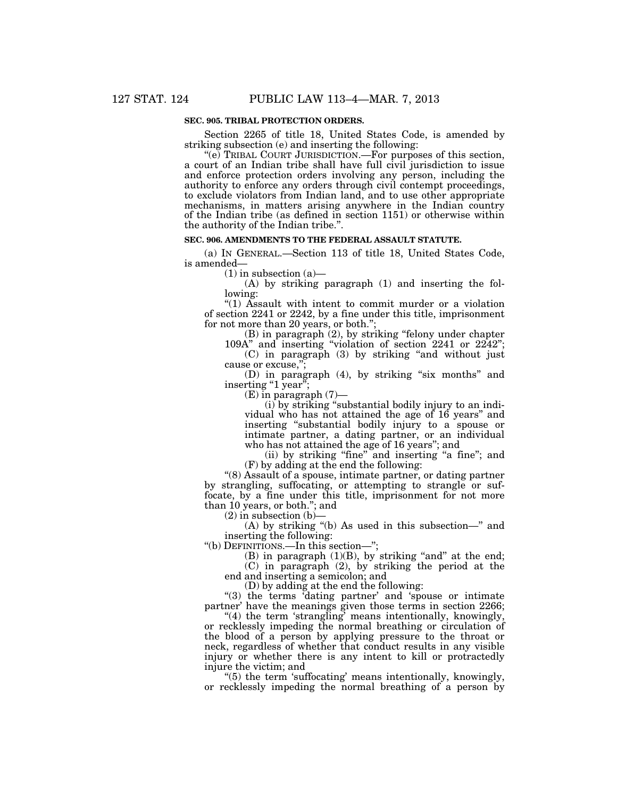#### **SEC. 905. TRIBAL PROTECTION ORDERS.**

Section 2265 of title 18, United States Code, is amended by striking subsection (e) and inserting the following:

"(e) TRIBAL COURT JURISDICTION.—For purposes of this section, a court of an Indian tribe shall have full civil jurisdiction to issue and enforce protection orders involving any person, including the authority to enforce any orders through civil contempt proceedings, to exclude violators from Indian land, and to use other appropriate mechanisms, in matters arising anywhere in the Indian country of the Indian tribe (as defined in section 1151) or otherwise within the authority of the Indian tribe.''.

#### **SEC. 906. AMENDMENTS TO THE FEDERAL ASSAULT STATUTE.**

(a) IN GENERAL.—Section 113 of title 18, United States Code, is amended—

 $(1)$  in subsection  $(a)$ —

(A) by striking paragraph (1) and inserting the following:

''(1) Assault with intent to commit murder or a violation of section 2241 or 2242, by a fine under this title, imprisonment for not more than 20 years, or both.'';

(B) in paragraph (2), by striking ''felony under chapter 109A'' and inserting ''violation of section 2241 or 2242'';

(C) in paragraph (3) by striking ''and without just cause or excuse,'';

(D) in paragraph (4), by striking "six months" and inserting "1 year";

(E) in paragraph (7)—

(i) by striking ''substantial bodily injury to an individual who has not attained the age of 16 years'' and inserting ''substantial bodily injury to a spouse or intimate partner, a dating partner, or an individual who has not attained the age of 16 years''; and

(ii) by striking "fine" and inserting "a fine"; and (F) by adding at the end the following:

''(8) Assault of a spouse, intimate partner, or dating partner by strangling, suffocating, or attempting to strangle or suffocate, by a fine under this title, imprisonment for not more than 10 years, or both.''; and

 $(2)$  in subsection  $(b)$ 

(A) by striking ''(b) As used in this subsection—'' and inserting the following:

''(b) DEFINITIONS.—In this section—'';

(B) in paragraph  $(1)(B)$ , by striking "and" at the end; (C) in paragraph (2), by striking the period at the end and inserting a semicolon; and

(D) by adding at the end the following:

"(3) the terms 'dating partner' and 'spouse or intimate partner' have the meanings given those terms in section 2266;

''(4) the term 'strangling' means intentionally, knowingly, or recklessly impeding the normal breathing or circulation of the blood of a person by applying pressure to the throat or neck, regardless of whether that conduct results in any visible injury or whether there is any intent to kill or protractedly injure the victim; and

''(5) the term 'suffocating' means intentionally, knowingly, or recklessly impeding the normal breathing of a person by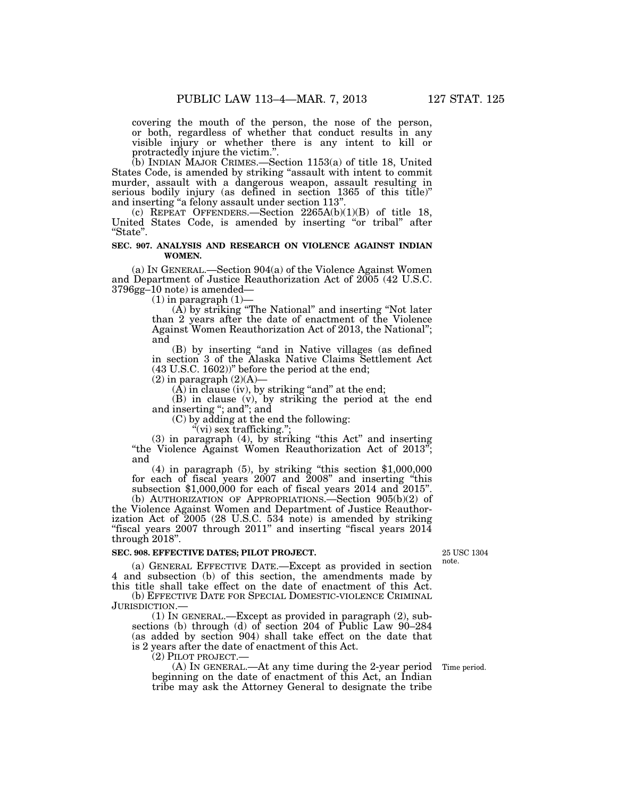covering the mouth of the person, the nose of the person, or both, regardless of whether that conduct results in any visible injury or whether there is any intent to kill or protractedly injure the victim."

(b) INDIAN MAJOR CRIMES.—Section 1153(a) of title 18, United States Code, is amended by striking "assault with intent to commit murder, assault with a dangerous weapon, assault resulting in serious bodily injury (as defined in section 1365 of this title)'' and inserting ''a felony assault under section 113''.

(c) REPEAT OFFENDERS. Section  $2265A(b)(1)(B)$  of title 18, United States Code, is amended by inserting "or tribal" after ''State''.

#### **SEC. 907. ANALYSIS AND RESEARCH ON VIOLENCE AGAINST INDIAN WOMEN.**

(a) IN GENERAL.—Section 904(a) of the Violence Against Women and Department of Justice Reauthorization Act of 2005 (42 U.S.C. 3796gg–10 note) is amended—

 $(1)$  in paragraph  $(1)$ 

 $(A)$  by striking "The National" and inserting "Not later than 2 years after the date of enactment of the Violence Against Women Reauthorization Act of 2013, the National''; and

(B) by inserting ''and in Native villages (as defined in section 3 of the Alaska Native Claims Settlement Act (43 U.S.C. 1602))'' before the period at the end;

 $(2)$  in paragraph  $(2)(A)$ 

 $(A)$  in clause (iv), by striking "and" at the end;

(B) in clause (v), by striking the period at the end and inserting ''; and''; and

(C) by adding at the end the following:

 $\mathcal{H}(vi)$  sex trafficking.";

(3) in paragraph (4), by striking ''this Act'' and inserting ''the Violence Against Women Reauthorization Act of 2013''; and

(4) in paragraph (5), by striking ''this section \$1,000,000 for each of fiscal years 2007 and 2008'' and inserting ''this subsection \$1,000,000 for each of fiscal years 2014 and 2015"

(b) AUTHORIZATION OF APPROPRIATIONS.—Section 905(b)(2) of the Violence Against Women and Department of Justice Reauthorization Act of 2005 (28 U.S.C. 534 note) is amended by striking "fiscal years  $2007$  through  $2011$ " and inserting "fiscal years  $2014$ " through 2018''.

#### **SEC. 908. EFFECTIVE DATES; PILOT PROJECT.**

25 USC 1304 note.

(a) GENERAL EFFECTIVE DATE.—Except as provided in section 4 and subsection (b) of this section, the amendments made by this title shall take effect on the date of enactment of this Act.

(b) EFFECTIVE DATE FOR SPECIAL DOMESTIC-VIOLENCE CRIMINAL JURISDICTION.—

(1) IN GENERAL.—Except as provided in paragraph (2), subsections (b) through (d) of section 204 of Public Law 90-284 (as added by section 904) shall take effect on the date that is 2 years after the date of enactment of this Act.

(2) PILOT PROJECT.—

(A) IN GENERAL.—At any time during the 2-year period Time period. beginning on the date of enactment of this Act, an Indian tribe may ask the Attorney General to designate the tribe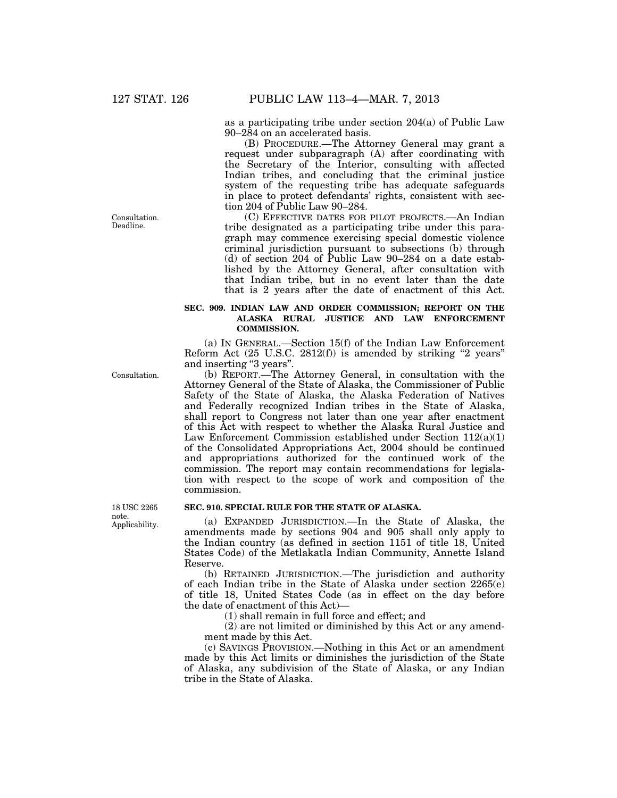as a participating tribe under section 204(a) of Public Law 90–284 on an accelerated basis.

(B) PROCEDURE.—The Attorney General may grant a request under subparagraph (A) after coordinating with the Secretary of the Interior, consulting with affected Indian tribes, and concluding that the criminal justice system of the requesting tribe has adequate safeguards in place to protect defendants' rights, consistent with section 204 of Public Law 90–284.

(C) EFFECTIVE DATES FOR PILOT PROJECTS.—An Indian tribe designated as a participating tribe under this paragraph may commence exercising special domestic violence criminal jurisdiction pursuant to subsections (b) through (d) of section 204 of Public Law 90–284 on a date established by the Attorney General, after consultation with that Indian tribe, but in no event later than the date that is 2 years after the date of enactment of this Act.

# **SEC. 909. INDIAN LAW AND ORDER COMMISSION; REPORT ON THE ALASKA RURAL JUSTICE AND LAW ENFORCEMENT COMMISSION.**

(a) IN GENERAL.—Section 15(f) of the Indian Law Enforcement Reform Act  $(25 \text{ U.S.C. } 2812(f))$  is amended by striking "2 years" and inserting ''3 years''.

(b) REPORT.—The Attorney General, in consultation with the Attorney General of the State of Alaska, the Commissioner of Public Safety of the State of Alaska, the Alaska Federation of Natives and Federally recognized Indian tribes in the State of Alaska, shall report to Congress not later than one year after enactment of this Act with respect to whether the Alaska Rural Justice and Law Enforcement Commission established under Section  $112(a)(1)$ of the Consolidated Appropriations Act, 2004 should be continued and appropriations authorized for the continued work of the commission. The report may contain recommendations for legislation with respect to the scope of work and composition of the commission.

# **SEC. 910. SPECIAL RULE FOR THE STATE OF ALASKA.**

(a) EXPANDED JURISDICTION.—In the State of Alaska, the amendments made by sections 904 and 905 shall only apply to the Indian country (as defined in section 1151 of title 18, United States Code) of the Metlakatla Indian Community, Annette Island Reserve.

(b) RETAINED JURISDICTION.—The jurisdiction and authority of each Indian tribe in the State of Alaska under section 2265(e) of title 18, United States Code (as in effect on the day before the date of enactment of this Act)—

(1) shall remain in full force and effect; and

(2) are not limited or diminished by this Act or any amendment made by this Act.

(c) SAVINGS PROVISION.—Nothing in this Act or an amendment made by this Act limits or diminishes the jurisdiction of the State of Alaska, any subdivision of the State of Alaska, or any Indian tribe in the State of Alaska.

Consultation. Deadline.

Consultation.

18 USC 2265 note. Applicability.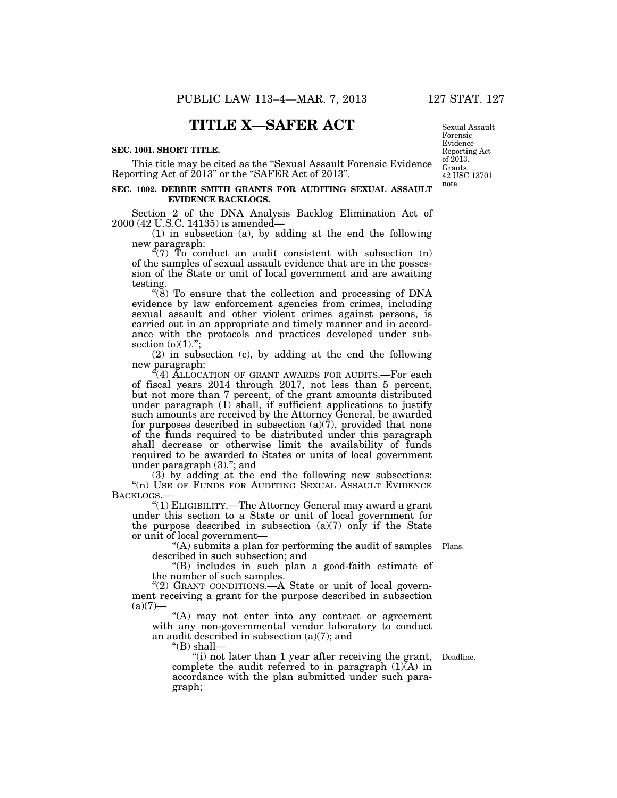# **TITLE X—SAFER ACT**

#### **SEC. 1001. SHORT TITLE.**

This title may be cited as the ''Sexual Assault Forensic Evidence Reporting Act of 2013'' or the ''SAFER Act of 2013''.

#### **SEC. 1002. DEBBIE SMITH GRANTS FOR AUDITING SEXUAL ASSAULT EVIDENCE BACKLOGS.**

Section 2 of the DNA Analysis Backlog Elimination Act of 2000 (42 U.S.C. 14135) is amended—

(1) in subsection (a), by adding at the end the following new paragraph:

 $\sqrt{7}$  To conduct an audit consistent with subsection (n) of the samples of sexual assault evidence that are in the possession of the State or unit of local government and are awaiting testing.

" $(8)$  To ensure that the collection and processing of DNA evidence by law enforcement agencies from crimes, including sexual assault and other violent crimes against persons, is carried out in an appropriate and timely manner and in accordance with the protocols and practices developed under subsection (o)(1).";

(2) in subsection (c), by adding at the end the following new paragraph:

"(4) ALLOCATION OF GRANT AWARDS FOR AUDITS.—For each of fiscal years 2014 through 2017, not less than 5 percent, but not more than 7 percent, of the grant amounts distributed under paragraph (1) shall, if sufficient applications to justify such amounts are received by the Attorney General, be awarded for purposes described in subsection  $(a)(7)$ , provided that none of the funds required to be distributed under this paragraph shall decrease or otherwise limit the availability of funds required to be awarded to States or units of local government under paragraph (3).''; and

 $(3)$  by adding at the end the following new subsections: "(n) USE OF FUNDS FOR AUDITING SEXUAL ASSAULT EVIDENCE BACKLOGS.—

''(1) ELIGIBILITY.—The Attorney General may award a grant under this section to a State or unit of local government for the purpose described in subsection (a)(7) only if the State or unit of local government—

''(A) submits a plan for performing the audit of samples Plans. described in such subsection; and

''(B) includes in such plan a good-faith estimate of the number of such samples.

"(2) GRANT CONDITIONS.—A State or unit of local government receiving a grant for the purpose described in subsection  $(a)(7)$ —

"(A) may not enter into any contract or agreement with any non-governmental vendor laboratory to conduct an audit described in subsection (a)(7); and

" $(B)$  shall-

"(i) not later than 1 year after receiving the grant, Deadline. complete the audit referred to in paragraph  $(1)(A)$  in accordance with the plan submitted under such paragraph;

Sexual Assault Forensic Evidence Reporting Act of 2013. Grants. 42 USC 13701 note.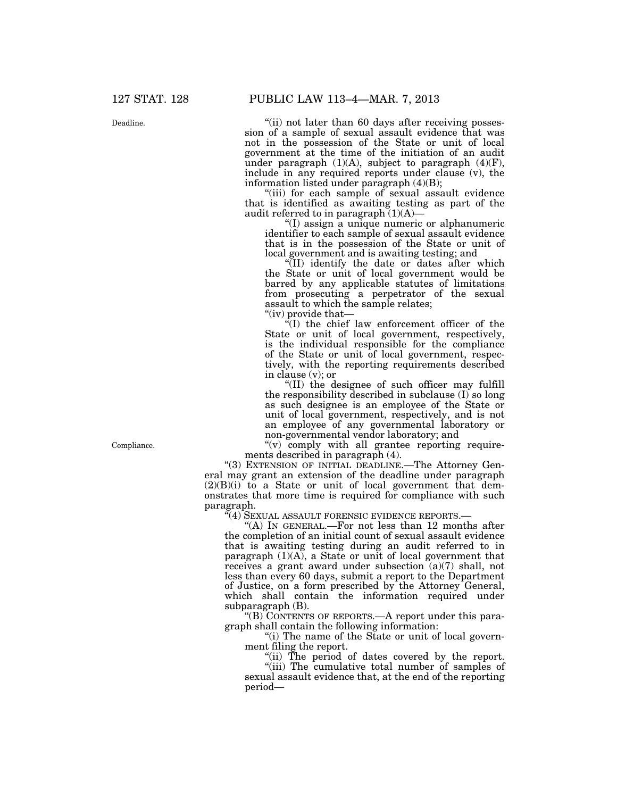Deadline.

"(ii) not later than 60 days after receiving possession of a sample of sexual assault evidence that was not in the possession of the State or unit of local government at the time of the initiation of an audit under paragraph  $(1)(A)$ , subject to paragraph  $(4)(F)$ , include in any required reports under clause (v), the information listed under paragraph (4)(B);

"(iii) for each sample of sexual assault evidence that is identified as awaiting testing as part of the audit referred to in paragraph  $(1)(A)$ —

''(I) assign a unique numeric or alphanumeric identifier to each sample of sexual assault evidence that is in the possession of the State or unit of local government and is awaiting testing; and

''(II) identify the date or dates after which the State or unit of local government would be barred by any applicable statutes of limitations from prosecuting a perpetrator of the sexual assault to which the sample relates;

''(iv) provide that—

 $\sqrt{I}$  the chief law enforcement officer of the State or unit of local government, respectively, is the individual responsible for the compliance of the State or unit of local government, respectively, with the reporting requirements described in clause (v); or

''(II) the designee of such officer may fulfill the responsibility described in subclause (I) so long as such designee is an employee of the State or unit of local government, respectively, and is not an employee of any governmental laboratory or non-governmental vendor laboratory; and

 $''(v)$  comply with all grantee reporting requirements described in paragraph (4).

"(3) EXTENSION OF INITIAL DEADLINE.—The Attorney General may grant an extension of the deadline under paragraph  $(2)(B)(i)$  to a State or unit of local government that demonstrates that more time is required for compliance with such paragraph.

''(4) SEXUAL ASSAULT FORENSIC EVIDENCE REPORTS.—

''(A) IN GENERAL.—For not less than 12 months after the completion of an initial count of sexual assault evidence that is awaiting testing during an audit referred to in paragraph  $(1)(A)$ , a State or unit of local government that receives a grant award under subsection (a)(7) shall, not less than every 60 days, submit a report to the Department of Justice, on a form prescribed by the Attorney General, which shall contain the information required under subparagraph (B).

"(B) CONTENTS OF REPORTS.—A report under this paragraph shall contain the following information:

"(i) The name of the State or unit of local government filing the report.

"(ii) The period of dates covered by the report.

''(iii) The cumulative total number of samples of sexual assault evidence that, at the end of the reporting period—

Compliance.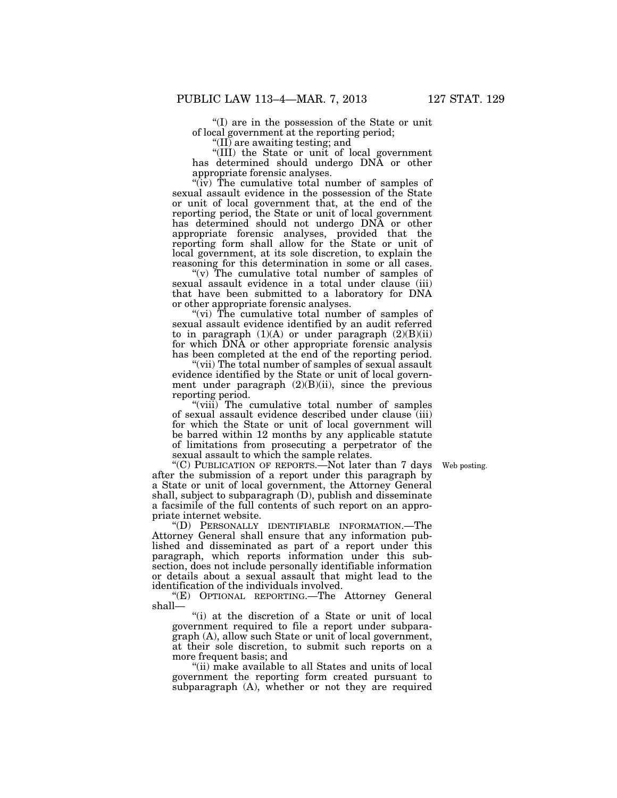''(I) are in the possession of the State or unit of local government at the reporting period;

''(II) are awaiting testing; and

''(III) the State or unit of local government has determined should undergo DNA or other appropriate forensic analyses.

 $\langle \hat{u}, \hat{v} \rangle$  The cumulative total number of samples of sexual assault evidence in the possession of the State or unit of local government that, at the end of the reporting period, the State or unit of local government has determined should not undergo DNA or other appropriate forensic analyses, provided that the reporting form shall allow for the State or unit of local government, at its sole discretion, to explain the reasoning for this determination in some or all cases.

"(v) The cumulative total number of samples of sexual assault evidence in a total under clause (iii) that have been submitted to a laboratory for DNA or other appropriate forensic analyses.

"(vi) The cumulative total number of samples of sexual assault evidence identified by an audit referred to in paragraph  $(1)(A)$  or under paragraph  $(2)(B)(ii)$ for which DNA or other appropriate forensic analysis has been completed at the end of the reporting period.

"(vii) The total number of samples of sexual assault evidence identified by the State or unit of local government under paragraph  $(2)(B)(ii)$ , since the previous reporting period.

"(viii) The cumulative total number of samples of sexual assault evidence described under clause (iii) for which the State or unit of local government will be barred within 12 months by any applicable statute of limitations from prosecuting a perpetrator of the sexual assault to which the sample relates.

Web posting.

''(C) PUBLICATION OF REPORTS.—Not later than 7 days after the submission of a report under this paragraph by a State or unit of local government, the Attorney General shall, subject to subparagraph (D), publish and disseminate a facsimile of the full contents of such report on an appropriate internet website.

''(D) PERSONALLY IDENTIFIABLE INFORMATION.—The Attorney General shall ensure that any information published and disseminated as part of a report under this paragraph, which reports information under this subsection, does not include personally identifiable information or details about a sexual assault that might lead to the identification of the individuals involved.

''(E) OPTIONAL REPORTING.—The Attorney General shall—

"(i) at the discretion of a State or unit of local government required to file a report under subparagraph (A), allow such State or unit of local government, at their sole discretion, to submit such reports on a more frequent basis; and

''(ii) make available to all States and units of local government the reporting form created pursuant to subparagraph (A), whether or not they are required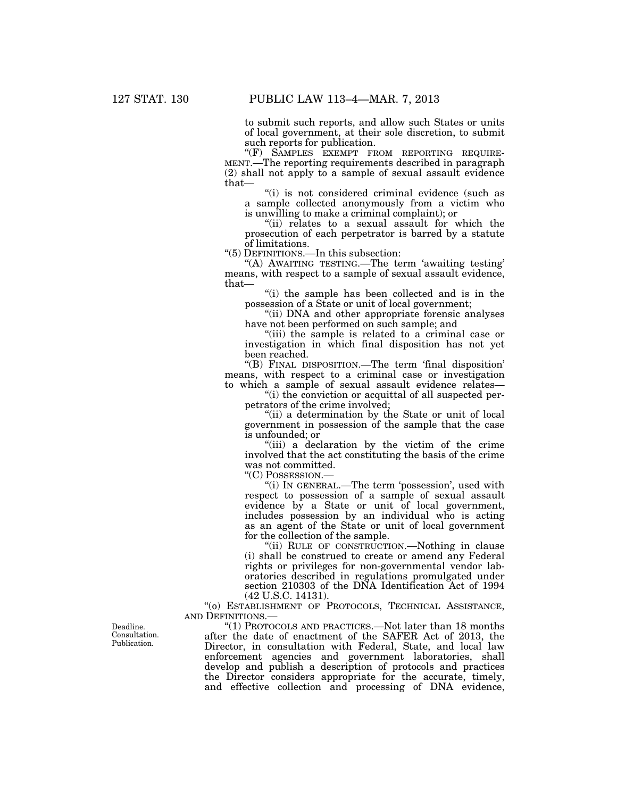to submit such reports, and allow such States or units of local government, at their sole discretion, to submit such reports for publication.

''(F) SAMPLES EXEMPT FROM REPORTING REQUIRE- MENT.—The reporting requirements described in paragraph (2) shall not apply to a sample of sexual assault evidence that—

"(i) is not considered criminal evidence (such as a sample collected anonymously from a victim who is unwilling to make a criminal complaint); or

"(ii) relates to a sexual assault for which the prosecution of each perpetrator is barred by a statute of limitations.

''(5) DEFINITIONS.—In this subsection:

''(A) AWAITING TESTING.—The term 'awaiting testing' means, with respect to a sample of sexual assault evidence, that—

''(i) the sample has been collected and is in the possession of a State or unit of local government;

"(ii) DNA and other appropriate forensic analyses have not been performed on such sample; and

''(iii) the sample is related to a criminal case or investigation in which final disposition has not yet been reached.

''(B) FINAL DISPOSITION.—The term 'final disposition' means, with respect to a criminal case or investigation to which a sample of sexual assault evidence relates—

''(i) the conviction or acquittal of all suspected perpetrators of the crime involved;

"(ii) a determination by the State or unit of local government in possession of the sample that the case is unfounded; or

''(iii) a declaration by the victim of the crime involved that the act constituting the basis of the crime was not committed.

''(C) POSSESSION.—

''(i) IN GENERAL.—The term 'possession', used with respect to possession of a sample of sexual assault evidence by a State or unit of local government, includes possession by an individual who is acting as an agent of the State or unit of local government for the collection of the sample.

''(ii) RULE OF CONSTRUCTION.—Nothing in clause (i) shall be construed to create or amend any Federal rights or privileges for non-governmental vendor laboratories described in regulations promulgated under section 210303 of the DNA Identification Act of 1994 (42 U.S.C. 14131).

''(o) ESTABLISHMENT OF PROTOCOLS, TECHNICAL ASSISTANCE, AND DEFINITIONS.—

''(1) PROTOCOLS AND PRACTICES.—Not later than 18 months after the date of enactment of the SAFER Act of 2013, the Director, in consultation with Federal, State, and local law enforcement agencies and government laboratories, shall develop and publish a description of protocols and practices the Director considers appropriate for the accurate, timely, and effective collection and processing of DNA evidence,

Deadline. Consultation. Publication.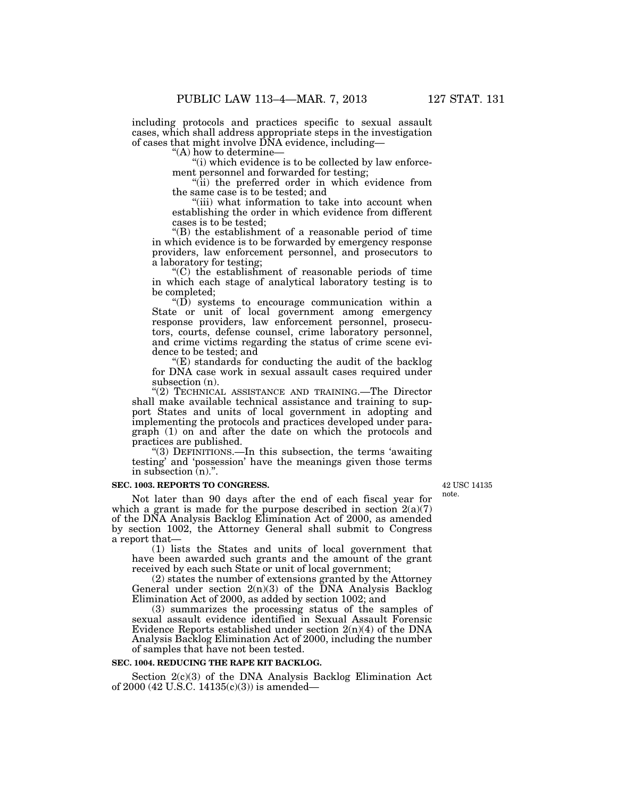including protocols and practices specific to sexual assault cases, which shall address appropriate steps in the investigation of cases that might involve DNA evidence, including—

''(A) how to determine—

''(i) which evidence is to be collected by law enforcement personnel and forwarded for testing;

"(ii) the preferred order in which evidence from the same case is to be tested; and

"(iii) what information to take into account when establishing the order in which evidence from different cases is to be tested;

''(B) the establishment of a reasonable period of time in which evidence is to be forwarded by emergency response providers, law enforcement personnel, and prosecutors to a laboratory for testing;

''(C) the establishment of reasonable periods of time in which each stage of analytical laboratory testing is to be completed;

" $(D)$  systems to encourage communication within a State or unit of local government among emergency response providers, law enforcement personnel, prosecutors, courts, defense counsel, crime laboratory personnel, and crime victims regarding the status of crime scene evidence to be tested; and

 $E(E)$  standards for conducting the audit of the backlog for DNA case work in sexual assault cases required under subsection (n).

"(2) TECHNICAL ASSISTANCE AND TRAINING.—The Director shall make available technical assistance and training to support States and units of local government in adopting and implementing the protocols and practices developed under paragraph (1) on and after the date on which the protocols and practices are published.

''(3) DEFINITIONS.—In this subsection, the terms 'awaiting testing' and 'possession' have the meanings given those terms in subsection (n).''.

#### **SEC. 1003. REPORTS TO CONGRESS.**

Not later than 90 days after the end of each fiscal year for which a grant is made for the purpose described in section  $2(a)(7)$ of the DNA Analysis Backlog Elimination Act of 2000, as amended by section 1002, the Attorney General shall submit to Congress a report that—

(1) lists the States and units of local government that have been awarded such grants and the amount of the grant received by each such State or unit of local government;

(2) states the number of extensions granted by the Attorney General under section  $2(n)(3)$  of the DNA Analysis Backlog Elimination Act of 2000, as added by section 1002; and

(3) summarizes the processing status of the samples of sexual assault evidence identified in Sexual Assault Forensic Evidence Reports established under section  $2(n)(4)$  of the DNA Analysis Backlog Elimination Act of 2000, including the number of samples that have not been tested.

#### **SEC. 1004. REDUCING THE RAPE KIT BACKLOG.**

Section 2(c)(3) of the DNA Analysis Backlog Elimination Act of 2000 (42 U.S.C. 14135(c)(3)) is amended—

42 USC 14135 note.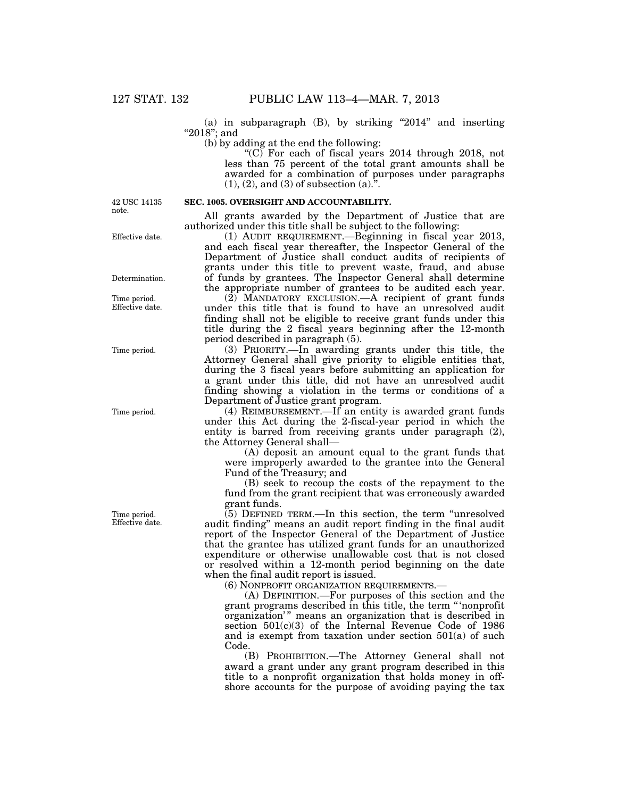(a) in subparagraph  $(B)$ , by striking "2014" and inserting ''2018''; and

(b) by adding at the end the following:

" $(C)$  For each of fiscal years 2014 through 2018, not less than 75 percent of the total grant amounts shall be awarded for a combination of purposes under paragraphs  $(1), (2),$  and  $(3)$  of subsection  $(a)$ .".

42 USC 14135 note.

Effective date.

Determination.

Time period. Effective date.

Time period.

Time period.

Time period. Effective date. **SEC. 1005. OVERSIGHT AND ACCOUNTABILITY.**  All grants awarded by the Department of Justice that are

authorized under this title shall be subject to the following: (1) AUDIT REQUIREMENT.—Beginning in fiscal year 2013, and each fiscal year thereafter, the Inspector General of the Department of Justice shall conduct audits of recipients of grants under this title to prevent waste, fraud, and abuse of funds by grantees. The Inspector General shall determine the appropriate number of grantees to be audited each year.

(2) MANDATORY EXCLUSION.—A recipient of grant funds under this title that is found to have an unresolved audit finding shall not be eligible to receive grant funds under this title during the 2 fiscal years beginning after the 12-month period described in paragraph (5).

(3) PRIORITY.—In awarding grants under this title, the Attorney General shall give priority to eligible entities that, during the 3 fiscal years before submitting an application for a grant under this title, did not have an unresolved audit finding showing a violation in the terms or conditions of a Department of Justice grant program.

(4) REIMBURSEMENT.—If an entity is awarded grant funds under this Act during the 2-fiscal-year period in which the entity is barred from receiving grants under paragraph (2), the Attorney General shall—

(A) deposit an amount equal to the grant funds that were improperly awarded to the grantee into the General Fund of the Treasury; and

(B) seek to recoup the costs of the repayment to the fund from the grant recipient that was erroneously awarded grant funds.

 $(5)$  DEFINED TERM.—In this section, the term "unresolved" audit finding'' means an audit report finding in the final audit report of the Inspector General of the Department of Justice that the grantee has utilized grant funds for an unauthorized expenditure or otherwise unallowable cost that is not closed or resolved within a 12-month period beginning on the date when the final audit report is issued.

(6) NONPROFIT ORGANIZATION REQUIREMENTS.—

(A) DEFINITION.—For purposes of this section and the grant programs described in this title, the term '' 'nonprofit organization'" means an organization that is described in section 501(c)(3) of the Internal Revenue Code of 1986 and is exempt from taxation under section 501(a) of such Code.

(B) PROHIBITION.—The Attorney General shall not award a grant under any grant program described in this title to a nonprofit organization that holds money in offshore accounts for the purpose of avoiding paying the tax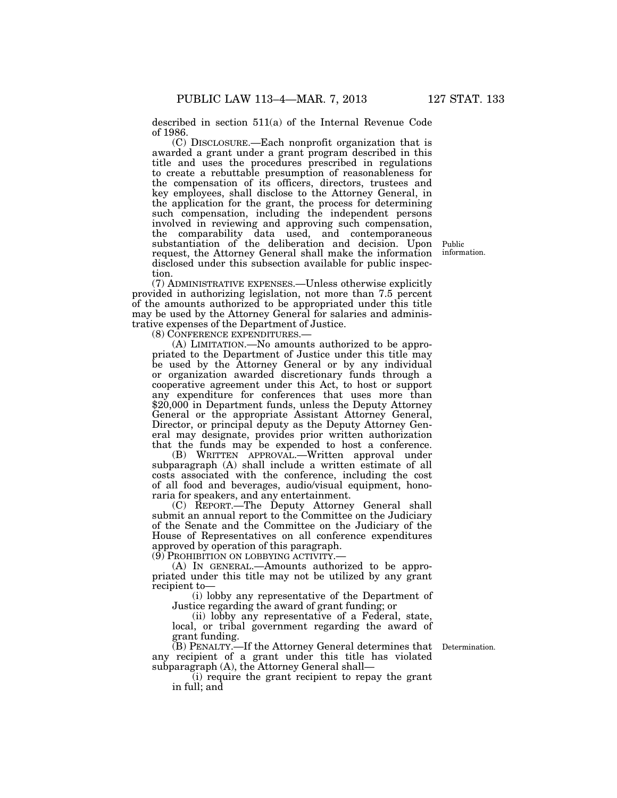described in section 511(a) of the Internal Revenue Code of 1986.

(C) DISCLOSURE.—Each nonprofit organization that is awarded a grant under a grant program described in this title and uses the procedures prescribed in regulations to create a rebuttable presumption of reasonableness for the compensation of its officers, directors, trustees and key employees, shall disclose to the Attorney General, in the application for the grant, the process for determining such compensation, including the independent persons involved in reviewing and approving such compensation, the comparability data used, and contemporaneous substantiation of the deliberation and decision. Upon request, the Attorney General shall make the information disclosed under this subsection available for public inspection.

(7) ADMINISTRATIVE EXPENSES.—Unless otherwise explicitly provided in authorizing legislation, not more than 7.5 percent of the amounts authorized to be appropriated under this title may be used by the Attorney General for salaries and administrative expenses of the Department of Justice.

(8) CONFERENCE EXPENDITURES.—

(A) LIMITATION.—No amounts authorized to be appropriated to the Department of Justice under this title may be used by the Attorney General or by any individual or organization awarded discretionary funds through a cooperative agreement under this Act, to host or support any expenditure for conferences that uses more than \$20,000 in Department funds, unless the Deputy Attorney General or the appropriate Assistant Attorney General, Director, or principal deputy as the Deputy Attorney General may designate, provides prior written authorization that the funds may be expended to host a conference.

(B) WRITTEN APPROVAL.—Written approval under subparagraph (A) shall include a written estimate of all costs associated with the conference, including the cost of all food and beverages, audio/visual equipment, honoraria for speakers, and any entertainment.

(C) REPORT.—The Deputy Attorney General shall submit an annual report to the Committee on the Judiciary of the Senate and the Committee on the Judiciary of the House of Representatives on all conference expenditures approved by operation of this paragraph.

(9) PROHIBITION ON LOBBYING ACTIVITY.—

(A) IN GENERAL.—Amounts authorized to be appropriated under this title may not be utilized by any grant recipient to—

(i) lobby any representative of the Department of Justice regarding the award of grant funding; or

(ii) lobby any representative of a Federal, state, local, or tribal government regarding the award of grant funding.

(B) PENALTY.—If the Attorney General determines that any recipient of a grant under this title has violated subparagraph (A), the Attorney General shall—

(i) require the grant recipient to repay the grant in full; and

Public information.

Determination.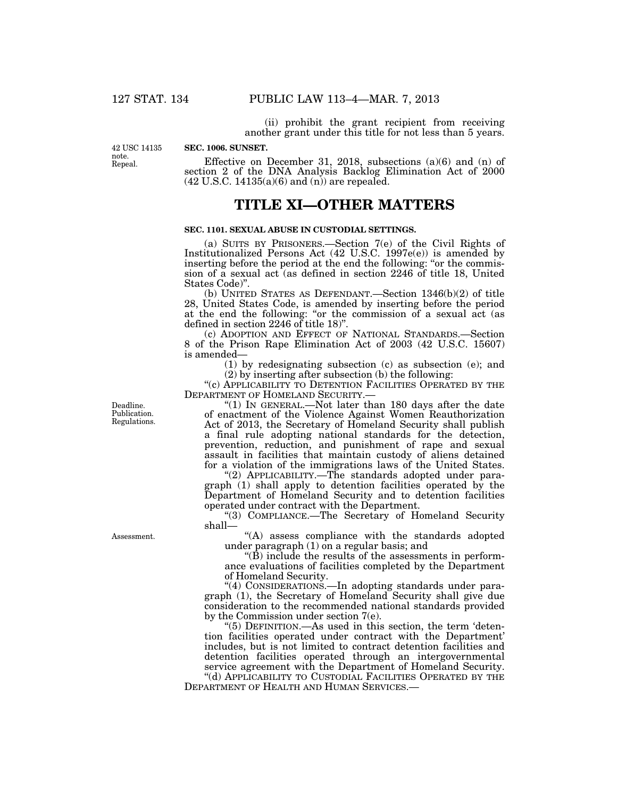(ii) prohibit the grant recipient from receiving another grant under this title for not less than 5 years.

42 USC 14135 note. Repeal.

**SEC. 1006. SUNSET.** 

Effective on December 31, 2018, subsections (a)(6) and (n) of section 2 of the DNA Analysis Backlog Elimination Act of 2000  $(42 \text{ U.S.C. } 14135(a)(6) \text{ and } (n))$  are repealed.

# **TITLE XI—OTHER MATTERS**

## **SEC. 1101. SEXUAL ABUSE IN CUSTODIAL SETTINGS.**

(a) SUITS BY PRISONERS.—Section 7(e) of the Civil Rights of Institutionalized Persons Act (42 U.S.C. 1997e(e)) is amended by inserting before the period at the end the following: "or the commission of a sexual act (as defined in section 2246 of title 18, United States Code)''.

(b) UNITED STATES AS DEFENDANT.—Section 1346(b)(2) of title 28, United States Code, is amended by inserting before the period at the end the following: ''or the commission of a sexual act (as defined in section 2246 of title 18)''.

(c) ADOPTION AND EFFECT OF NATIONAL STANDARDS.—Section 8 of the Prison Rape Elimination Act of 2003 (42 U.S.C. 15607) is amended—

> (1) by redesignating subsection (c) as subsection (e); and (2) by inserting after subsection (b) the following:

''(c) APPLICABILITY TO DETENTION FACILITIES OPERATED BY THE DEPARTMENT OF HOMELAND SECURITY.—

"(1) In GENERAL.—Not later than 180 days after the date of enactment of the Violence Against Women Reauthorization Act of 2013, the Secretary of Homeland Security shall publish a final rule adopting national standards for the detection, prevention, reduction, and punishment of rape and sexual assault in facilities that maintain custody of aliens detained for a violation of the immigrations laws of the United States.

"(2) APPLICABILITY.—The standards adopted under paragraph (1) shall apply to detention facilities operated by the Department of Homeland Security and to detention facilities operated under contract with the Department.

''(3) COMPLIANCE.—The Secretary of Homeland Security shall—

''(A) assess compliance with the standards adopted under paragraph (1) on a regular basis; and

 $\mathrm{``(B)}$  include the results of the assessments in performance evaluations of facilities completed by the Department of Homeland Security.

''(4) CONSIDERATIONS.—In adopting standards under paragraph (1), the Secretary of Homeland Security shall give due consideration to the recommended national standards provided by the Commission under section 7(e).

" $(5)$  DEFINITION.—As used in this section, the term 'detention facilities operated under contract with the Department' includes, but is not limited to contract detention facilities and detention facilities operated through an intergovernmental service agreement with the Department of Homeland Security.

''(d) APPLICABILITY TO CUSTODIAL FACILITIES OPERATED BY THE DEPARTMENT OF HEALTH AND HUMAN SERVICES.—

Deadline. Publication. Regulations.

Assessment.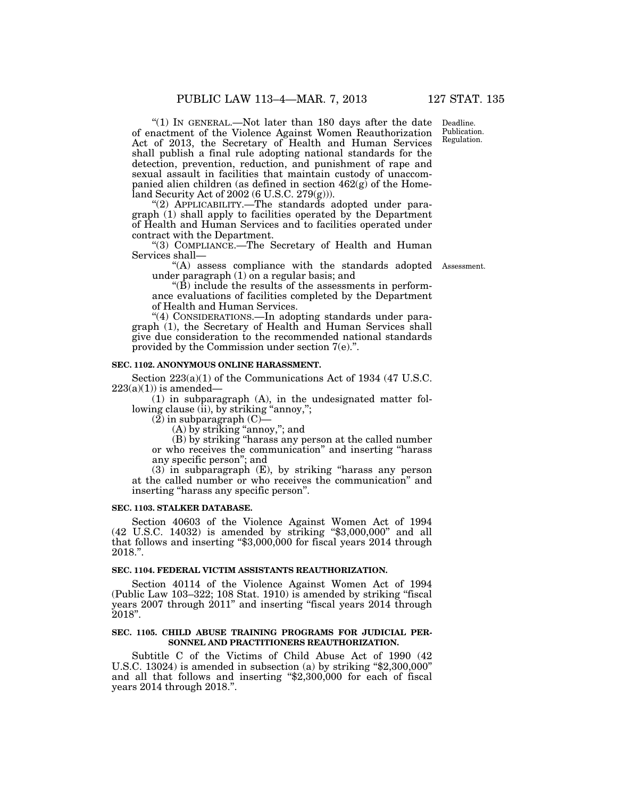" $(1)$  In GENERAL.—Not later than 180 days after the date of enactment of the Violence Against Women Reauthorization Act of 2013, the Secretary of Health and Human Services shall publish a final rule adopting national standards for the detection, prevention, reduction, and punishment of rape and sexual assault in facilities that maintain custody of unaccompanied alien children (as defined in section 462(g) of the Homeland Security Act of 2002 (6 U.S.C. 279(g))).

''(2) APPLICABILITY.—The standards adopted under paragraph (1) shall apply to facilities operated by the Department of Health and Human Services and to facilities operated under contract with the Department.

''(3) COMPLIANCE.—The Secretary of Health and Human Services shall—

"(A) assess compliance with the standards adopted Assessment. under paragraph  $(1)$  on a regular basis; and

 $\mathrm{``(B)}$  include the results of the assessments in performance evaluations of facilities completed by the Department of Health and Human Services.

''(4) CONSIDERATIONS.—In adopting standards under paragraph (1), the Secretary of Health and Human Services shall give due consideration to the recommended national standards provided by the Commission under section 7(e).''.

# **SEC. 1102. ANONYMOUS ONLINE HARASSMENT.**

Section  $223(a)(1)$  of the Communications Act of 1934 (47 U.S.C.  $223(a)(1)$ ) is amended—

(1) in subparagraph (A), in the undesignated matter following clause (ii), by striking "annoy,";

 $(2)$  in subparagraph  $(C)$ –

(A) by striking ''annoy,''; and

(B) by striking ''harass any person at the called number or who receives the communication'' and inserting ''harass any specific person''; and

(3) in subparagraph (E), by striking ''harass any person at the called number or who receives the communication'' and inserting ''harass any specific person''.

#### **SEC. 1103. STALKER DATABASE.**

Section 40603 of the Violence Against Women Act of 1994 (42 U.S.C. 14032) is amended by striking ''\$3,000,000'' and all that follows and inserting "\$3,000,000 for fiscal years 2014 through 2018.''.

#### **SEC. 1104. FEDERAL VICTIM ASSISTANTS REAUTHORIZATION.**

Section 40114 of the Violence Against Women Act of 1994 (Public Law 103–322; 108 Stat. 1910) is amended by striking ''fiscal years 2007 through 2011" and inserting "fiscal years 2014 through 2018''.

#### **SEC. 1105. CHILD ABUSE TRAINING PROGRAMS FOR JUDICIAL PER-SONNEL AND PRACTITIONERS REAUTHORIZATION.**

Subtitle C of the Victims of Child Abuse Act of 1990 (42 U.S.C. 13024) is amended in subsection (a) by striking  $\$2,300,000"$ and all that follows and inserting "\$2,300,000 for each of fiscal years 2014 through 2018.''.

Deadline. Publication. Regulation.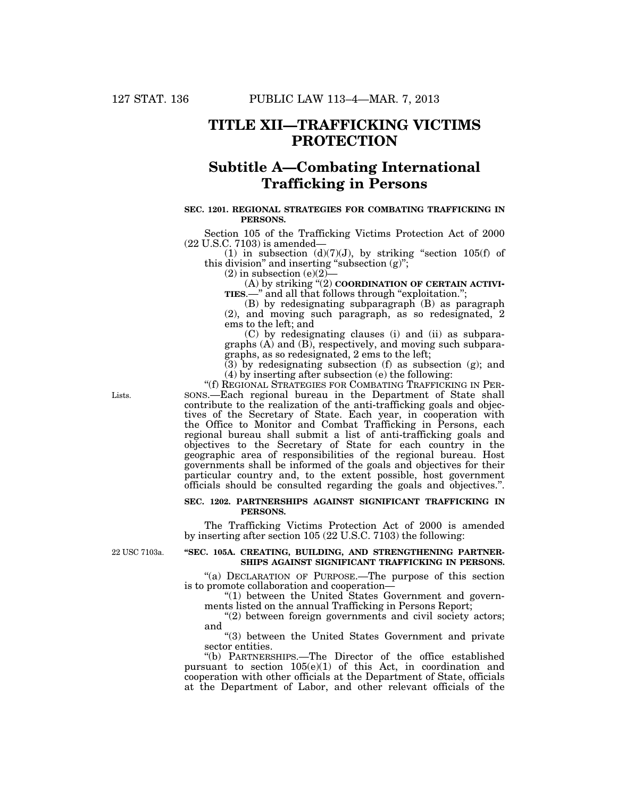# **TITLE XII—TRAFFICKING VICTIMS PROTECTION**

# **Subtitle A—Combating International Trafficking in Persons**

## **SEC. 1201. REGIONAL STRATEGIES FOR COMBATING TRAFFICKING IN PERSONS.**

Section 105 of the Trafficking Victims Protection Act of 2000 (22 U.S.C. 7103) is amended—

(1) in subsection  $(d)(7)(J)$ , by striking "section 105(f) of this division" and inserting "subsection  $(g)$ ";

 $(2)$  in subsection  $(e)(2)$ 

(A) by striking ''(2) **COORDINATION OF CERTAIN ACTIVI-TIES.**—" and all that follows through "exploitation.";

(B) by redesignating subparagraph (B) as paragraph (2), and moving such paragraph, as so redesignated, 2 ems to the left; and

(C) by redesignating clauses (i) and (ii) as subparagraphs (A) and (B), respectively, and moving such subparagraphs, as so redesignated, 2 ems to the left;

 $(3)$  by redesignating subsection (f) as subsection (g); and (4) by inserting after subsection (e) the following:

''(f) REGIONAL STRATEGIES FOR COMBATING TRAFFICKING IN PER-SONS.—Each regional bureau in the Department of State shall contribute to the realization of the anti-trafficking goals and objectives of the Secretary of State. Each year, in cooperation with the Office to Monitor and Combat Trafficking in Persons, each regional bureau shall submit a list of anti-trafficking goals and objectives to the Secretary of State for each country in the geographic area of responsibilities of the regional bureau. Host governments shall be informed of the goals and objectives for their particular country and, to the extent possible, host government officials should be consulted regarding the goals and objectives.''.

### **SEC. 1202. PARTNERSHIPS AGAINST SIGNIFICANT TRAFFICKING IN PERSONS.**

The Trafficking Victims Protection Act of 2000 is amended by inserting after section 105 (22 U.S.C. 7103) the following:

22 USC 7103a.

# **''SEC. 105A. CREATING, BUILDING, AND STRENGTHENING PARTNER-SHIPS AGAINST SIGNIFICANT TRAFFICKING IN PERSONS.**

"(a) DECLARATION OF PURPOSE.—The purpose of this section is to promote collaboration and cooperation—

"(1) between the United States Government and governments listed on the annual Trafficking in Persons Report;

 $(2)$  between foreign governments and civil society actors; and

"(3) between the United States Government and private sector entities.

''(b) PARTNERSHIPS.—The Director of the office established pursuant to section 105(e)(1) of this Act, in coordination and cooperation with other officials at the Department of State, officials at the Department of Labor, and other relevant officials of the

Lists.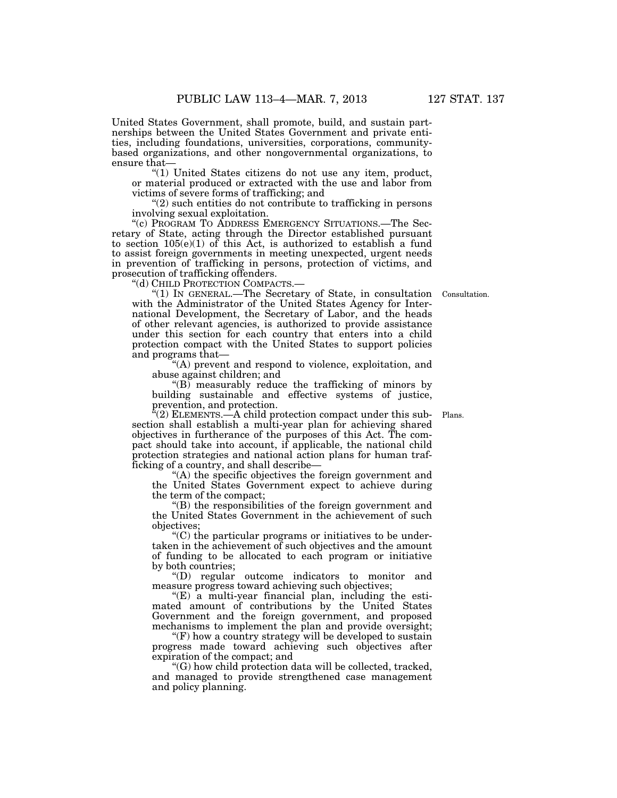United States Government, shall promote, build, and sustain partnerships between the United States Government and private entities, including foundations, universities, corporations, communitybased organizations, and other nongovernmental organizations, to ensure that—

''(1) United States citizens do not use any item, product, or material produced or extracted with the use and labor from victims of severe forms of trafficking; and

 $''(2)$  such entities do not contribute to trafficking in persons involving sexual exploitation.

"(c) PROGRAM TO ADDRESS EMERGENCY SITUATIONS.—The Secretary of State, acting through the Director established pursuant to section  $105(e)(1)$  of this Act, is authorized to establish a fund to assist foreign governments in meeting unexpected, urgent needs in prevention of trafficking in persons, protection of victims, and prosecution of trafficking offenders.

''(d) CHILD PROTECTION COMPACTS.—

''(1) IN GENERAL.—The Secretary of State, in consultation Consultation. with the Administrator of the United States Agency for International Development, the Secretary of Labor, and the heads of other relevant agencies, is authorized to provide assistance under this section for each country that enters into a child protection compact with the United States to support policies and programs that—

''(A) prevent and respond to violence, exploitation, and abuse against children; and

 $\sqrt{\text{B}}$  measurably reduce the trafficking of minors by building sustainable and effective systems of justice, prevention, and protection.

 $\sqrt{a}(2)$  ELEMENTS.—A child protection compact under this subsection shall establish a multi-year plan for achieving shared objectives in furtherance of the purposes of this Act. The compact should take into account, if applicable, the national child protection strategies and national action plans for human trafficking of a country, and shall describe—

''(A) the specific objectives the foreign government and the United States Government expect to achieve during the term of the compact;

''(B) the responsibilities of the foreign government and the United States Government in the achievement of such objectives;

''(C) the particular programs or initiatives to be undertaken in the achievement of such objectives and the amount of funding to be allocated to each program or initiative by both countries;

''(D) regular outcome indicators to monitor and measure progress toward achieving such objectives;

''(E) a multi-year financial plan, including the estimated amount of contributions by the United States Government and the foreign government, and proposed mechanisms to implement the plan and provide oversight;

"(F) how a country strategy will be developed to sustain progress made toward achieving such objectives after expiration of the compact; and

''(G) how child protection data will be collected, tracked, and managed to provide strengthened case management and policy planning.

Plans.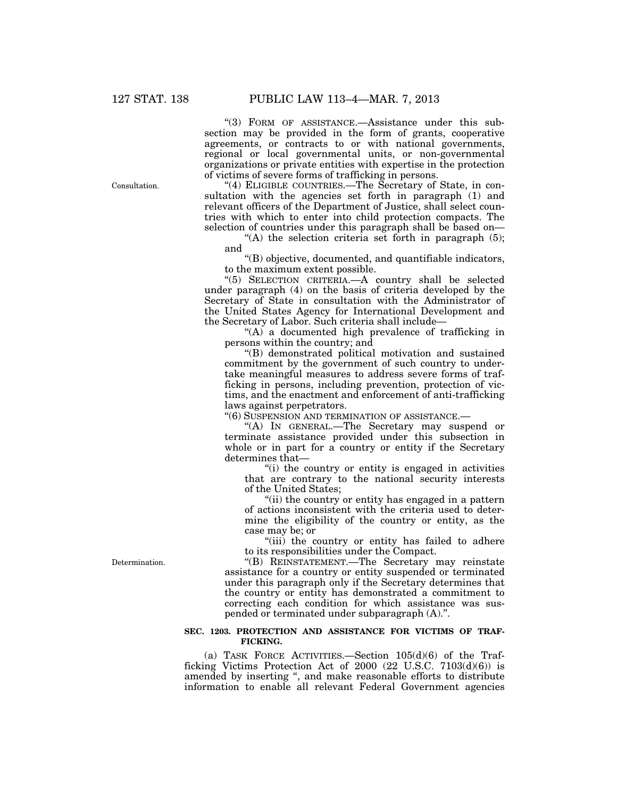''(3) FORM OF ASSISTANCE.—Assistance under this subsection may be provided in the form of grants, cooperative agreements, or contracts to or with national governments, regional or local governmental units, or non-governmental organizations or private entities with expertise in the protection of victims of severe forms of trafficking in persons.

''(4) ELIGIBLE COUNTRIES.—The Secretary of State, in consultation with the agencies set forth in paragraph (1) and relevant officers of the Department of Justice, shall select countries with which to enter into child protection compacts. The selection of countries under this paragraph shall be based on—

"(A) the selection criteria set forth in paragraph  $(5)$ ; and

''(B) objective, documented, and quantifiable indicators, to the maximum extent possible.

''(5) SELECTION CRITERIA.—A country shall be selected under paragraph (4) on the basis of criteria developed by the Secretary of State in consultation with the Administrator of the United States Agency for International Development and the Secretary of Labor. Such criteria shall include—

''(A) a documented high prevalence of trafficking in persons within the country; and

''(B) demonstrated political motivation and sustained commitment by the government of such country to undertake meaningful measures to address severe forms of trafficking in persons, including prevention, protection of victims, and the enactment and enforcement of anti-trafficking laws against perpetrators.

''(6) SUSPENSION AND TERMINATION OF ASSISTANCE.—

''(A) IN GENERAL.—The Secretary may suspend or terminate assistance provided under this subsection in whole or in part for a country or entity if the Secretary determines that—

''(i) the country or entity is engaged in activities that are contrary to the national security interests of the United States;

''(ii) the country or entity has engaged in a pattern of actions inconsistent with the criteria used to determine the eligibility of the country or entity, as the case may be; or

"(iii) the country or entity has failed to adhere to its responsibilities under the Compact.

''(B) REINSTATEMENT.—The Secretary may reinstate assistance for a country or entity suspended or terminated under this paragraph only if the Secretary determines that the country or entity has demonstrated a commitment to correcting each condition for which assistance was suspended or terminated under subparagraph (A).''.

# **SEC. 1203. PROTECTION AND ASSISTANCE FOR VICTIMS OF TRAF-FICKING.**

(a) TASK FORCE ACTIVITIES.—Section 105(d)(6) of the Trafficking Victims Protection Act of 2000 (22 U.S.C. 7103(d)(6)) is amended by inserting '', and make reasonable efforts to distribute information to enable all relevant Federal Government agencies

Consultation.

Determination.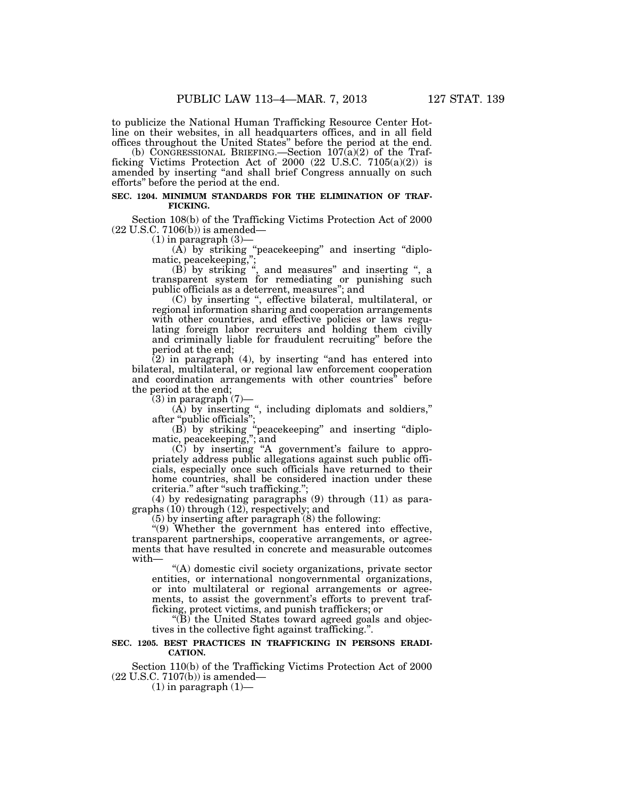to publicize the National Human Trafficking Resource Center Hotline on their websites, in all headquarters offices, and in all field offices throughout the United States'' before the period at the end.

(b) CONGRESSIONAL BRIEFING.—Section 107(a)(2) of the Trafficking Victims Protection Act of 2000 (22 U.S.C. 7105(a)(2)) is amended by inserting ''and shall brief Congress annually on such efforts'' before the period at the end.

# **SEC. 1204. MINIMUM STANDARDS FOR THE ELIMINATION OF TRAF-FICKING.**

Section 108(b) of the Trafficking Victims Protection Act of 2000 (22 U.S.C. 7106(b)) is amended—

(1) in paragraph (3)—

 $(A)$  by striking "peacekeeping" and inserting "diplomatic, peacekeeping,'';

 $(B)$  by striking ", and measures" and inserting ", a transparent system for remediating or punishing such public officials as a deterrent, measures''; and

(C) by inserting '', effective bilateral, multilateral, or regional information sharing and cooperation arrangements with other countries, and effective policies or laws regulating foreign labor recruiters and holding them civilly and criminally liable for fraudulent recruiting'' before the period at the end;

 $(2)$  in paragraph  $(4)$ , by inserting "and has entered into bilateral, multilateral, or regional law enforcement cooperation and coordination arrangements with other countries'' before the period at the end;

 $(3)$  in paragraph  $(7)$ —

 $(A)$  by inserting ", including diplomats and soldiers," after ''public officials'';

(B) by striking ''peacekeeping'' and inserting ''diplomatic, peacekeeping,''; and

 $(C)$  by inserting "A government's failure to appropriately address public allegations against such public officials, especially once such officials have returned to their home countries, shall be considered inaction under these criteria.'' after ''such trafficking.'';

(4) by redesignating paragraphs (9) through (11) as paragraphs (10) through (12), respectively; and

(5) by inserting after paragraph (8) the following:

"(9) Whether the government has entered into effective, transparent partnerships, cooperative arrangements, or agreements that have resulted in concrete and measurable outcomes with—

''(A) domestic civil society organizations, private sector entities, or international nongovernmental organizations, or into multilateral or regional arrangements or agreements, to assist the government's efforts to prevent trafficking, protect victims, and punish traffickers; or

 $(E)$  the United States toward agreed goals and objectives in the collective fight against trafficking.''.

#### **SEC. 1205. BEST PRACTICES IN TRAFFICKING IN PERSONS ERADI-CATION.**

Section 110(b) of the Trafficking Victims Protection Act of 2000 (22 U.S.C. 7107(b)) is amended—

 $(1)$  in paragraph  $(1)$ —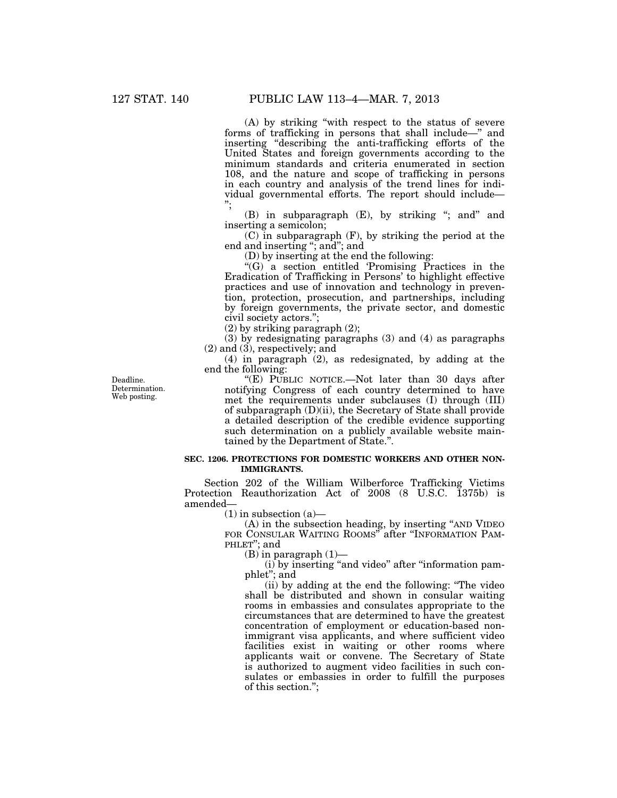(A) by striking ''with respect to the status of severe forms of trafficking in persons that shall include—'' and inserting ''describing the anti-trafficking efforts of the United States and foreign governments according to the minimum standards and criteria enumerated in section 108, and the nature and scope of trafficking in persons in each country and analysis of the trend lines for individual governmental efforts. The report should include— '';

(B) in subparagraph (E), by striking "; and" and inserting a semicolon;

(C) in subparagraph (F), by striking the period at the end and inserting "; and"; and

(D) by inserting at the end the following:

''(G) a section entitled 'Promising Practices in the Eradication of Trafficking in Persons' to highlight effective practices and use of innovation and technology in prevention, protection, prosecution, and partnerships, including by foreign governments, the private sector, and domestic civil society actors.'';

(2) by striking paragraph (2);

(3) by redesignating paragraphs (3) and (4) as paragraphs (2) and (3), respectively; and

(4) in paragraph (2), as redesignated, by adding at the end the following:

''(E) PUBLIC NOTICE.—Not later than 30 days after notifying Congress of each country determined to have met the requirements under subclauses (I) through (III) of subparagraph (D)(ii), the Secretary of State shall provide a detailed description of the credible evidence supporting such determination on a publicly available website maintained by the Department of State.''.

# **SEC. 1206. PROTECTIONS FOR DOMESTIC WORKERS AND OTHER NON-IMMIGRANTS.**

Section 202 of the William Wilberforce Trafficking Victims Protection Reauthorization Act of 2008 (8 U.S.C. 1375b) is amended—

 $(1)$  in subsection  $(a)$ —

(A) in the subsection heading, by inserting ''AND VIDEO FOR CONSULAR WAITING ROOMS" after "INFORMATION PAM-PHLET"; and

 $(B)$  in paragraph  $(1)$ —

(i) by inserting ''and video'' after ''information pamphlet''; and

(ii) by adding at the end the following: ''The video shall be distributed and shown in consular waiting rooms in embassies and consulates appropriate to the circumstances that are determined to have the greatest concentration of employment or education-based nonimmigrant visa applicants, and where sufficient video facilities exist in waiting or other rooms where applicants wait or convene. The Secretary of State is authorized to augment video facilities in such consulates or embassies in order to fulfill the purposes of this section.'';

Deadline. Determination. Web posting.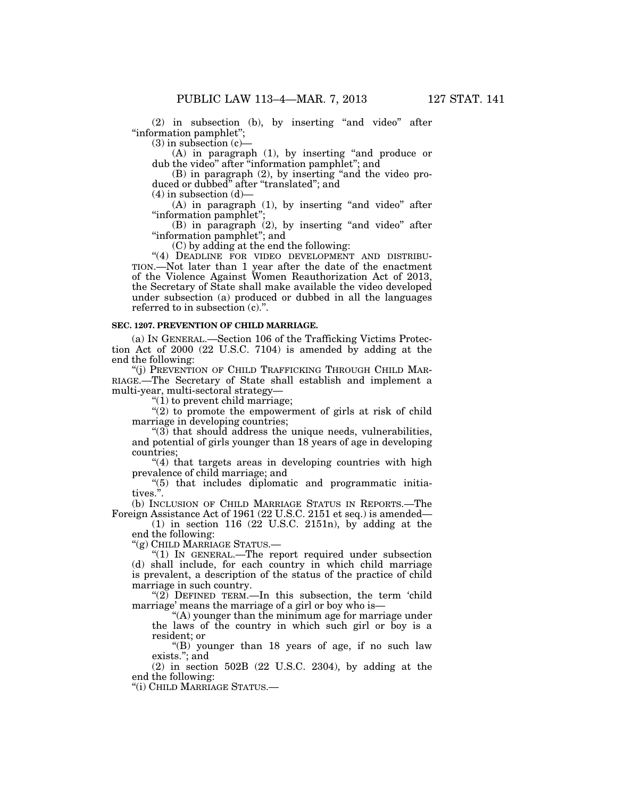(2) in subsection (b), by inserting ''and video'' after ''information pamphlet'';

 $(3)$  in subsection  $(c)$ —

(A) in paragraph (1), by inserting ''and produce or dub the video" after "information pamphlet"; and

(B) in paragraph (2), by inserting ''and the video produced or dubbed'' after ''translated''; and

 $(4)$  in subsection  $(d)$ —

(A) in paragraph (1), by inserting "and video" after ''information pamphlet'';

(B) in paragraph (2), by inserting ''and video'' after ''information pamphlet''; and

(C) by adding at the end the following:

"(4) DEADLINE FOR VIDEO DEVELOPMENT AND DISTRIBU-TION.—Not later than 1 year after the date of the enactment of the Violence Against Women Reauthorization Act of 2013, the Secretary of State shall make available the video developed under subsection (a) produced or dubbed in all the languages referred to in subsection (c).''.

#### **SEC. 1207. PREVENTION OF CHILD MARRIAGE.**

(a) IN GENERAL.—Section 106 of the Trafficking Victims Protection Act of 2000 (22 U.S.C. 7104) is amended by adding at the end the following:

''(j) PREVENTION OF CHILD TRAFFICKING THROUGH CHILD MAR-RIAGE.—The Secretary of State shall establish and implement a multi-year, multi-sectoral strategy—

 $''(1)$  to prevent child marriage;

" $(2)$  to promote the empowerment of girls at risk of child marriage in developing countries;

 $(3)$  that should address the unique needs, vulnerabilities, and potential of girls younger than 18 years of age in developing countries;

"(4) that targets areas in developing countries with high prevalence of child marriage; and

''(5) that includes diplomatic and programmatic initiatives.''.

(b) INCLUSION OF CHILD MARRIAGE STATUS IN REPORTS.—The Foreign Assistance Act of 1961 (22 U.S.C. 2151 et seq.) is amended—

(1) in section 116 (22 U.S.C. 2151n), by adding at the end the following:

''(g) CHILD MARRIAGE STATUS.—

" $(1)$  IN GENERAL.—The report required under subsection (d) shall include, for each country in which child marriage is prevalent, a description of the status of the practice of child marriage in such country.

" $(2)$  DEFINED TERM.—In this subsection, the term 'child marriage' means the marriage of a girl or boy who is—

''(A) younger than the minimum age for marriage under the laws of the country in which such girl or boy is a resident; or

" $(B)$  younger than 18 years of age, if no such law exists.''; and

(2) in section 502B (22 U.S.C. 2304), by adding at the end the following:

''(i) CHILD MARRIAGE STATUS.—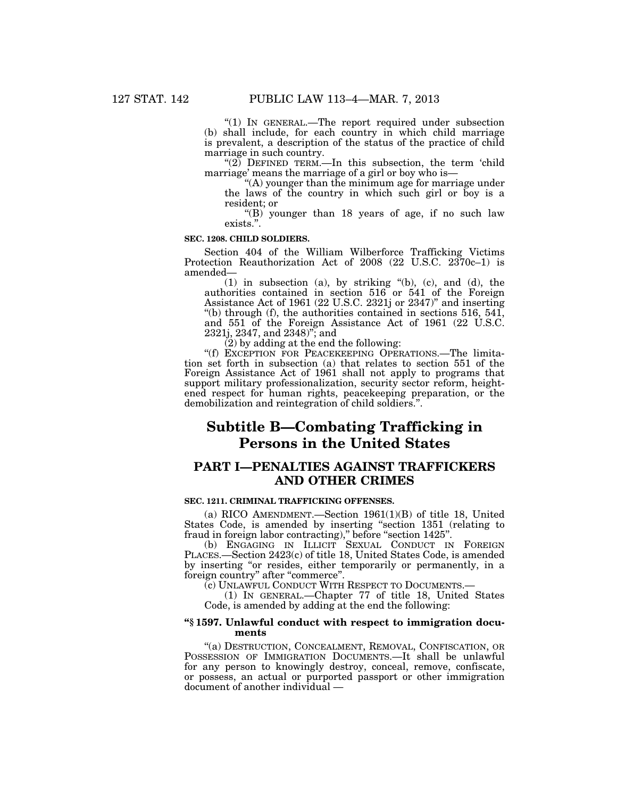"(1) In GENERAL.—The report required under subsection (b) shall include, for each country in which child marriage is prevalent, a description of the status of the practice of child marriage in such country.

" $(2)$  DEFINED TERM.—In this subsection, the term 'child marriage' means the marriage of a girl or boy who is—

''(A) younger than the minimum age for marriage under the laws of the country in which such girl or boy is a resident; or

''(B) younger than 18 years of age, if no such law exists.''.

#### **SEC. 1208. CHILD SOLDIERS.**

Section 404 of the William Wilberforce Trafficking Victims Protection Reauthorization Act of 2008 (22 U.S.C. 2370c–1) is amended—

(1) in subsection (a), by striking ''(b), (c), and (d), the authorities contained in section 516 or 541 of the Foreign Assistance Act of 1961 (22 U.S.C. 2321j or 2347)'' and inserting ''(b) through (f), the authorities contained in sections 516, 541, and 551 of the Foreign Assistance Act of 1961 (22 U.S.C. 2321j, 2347, and 2348)''; and

 $(2)$  by adding at the end the following:

''(f) EXCEPTION FOR PEACEKEEPING OPERATIONS.—The limitation set forth in subsection (a) that relates to section 551 of the Foreign Assistance Act of 1961 shall not apply to programs that support military professionalization, security sector reform, heightened respect for human rights, peacekeeping preparation, or the demobilization and reintegration of child soldiers.''.

# **Subtitle B—Combating Trafficking in Persons in the United States**

# **PART I—PENALTIES AGAINST TRAFFICKERS AND OTHER CRIMES**

#### **SEC. 1211. CRIMINAL TRAFFICKING OFFENSES.**

(a) RICO AMENDMENT.—Section 1961(1)(B) of title 18, United States Code, is amended by inserting "section 1351 (relating to fraud in foreign labor contracting)," before "section 1425".

(b) ENGAGING IN ILLICIT SEXUAL CONDUCT IN FOREIGN PLACES.—Section 2423(c) of title 18, United States Code, is amended by inserting "or resides, either temporarily or permanently, in a foreign country" after "commerce".

(c) UNLAWFUL CONDUCT WITH RESPECT TO DOCUMENTS.— (1) IN GENERAL.—Chapter 77 of title 18, United States Code, is amended by adding at the end the following:

#### **''§ 1597. Unlawful conduct with respect to immigration documents**

''(a) DESTRUCTION, CONCEALMENT, REMOVAL, CONFISCATION, OR POSSESSION OF IMMIGRATION DOCUMENTS.—It shall be unlawful for any person to knowingly destroy, conceal, remove, confiscate, or possess, an actual or purported passport or other immigration document of another individual —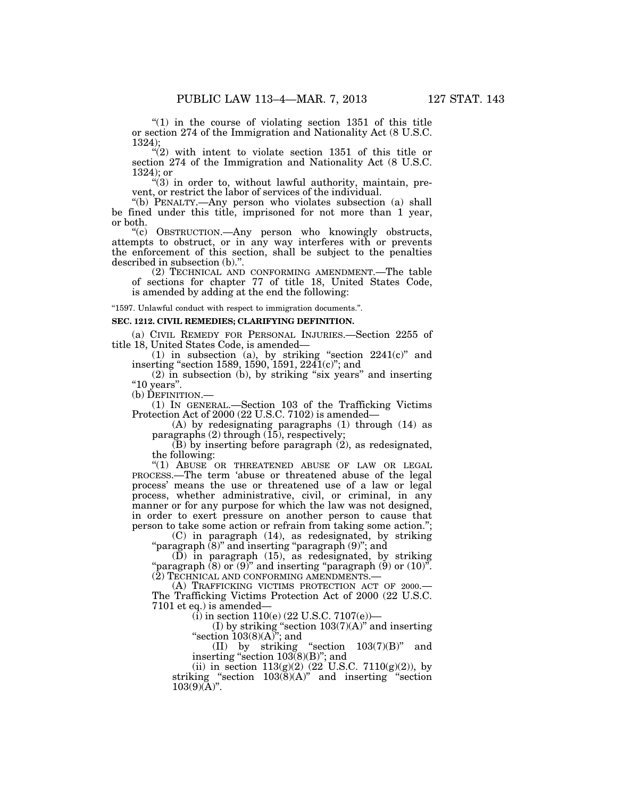" $(1)$  in the course of violating section 1351 of this title or section 274 of the Immigration and Nationality Act (8 U.S.C. 1324);

" $(2)$  with intent to violate section 1351 of this title or section 274 of the Immigration and Nationality Act (8 U.S.C. 1324); or

 $''(3)$  in order to, without lawful authority, maintain, prevent, or restrict the labor of services of the individual.

''(b) PENALTY.—Any person who violates subsection (a) shall be fined under this title, imprisoned for not more than 1 year, or both.

''(c) OBSTRUCTION.—Any person who knowingly obstructs, attempts to obstruct, or in any way interferes with or prevents the enforcement of this section, shall be subject to the penalties described in subsection (b).''.

(2) TECHNICAL AND CONFORMING AMENDMENT.—The table of sections for chapter 77 of title 18, United States Code, is amended by adding at the end the following:

''1597. Unlawful conduct with respect to immigration documents.''.

#### **SEC. 1212. CIVIL REMEDIES; CLARIFYING DEFINITION.**

(a) CIVIL REMEDY FOR PERSONAL INJURIES.—Section 2255 of title 18, United States Code, is amended—

(1) in subsection (a), by striking "section  $2241(c)$ " and inserting ''section 1589, 1590, 1591, 2241(c)''; and

 $(2)$  in subsection (b), by striking "six years" and inserting "10 years".

(b) DEFINITION.—

(1) IN GENERAL.—Section 103 of the Trafficking Victims Protection Act of 2000 (22 U.S.C. 7102) is amended—

(A) by redesignating paragraphs (1) through (14) as paragraphs (2) through (15), respectively;

 $(B)$  by inserting before paragraph  $(2)$ , as redesignated, the following:

''(1) ABUSE OR THREATENED ABUSE OF LAW OR LEGAL PROCESS.—The term 'abuse or threatened abuse of the legal process' means the use or threatened use of a law or legal process, whether administrative, civil, or criminal, in any manner or for any purpose for which the law was not designed, in order to exert pressure on another person to cause that person to take some action or refrain from taking some action.'';

(C) in paragraph (14), as redesignated, by striking ''paragraph (8)'' and inserting ''paragraph (9)''; and

(D) in paragraph (15), as redesignated, by striking "paragraph  $(8)$  or  $(9)$ " and inserting "paragraph  $(9)$  or  $(10)$ ". (2) TECHNICAL AND CONFORMING AMENDMENTS.—

(A) TRAFFICKING VICTIMS PROTECTION ACT OF 2000.— The Trafficking Victims Protection Act of 2000 (22 U.S.C. 7101 et eq.) is amended—

 $(i)$  in section 110(e) (22 U.S.C. 7107(e))—

(I) by striking "section  $103(7)(A)$ " and inserting "section  $103(8)(A)$ "; and

(II) by striking ''section 103(7)(B)'' and inserting "section  $103(8)(B)$ "; and

(ii) in section  $113(g)(2)$  (22 U.S.C.  $7110(g)(2)$ ), by striking "section  $103(8)(A)$ " and inserting "section  $103(9)(\mathrm{\AA})^n$ .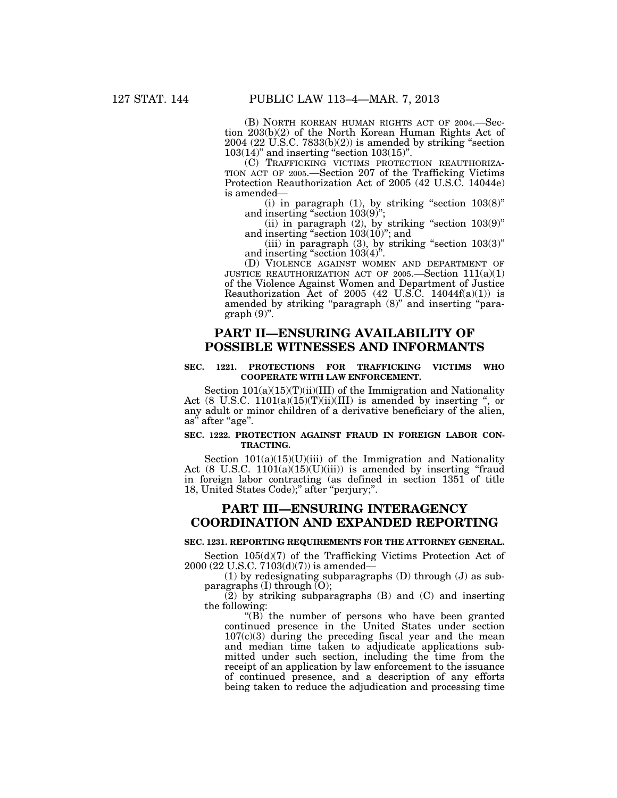(B) NORTH KOREAN HUMAN RIGHTS ACT OF 2004.—Section 203(b)(2) of the North Korean Human Rights Act of  $2004$  (22 U.S.C. 7833(b)(2)) is amended by striking "section  $103(14)$ " and inserting "section  $103(15)$ ".

(C) TRAFFICKING VICTIMS PROTECTION REAUTHORIZA- TION ACT OF 2005.—Section 207 of the Trafficking Victims Protection Reauthorization Act of 2005 (42 U.S.C. 14044e) is amended—

(i) in paragraph  $(1)$ , by striking "section  $103(8)$ " and inserting "section 103(9)";

(ii) in paragraph  $(2)$ , by striking "section  $103(9)$ " and inserting "section 103(10)"; and

(iii) in paragraph  $(3)$ , by striking "section  $103(3)$ " and inserting "section  $103(4)$ ".

(D) VIOLENCE AGAINST WOMEN AND DEPARTMENT OF JUSTICE REAUTHORIZATION ACT OF 2005.—Section  $111(a)(1)$ of the Violence Against Women and Department of Justice Reauthorization Act of 2005 (42 U.S.C. 14044 $f(a)(1)$ ) is amended by striking "paragraph (8)" and inserting "para $graph (9)$ ".

# **PART II—ENSURING AVAILABILITY OF POSSIBLE WITNESSES AND INFORMANTS**

# **SEC. 1221. PROTECTIONS FOR TRAFFICKING VICTIMS WHO COOPERATE WITH LAW ENFORCEMENT.**

Section  $101(a)(15)(T)(ii)(III)$  of the Immigration and Nationality Act (8 U.S.C. 1101(a)(15)(T)(ii)(III) is amended by inserting ", or any adult or minor children of a derivative beneficiary of the alien, as<sup>"</sup> after "age".

### **SEC. 1222. PROTECTION AGAINST FRAUD IN FOREIGN LABOR CON-TRACTING.**

Section  $101(a)(15)(U)(iii)$  of the Immigration and Nationality Act  $(8 \text{ U.S.C. } 1101(a)(15)(U)(iii))$  is amended by inserting "fraud in foreign labor contracting (as defined in section 1351 of title 18, United States Code);'' after ''perjury;''.

# **PART III—ENSURING INTERAGENCY COORDINATION AND EXPANDED REPORTING**

#### **SEC. 1231. REPORTING REQUIREMENTS FOR THE ATTORNEY GENERAL.**

Section 105(d)(7) of the Trafficking Victims Protection Act of 2000 (22 U.S.C. 7103(d)(7)) is amended—

(1) by redesignating subparagraphs (D) through (J) as subparagraphs  $(I)$  through  $(O)$ ;

 $(2)$  by striking subparagraphs  $(B)$  and  $(C)$  and inserting the following:

" $(B)$  the number of persons who have been granted continued presence in the United States under section  $107(c)(3)$  during the preceding fiscal year and the mean and median time taken to adjudicate applications submitted under such section, including the time from the receipt of an application by law enforcement to the issuance of continued presence, and a description of any efforts being taken to reduce the adjudication and processing time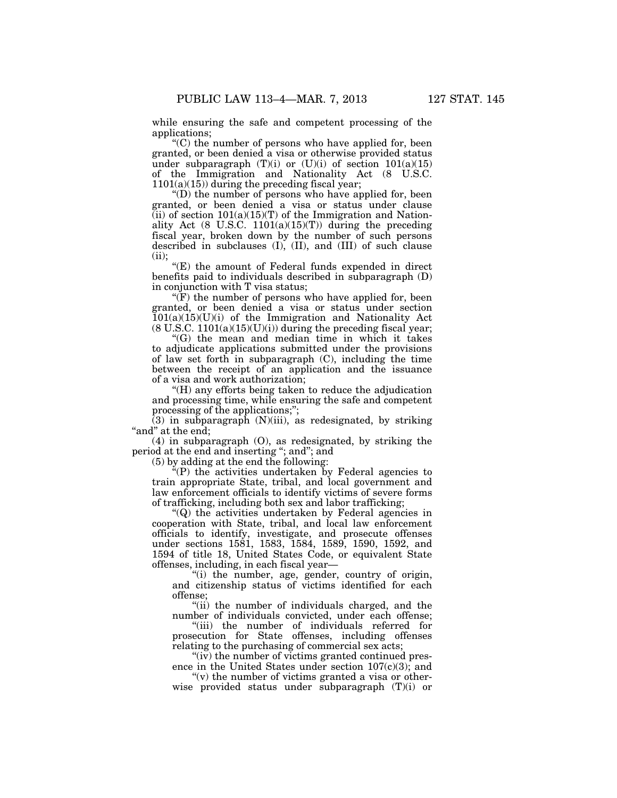while ensuring the safe and competent processing of the applications;

''(C) the number of persons who have applied for, been granted, or been denied a visa or otherwise provided status under subparagraph  $(T)(i)$  or  $(U)(i)$  of section  $101(a)(15)$ of the Immigration and Nationality Act (8 U.S.C.  $1101(a)(15)$ ) during the preceding fiscal year;

''(D) the number of persons who have applied for, been granted, or been denied a visa or status under clause  $(iii)$  of section  $101(a)(15)(T)$  of the Immigration and Nationality Act  $(8 \text{ U.S.C. } 1101(a)(15)(T))$  during the preceding fiscal year, broken down by the number of such persons described in subclauses (I), (II), and (III) of such clause  $(ii):$ 

"(E) the amount of Federal funds expended in direct benefits paid to individuals described in subparagraph (D) in conjunction with T visa status;

 $f(F)$  the number of persons who have applied for, been granted, or been denied a visa or status under section  $101(a)(15)(U)(i)$  of the Immigration and Nationality Act  $(8 \text{ U.S.C. } 1101(a)(15)(U)(i))$  during the preceding fiscal year;

''(G) the mean and median time in which it takes to adjudicate applications submitted under the provisions of law set forth in subparagraph  $(C)$ , including the time between the receipt of an application and the issuance of a visa and work authorization;

''(H) any efforts being taken to reduce the adjudication and processing time, while ensuring the safe and competent processing of the applications;";

 $(3)$  in subparagraph  $(N)(iii)$ , as redesignated, by striking "and" at the end;

(4) in subparagraph (O), as redesignated, by striking the period at the end and inserting ''; and''; and

(5) by adding at the end the following:

 $E^{\mu}(P)$  the activities undertaken by Federal agencies to train appropriate State, tribal, and local government and law enforcement officials to identify victims of severe forms of trafficking, including both sex and labor trafficking;

''(Q) the activities undertaken by Federal agencies in cooperation with State, tribal, and local law enforcement officials to identify, investigate, and prosecute offenses under sections 1581, 1583, 1584, 1589, 1590, 1592, and 1594 of title 18, United States Code, or equivalent State offenses, including, in each fiscal year—

''(i) the number, age, gender, country of origin, and citizenship status of victims identified for each offense;

"(ii) the number of individuals charged, and the number of individuals convicted, under each offense;

''(iii) the number of individuals referred for prosecution for State offenses, including offenses relating to the purchasing of commercial sex acts;

''(iv) the number of victims granted continued presence in the United States under section  $107(c)(3)$ ; and

" $(v)$  the number of victims granted a visa or otherwise provided status under subparagraph (T)(i) or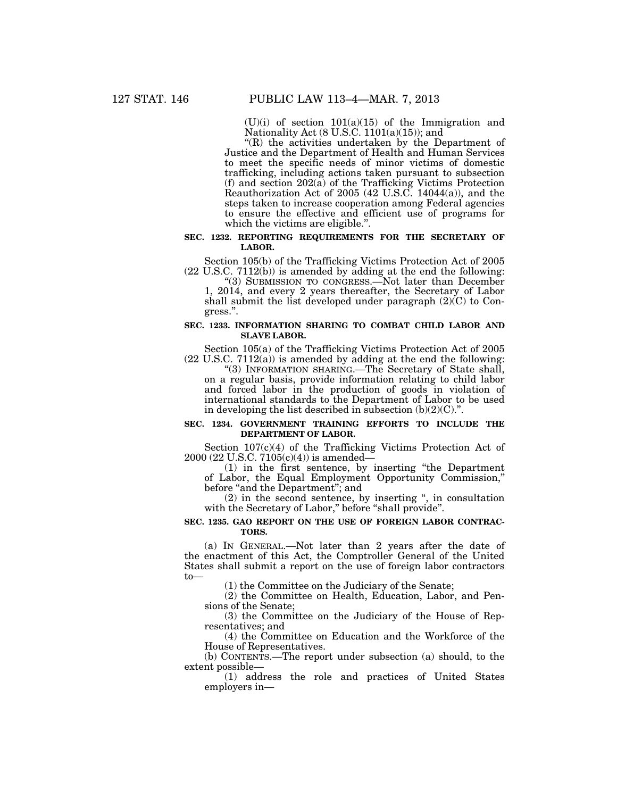$(U)(i)$  of section  $101(a)(15)$  of the Immigration and Nationality Act  $(8 \text{ U.S.C. } 1101(a)(15))$ ; and

''(R) the activities undertaken by the Department of Justice and the Department of Health and Human Services to meet the specific needs of minor victims of domestic trafficking, including actions taken pursuant to subsection (f) and section 202(a) of the Trafficking Victims Protection Reauthorization Act of 2005 (42 U.S.C. 14044(a)), and the steps taken to increase cooperation among Federal agencies to ensure the effective and efficient use of programs for which the victims are eligible.''.

## **SEC. 1232. REPORTING REQUIREMENTS FOR THE SECRETARY OF LABOR.**

Section 105(b) of the Trafficking Victims Protection Act of 2005 (22 U.S.C. 7112(b)) is amended by adding at the end the following:

"(3) SUBMISSION TO CONGRESS.—Not later than December 1, 2014, and every 2 years thereafter, the Secretary of Labor shall submit the list developed under paragraph  $(2)(C)$  to Congress.''.

## **SEC. 1233. INFORMATION SHARING TO COMBAT CHILD LABOR AND SLAVE LABOR.**

Section 105(a) of the Trafficking Victims Protection Act of 2005 (22 U.S.C. 7112(a)) is amended by adding at the end the following:

''(3) INFORMATION SHARING.—The Secretary of State shall, on a regular basis, provide information relating to child labor and forced labor in the production of goods in violation of international standards to the Department of Labor to be used in developing the list described in subsection  $(b)(2)(C)$ .".

# **SEC. 1234. GOVERNMENT TRAINING EFFORTS TO INCLUDE THE DEPARTMENT OF LABOR.**

Section 107(c)(4) of the Trafficking Victims Protection Act of 2000 (22 U.S.C. 7105(c)(4)) is amended—

(1) in the first sentence, by inserting ''the Department of Labor, the Equal Employment Opportunity Commission,'' before "and the Department"; and

(2) in the second sentence, by inserting '', in consultation with the Secretary of Labor," before "shall provide".

#### **SEC. 1235. GAO REPORT ON THE USE OF FOREIGN LABOR CONTRAC-TORS.**

(a) IN GENERAL.—Not later than 2 years after the date of the enactment of this Act, the Comptroller General of the United States shall submit a report on the use of foreign labor contractors to—

(1) the Committee on the Judiciary of the Senate;

(2) the Committee on Health, Education, Labor, and Pensions of the Senate;

(3) the Committee on the Judiciary of the House of Representatives; and

(4) the Committee on Education and the Workforce of the House of Representatives.

(b) CONTENTS.—The report under subsection (a) should, to the extent possible—

(1) address the role and practices of United States employers in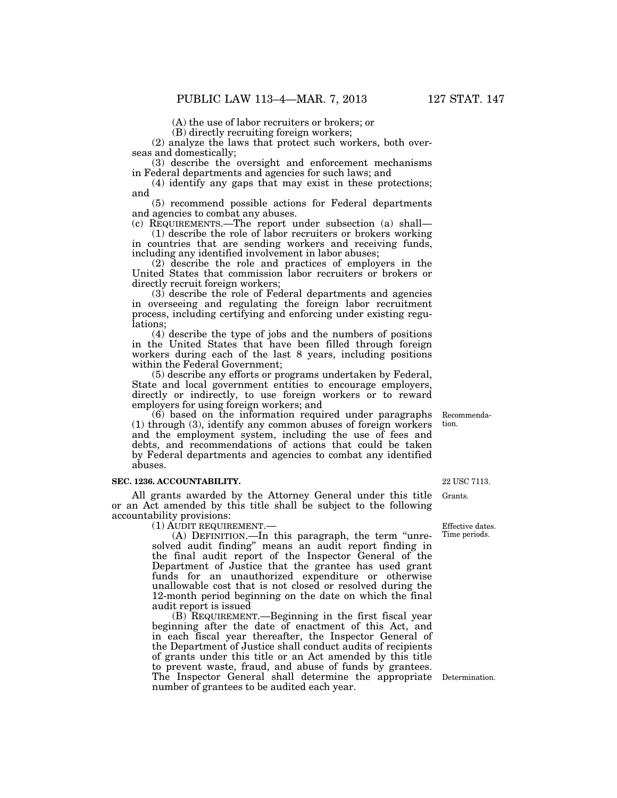(A) the use of labor recruiters or brokers; or

(B) directly recruiting foreign workers;

(2) analyze the laws that protect such workers, both overseas and domestically;

(3) describe the oversight and enforcement mechanisms in Federal departments and agencies for such laws; and

(4) identify any gaps that may exist in these protections; and

(5) recommend possible actions for Federal departments and agencies to combat any abuses.

(c) REQUIREMENTS.—The report under subsection (a) shall— (1) describe the role of labor recruiters or brokers working in countries that are sending workers and receiving funds, including any identified involvement in labor abuses;

(2) describe the role and practices of employers in the United States that commission labor recruiters or brokers or directly recruit foreign workers;

(3) describe the role of Federal departments and agencies in overseeing and regulating the foreign labor recruitment process, including certifying and enforcing under existing regulations;

(4) describe the type of jobs and the numbers of positions in the United States that have been filled through foreign workers during each of the last 8 years, including positions within the Federal Government;

(5) describe any efforts or programs undertaken by Federal, State and local government entities to encourage employers, directly or indirectly, to use foreign workers or to reward employers for using foreign workers; and

(6) based on the information required under paragraphs (1) through (3), identify any common abuses of foreign workers and the employment system, including the use of fees and debts, and recommendations of actions that could be taken by Federal departments and agencies to combat any identified abuses.

#### **SEC. 1236. ACCOUNTABILITY.**

All grants awarded by the Attorney General under this title or an Act amended by this title shall be subject to the following accountability provisions:

(1) AUDIT REQUIREMENT.—

(A) DEFINITION.—In this paragraph, the term ''unresolved audit finding" means an audit report finding in the final audit report of the Inspector General of the Department of Justice that the grantee has used grant funds for an unauthorized expenditure or otherwise unallowable cost that is not closed or resolved during the 12-month period beginning on the date on which the final audit report is issued

(B) REQUIREMENT.—Beginning in the first fiscal year beginning after the date of enactment of this Act, and in each fiscal year thereafter, the Inspector General of the Department of Justice shall conduct audits of recipients of grants under this title or an Act amended by this title to prevent waste, fraud, and abuse of funds by grantees. The Inspector General shall determine the appropriate Determination. number of grantees to be audited each year.

22 USC 7113.

Grants.

Effective dates. Time periods.

Recommendation.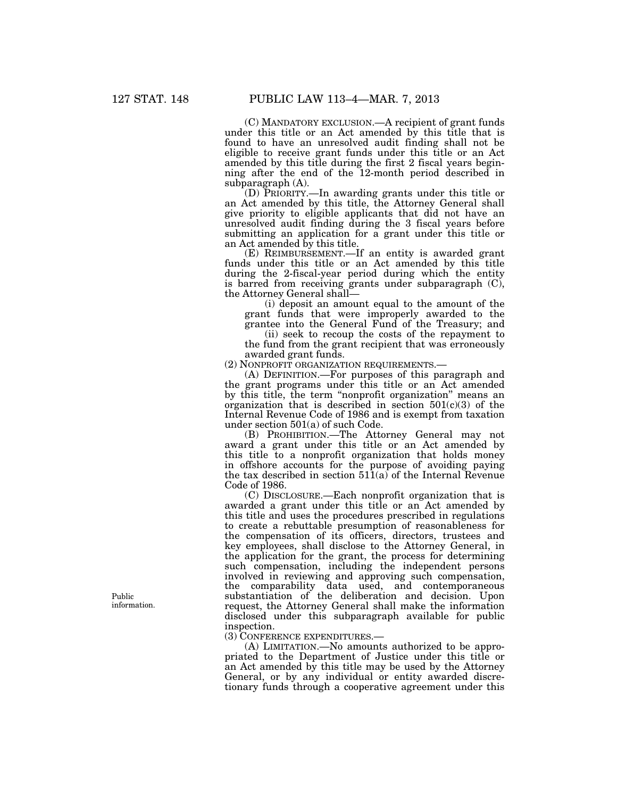(C) MANDATORY EXCLUSION.—A recipient of grant funds under this title or an Act amended by this title that is found to have an unresolved audit finding shall not be eligible to receive grant funds under this title or an Act amended by this title during the first 2 fiscal years beginning after the end of the 12-month period described in subparagraph (A).

(D) PRIORITY.—In awarding grants under this title or an Act amended by this title, the Attorney General shall give priority to eligible applicants that did not have an unresolved audit finding during the 3 fiscal years before submitting an application for a grant under this title or an Act amended by this title.

(E) REIMBURSEMENT.—If an entity is awarded grant funds under this title or an Act amended by this title during the 2-fiscal-year period during which the entity is barred from receiving grants under subparagraph (C), the Attorney General shall—

(i) deposit an amount equal to the amount of the grant funds that were improperly awarded to the grantee into the General Fund of the Treasury; and

(ii) seek to recoup the costs of the repayment to the fund from the grant recipient that was erroneously awarded grant funds.

(2) NONPROFIT ORGANIZATION REQUIREMENTS.—

(A) DEFINITION.—For purposes of this paragraph and the grant programs under this title or an Act amended by this title, the term ''nonprofit organization'' means an organization that is described in section 501(c)(3) of the Internal Revenue Code of 1986 and is exempt from taxation under section 501(a) of such Code.

(B) PROHIBITION.—The Attorney General may not award a grant under this title or an Act amended by this title to a nonprofit organization that holds money in offshore accounts for the purpose of avoiding paying the tax described in section  $51\overline{1}(a)$  of the Internal Revenue Code of 1986.

(C) DISCLOSURE.—Each nonprofit organization that is awarded a grant under this title or an Act amended by this title and uses the procedures prescribed in regulations to create a rebuttable presumption of reasonableness for the compensation of its officers, directors, trustees and key employees, shall disclose to the Attorney General, in the application for the grant, the process for determining such compensation, including the independent persons involved in reviewing and approving such compensation, the comparability data used, and contemporaneous substantiation of the deliberation and decision. Upon request, the Attorney General shall make the information disclosed under this subparagraph available for public inspection.

(3) CONFERENCE EXPENDITURES.—

(A) LIMITATION.—No amounts authorized to be appropriated to the Department of Justice under this title or an Act amended by this title may be used by the Attorney General, or by any individual or entity awarded discretionary funds through a cooperative agreement under this

Public information.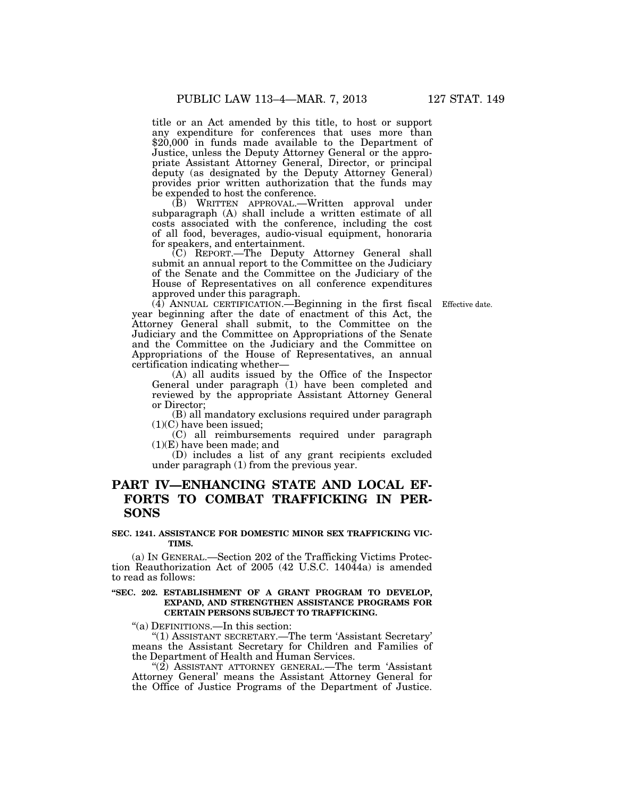title or an Act amended by this title, to host or support any expenditure for conferences that uses more than \$20,000 in funds made available to the Department of Justice, unless the Deputy Attorney General or the appropriate Assistant Attorney General, Director, or principal deputy (as designated by the Deputy Attorney General) provides prior written authorization that the funds may be expended to host the conference.

(B) WRITTEN APPROVAL.—Written approval under subparagraph (A) shall include a written estimate of all costs associated with the conference, including the cost of all food, beverages, audio-visual equipment, honoraria for speakers, and entertainment.

(C) REPORT.—The Deputy Attorney General shall submit an annual report to the Committee on the Judiciary of the Senate and the Committee on the Judiciary of the House of Representatives on all conference expenditures approved under this paragraph.

(4) ANNUAL CERTIFICATION.—Beginning in the first fiscal Effective date. year beginning after the date of enactment of this Act, the Attorney General shall submit, to the Committee on the Judiciary and the Committee on Appropriations of the Senate and the Committee on the Judiciary and the Committee on Appropriations of the House of Representatives, an annual certification indicating whether—

(A) all audits issued by the Office of the Inspector General under paragraph (1) have been completed and reviewed by the appropriate Assistant Attorney General or Director;

(B) all mandatory exclusions required under paragraph (1)(C) have been issued;

(C) all reimbursements required under paragraph  $(1)(E)$  have been made; and

(D) includes a list of any grant recipients excluded under paragraph (1) from the previous year.

# **PART IV—ENHANCING STATE AND LOCAL EF-FORTS TO COMBAT TRAFFICKING IN PER-SONS**

# **SEC. 1241. ASSISTANCE FOR DOMESTIC MINOR SEX TRAFFICKING VIC-TIMS.**

(a) IN GENERAL.—Section 202 of the Trafficking Victims Protection Reauthorization Act of 2005 (42 U.S.C. 14044a) is amended to read as follows:

# **''SEC. 202. ESTABLISHMENT OF A GRANT PROGRAM TO DEVELOP, EXPAND, AND STRENGTHEN ASSISTANCE PROGRAMS FOR CERTAIN PERSONS SUBJECT TO TRAFFICKING.**

''(a) DEFINITIONS.—In this section:

''(1) ASSISTANT SECRETARY.—The term 'Assistant Secretary' means the Assistant Secretary for Children and Families of the Department of Health and Human Services.

''(2) ASSISTANT ATTORNEY GENERAL.—The term 'Assistant Attorney General' means the Assistant Attorney General for the Office of Justice Programs of the Department of Justice.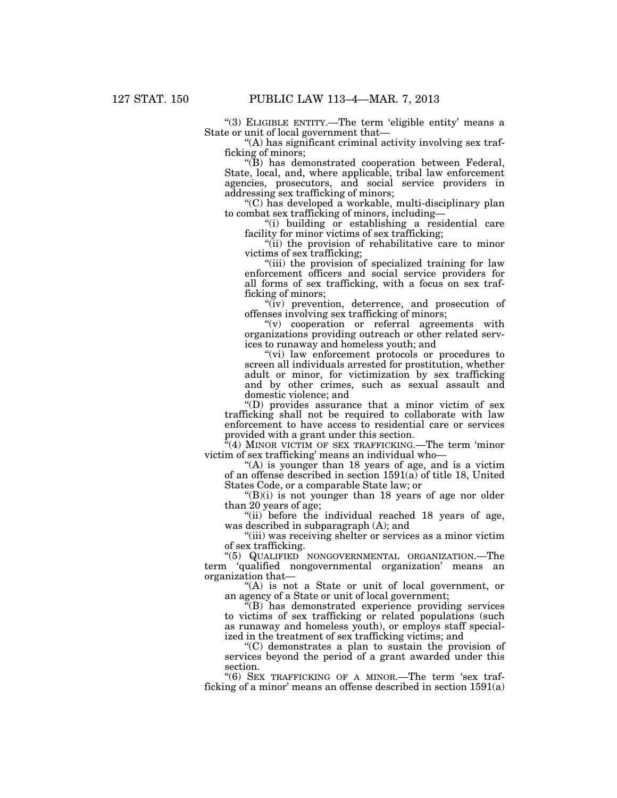"(3) ELIGIBLE ENTITY.—The term 'eligible entity' means a State or unit of local government that—

''(A) has significant criminal activity involving sex trafficking of minors;

''(B) has demonstrated cooperation between Federal, State, local, and, where applicable, tribal law enforcement agencies, prosecutors, and social service providers in addressing sex trafficking of minors;

"(C) has developed a workable, multi-disciplinary plan to combat sex trafficking of minors, including—

''(i) building or establishing a residential care facility for minor victims of sex trafficking;

"(ii) the provision of rehabilitative care to minor victims of sex trafficking;

"(iii) the provision of specialized training for law enforcement officers and social service providers for all forms of sex trafficking, with a focus on sex trafficking of minors;

"(iv) prevention, deterrence, and prosecution of offenses involving sex trafficking of minors;

''(v) cooperation or referral agreements with organizations providing outreach or other related services to runaway and homeless youth; and

"(vi) law enforcement protocols or procedures to screen all individuals arrested for prostitution, whether adult or minor, for victimization by sex trafficking and by other crimes, such as sexual assault and domestic violence; and

''(D) provides assurance that a minor victim of sex trafficking shall not be required to collaborate with law enforcement to have access to residential care or services provided with a grant under this section.

 $\frac{a}{4}$ (4) MINOR VICTIM OF SEX TRAFFICKING.—The term 'minor victim of sex trafficking' means an individual who—

" $(A)$  is younger than 18 years of age, and is a victim of an offense described in section 1591(a) of title 18, United States Code, or a comparable State law; or

 $'(B)(i)$  is not younger than 18 years of age nor older than 20 years of age;

"(ii) before the individual reached 18 years of age, was described in subparagraph (A); and

"(iii) was receiving shelter or services as a minor victim of sex trafficking.

''(5) QUALIFIED NONGOVERNMENTAL ORGANIZATION.—The term 'qualified nongovernmental organization' means an organization that—

''(A) is not a State or unit of local government, or an agency of a State or unit of local government;

''(B) has demonstrated experience providing services to victims of sex trafficking or related populations (such as runaway and homeless youth), or employs staff specialized in the treatment of sex trafficking victims; and

''(C) demonstrates a plan to sustain the provision of services beyond the period of a grant awarded under this section.

''(6) SEX TRAFFICKING OF A MINOR.—The term 'sex trafficking of a minor' means an offense described in section 1591(a)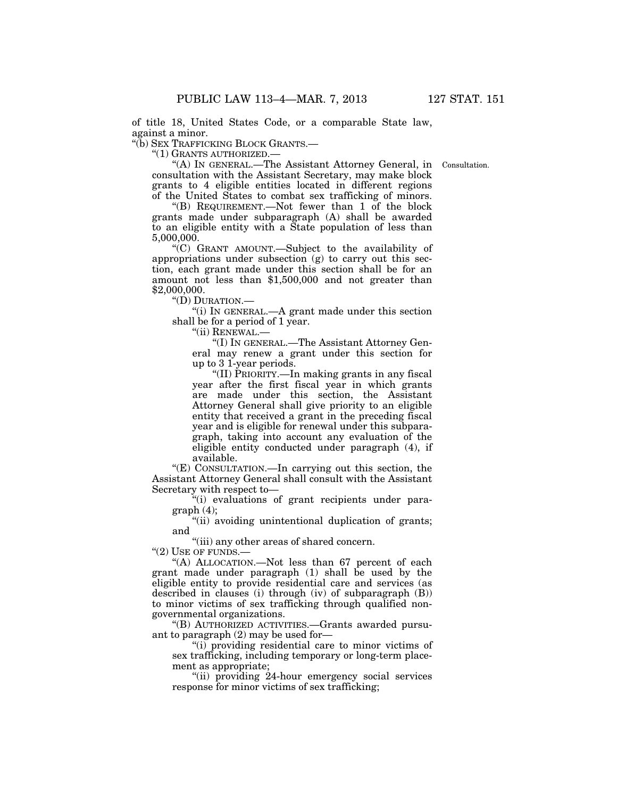of title 18, United States Code, or a comparable State law, against a minor.

''(b) SEX TRAFFICKING BLOCK GRANTS.—

''(1) GRANTS AUTHORIZED.—

Consultation.

''(A) IN GENERAL.—The Assistant Attorney General, in consultation with the Assistant Secretary, may make block grants to 4 eligible entities located in different regions of the United States to combat sex trafficking of minors.

''(B) REQUIREMENT.—Not fewer than 1 of the block grants made under subparagraph (A) shall be awarded to an eligible entity with a State population of less than 5,000,000.

''(C) GRANT AMOUNT.—Subject to the availability of appropriations under subsection (g) to carry out this section, each grant made under this section shall be for an amount not less than \$1,500,000 and not greater than \$2,000,000.

''(D) DURATION.—

''(i) IN GENERAL.—A grant made under this section shall be for a period of 1 year.

"(ii) RENEWAL.-

''(I) IN GENERAL.—The Assistant Attorney General may renew a grant under this section for up to 3 1-year periods.

''(II) PRIORITY.—In making grants in any fiscal year after the first fiscal year in which grants are made under this section, the Assistant Attorney General shall give priority to an eligible entity that received a grant in the preceding fiscal year and is eligible for renewal under this subparagraph, taking into account any evaluation of the eligible entity conducted under paragraph (4), if available.

" $(E)$  CONSULTATION.—In carrying out this section, the Assistant Attorney General shall consult with the Assistant Secretary with respect to—

''(i) evaluations of grant recipients under paragraph (4);

"(ii) avoiding unintentional duplication of grants; and

"(iii) any other areas of shared concern.

"(2) USE OF FUNDS.-

''(A) ALLOCATION.—Not less than 67 percent of each grant made under paragraph (1) shall be used by the eligible entity to provide residential care and services (as described in clauses (i) through (iv) of subparagraph (B)) to minor victims of sex trafficking through qualified nongovernmental organizations.

''(B) AUTHORIZED ACTIVITIES.—Grants awarded pursuant to paragraph (2) may be used for—

''(i) providing residential care to minor victims of sex trafficking, including temporary or long-term placement as appropriate;

"(ii) providing 24-hour emergency social services response for minor victims of sex trafficking;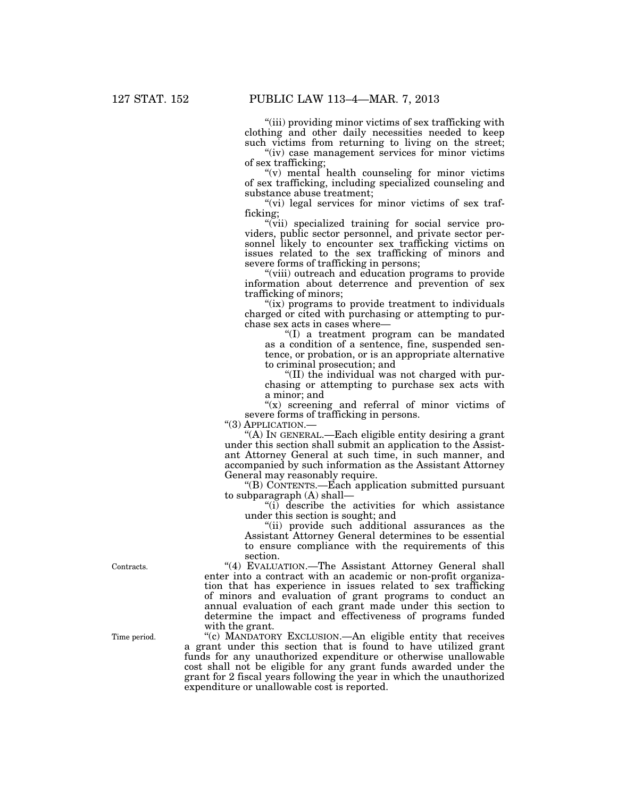''(iii) providing minor victims of sex trafficking with clothing and other daily necessities needed to keep such victims from returning to living on the street;

"(iv) case management services for minor victims" of sex trafficking;

 $''(v)$  mental health counseling for minor victims of sex trafficking, including specialized counseling and substance abuse treatment;

" $(vi)$  legal services for minor victims of sex trafficking;

"(vii) specialized training for social service providers, public sector personnel, and private sector personnel likely to encounter sex trafficking victims on issues related to the sex trafficking of minors and severe forms of trafficking in persons;

''(viii) outreach and education programs to provide information about deterrence and prevention of sex trafficking of minors;

"(ix) programs to provide treatment to individuals charged or cited with purchasing or attempting to purchase sex acts in cases where—

''(I) a treatment program can be mandated as a condition of a sentence, fine, suspended sentence, or probation, or is an appropriate alternative to criminal prosecution; and

''(II) the individual was not charged with purchasing or attempting to purchase sex acts with a minor; and

" $(x)$  screening and referral of minor victims of severe forms of trafficking in persons.

"(3) APPLICATION.-

''(A) IN GENERAL.—Each eligible entity desiring a grant under this section shall submit an application to the Assistant Attorney General at such time, in such manner, and accompanied by such information as the Assistant Attorney General may reasonably require.

''(B) CONTENTS.—Each application submitted pursuant to subparagraph (A) shall—

''(i) describe the activities for which assistance under this section is sought; and

"(ii) provide such additional assurances as the Assistant Attorney General determines to be essential to ensure compliance with the requirements of this section.

"(4) EVALUATION.—The Assistant Attorney General shall enter into a contract with an academic or non-profit organization that has experience in issues related to sex trafficking of minors and evaluation of grant programs to conduct an annual evaluation of each grant made under this section to determine the impact and effectiveness of programs funded with the grant.

''(c) MANDATORY EXCLUSION.—An eligible entity that receives a grant under this section that is found to have utilized grant funds for any unauthorized expenditure or otherwise unallowable cost shall not be eligible for any grant funds awarded under the grant for 2 fiscal years following the year in which the unauthorized expenditure or unallowable cost is reported.

Contracts.

Time period.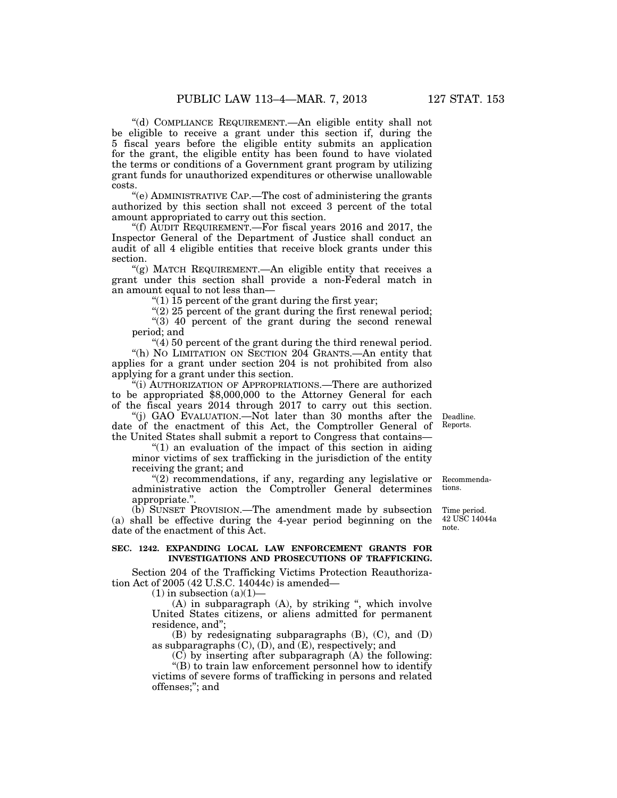''(d) COMPLIANCE REQUIREMENT.—An eligible entity shall not be eligible to receive a grant under this section if, during the 5 fiscal years before the eligible entity submits an application for the grant, the eligible entity has been found to have violated the terms or conditions of a Government grant program by utilizing grant funds for unauthorized expenditures or otherwise unallowable costs.

''(e) ADMINISTRATIVE CAP.—The cost of administering the grants authorized by this section shall not exceed 3 percent of the total amount appropriated to carry out this section.

"(f)  $\overline{A}$ UDIT REQUIREMENT.—For fiscal years 2016 and 2017, the Inspector General of the Department of Justice shall conduct an audit of all 4 eligible entities that receive block grants under this section.

"(g) MATCH REQUIREMENT.—An eligible entity that receives a grant under this section shall provide a non-Federal match in an amount equal to not less than—

"(1)  $\overline{15}$  percent of the grant during the first year;

"(2) 25 percent of the grant during the first renewal period; " $(3)$  40 percent of the grant during the second renewal period; and

''(4) 50 percent of the grant during the third renewal period. ''(h) NO LIMITATION ON SECTION 204 GRANTS.—An entity that applies for a grant under section 204 is not prohibited from also applying for a grant under this section.

''(i) AUTHORIZATION OF APPROPRIATIONS.—There are authorized to be appropriated \$8,000,000 to the Attorney General for each of the fiscal years 2014 through 2017 to carry out this section.

''(j) GAO EVALUATION.—Not later than 30 months after the date of the enactment of this Act, the Comptroller General of the United States shall submit a report to Congress that contains—

" $(1)$  an evaluation of the impact of this section in aiding minor victims of sex trafficking in the jurisdiction of the entity receiving the grant; and

 $(2)$  recommendations, if any, regarding any legislative or administrative action the Comptroller General determines appropriate.''. Recommendations.

(b) SUNSET PROVISION.—The amendment made by subsection (a) shall be effective during the 4-year period beginning on the date of the enactment of this Act.

# **SEC. 1242. EXPANDING LOCAL LAW ENFORCEMENT GRANTS FOR INVESTIGATIONS AND PROSECUTIONS OF TRAFFICKING.**

Section 204 of the Trafficking Victims Protection Reauthorization Act of 2005 (42 U.S.C. 14044c) is amended—

 $(1)$  in subsection  $(a)(1)$ –

 $(A)$  in subparagraph  $(A)$ , by striking ", which involve United States citizens, or aliens admitted for permanent residence, and'';

(B) by redesignating subparagraphs (B), (C), and (D) as subparagraphs  $(C)$ ,  $(D)$ , and  $(E)$ , respectively; and

(C) by inserting after subparagraph (A) the following: ''(B) to train law enforcement personnel how to identify

victims of severe forms of trafficking in persons and related offenses;''; and

Time period. 42 USC 14044a

note.

Reports.

Deadline.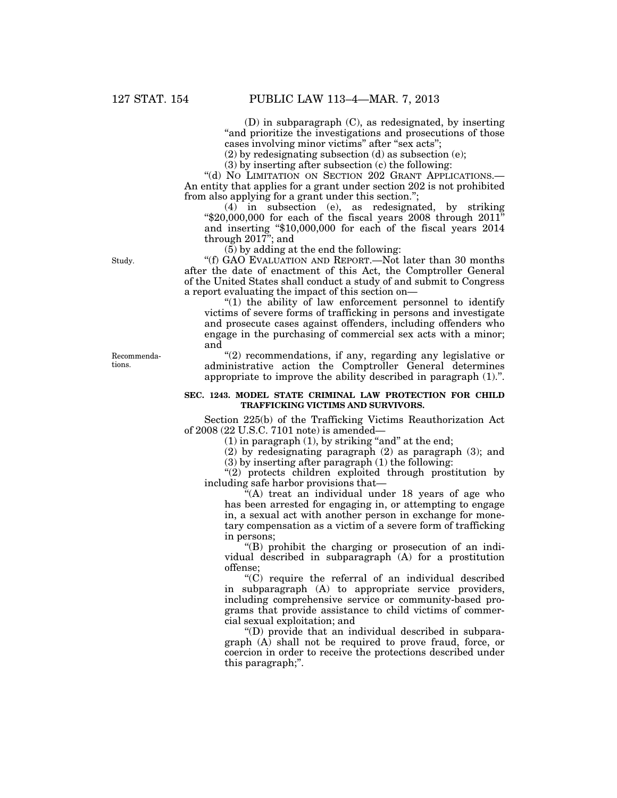(D) in subparagraph (C), as redesignated, by inserting "and prioritize the investigations and prosecutions of those cases involving minor victims" after "sex acts";

(2) by redesignating subsection (d) as subsection (e);

(3) by inserting after subsection (c) the following:

"(d) No LIMITATION ON SECTION 202 GRANT APPLICATIONS.— An entity that applies for a grant under section 202 is not prohibited from also applying for a grant under this section.'';

(4) in subsection (e), as redesignated, by striking  $\text{\textdegree $20,000,000}$  for each of the fiscal years 2008 through 2011" and inserting ''\$10,000,000 for each of the fiscal years 2014 through 2017''; and

(5) by adding at the end the following:

''(f) GAO EVALUATION AND REPORT.—Not later than 30 months after the date of enactment of this Act, the Comptroller General of the United States shall conduct a study of and submit to Congress a report evaluating the impact of this section on—

''(1) the ability of law enforcement personnel to identify victims of severe forms of trafficking in persons and investigate and prosecute cases against offenders, including offenders who engage in the purchasing of commercial sex acts with a minor; and

''(2) recommendations, if any, regarding any legislative or administrative action the Comptroller General determines appropriate to improve the ability described in paragraph (1).''.

### **SEC. 1243. MODEL STATE CRIMINAL LAW PROTECTION FOR CHILD TRAFFICKING VICTIMS AND SURVIVORS.**

Section 225(b) of the Trafficking Victims Reauthorization Act of 2008 (22 U.S.C. 7101 note) is amended—

 $(1)$  in paragraph  $(1)$ , by striking "and" at the end;

(2) by redesignating paragraph (2) as paragraph (3); and

(3) by inserting after paragraph (1) the following:

''(2) protects children exploited through prostitution by including safe harbor provisions that—

''(A) treat an individual under 18 years of age who has been arrested for engaging in, or attempting to engage in, a sexual act with another person in exchange for monetary compensation as a victim of a severe form of trafficking in persons;

''(B) prohibit the charging or prosecution of an individual described in subparagraph (A) for a prostitution offense;

 $(C)$  require the referral of an individual described in subparagraph (A) to appropriate service providers, including comprehensive service or community-based programs that provide assistance to child victims of commercial sexual exploitation; and

''(D) provide that an individual described in subparagraph  $(A)$  shall not be required to prove fraud, force, or coercion in order to receive the protections described under this paragraph;''.

Study.

Recommendations.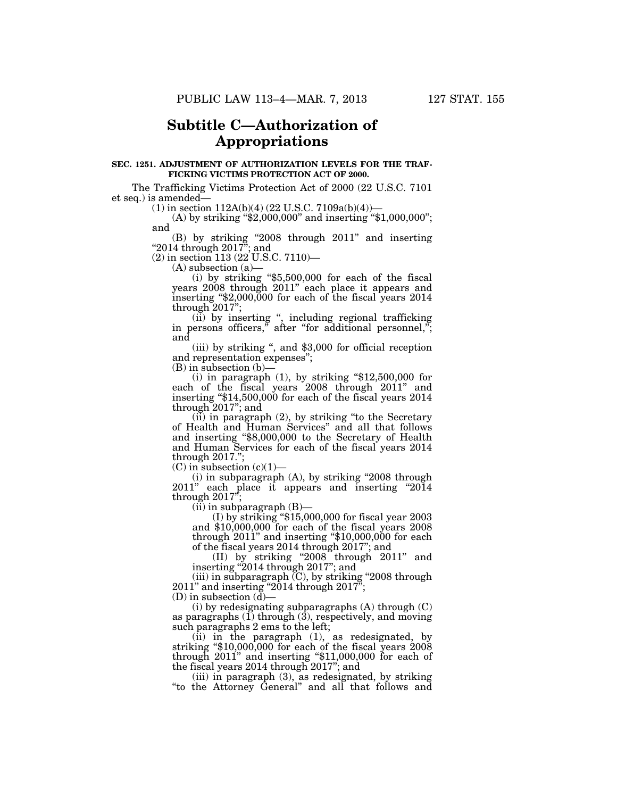# **Subtitle C—Authorization of Appropriations**

#### **SEC. 1251. ADJUSTMENT OF AUTHORIZATION LEVELS FOR THE TRAF-FICKING VICTIMS PROTECTION ACT OF 2000.**

The Trafficking Victims Protection Act of 2000 (22 U.S.C. 7101 et seq.) is amended—

 $(1)$  in section 112A(b)(4) (22 U.S.C. 7109a(b)(4))—

(A) by striking "\$2,000,000" and inserting "\$1,000,000"; and

(B) by striking ''2008 through 2011'' and inserting " $2014$  through  $2017$ "; and

(2) in section 113 (22 U.S.C. 7110)—

(A) subsection (a)—

(i) by striking ''\$5,500,000 for each of the fiscal years 2008 through 2011'' each place it appears and inserting ''\$2,000,000 for each of the fiscal years 2014 through 2017'';

(ii) by inserting '', including regional trafficking in persons officers," after "for additional personnel,"; and

(iii) by striking '', and \$3,000 for official reception and representation expenses'';

(B) in subsection (b)—

(i) in paragraph  $(1)$ , by striking "\$12,500,000 for each of the fiscal years 2008 through 2011'' and inserting ''\$14,500,000 for each of the fiscal years 2014 through 2017''; and

(ii) in paragraph (2), by striking ''to the Secretary of Health and Human Services'' and all that follows and inserting ''\$8,000,000 to the Secretary of Health and Human Services for each of the fiscal years 2014 through 2017.'';

 $(C)$  in subsection  $(c)(1)$ 

 $(i)$  in subparagraph  $(A)$ , by striking "2008 through 2011" each place it appears and inserting "2014" through  $2017$ <sup>";</sup>

(ii) in subparagraph (B)— (I) by striking ''\$15,000,000 for fiscal year 2003 and \$10,000,000 for each of the fiscal years 2008 through 2011'' and inserting ''\$10,000,000 for each of the fiscal years 2014 through 2017''; and

(II) by striking ''2008 through 2011'' and inserting ''2014 through 2017''; and

(iii) in subparagraph  $(C)$ , by striking "2008 through  $2011$ " and inserting "2014 through  $2017$ ";

(D) in subsection  $(d)$ –

(i) by redesignating subparagraphs (A) through (C) as paragraphs  $(I)$  through  $(3)$ , respectively, and moving such paragraphs 2 ems to the left;

(ii) in the paragraph  $(1)$ , as redesignated, by striking "\$10,000,000 for each of the fiscal years 2008 through 2011'' and inserting ''\$11,000,000 for each of the fiscal years 2014 through 2017''; and

(iii) in paragraph (3), as redesignated, by striking ''to the Attorney General'' and all that follows and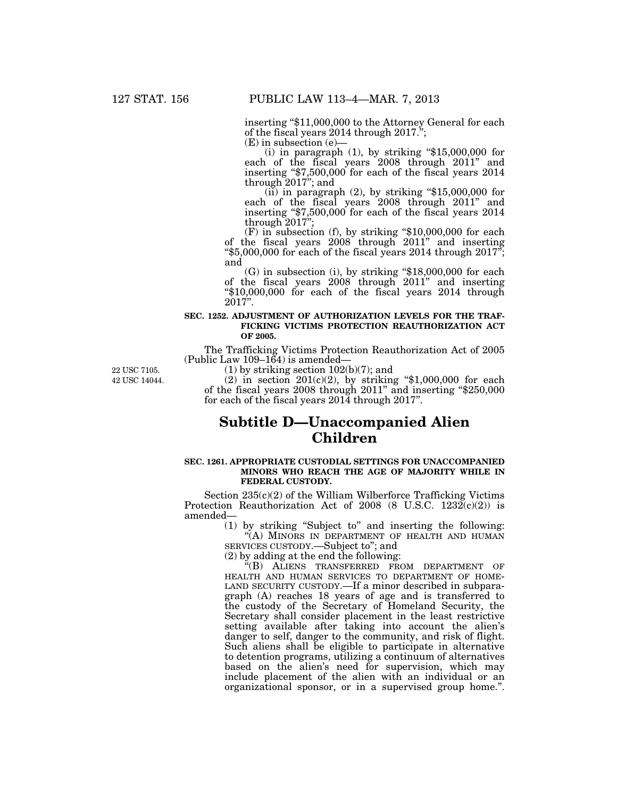inserting ''\$11,000,000 to the Attorney General for each of the fiscal years 2014 through 2017.''; (E) in subsection (e)—

(i) in paragraph  $(1)$ , by striking "\$15,000,000 for each of the fiscal years 2008 through 2011'' and inserting "\$7,500,000 for each of the fiscal years 2014 through 2017"; and

through 2017"; and<br>(ii) in paragraph (2), by striking "\$15,000,000 for each of the fiscal years 2008 through 2011'' and inserting ''\$7,500,000 for each of the fiscal years 2014 through  $2017$ ";

 $(F)$  in subsection  $(f)$ , by striking "\$10,000,000 for each of the fiscal years 2008 through 2011'' and inserting " $$5,000,000$  for each of the fiscal years 2014 through 2017"; and

(G) in subsection (i), by striking ''\$18,000,000 for each of the fiscal years 2008 through 2011'' and inserting ''\$10,000,000 for each of the fiscal years 2014 through 2017''.

## **SEC. 1252. ADJUSTMENT OF AUTHORIZATION LEVELS FOR THE TRAF-FICKING VICTIMS PROTECTION REAUTHORIZATION ACT OF 2005.**

The Trafficking Victims Protection Reauthorization Act of 2005 (Public Law  $109-164$ ) is amended-

42 USC 14044. 22 USC 7105.

 $(1)$  by striking section  $102(b)(7)$ ; and

(2) in section  $201(c)(2)$ , by striking "\$1,000,000 for each of the fiscal years 2008 through 2011'' and inserting ''\$250,000 for each of the fiscal years 2014 through 2017''.

# **Subtitle D—Unaccompanied Alien Children**

#### **SEC. 1261. APPROPRIATE CUSTODIAL SETTINGS FOR UNACCOMPANIED MINORS WHO REACH THE AGE OF MAJORITY WHILE IN FEDERAL CUSTODY.**

Section 235(c)(2) of the William Wilberforce Trafficking Victims Protection Reauthorization Act of 2008 (8 U.S.C.  $1232(c)(2)$ ) is amended—

(1) by striking ''Subject to'' and inserting the following: ''(A) MINORS IN DEPARTMENT OF HEALTH AND HUMAN SERVICES CUSTODY.—Subject to''; and

(2) by adding at the end the following:

''(B) ALIENS TRANSFERRED FROM DEPARTMENT OF HEALTH AND HUMAN SERVICES TO DEPARTMENT OF HOME-LAND SECURITY CUSTODY.—If a minor described in subparagraph (A) reaches 18 years of age and is transferred to the custody of the Secretary of Homeland Security, the Secretary shall consider placement in the least restrictive setting available after taking into account the alien's danger to self, danger to the community, and risk of flight. Such aliens shall be eligible to participate in alternative to detention programs, utilizing a continuum of alternatives based on the alien's need for supervision, which may include placement of the alien with an individual or an organizational sponsor, or in a supervised group home.''.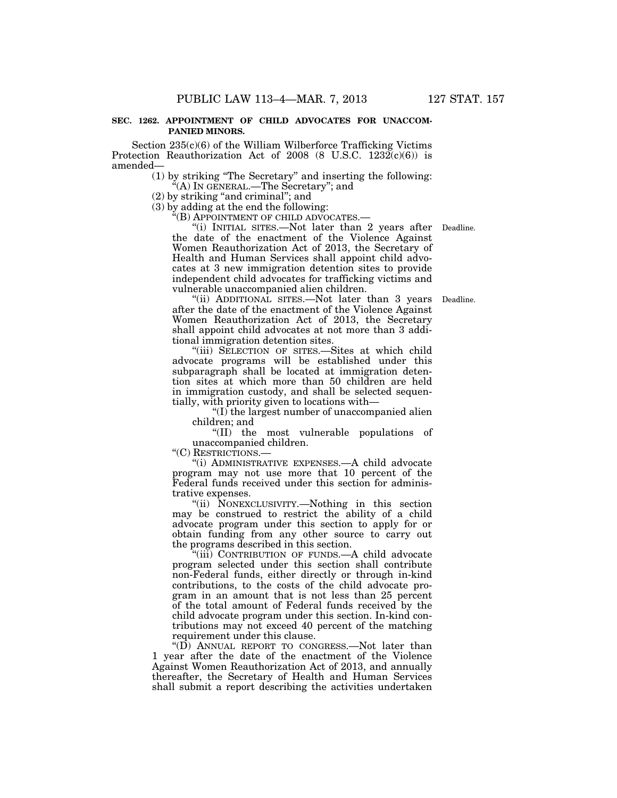### **SEC. 1262. APPOINTMENT OF CHILD ADVOCATES FOR UNACCOM-PANIED MINORS.**

Section 235(c)(6) of the William Wilberforce Trafficking Victims Protection Reauthorization Act of 2008 (8 U.S.C.  $1232(c)(6)$ ) is amended—

> (1) by striking ''The Secretary'' and inserting the following: ''(A) IN GENERAL.—The Secretary''; and

 $(2)$  by striking "and criminal"; and

(3) by adding at the end the following:

 $K(E)$  APPOINTMENT OF CHILD ADVOCATES. $-$ 

"(i) INITIAL SITES.—Not later than 2 years after Deadline. the date of the enactment of the Violence Against Women Reauthorization Act of 2013, the Secretary of Health and Human Services shall appoint child advocates at 3 new immigration detention sites to provide independent child advocates for trafficking victims and vulnerable unaccompanied alien children.

"(ii) ADDITIONAL SITES.—Not later than 3 years Deadline. after the date of the enactment of the Violence Against Women Reauthorization Act of 2013, the Secretary shall appoint child advocates at not more than 3 additional immigration detention sites.

"(iii) SELECTION OF SITES.—Sites at which child advocate programs will be established under this subparagraph shall be located at immigration detention sites at which more than 50 children are held in immigration custody, and shall be selected sequentially, with priority given to locations with—

 $f(I)$  the largest number of unaccompanied alien children; and

''(II) the most vulnerable populations of unaccompanied children.

''(C) RESTRICTIONS.—

''(i) ADMINISTRATIVE EXPENSES.—A child advocate program may not use more that 10 percent of the Federal funds received under this section for administrative expenses.

''(ii) NONEXCLUSIVITY.—Nothing in this section may be construed to restrict the ability of a child advocate program under this section to apply for or obtain funding from any other source to carry out the programs described in this section.

'(iii) CONTRIBUTION OF FUNDS.—A child advocate program selected under this section shall contribute non-Federal funds, either directly or through in-kind contributions, to the costs of the child advocate program in an amount that is not less than 25 percent of the total amount of Federal funds received by the child advocate program under this section. In-kind contributions may not exceed 40 percent of the matching requirement under this clause.

''(D) ANNUAL REPORT TO CONGRESS.—Not later than 1 year after the date of the enactment of the Violence Against Women Reauthorization Act of 2013, and annually thereafter, the Secretary of Health and Human Services shall submit a report describing the activities undertaken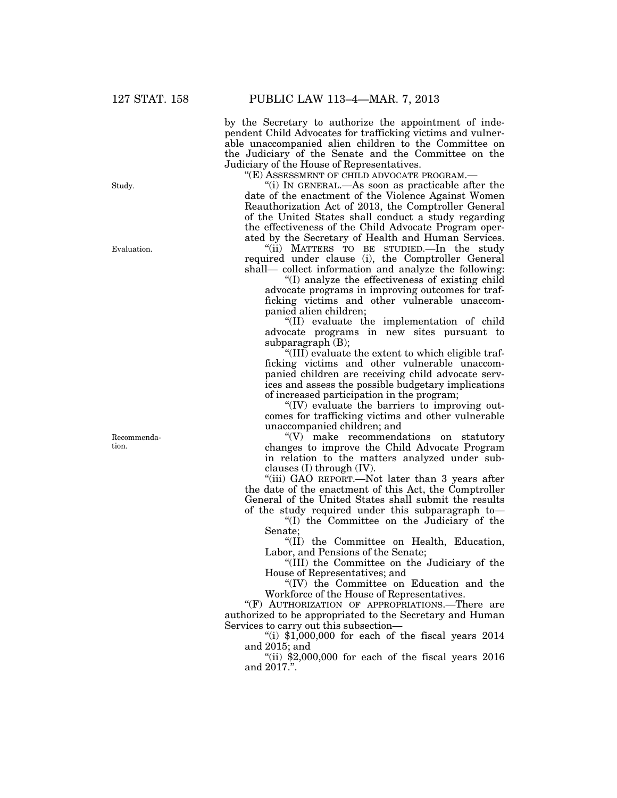by the Secretary to authorize the appointment of independent Child Advocates for trafficking victims and vulnerable unaccompanied alien children to the Committee on the Judiciary of the Senate and the Committee on the Judiciary of the House of Representatives.

''(E) ASSESSMENT OF CHILD ADVOCATE PROGRAM.—

''(i) IN GENERAL.—As soon as practicable after the date of the enactment of the Violence Against Women Reauthorization Act of 2013, the Comptroller General of the United States shall conduct a study regarding the effectiveness of the Child Advocate Program operated by the Secretary of Health and Human Services.

"(ii) MATTERS TO BE STUDIED. In the study required under clause (i), the Comptroller General shall— collect information and analyze the following:

''(I) analyze the effectiveness of existing child advocate programs in improving outcomes for trafficking victims and other vulnerable unaccompanied alien children;

''(II) evaluate the implementation of child advocate programs in new sites pursuant to subparagraph (B);

''(III) evaluate the extent to which eligible trafficking victims and other vulnerable unaccompanied children are receiving child advocate services and assess the possible budgetary implications of increased participation in the program;

 $\mathrm{``(IV)}$  evaluate the barriers to improving outcomes for trafficking victims and other vulnerable unaccompanied children; and

''(V) make recommendations on statutory changes to improve the Child Advocate Program in relation to the matters analyzed under subclauses (I) through (IV).

"(iii) GAO REPORT.—Not later than 3 years after the date of the enactment of this Act, the Comptroller General of the United States shall submit the results of the study required under this subparagraph to—

''(I) the Committee on the Judiciary of the Senate;

''(II) the Committee on Health, Education, Labor, and Pensions of the Senate;

''(III) the Committee on the Judiciary of the House of Representatives; and

''(IV) the Committee on Education and the Workforce of the House of Representatives.

"(F) AUTHORIZATION OF APPROPRIATIONS.—There are authorized to be appropriated to the Secretary and Human Services to carry out this subsection—

"(i)  $$1,000,000$  for each of the fiscal years  $2014$ and 2015; and

"(ii)  $$2,000,000$  for each of the fiscal years  $2016$ and 2017.''.

Study.

Evaluation.

Recommendation.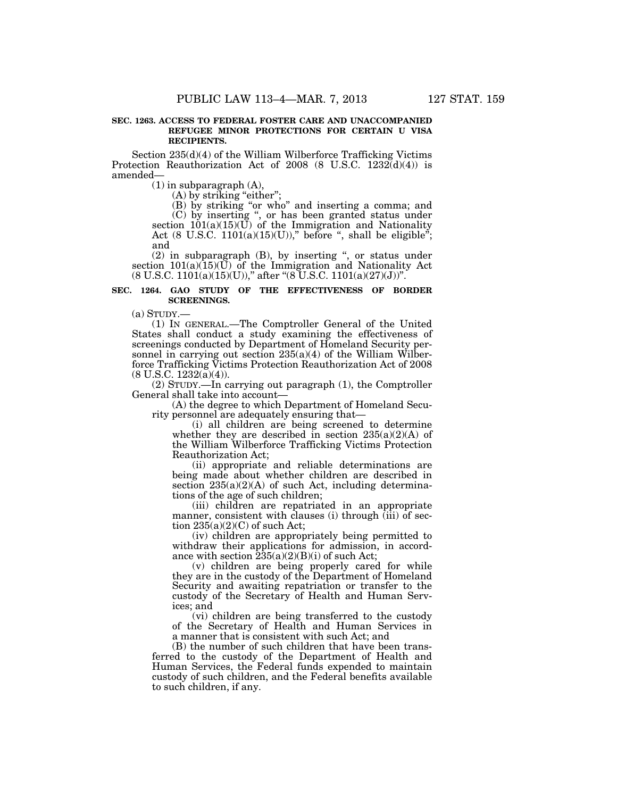### **SEC. 1263. ACCESS TO FEDERAL FOSTER CARE AND UNACCOMPANIED REFUGEE MINOR PROTECTIONS FOR CERTAIN U VISA RECIPIENTS.**

Section 235(d)(4) of the William Wilberforce Trafficking Victims Protection Reauthorization Act of 2008 (8 U.S.C.  $1232\ddot{d}(4)$ ) is amended—

 $(1)$  in subparagraph  $(A)$ ,

 $(A)$  by striking "either";

(B) by striking "or who" and inserting a comma; and (C) by inserting '', or has been granted status under section  $101(a)(15)(U)$  of the Immigration and Nationality

Act (8 U.S.C.  $1101(a)(15)(U)$ )," before ", shall be eligible"; and

(2) in subparagraph (B), by inserting '', or status under section 101(a)(15)(U) of the Immigration and Nationality Act  $(8 \text{ U.S.C. } 1101(a)(15)(U)),''$  after " $(8 \text{ U.S.C. } 1101(a)(27)(J))".$ 

# **SEC. 1264. GAO STUDY OF THE EFFECTIVENESS OF BORDER SCREENINGS.**

 $(a)$  STUDY.—

(1) IN GENERAL.—The Comptroller General of the United States shall conduct a study examining the effectiveness of screenings conducted by Department of Homeland Security personnel in carrying out section 235(a)(4) of the William Wilberforce Trafficking Victims Protection Reauthorization Act of 2008  $(8 \text{ U.S.C. } 1232(a)(4)).$ 

(2) STUDY.—In carrying out paragraph (1), the Comptroller General shall take into account—

(A) the degree to which Department of Homeland Security personnel are adequately ensuring that—

(i) all children are being screened to determine whether they are described in section  $235(a)(2)(A)$  of the William Wilberforce Trafficking Victims Protection Reauthorization Act;

(ii) appropriate and reliable determinations are being made about whether children are described in section  $235(a)(2)(A)$  of such Act, including determinations of the age of such children;

(iii) children are repatriated in an appropriate manner, consistent with clauses (i) through (iii) of section  $235(a)(2)(C)$  of such Act;

(iv) children are appropriately being permitted to withdraw their applications for admission, in accordance with section  $\overline{235(a)(2)(B)(i)}$  of such Act;

(v) children are being properly cared for while they are in the custody of the Department of Homeland Security and awaiting repatriation or transfer to the custody of the Secretary of Health and Human Services; and

(vi) children are being transferred to the custody of the Secretary of Health and Human Services in a manner that is consistent with such Act; and

(B) the number of such children that have been transferred to the custody of the Department of Health and Human Services, the Federal funds expended to maintain custody of such children, and the Federal benefits available to such children, if any.